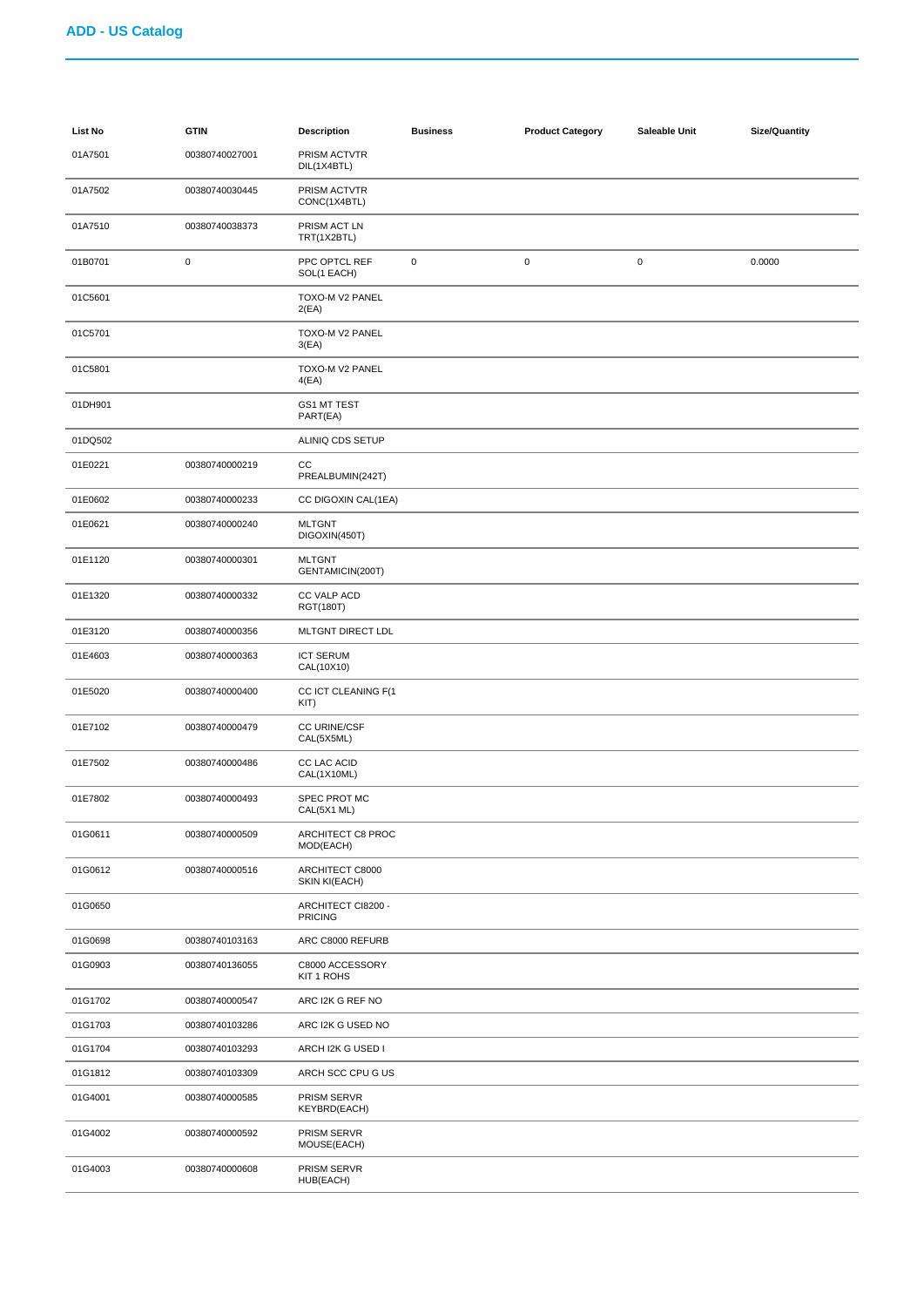| List No | <b>GTIN</b>    | <b>Description</b>                   | <b>Business</b> | <b>Product Category</b> | Saleable Unit | <b>Size/Quantity</b> |
|---------|----------------|--------------------------------------|-----------------|-------------------------|---------------|----------------------|
| 01A7501 | 00380740027001 | PRISM ACTVTR<br>DIL(1X4BTL)          |                 |                         |               |                      |
| 01A7502 | 00380740030445 | PRISM ACTVTR<br>CONC(1X4BTL)         |                 |                         |               |                      |
| 01A7510 | 00380740038373 | PRISM ACT LN<br>TRT(1X2BTL)          |                 |                         |               |                      |
| 01B0701 | $\mathbf 0$    | PPC OPTCL REF<br>SOL(1 EACH)         | $\mathbf 0$     | $\pmb{0}$               | $\pmb{0}$     | 0.0000               |
| 01C5601 |                | TOXO-M V2 PANEL<br>2(EA)             |                 |                         |               |                      |
| 01C5701 |                | TOXO-M V2 PANEL<br>3(EA)             |                 |                         |               |                      |
| 01C5801 |                | TOXO-M V2 PANEL<br>4(EA)             |                 |                         |               |                      |
| 01DH901 |                | GS1 MT TEST<br>PART(EA)              |                 |                         |               |                      |
| 01DQ502 |                | ALINIQ CDS SETUP                     |                 |                         |               |                      |
| 01E0221 | 00380740000219 | CC<br>PREALBUMIN(242T)               |                 |                         |               |                      |
| 01E0602 | 00380740000233 | CC DIGOXIN CAL(1EA)                  |                 |                         |               |                      |
| 01E0621 | 00380740000240 | <b>MLTGNT</b><br>DIGOXIN(450T)       |                 |                         |               |                      |
| 01E1120 | 00380740000301 | <b>MLTGNT</b><br>GENTAMICIN(200T)    |                 |                         |               |                      |
| 01E1320 | 00380740000332 | CC VALP ACD<br>RGT(180T)             |                 |                         |               |                      |
| 01E3120 | 00380740000356 | MLTGNT DIRECT LDL                    |                 |                         |               |                      |
| 01E4603 | 00380740000363 | <b>ICT SERUM</b><br>CAL(10X10)       |                 |                         |               |                      |
| 01E5020 | 00380740000400 | CC ICT CLEANING F(1<br>KIT)          |                 |                         |               |                      |
| 01E7102 | 00380740000479 | CC URINE/CSF<br>CAL(5X5ML)           |                 |                         |               |                      |
| 01E7502 | 00380740000486 | CC LAC ACID<br>CAL(1X10ML)           |                 |                         |               |                      |
| 01E7802 | 00380740000493 | SPEC PROT MC<br>CAL(5X1 ML)          |                 |                         |               |                      |
| 01G0611 | 00380740000509 | ARCHITECT C8 PROC<br>MOD(EACH)       |                 |                         |               |                      |
| 01G0612 | 00380740000516 | ARCHITECT C8000<br>SKIN KI(EACH)     |                 |                         |               |                      |
| 01G0650 |                | ARCHITECT CI8200 -<br><b>PRICING</b> |                 |                         |               |                      |
| 01G0698 | 00380740103163 | ARC C8000 REFURB                     |                 |                         |               |                      |
| 01G0903 | 00380740136055 | C8000 ACCESSORY<br>KIT 1 ROHS        |                 |                         |               |                      |
| 01G1702 | 00380740000547 | ARC I2K G REF NO                     |                 |                         |               |                      |
| 01G1703 | 00380740103286 | ARC I2K G USED NO                    |                 |                         |               |                      |
| 01G1704 | 00380740103293 | ARCH I2K G USED I                    |                 |                         |               |                      |
| 01G1812 | 00380740103309 | ARCH SCC CPU G US                    |                 |                         |               |                      |
| 01G4001 | 00380740000585 | PRISM SERVR<br>KEYBRD(EACH)          |                 |                         |               |                      |
| 01G4002 | 00380740000592 | PRISM SERVR<br>MOUSE(EACH)           |                 |                         |               |                      |
| 01G4003 | 00380740000608 | PRISM SERVR<br>HUB(EACH)             |                 |                         |               |                      |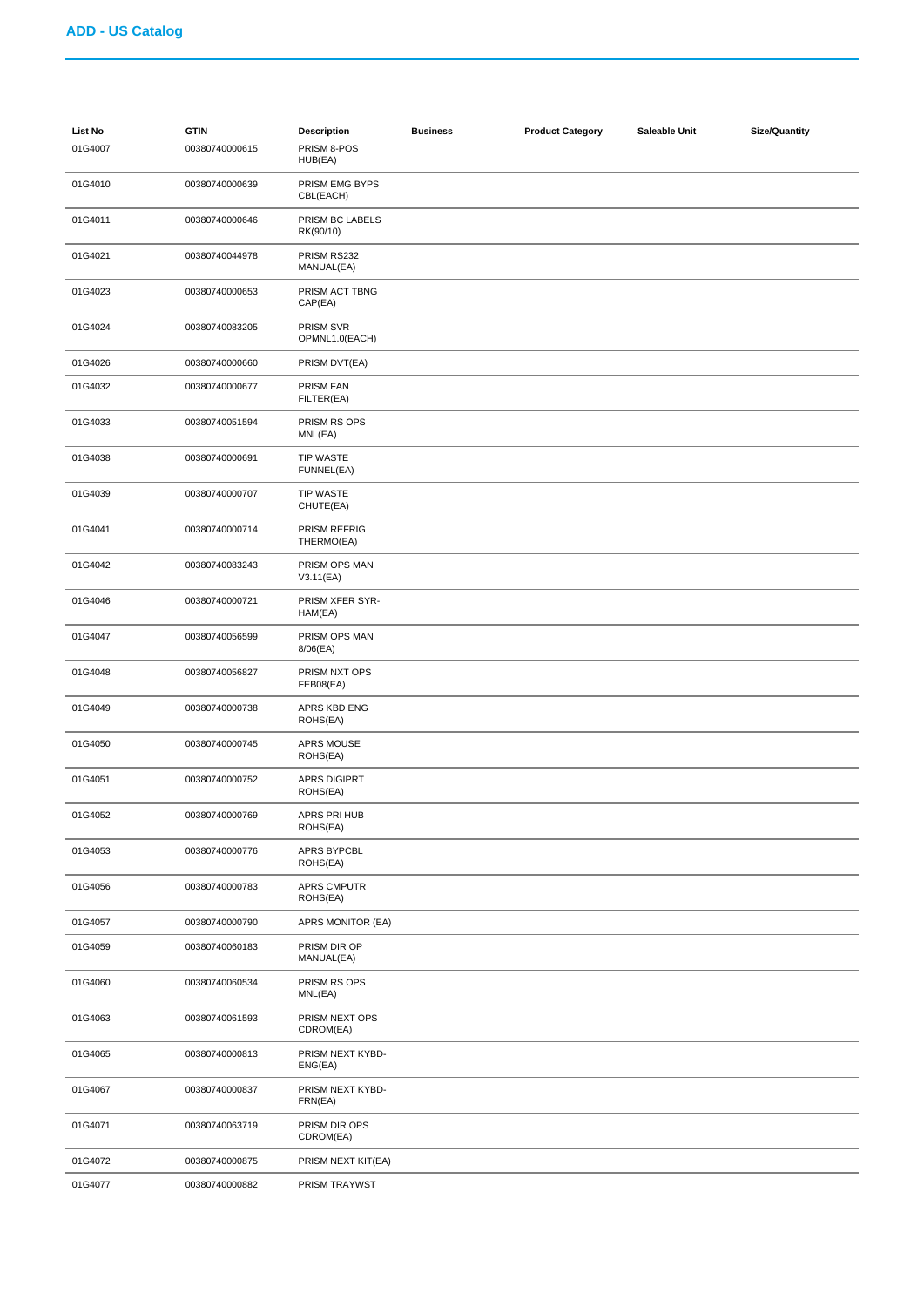| <b>List No</b><br>01G4007 | <b>GTIN</b><br>00380740000615 | <b>Description</b><br>PRISM 8-POS<br>HUB(EA) | <b>Business</b> | <b>Product Category</b> | Saleable Unit | <b>Size/Quantity</b> |
|---------------------------|-------------------------------|----------------------------------------------|-----------------|-------------------------|---------------|----------------------|
| 01G4010                   | 00380740000639                | PRISM EMG BYPS<br>CBL(EACH)                  |                 |                         |               |                      |
| 01G4011                   | 00380740000646                | PRISM BC LABELS<br>RK(90/10)                 |                 |                         |               |                      |
| 01G4021                   | 00380740044978                | PRISM RS232<br>MANUAL(EA)                    |                 |                         |               |                      |
| 01G4023                   | 00380740000653                | PRISM ACT TBNG<br>CAP(EA)                    |                 |                         |               |                      |
| 01G4024                   | 00380740083205                | PRISM SVR<br>OPMNL1.0(EACH)                  |                 |                         |               |                      |
| 01G4026                   | 00380740000660                | PRISM DVT(EA)                                |                 |                         |               |                      |
| 01G4032                   | 00380740000677                | PRISM FAN<br>FILTER(EA)                      |                 |                         |               |                      |
| 01G4033                   | 00380740051594                | PRISM RS OPS<br>MNL(EA)                      |                 |                         |               |                      |
| 01G4038                   | 00380740000691                | <b>TIP WASTE</b><br>FUNNEL(EA)               |                 |                         |               |                      |
| 01G4039                   | 00380740000707                | <b>TIP WASTE</b><br>CHUTE(EA)                |                 |                         |               |                      |
| 01G4041                   | 00380740000714                | PRISM REFRIG<br>THERMO(EA)                   |                 |                         |               |                      |
| 01G4042                   | 00380740083243                | PRISM OPS MAN<br>V3.11(EA)                   |                 |                         |               |                      |
| 01G4046                   | 00380740000721                | PRISM XFER SYR-<br>HAM(EA)                   |                 |                         |               |                      |
| 01G4047                   | 00380740056599                | PRISM OPS MAN<br>8/06(EA)                    |                 |                         |               |                      |
| 01G4048                   | 00380740056827                | PRISM NXT OPS<br>FEB08(EA)                   |                 |                         |               |                      |
| 01G4049                   | 00380740000738                | APRS KBD ENG<br>ROHS(EA)                     |                 |                         |               |                      |
| 01G4050                   | 00380740000745                | APRS MOUSE<br>ROHS(EA)                       |                 |                         |               |                      |
| 01G4051                   | 00380740000752                | APRS DIGIPRT<br>ROHS(EA)                     |                 |                         |               |                      |
| 01G4052                   | 00380740000769                | APRS PRI HUB<br>ROHS(EA)                     |                 |                         |               |                      |
| 01G4053                   | 00380740000776                | APRS BYPCBL<br>ROHS(EA)                      |                 |                         |               |                      |
| 01G4056                   | 00380740000783                | <b>APRS CMPUTR</b><br>ROHS(EA)               |                 |                         |               |                      |
| 01G4057                   | 00380740000790                | APRS MONITOR (EA)                            |                 |                         |               |                      |
| 01G4059                   | 00380740060183                | PRISM DIR OP<br>MANUAL(EA)                   |                 |                         |               |                      |
| 01G4060                   | 00380740060534                | PRISM RS OPS<br>MNL(EA)                      |                 |                         |               |                      |
| 01G4063                   | 00380740061593                | PRISM NEXT OPS<br>CDROM(EA)                  |                 |                         |               |                      |
| 01G4065                   | 00380740000813                | PRISM NEXT KYBD-<br>ENG(EA)                  |                 |                         |               |                      |
| 01G4067                   | 00380740000837                | PRISM NEXT KYBD-<br>FRN(EA)                  |                 |                         |               |                      |
| 01G4071                   | 00380740063719                | PRISM DIR OPS<br>CDROM(EA)                   |                 |                         |               |                      |
| 01G4072                   | 00380740000875                | PRISM NEXT KIT(EA)                           |                 |                         |               |                      |
| 01G4077                   | 00380740000882                | PRISM TRAYWST                                |                 |                         |               |                      |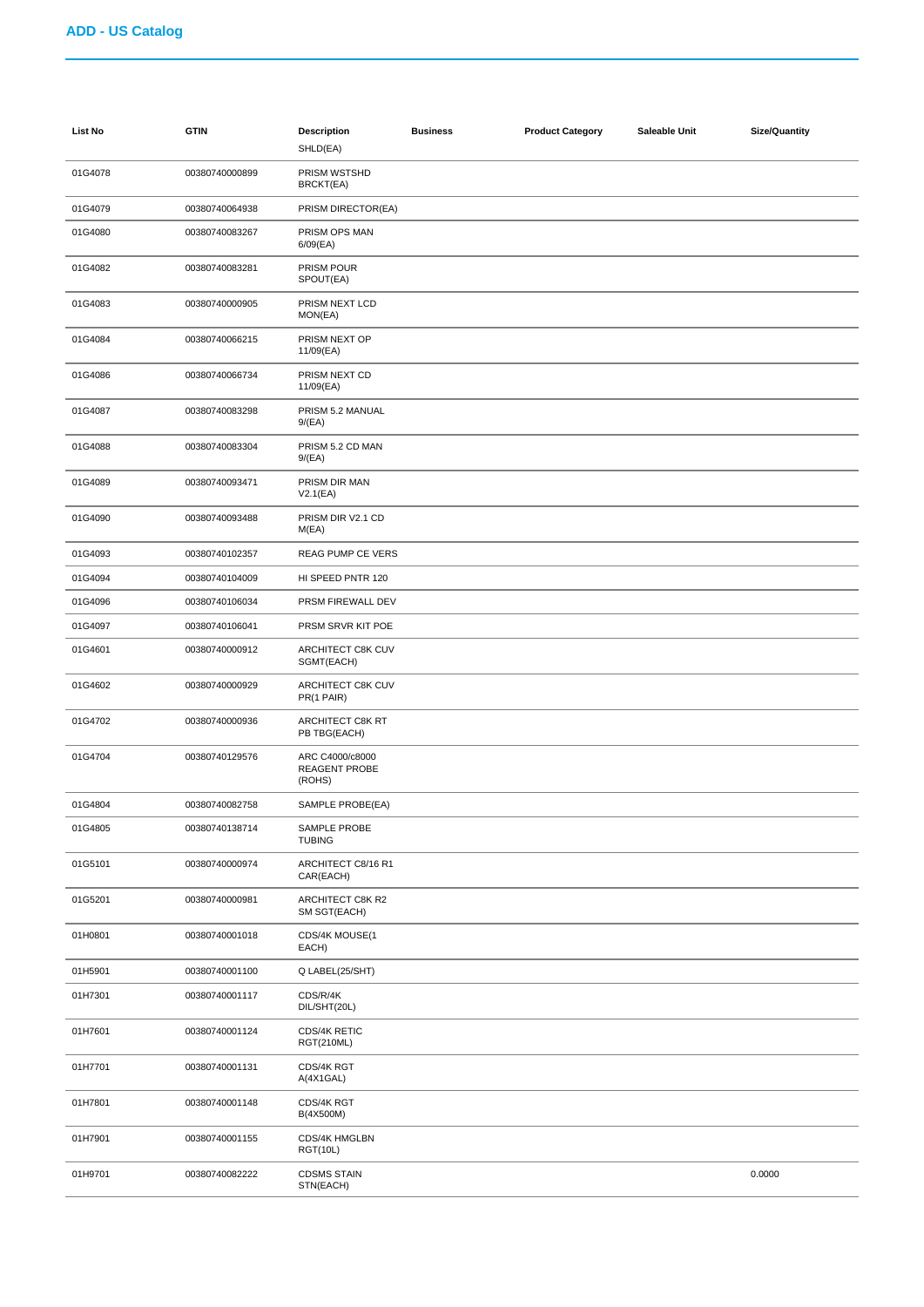| List No | <b>GTIN</b>    | <b>Description</b><br>SHLD(EA)             | <b>Business</b> | <b>Product Category</b> | Saleable Unit | <b>Size/Quantity</b> |
|---------|----------------|--------------------------------------------|-----------------|-------------------------|---------------|----------------------|
| 01G4078 | 00380740000899 | PRISM WSTSHD<br>BRCKT(EA)                  |                 |                         |               |                      |
| 01G4079 | 00380740064938 | PRISM DIRECTOR(EA)                         |                 |                         |               |                      |
| 01G4080 | 00380740083267 | PRISM OPS MAN<br>$6/09$ (EA)               |                 |                         |               |                      |
| 01G4082 | 00380740083281 | PRISM POUR<br>SPOUT(EA)                    |                 |                         |               |                      |
| 01G4083 | 00380740000905 | PRISM NEXT LCD<br>MON(EA)                  |                 |                         |               |                      |
| 01G4084 | 00380740066215 | PRISM NEXT OP<br>11/09(EA)                 |                 |                         |               |                      |
| 01G4086 | 00380740066734 | PRISM NEXT CD<br>11/09(EA)                 |                 |                         |               |                      |
| 01G4087 | 00380740083298 | PRISM 5.2 MANUAL<br>9/(EA)                 |                 |                         |               |                      |
| 01G4088 | 00380740083304 | PRISM 5.2 CD MAN<br>9/(EA)                 |                 |                         |               |                      |
| 01G4089 | 00380740093471 | PRISM DIR MAN<br>V2.1(EA)                  |                 |                         |               |                      |
| 01G4090 | 00380740093488 | PRISM DIR V2.1 CD<br>M(EA)                 |                 |                         |               |                      |
| 01G4093 | 00380740102357 | REAG PUMP CE VERS                          |                 |                         |               |                      |
| 01G4094 | 00380740104009 | HI SPEED PNTR 120                          |                 |                         |               |                      |
| 01G4096 | 00380740106034 | PRSM FIREWALL DEV                          |                 |                         |               |                      |
| 01G4097 | 00380740106041 | PRSM SRVR KIT POE                          |                 |                         |               |                      |
| 01G4601 | 00380740000912 | ARCHITECT C8K CUV<br>SGMT(EACH)            |                 |                         |               |                      |
| 01G4602 | 00380740000929 | ARCHITECT C8K CUV<br>PR(1 PAIR)            |                 |                         |               |                      |
| 01G4702 | 00380740000936 | ARCHITECT C8K RT<br>PB TBG(EACH)           |                 |                         |               |                      |
| 01G4704 | 00380740129576 | ARC C4000/c8000<br>REAGENT PROBE<br>(ROHS) |                 |                         |               |                      |
| 01G4804 | 00380740082758 | SAMPLE PROBE(EA)                           |                 |                         |               |                      |
| 01G4805 | 00380740138714 | SAMPLE PROBE<br><b>TUBING</b>              |                 |                         |               |                      |
| 01G5101 | 00380740000974 | ARCHITECT C8/16 R1<br>CAR(EACH)            |                 |                         |               |                      |
| 01G5201 | 00380740000981 | ARCHITECT C8K R2<br>SM SGT(EACH)           |                 |                         |               |                      |
| 01H0801 | 00380740001018 | CDS/4K MOUSE(1<br>EACH)                    |                 |                         |               |                      |
| 01H5901 | 00380740001100 | Q LABEL(25/SHT)                            |                 |                         |               |                      |
| 01H7301 | 00380740001117 | CDS/R/4K<br>DIL/SHT(20L)                   |                 |                         |               |                      |
| 01H7601 | 00380740001124 | CDS/4K RETIC<br><b>RGT(210ML)</b>          |                 |                         |               |                      |
| 01H7701 | 00380740001131 | CDS/4K RGT<br>A(4X1GAL)                    |                 |                         |               |                      |
| 01H7801 | 00380740001148 | CDS/4K RGT<br>B(4X500M)                    |                 |                         |               |                      |
| 01H7901 | 00380740001155 | CDS/4K HMGLBN<br><b>RGT(10L)</b>           |                 |                         |               |                      |
| 01H9701 | 00380740082222 | <b>CDSMS STAIN</b><br>STN(EACH)            |                 |                         |               | 0.0000               |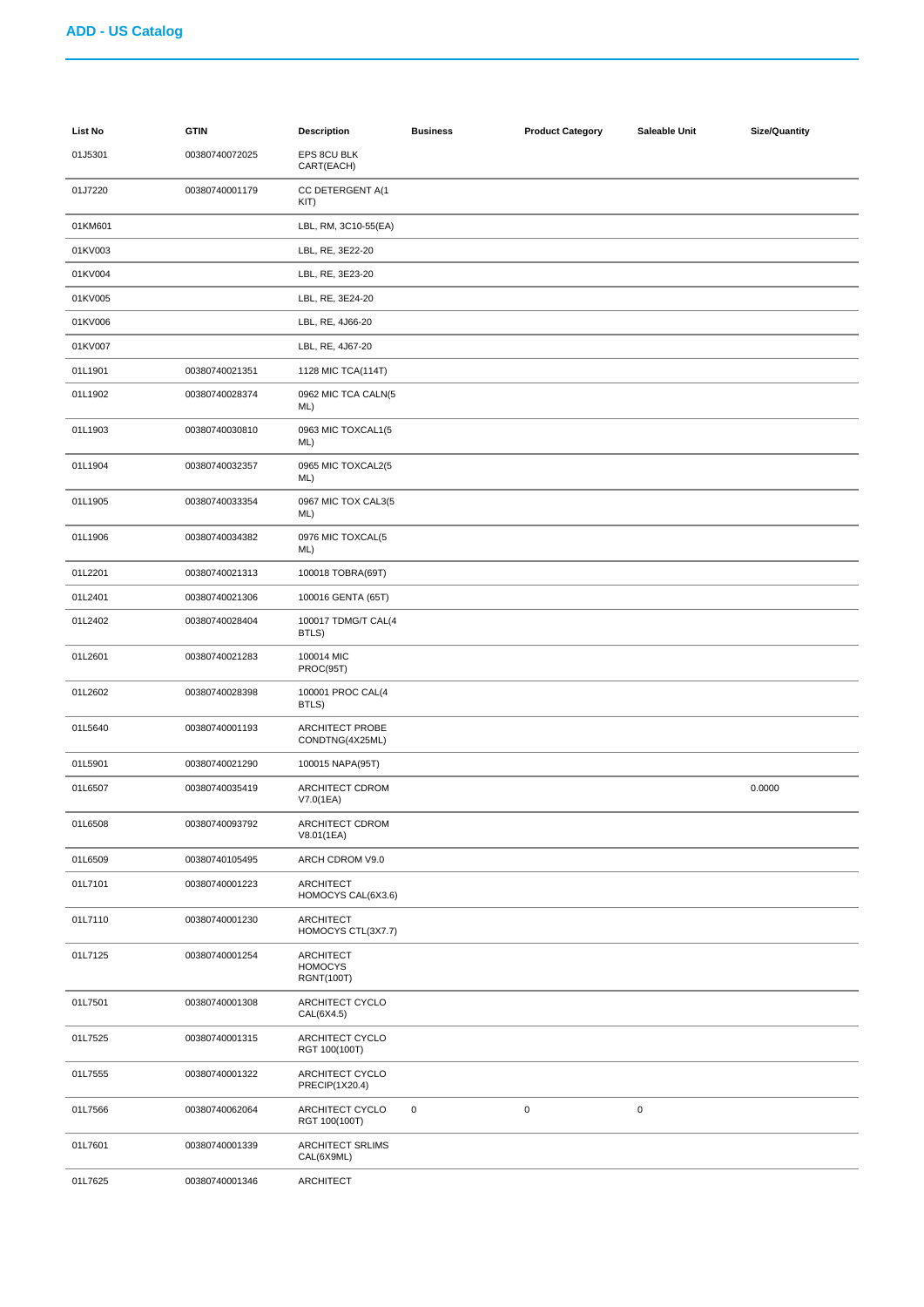| List No | <b>GTIN</b>    | <b>Description</b>                               | <b>Business</b> | <b>Product Category</b> | Saleable Unit | Size/Quantity |
|---------|----------------|--------------------------------------------------|-----------------|-------------------------|---------------|---------------|
| 01J5301 | 00380740072025 | EPS 8CU BLK<br>CART(EACH)                        |                 |                         |               |               |
| 01J7220 | 00380740001179 | CC DETERGENT A(1<br>KIT)                         |                 |                         |               |               |
| 01KM601 |                | LBL, RM, 3C10-55(EA)                             |                 |                         |               |               |
| 01KV003 |                | LBL, RE, 3E22-20                                 |                 |                         |               |               |
| 01KV004 |                | LBL, RE, 3E23-20                                 |                 |                         |               |               |
| 01KV005 |                | LBL, RE, 3E24-20                                 |                 |                         |               |               |
| 01KV006 |                | LBL, RE, 4J66-20                                 |                 |                         |               |               |
| 01KV007 |                | LBL, RE, 4J67-20                                 |                 |                         |               |               |
| 01L1901 | 00380740021351 | 1128 MIC TCA(114T)                               |                 |                         |               |               |
| 01L1902 | 00380740028374 | 0962 MIC TCA CALN(5<br>ML)                       |                 |                         |               |               |
| 01L1903 | 00380740030810 | 0963 MIC TOXCAL1(5<br>ML)                        |                 |                         |               |               |
| 01L1904 | 00380740032357 | 0965 MIC TOXCAL2(5<br>ML)                        |                 |                         |               |               |
| 01L1905 | 00380740033354 | 0967 MIC TOX CAL3(5<br>ML)                       |                 |                         |               |               |
| 01L1906 | 00380740034382 | 0976 MIC TOXCAL(5<br>ML)                         |                 |                         |               |               |
| 01L2201 | 00380740021313 | 100018 TOBRA(69T)                                |                 |                         |               |               |
| 01L2401 | 00380740021306 | 100016 GENTA (65T)                               |                 |                         |               |               |
| 01L2402 | 00380740028404 | 100017 TDMG/T CAL(4<br>BTLS)                     |                 |                         |               |               |
| 01L2601 | 00380740021283 | 100014 MIC<br>PROC(95T)                          |                 |                         |               |               |
| 01L2602 | 00380740028398 | 100001 PROC CAL(4<br>BTLS)                       |                 |                         |               |               |
| 01L5640 | 00380740001193 | ARCHITECT PROBE<br>CONDTNG(4X25ML)               |                 |                         |               |               |
| 01L5901 | 00380740021290 | 100015 NAPA(95T)                                 |                 |                         |               |               |
| 01L6507 | 00380740035419 | ARCHITECT CDROM<br>V7.0(1EA)                     |                 |                         |               | 0.0000        |
| 01L6508 | 00380740093792 | ARCHITECT CDROM<br>V8.01(1EA)                    |                 |                         |               |               |
| 01L6509 | 00380740105495 | ARCH CDROM V9.0                                  |                 |                         |               |               |
| 01L7101 | 00380740001223 | ARCHITECT<br>HOMOCYS CAL(6X3.6)                  |                 |                         |               |               |
| 01L7110 | 00380740001230 | <b>ARCHITECT</b><br>HOMOCYS CTL(3X7.7)           |                 |                         |               |               |
| 01L7125 | 00380740001254 | ARCHITECT<br><b>HOMOCYS</b><br><b>RGNT(100T)</b> |                 |                         |               |               |
| 01L7501 | 00380740001308 | ARCHITECT CYCLO<br>CAL(6X4.5)                    |                 |                         |               |               |
| 01L7525 | 00380740001315 | ARCHITECT CYCLO<br>RGT 100(100T)                 |                 |                         |               |               |
| 01L7555 | 00380740001322 | ARCHITECT CYCLO<br>PRECIP(1X20.4)                |                 |                         |               |               |
| 01L7566 | 00380740062064 | ARCHITECT CYCLO<br>RGT 100(100T)                 | $\mathbf 0$     | $\mathbf 0$             | 0             |               |
| 01L7601 | 00380740001339 | ARCHITECT SRLIMS<br>CAL(6X9ML)                   |                 |                         |               |               |
| 01L7625 | 00380740001346 | <b>ARCHITECT</b>                                 |                 |                         |               |               |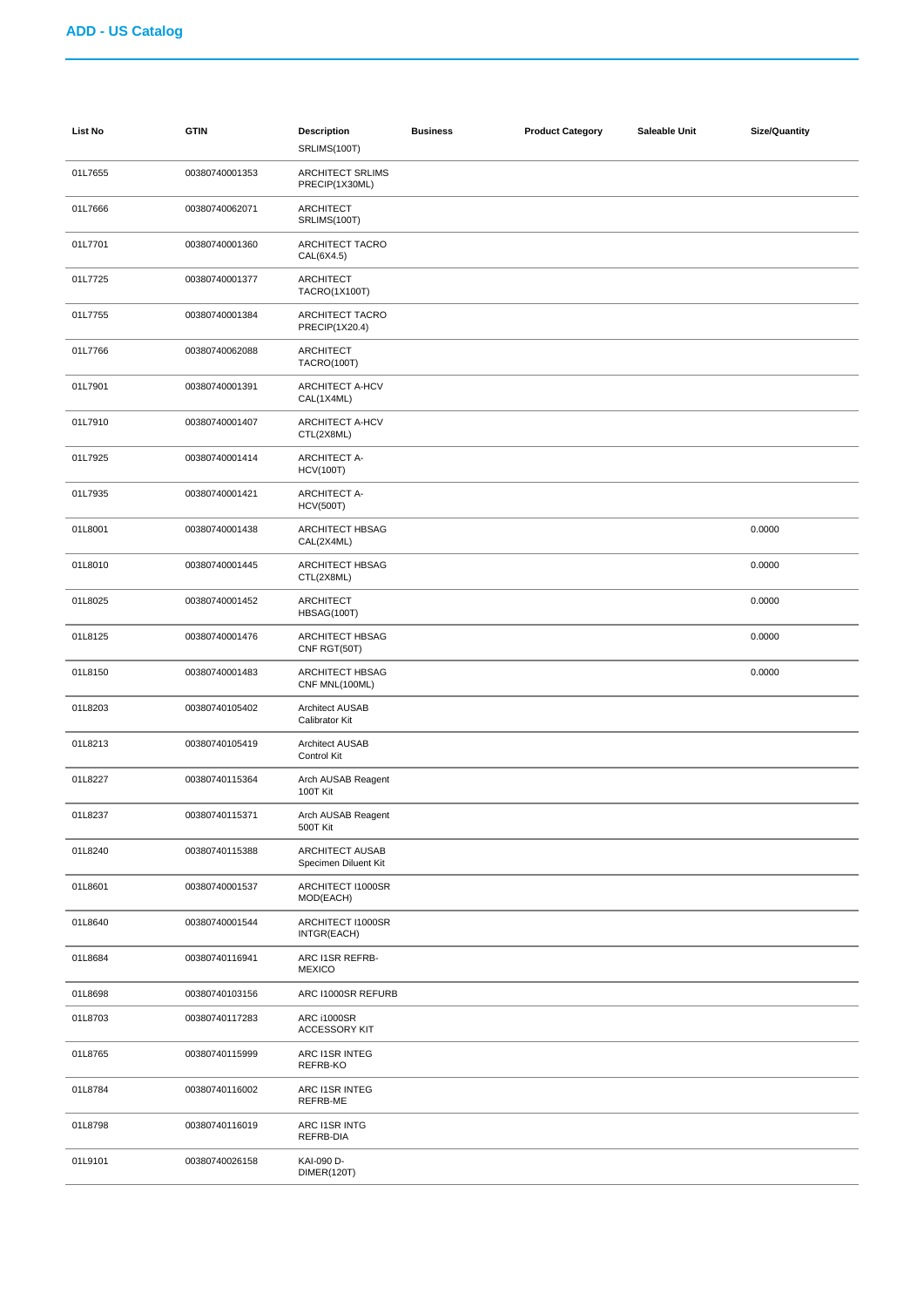| <b>List No</b> | <b>GTIN</b>    | <b>Description</b><br>SRLIMS(100T)        | <b>Business</b> | <b>Product Category</b> | Saleable Unit | <b>Size/Quantity</b> |
|----------------|----------------|-------------------------------------------|-----------------|-------------------------|---------------|----------------------|
| 01L7655        | 00380740001353 | <b>ARCHITECT SRLIMS</b><br>PRECIP(1X30ML) |                 |                         |               |                      |
| 01L7666        | 00380740062071 | <b>ARCHITECT</b><br>SRLIMS(100T)          |                 |                         |               |                      |
| 01L7701        | 00380740001360 | ARCHITECT TACRO<br>CAL(6X4.5)             |                 |                         |               |                      |
| 01L7725        | 00380740001377 | ARCHITECT<br>TACRO(1X100T)                |                 |                         |               |                      |
| 01L7755        | 00380740001384 | <b>ARCHITECT TACRO</b><br>PRECIP(1X20.4)  |                 |                         |               |                      |
| 01L7766        | 00380740062088 | ARCHITECT<br><b>TACRO(100T)</b>           |                 |                         |               |                      |
| 01L7901        | 00380740001391 | ARCHITECT A-HCV<br>CAL(1X4ML)             |                 |                         |               |                      |
| 01L7910        | 00380740001407 | ARCHITECT A-HCV<br>CTL(2X8ML)             |                 |                         |               |                      |
| 01L7925        | 00380740001414 | <b>ARCHITECT A-</b><br><b>HCV(100T)</b>   |                 |                         |               |                      |
| 01L7935        | 00380740001421 | <b>ARCHITECT A-</b><br><b>HCV(500T)</b>   |                 |                         |               |                      |
| 01L8001        | 00380740001438 | ARCHITECT HBSAG<br>CAL(2X4ML)             |                 |                         |               | 0.0000               |
| 01L8010        | 00380740001445 | ARCHITECT HBSAG<br>CTL(2X8ML)             |                 |                         |               | 0.0000               |
| 01L8025        | 00380740001452 | ARCHITECT<br>HBSAG(100T)                  |                 |                         |               | 0.0000               |
| 01L8125        | 00380740001476 | ARCHITECT HBSAG<br>CNF RGT(50T)           |                 |                         |               | 0.0000               |
| 01L8150        | 00380740001483 | ARCHITECT HBSAG<br>CNF MNL(100ML)         |                 |                         |               | 0.0000               |
| 01L8203        | 00380740105402 | <b>Architect AUSAB</b><br>Calibrator Kit  |                 |                         |               |                      |
| 01L8213        | 00380740105419 | <b>Architect AUSAB</b><br>Control Kit     |                 |                         |               |                      |
| 01L8227        | 00380740115364 | Arch AUSAB Reagent<br>100T Kit            |                 |                         |               |                      |
| 01L8237        | 00380740115371 | Arch AUSAB Reagent<br>500T Kit            |                 |                         |               |                      |
| 01L8240        | 00380740115388 | ARCHITECT AUSAB<br>Specimen Diluent Kit   |                 |                         |               |                      |
| 01L8601        | 00380740001537 | ARCHITECT I1000SR<br>MOD(EACH)            |                 |                         |               |                      |
| 01L8640        | 00380740001544 | ARCHITECT I1000SR<br>INTGR(EACH)          |                 |                         |               |                      |
| 01L8684        | 00380740116941 | ARC I1SR REFRB-<br><b>MEXICO</b>          |                 |                         |               |                      |
| 01L8698        | 00380740103156 | ARC I1000SR REFURB                        |                 |                         |               |                      |
| 01L8703        | 00380740117283 | ARC i1000SR<br><b>ACCESSORY KIT</b>       |                 |                         |               |                      |
| 01L8765        | 00380740115999 | ARC I1SR INTEG<br>REFRB-KO                |                 |                         |               |                      |
| 01L8784        | 00380740116002 | ARC I1SR INTEG<br>REFRB-ME                |                 |                         |               |                      |
| 01L8798        | 00380740116019 | ARC I1SR INTG<br>REFRB-DIA                |                 |                         |               |                      |
| 01L9101        | 00380740026158 | KAI-090 D-<br>DIMER(120T)                 |                 |                         |               |                      |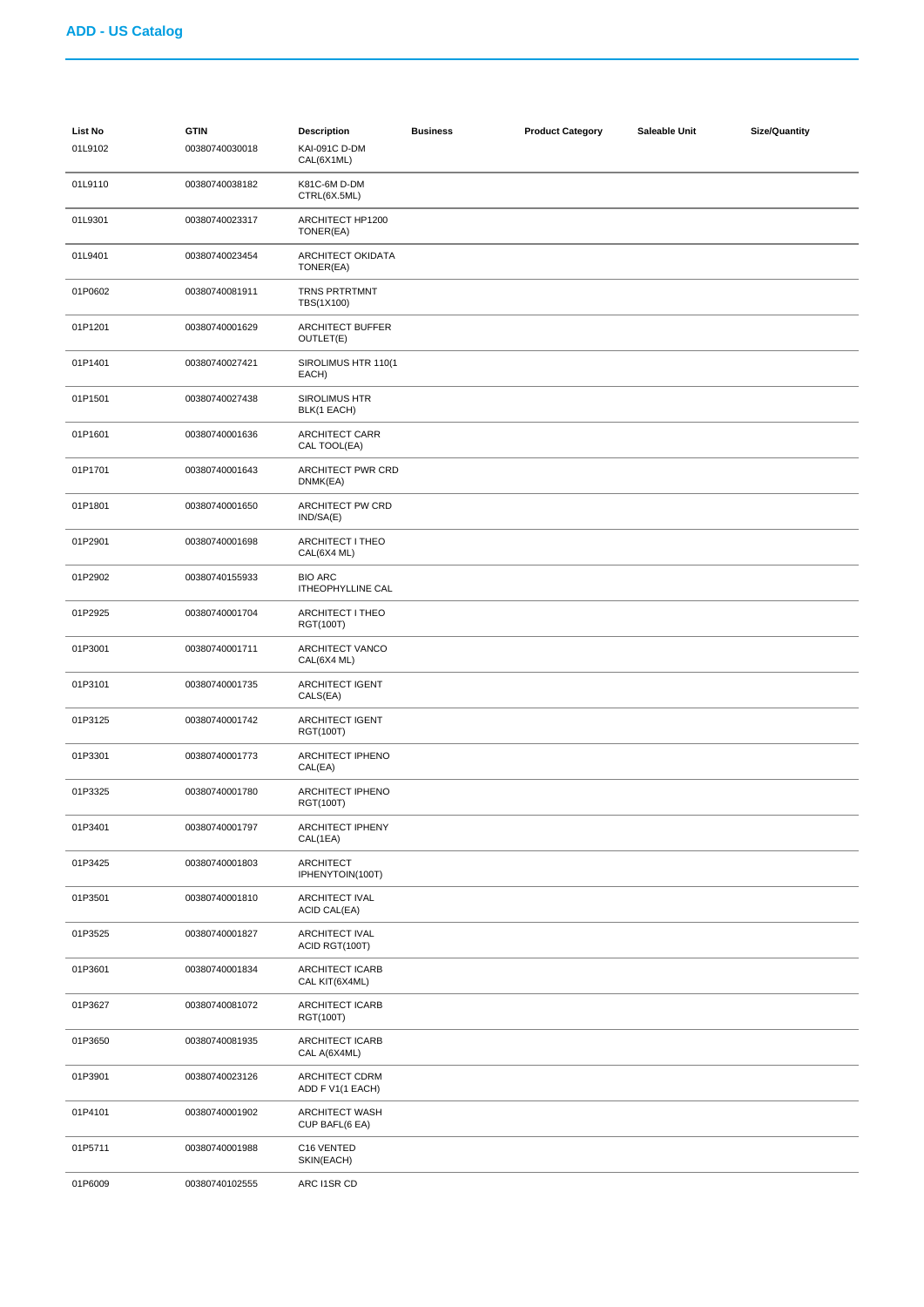| List No<br>01L9102 | <b>GTIN</b><br>00380740030018 | <b>Description</b><br>KAI-091C D-DM        | <b>Business</b> | <b>Product Category</b> | Saleable Unit | <b>Size/Quantity</b> |
|--------------------|-------------------------------|--------------------------------------------|-----------------|-------------------------|---------------|----------------------|
|                    |                               | CAL(6X1ML)                                 |                 |                         |               |                      |
| 01L9110            | 00380740038182                | K81C-6M D-DM<br>CTRL(6X.5ML)               |                 |                         |               |                      |
| 01L9301            | 00380740023317                | ARCHITECT HP1200<br>TONER(EA)              |                 |                         |               |                      |
| 01L9401            | 00380740023454                | ARCHITECT OKIDATA<br>TONER(EA)             |                 |                         |               |                      |
| 01P0602            | 00380740081911                | <b>TRNS PRTRTMNT</b><br>TBS(1X100)         |                 |                         |               |                      |
| 01P1201            | 00380740001629                | <b>ARCHITECT BUFFER</b><br>OUTLET(E)       |                 |                         |               |                      |
| 01P1401            | 00380740027421                | SIROLIMUS HTR 110(1<br>EACH)               |                 |                         |               |                      |
| 01P1501            | 00380740027438                | <b>SIROLIMUS HTR</b><br>BLK(1 EACH)        |                 |                         |               |                      |
| 01P1601            | 00380740001636                | <b>ARCHITECT CARR</b><br>CAL TOOL(EA)      |                 |                         |               |                      |
| 01P1701            | 00380740001643                | ARCHITECT PWR CRD<br>DNMK(EA)              |                 |                         |               |                      |
| 01P1801            | 00380740001650                | ARCHITECT PW CRD<br>IND/SA(E)              |                 |                         |               |                      |
| 01P2901            | 00380740001698                | ARCHITECT I THEO<br>CAL(6X4 ML)            |                 |                         |               |                      |
| 01P2902            | 00380740155933                | <b>BIO ARC</b><br><b>ITHEOPHYLLINE CAL</b> |                 |                         |               |                      |
| 01P2925            | 00380740001704                | ARCHITECT I THEO<br>RGT(100T)              |                 |                         |               |                      |
| 01P3001            | 00380740001711                | ARCHITECT VANCO<br>CAL(6X4 ML)             |                 |                         |               |                      |
| 01P3101            | 00380740001735                | <b>ARCHITECT IGENT</b><br>CALS(EA)         |                 |                         |               |                      |
| 01P3125            | 00380740001742                | <b>ARCHITECT IGENT</b><br>RGT(100T)        |                 |                         |               |                      |
| 01P3301            | 00380740001773                | ARCHITECT IPHENO<br>CAL(EA)                |                 |                         |               |                      |
| 01P3325            | 00380740001780                | ARCHITECT IPHENO<br>RGT(100T)              |                 |                         |               |                      |
| 01P3401            | 00380740001797                | <b>ARCHITECT IPHENY</b><br>CAL(1EA)        |                 |                         |               |                      |
| 01P3425            | 00380740001803                | <b>ARCHITECT</b><br>IPHENYTOIN(100T)       |                 |                         |               |                      |
| 01P3501            | 00380740001810                | <b>ARCHITECT IVAL</b><br>ACID CAL(EA)      |                 |                         |               |                      |
| 01P3525            | 00380740001827                | ARCHITECT IVAL<br>ACID RGT(100T)           |                 |                         |               |                      |
| 01P3601            | 00380740001834                | <b>ARCHITECT ICARB</b><br>CAL KIT(6X4ML)   |                 |                         |               |                      |
| 01P3627            | 00380740081072                | <b>ARCHITECT ICARB</b><br>RGT(100T)        |                 |                         |               |                      |
| 01P3650            | 00380740081935                | <b>ARCHITECT ICARB</b><br>CAL A(6X4ML)     |                 |                         |               |                      |
| 01P3901            | 00380740023126                | ARCHITECT CDRM<br>ADD F V1(1 EACH)         |                 |                         |               |                      |
| 01P4101            | 00380740001902                | <b>ARCHITECT WASH</b><br>CUP BAFL(6 EA)    |                 |                         |               |                      |
| 01P5711            | 00380740001988                | C16 VENTED<br>SKIN(EACH)                   |                 |                         |               |                      |
| 01P6009            | 00380740102555                | ARC I1SR CD                                |                 |                         |               |                      |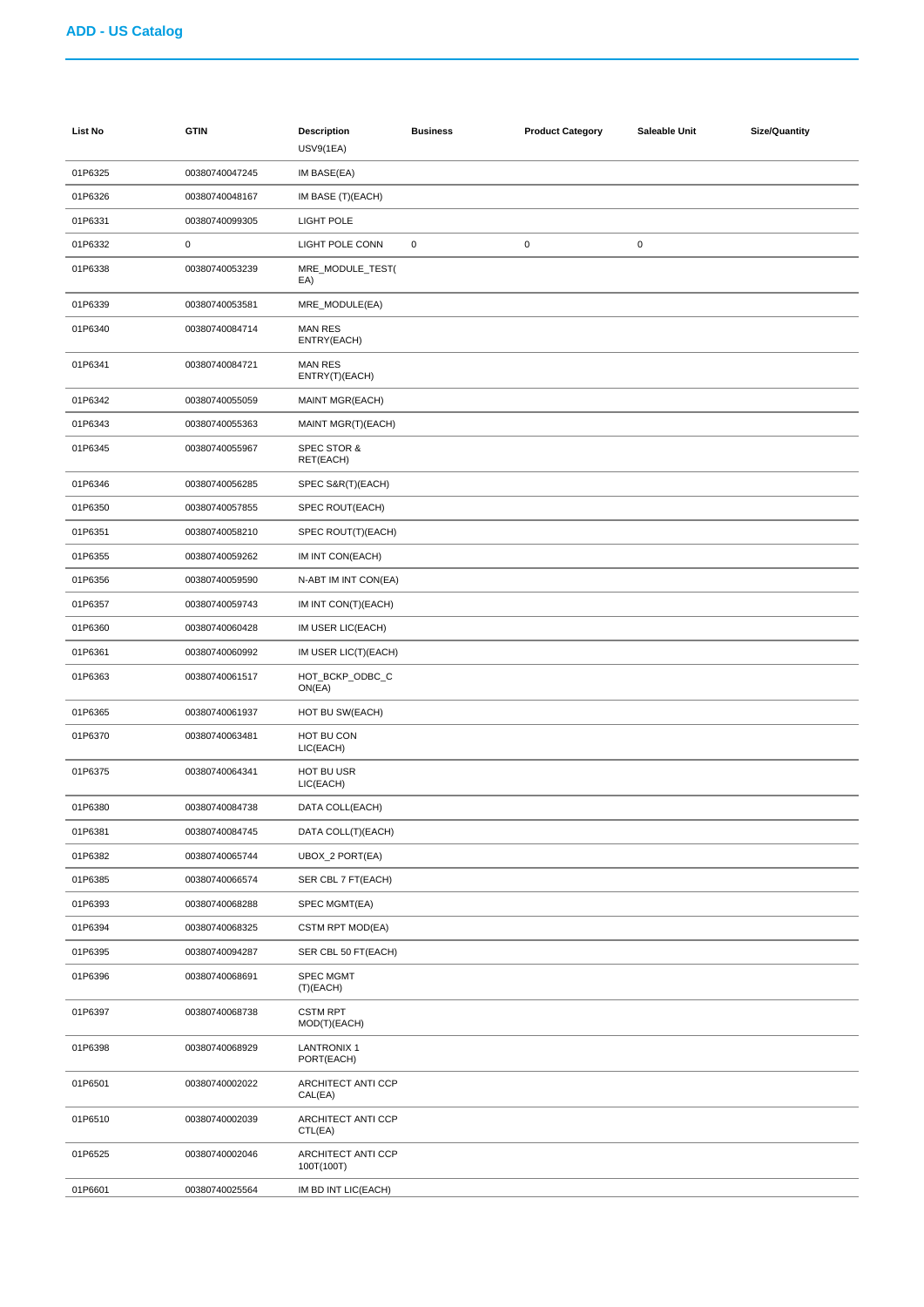| List No | <b>GTIN</b>    | <b>Description</b><br><b>USV9(1EA)</b> | <b>Business</b> | <b>Product Category</b> | Saleable Unit | <b>Size/Quantity</b> |
|---------|----------------|----------------------------------------|-----------------|-------------------------|---------------|----------------------|
| 01P6325 | 00380740047245 | IM BASE(EA)                            |                 |                         |               |                      |
| 01P6326 | 00380740048167 | IM BASE (T)(EACH)                      |                 |                         |               |                      |
| 01P6331 | 00380740099305 | <b>LIGHT POLE</b>                      |                 |                         |               |                      |
| 01P6332 | 0              | LIGHT POLE CONN                        | $\pmb{0}$       | $\mathbf 0$             | $\pmb{0}$     |                      |
| 01P6338 | 00380740053239 | MRE_MODULE_TEST(<br>EA)                |                 |                         |               |                      |
| 01P6339 | 00380740053581 | MRE_MODULE(EA)                         |                 |                         |               |                      |
| 01P6340 | 00380740084714 | <b>MAN RES</b><br>ENTRY(EACH)          |                 |                         |               |                      |
| 01P6341 | 00380740084721 | <b>MAN RES</b><br>ENTRY(T)(EACH)       |                 |                         |               |                      |
| 01P6342 | 00380740055059 | <b>MAINT MGR(EACH)</b>                 |                 |                         |               |                      |
| 01P6343 | 00380740055363 | MAINT MGR(T)(EACH)                     |                 |                         |               |                      |
| 01P6345 | 00380740055967 | <b>SPEC STOR &amp;</b><br>RET(EACH)    |                 |                         |               |                      |
| 01P6346 | 00380740056285 | SPEC S&R(T)(EACH)                      |                 |                         |               |                      |
| 01P6350 | 00380740057855 | SPEC ROUT(EACH)                        |                 |                         |               |                      |
| 01P6351 | 00380740058210 | SPEC ROUT(T)(EACH)                     |                 |                         |               |                      |
| 01P6355 | 00380740059262 | IM INT CON(EACH)                       |                 |                         |               |                      |
| 01P6356 | 00380740059590 | N-ABT IM INT CON(EA)                   |                 |                         |               |                      |
| 01P6357 | 00380740059743 | IM INT CON(T)(EACH)                    |                 |                         |               |                      |
| 01P6360 | 00380740060428 | IM USER LIC(EACH)                      |                 |                         |               |                      |
| 01P6361 | 00380740060992 | IM USER LIC(T)(EACH)                   |                 |                         |               |                      |
| 01P6363 | 00380740061517 | HOT_BCKP_ODBC_C<br>ON(EA)              |                 |                         |               |                      |
| 01P6365 | 00380740061937 | HOT BU SW(EACH)                        |                 |                         |               |                      |
| 01P6370 | 00380740063481 | HOT BU CON<br>LIC(EACH)                |                 |                         |               |                      |
| 01P6375 | 00380740064341 | HOT BU USR<br>LIC(EACH)                |                 |                         |               |                      |
| 01P6380 | 00380740084738 | DATA COLL(EACH)                        |                 |                         |               |                      |
| 01P6381 | 00380740084745 | DATA COLL(T)(EACH)                     |                 |                         |               |                      |
| 01P6382 | 00380740065744 | UBOX_2 PORT(EA)                        |                 |                         |               |                      |
| 01P6385 | 00380740066574 | SER CBL 7 FT(EACH)                     |                 |                         |               |                      |
| 01P6393 | 00380740068288 | SPEC MGMT(EA)                          |                 |                         |               |                      |
| 01P6394 | 00380740068325 | CSTM RPT MOD(EA)                       |                 |                         |               |                      |
| 01P6395 | 00380740094287 | SER CBL 50 FT(EACH)                    |                 |                         |               |                      |
| 01P6396 | 00380740068691 | <b>SPEC MGMT</b><br>(T)(EACH)          |                 |                         |               |                      |
| 01P6397 | 00380740068738 | <b>CSTM RPT</b><br>MOD(T)(EACH)        |                 |                         |               |                      |
| 01P6398 | 00380740068929 | <b>LANTRONIX 1</b><br>PORT(EACH)       |                 |                         |               |                      |
| 01P6501 | 00380740002022 | ARCHITECT ANTI CCP<br>CAL(EA)          |                 |                         |               |                      |
| 01P6510 | 00380740002039 | ARCHITECT ANTI CCP<br>CTL(EA)          |                 |                         |               |                      |
| 01P6525 | 00380740002046 | ARCHITECT ANTI CCP<br>100T(100T)       |                 |                         |               |                      |
| 01P6601 | 00380740025564 | IM BD INT LIC(EACH)                    |                 |                         |               |                      |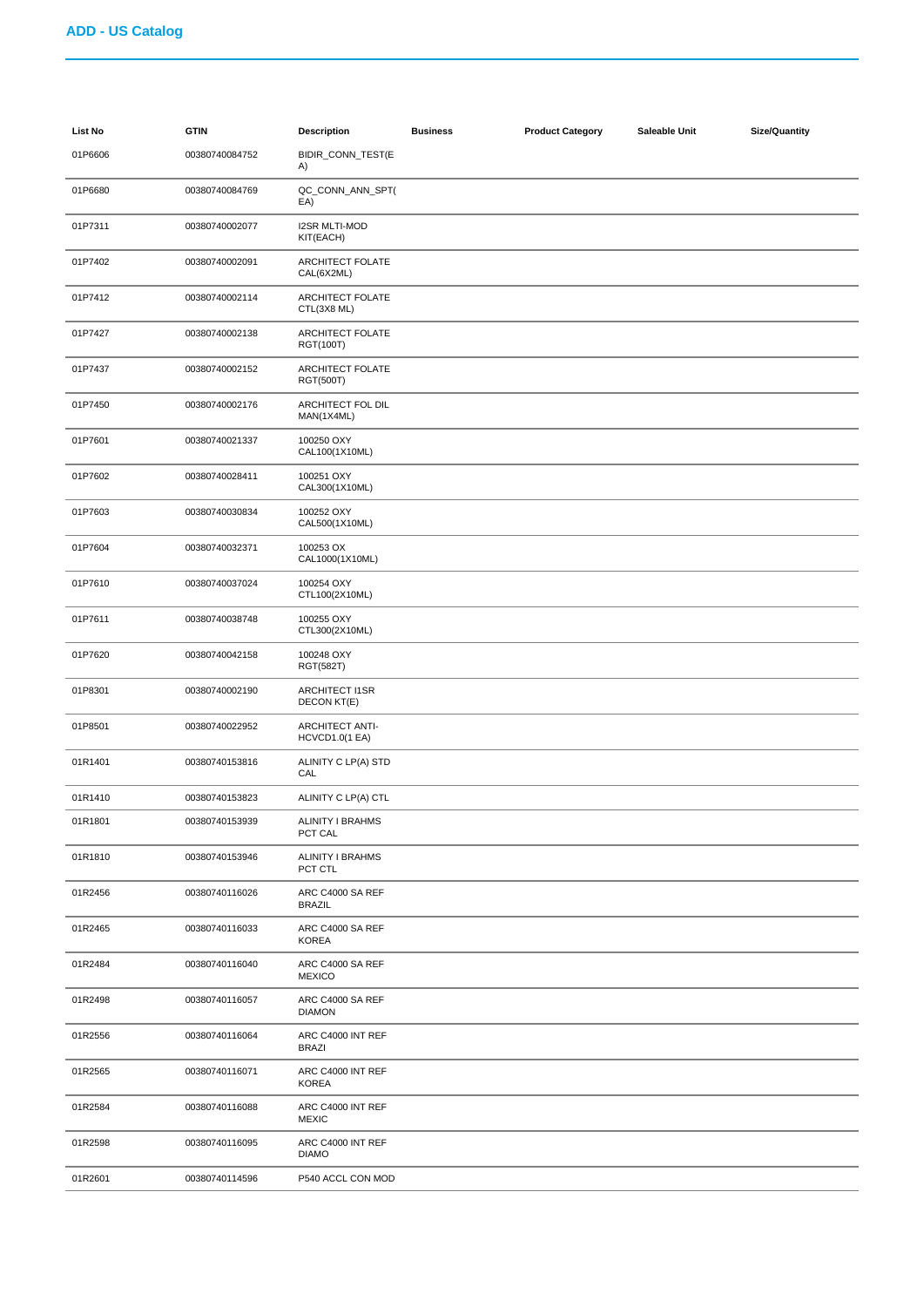| <b>List No</b> | <b>GTIN</b>    | <b>Description</b>                              | <b>Business</b> | <b>Product Category</b> | Saleable Unit | <b>Size/Quantity</b> |
|----------------|----------------|-------------------------------------------------|-----------------|-------------------------|---------------|----------------------|
| 01P6606        | 00380740084752 | BIDIR_CONN_TEST(E<br>A)                         |                 |                         |               |                      |
| 01P6680        | 00380740084769 | QC_CONN_ANN_SPT(<br>EA)                         |                 |                         |               |                      |
| 01P7311        | 00380740002077 | <b>I2SR MLTI-MOD</b><br>KIT(EACH)               |                 |                         |               |                      |
| 01P7402        | 00380740002091 | ARCHITECT FOLATE<br>CAL(6X2ML)                  |                 |                         |               |                      |
| 01P7412        | 00380740002114 | ARCHITECT FOLATE<br>CTL(3X8 ML)                 |                 |                         |               |                      |
| 01P7427        | 00380740002138 | ARCHITECT FOLATE<br>RGT(100T)                   |                 |                         |               |                      |
| 01P7437        | 00380740002152 | ARCHITECT FOLATE<br>RGT(500T)                   |                 |                         |               |                      |
| 01P7450        | 00380740002176 | ARCHITECT FOL DIL<br>MAN(1X4ML)                 |                 |                         |               |                      |
| 01P7601        | 00380740021337 | 100250 OXY<br>CAL100(1X10ML)                    |                 |                         |               |                      |
| 01P7602        | 00380740028411 | 100251 OXY<br>CAL300(1X10ML)                    |                 |                         |               |                      |
| 01P7603        | 00380740030834 | 100252 OXY<br>CAL500(1X10ML)                    |                 |                         |               |                      |
| 01P7604        | 00380740032371 | 100253 OX<br>CAL1000(1X10ML)                    |                 |                         |               |                      |
| 01P7610        | 00380740037024 | 100254 OXY<br>CTL100(2X10ML)                    |                 |                         |               |                      |
| 01P7611        | 00380740038748 | 100255 OXY<br>CTL300(2X10ML)                    |                 |                         |               |                      |
| 01P7620        | 00380740042158 | 100248 OXY<br>RGT(582T)                         |                 |                         |               |                      |
| 01P8301        | 00380740002190 | <b>ARCHITECT I1SR</b><br>DECON KT(E)            |                 |                         |               |                      |
| 01P8501        | 00380740022952 | <b>ARCHITECT ANTI-</b><br><b>HCVCD1.0(1 EA)</b> |                 |                         |               |                      |
| 01R1401        | 00380740153816 | ALINITY C LP(A) STD<br>CAL                      |                 |                         |               |                      |
| 01R1410        | 00380740153823 | ALINITY C LP(A) CTL                             |                 |                         |               |                      |
| 01R1801        | 00380740153939 | ALINITY I BRAHMS<br>PCT CAL                     |                 |                         |               |                      |
| 01R1810        | 00380740153946 | <b>ALINITY I BRAHMS</b><br>PCT CTL              |                 |                         |               |                      |
| 01R2456        | 00380740116026 | ARC C4000 SA REF<br><b>BRAZIL</b>               |                 |                         |               |                      |
| 01R2465        | 00380740116033 | ARC C4000 SA REF<br>KOREA                       |                 |                         |               |                      |
| 01R2484        | 00380740116040 | ARC C4000 SA REF<br><b>MEXICO</b>               |                 |                         |               |                      |
| 01R2498        | 00380740116057 | ARC C4000 SA REF<br><b>DIAMON</b>               |                 |                         |               |                      |
| 01R2556        | 00380740116064 | ARC C4000 INT REF<br><b>BRAZI</b>               |                 |                         |               |                      |
| 01R2565        | 00380740116071 | ARC C4000 INT REF<br><b>KOREA</b>               |                 |                         |               |                      |
| 01R2584        | 00380740116088 | ARC C4000 INT REF<br><b>MEXIC</b>               |                 |                         |               |                      |
| 01R2598        | 00380740116095 | ARC C4000 INT REF<br><b>DIAMO</b>               |                 |                         |               |                      |
| 01R2601        | 00380740114596 | P540 ACCL CON MOD                               |                 |                         |               |                      |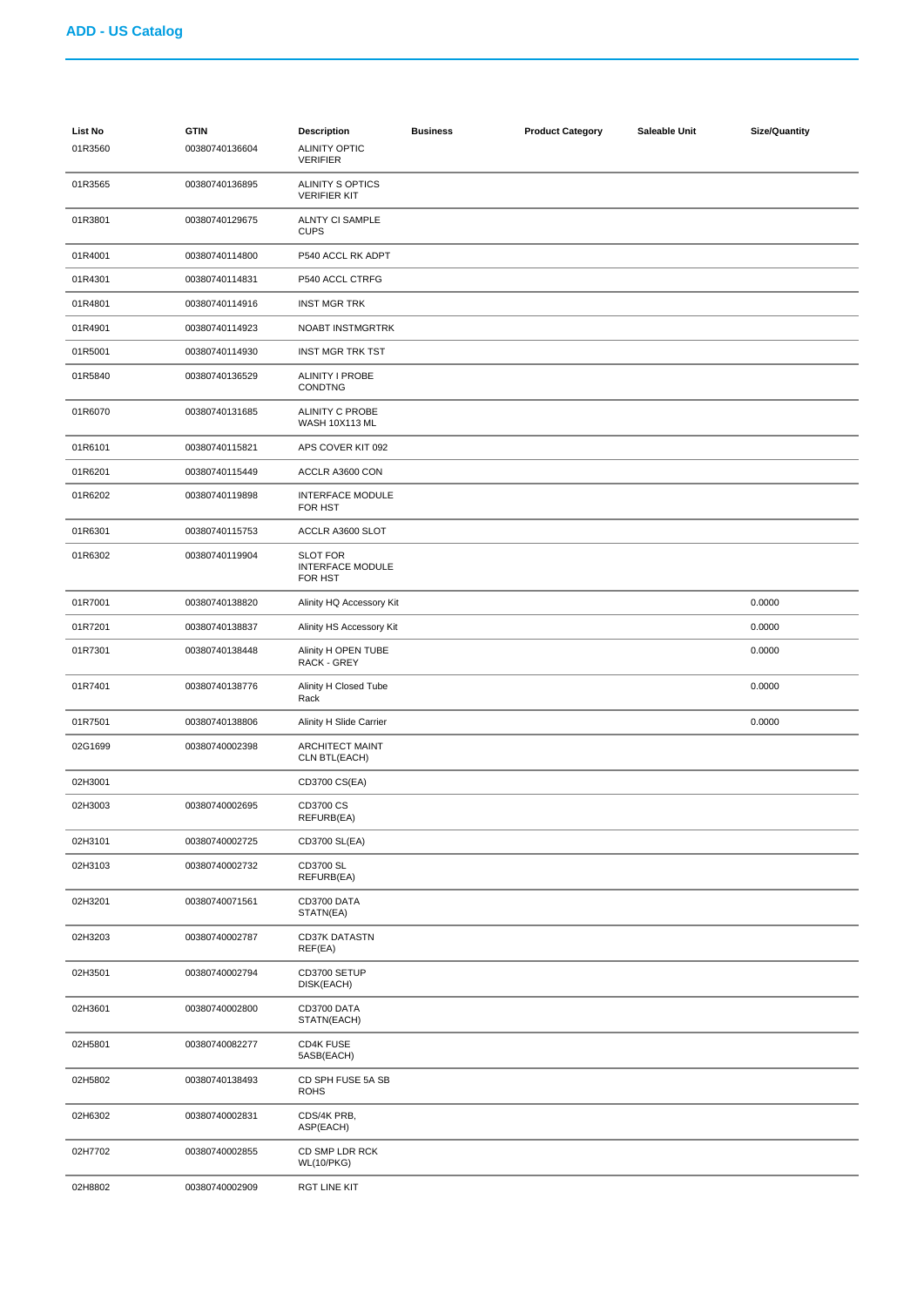| List No<br>01R3560 | <b>GTIN</b><br>00380740136604 | <b>Description</b><br><b>ALINITY OPTIC</b><br><b>VERIFIER</b> | <b>Business</b> | <b>Product Category</b> | Saleable Unit | <b>Size/Quantity</b> |
|--------------------|-------------------------------|---------------------------------------------------------------|-----------------|-------------------------|---------------|----------------------|
| 01R3565            | 00380740136895                | <b>ALINITY S OPTICS</b><br><b>VERIFIER KIT</b>                |                 |                         |               |                      |
| 01R3801            | 00380740129675                | <b>ALNTY CI SAMPLE</b><br><b>CUPS</b>                         |                 |                         |               |                      |
| 01R4001            | 00380740114800                | P540 ACCL RK ADPT                                             |                 |                         |               |                      |
| 01R4301            | 00380740114831                | P540 ACCL CTRFG                                               |                 |                         |               |                      |
| 01R4801            | 00380740114916                | <b>INST MGR TRK</b>                                           |                 |                         |               |                      |
| 01R4901            | 00380740114923                | NOABT INSTMGRTRK                                              |                 |                         |               |                      |
| 01R5001            | 00380740114930                | <b>INST MGR TRK TST</b>                                       |                 |                         |               |                      |
| 01R5840            | 00380740136529                | <b>ALINITY I PROBE</b><br>CONDTNG                             |                 |                         |               |                      |
| 01R6070            | 00380740131685                | ALINITY C PROBE<br><b>WASH 10X113 ML</b>                      |                 |                         |               |                      |
| 01R6101            | 00380740115821                | APS COVER KIT 092                                             |                 |                         |               |                      |
| 01R6201            | 00380740115449                | ACCLR A3600 CON                                               |                 |                         |               |                      |
| 01R6202            | 00380740119898                | <b>INTERFACE MODULE</b><br>FOR HST                            |                 |                         |               |                      |
| 01R6301            | 00380740115753                | ACCLR A3600 SLOT                                              |                 |                         |               |                      |
| 01R6302            | 00380740119904                | <b>SLOT FOR</b><br><b>INTERFACE MODULE</b><br>FOR HST         |                 |                         |               |                      |
| 01R7001            | 00380740138820                | Alinity HQ Accessory Kit                                      |                 |                         |               | 0.0000               |
| 01R7201            | 00380740138837                | Alinity HS Accessory Kit                                      |                 |                         |               | 0.0000               |
| 01R7301            | 00380740138448                | Alinity H OPEN TUBE<br>RACK - GREY                            |                 |                         |               | 0.0000               |
| 01R7401            | 00380740138776                | Alinity H Closed Tube<br>Rack                                 |                 |                         |               | 0.0000               |
| 01R7501            | 00380740138806                | Alinity H Slide Carrier                                       |                 |                         |               | 0.0000               |
| 02G1699            | 00380740002398                | <b>ARCHITECT MAINT</b><br>CLN BTL(EACH)                       |                 |                         |               |                      |
| 02H3001            |                               | CD3700 CS(EA)                                                 |                 |                         |               |                      |
| 02H3003            | 00380740002695                | CD3700 CS<br>REFURB(EA)                                       |                 |                         |               |                      |
| 02H3101            | 00380740002725                | CD3700 SL(EA)                                                 |                 |                         |               |                      |
| 02H3103            | 00380740002732                | CD3700 SL<br>REFURB(EA)                                       |                 |                         |               |                      |
| 02H3201            | 00380740071561                | CD3700 DATA<br>STATN(EA)                                      |                 |                         |               |                      |
| 02H3203            | 00380740002787                | <b>CD37K DATASTN</b><br>REF(EA)                               |                 |                         |               |                      |
| 02H3501            | 00380740002794                | CD3700 SETUP<br>DISK(EACH)                                    |                 |                         |               |                      |
| 02H3601            | 00380740002800                | CD3700 DATA<br>STATN(EACH)                                    |                 |                         |               |                      |
| 02H5801            | 00380740082277                | CD4K FUSE<br>5ASB(EACH)                                       |                 |                         |               |                      |
| 02H5802            | 00380740138493                | CD SPH FUSE 5A SB<br><b>ROHS</b>                              |                 |                         |               |                      |
| 02H6302            | 00380740002831                | CDS/4K PRB,<br>ASP(EACH)                                      |                 |                         |               |                      |
| 02H7702            | 00380740002855                | CD SMP LDR RCK<br><b>WL(10/PKG)</b>                           |                 |                         |               |                      |
| 02H8802            | 00380740002909                | <b>RGT LINE KIT</b>                                           |                 |                         |               |                      |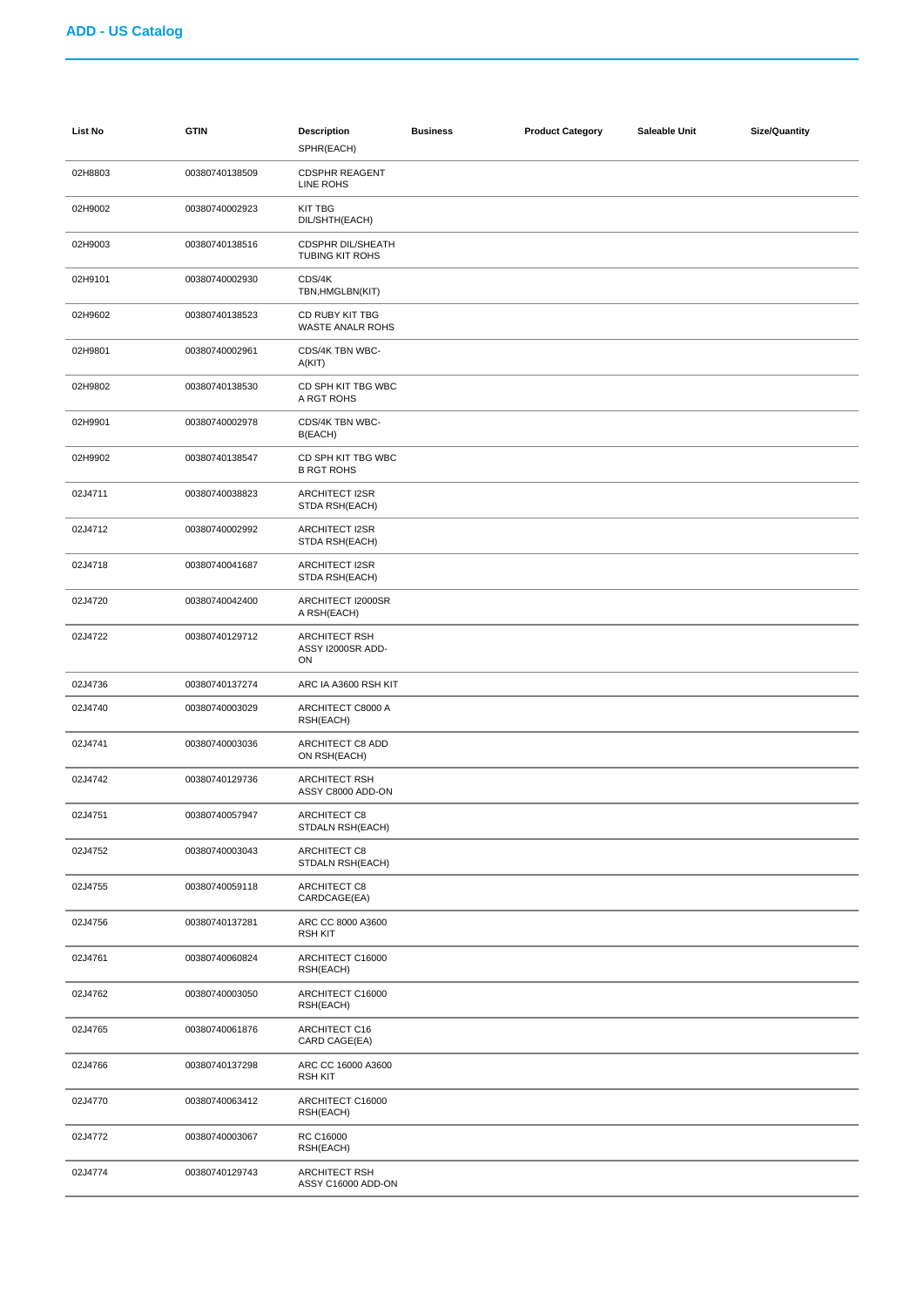| <b>List No</b> | <b>GTIN</b>    | <b>Description</b><br>SPHR(EACH)                   | <b>Business</b> | <b>Product Category</b> | Saleable Unit | <b>Size/Quantity</b> |
|----------------|----------------|----------------------------------------------------|-----------------|-------------------------|---------------|----------------------|
| 02H8803        | 00380740138509 | <b>CDSPHR REAGENT</b><br>LINE ROHS                 |                 |                         |               |                      |
| 02H9002        | 00380740002923 | <b>KIT TBG</b><br>DIL/SHTH(EACH)                   |                 |                         |               |                      |
| 02H9003        | 00380740138516 | <b>CDSPHR DIL/SHEATH</b><br><b>TUBING KIT ROHS</b> |                 |                         |               |                      |
| 02H9101        | 00380740002930 | CDS/4K<br>TBN, HMGLBN(KIT)                         |                 |                         |               |                      |
| 02H9602        | 00380740138523 | CD RUBY KIT TBG<br><b>WASTE ANALR ROHS</b>         |                 |                         |               |                      |
| 02H9801        | 00380740002961 | CDS/4K TBN WBC-<br>A(KIT)                          |                 |                         |               |                      |
| 02H9802        | 00380740138530 | CD SPH KIT TBG WBC<br>A RGT ROHS                   |                 |                         |               |                      |
| 02H9901        | 00380740002978 | CDS/4K TBN WBC-<br>B(EACH)                         |                 |                         |               |                      |
| 02H9902        | 00380740138547 | CD SPH KIT TBG WBC<br><b>B RGT ROHS</b>            |                 |                         |               |                      |
| 02J4711        | 00380740038823 | <b>ARCHITECT I2SR</b><br>STDA RSH(EACH)            |                 |                         |               |                      |
| 02J4712        | 00380740002992 | ARCHITECT I2SR<br>STDA RSH(EACH)                   |                 |                         |               |                      |
| 02J4718        | 00380740041687 | ARCHITECT I2SR<br>STDA RSH(EACH)                   |                 |                         |               |                      |
| 02J4720        | 00380740042400 | ARCHITECT I2000SR<br>A RSH(EACH)                   |                 |                         |               |                      |
| 02J4722        | 00380740129712 | <b>ARCHITECT RSH</b><br>ASSY I2000SR ADD-<br>ON    |                 |                         |               |                      |
| 02J4736        | 00380740137274 | ARC IA A3600 RSH KIT                               |                 |                         |               |                      |
| 02J4740        | 00380740003029 | ARCHITECT C8000 A<br>RSH(EACH)                     |                 |                         |               |                      |
| 02J4741        | 00380740003036 | ARCHITECT C8 ADD<br>ON RSH(EACH)                   |                 |                         |               |                      |
| 02J4742        | 00380740129736 | <b>ARCHITECT RSH</b><br>ASSY C8000 ADD-ON          |                 |                         |               |                      |
| 02J4751        | 00380740057947 | ARCHITECT C8<br>STDALN RSH(EACH)                   |                 |                         |               |                      |
| 02J4752        | 00380740003043 | ARCHITECT C8<br>STDALN RSH(EACH)                   |                 |                         |               |                      |
| 02J4755        | 00380740059118 | ARCHITECT C8<br>CARDCAGE(EA)                       |                 |                         |               |                      |
| 02J4756        | 00380740137281 | ARC CC 8000 A3600<br><b>RSH KIT</b>                |                 |                         |               |                      |
| 02J4761        | 00380740060824 | ARCHITECT C16000<br>RSH(EACH)                      |                 |                         |               |                      |
| 02J4762        | 00380740003050 | ARCHITECT C16000<br>RSH(EACH)                      |                 |                         |               |                      |
| 02J4765        | 00380740061876 | ARCHITECT C16<br>CARD CAGE(EA)                     |                 |                         |               |                      |
| 02J4766        | 00380740137298 | ARC CC 16000 A3600<br><b>RSH KIT</b>               |                 |                         |               |                      |
| 02J4770        | 00380740063412 | ARCHITECT C16000<br>RSH(EACH)                      |                 |                         |               |                      |
| 02J4772        | 00380740003067 | RC C16000<br>RSH(EACH)                             |                 |                         |               |                      |
| 02J4774        | 00380740129743 | <b>ARCHITECT RSH</b><br>ASSY C16000 ADD-ON         |                 |                         |               |                      |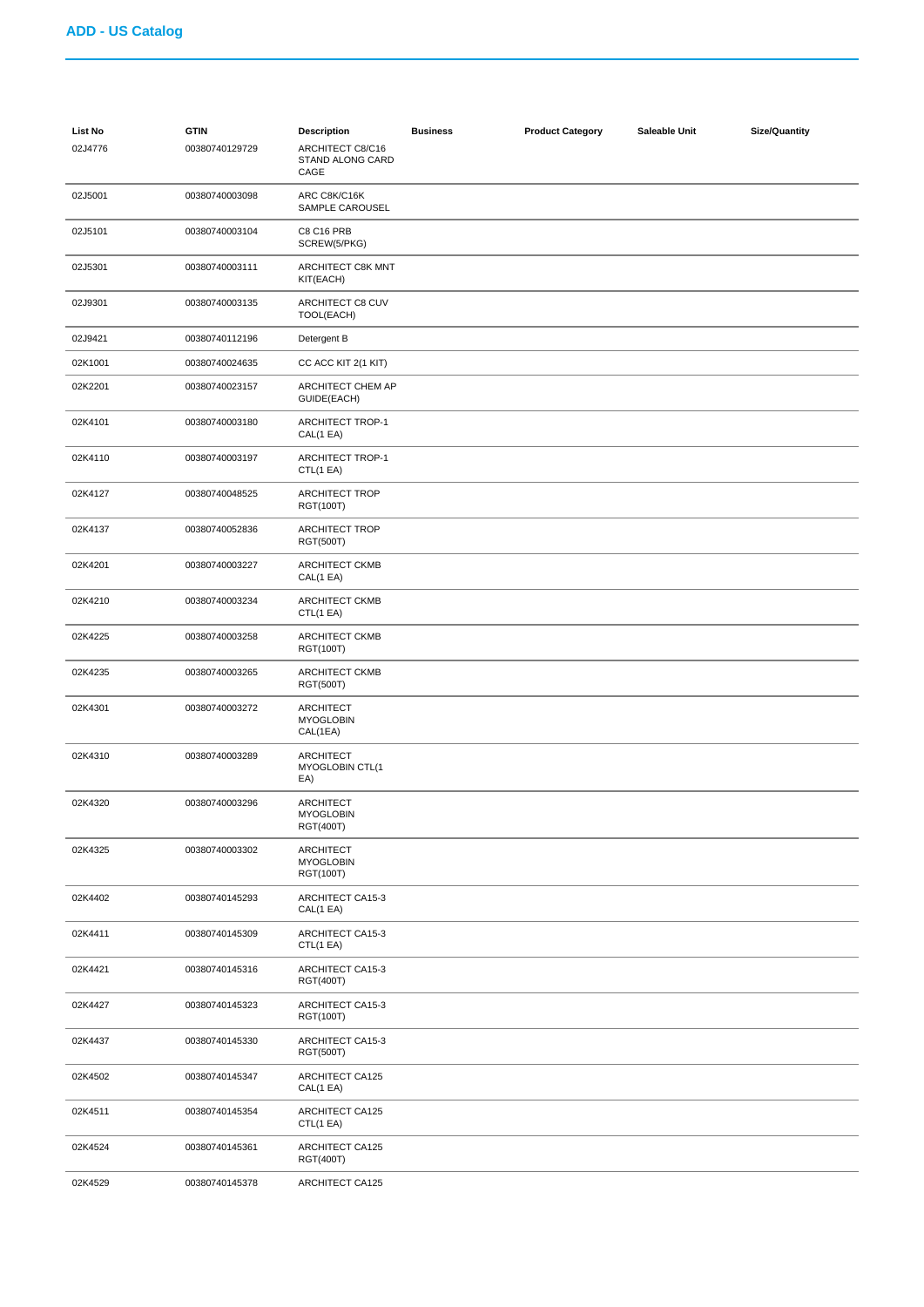| List No | <b>GTIN</b>    | <b>Description</b>                               | <b>Business</b> | <b>Product Category</b> | Saleable Unit | <b>Size/Quantity</b> |
|---------|----------------|--------------------------------------------------|-----------------|-------------------------|---------------|----------------------|
| 02J4776 | 00380740129729 | ARCHITECT C8/C16<br>STAND ALONG CARD<br>CAGE     |                 |                         |               |                      |
| 02J5001 | 00380740003098 | ARC C8K/C16K<br>SAMPLE CAROUSEL                  |                 |                         |               |                      |
| 02J5101 | 00380740003104 | <b>C8 C16 PRB</b><br>SCREW(5/PKG)                |                 |                         |               |                      |
| 02J5301 | 00380740003111 | ARCHITECT C8K MNT<br>KIT(EACH)                   |                 |                         |               |                      |
| 02J9301 | 00380740003135 | ARCHITECT C8 CUV<br>TOOL(EACH)                   |                 |                         |               |                      |
| 02J9421 | 00380740112196 | Detergent B                                      |                 |                         |               |                      |
| 02K1001 | 00380740024635 | CC ACC KIT 2(1 KIT)                              |                 |                         |               |                      |
| 02K2201 | 00380740023157 | ARCHITECT CHEM AP<br>GUIDE(EACH)                 |                 |                         |               |                      |
| 02K4101 | 00380740003180 | <b>ARCHITECT TROP-1</b><br>CAL(1 EA)             |                 |                         |               |                      |
| 02K4110 | 00380740003197 | <b>ARCHITECT TROP-1</b><br>CTL(1 EA)             |                 |                         |               |                      |
| 02K4127 | 00380740048525 | <b>ARCHITECT TROP</b><br>RGT(100T)               |                 |                         |               |                      |
| 02K4137 | 00380740052836 | <b>ARCHITECT TROP</b><br><b>RGT(500T)</b>        |                 |                         |               |                      |
| 02K4201 | 00380740003227 | ARCHITECT CKMB<br>CAL(1 EA)                      |                 |                         |               |                      |
| 02K4210 | 00380740003234 | ARCHITECT CKMB<br>CTL(1 EA)                      |                 |                         |               |                      |
| 02K4225 | 00380740003258 | ARCHITECT CKMB<br>RGT(100T)                      |                 |                         |               |                      |
| 02K4235 | 00380740003265 | ARCHITECT CKMB<br>RGT(500T)                      |                 |                         |               |                      |
| 02K4301 | 00380740003272 | <b>ARCHITECT</b><br><b>MYOGLOBIN</b><br>CAL(1EA) |                 |                         |               |                      |
| 02K4310 | 00380740003289 | <b>ARCHITECT</b><br>MYOGLOBIN CTL(1<br>EA)       |                 |                         |               |                      |
| 02K4320 | 00380740003296 | ARCHITECT<br><b>MYOGLOBIN</b><br>RGT(400T)       |                 |                         |               |                      |
| 02K4325 | 00380740003302 | ARCHITECT<br><b>MYOGLOBIN</b><br>RGT(100T)       |                 |                         |               |                      |
| 02K4402 | 00380740145293 | ARCHITECT CA15-3<br>CAL(1 EA)                    |                 |                         |               |                      |
| 02K4411 | 00380740145309 | ARCHITECT CA15-3<br>CTL(1 EA)                    |                 |                         |               |                      |
| 02K4421 | 00380740145316 | <b>ARCHITECT CA15-3</b><br>RGT(400T)             |                 |                         |               |                      |
| 02K4427 | 00380740145323 | ARCHITECT CA15-3<br>RGT(100T)                    |                 |                         |               |                      |
| 02K4437 | 00380740145330 | ARCHITECT CA15-3<br>RGT(500T)                    |                 |                         |               |                      |
| 02K4502 | 00380740145347 | <b>ARCHITECT CA125</b><br>CAL(1 EA)              |                 |                         |               |                      |
| 02K4511 | 00380740145354 | <b>ARCHITECT CA125</b><br>CTL(1 EA)              |                 |                         |               |                      |
| 02K4524 | 00380740145361 | ARCHITECT CA125<br>RGT(400T)                     |                 |                         |               |                      |
| 02K4529 | 00380740145378 | ARCHITECT CA125                                  |                 |                         |               |                      |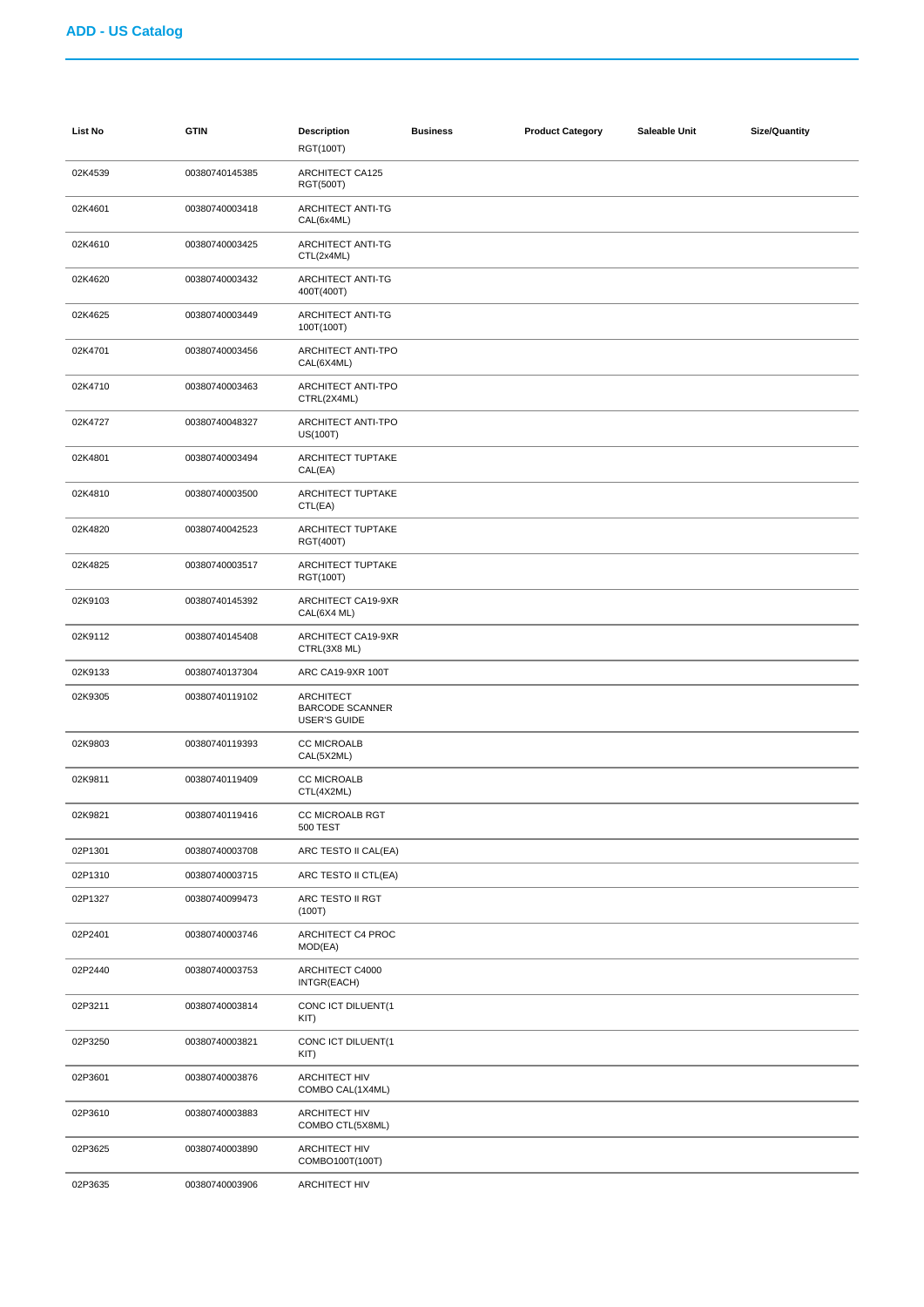| <b>List No</b> | <b>GTIN</b>    | <b>Description</b><br>RGT(100T)                                   | <b>Business</b> | <b>Product Category</b> | Saleable Unit | <b>Size/Quantity</b> |
|----------------|----------------|-------------------------------------------------------------------|-----------------|-------------------------|---------------|----------------------|
| 02K4539        | 00380740145385 | <b>ARCHITECT CA125</b><br>RGT(500T)                               |                 |                         |               |                      |
| 02K4601        | 00380740003418 | ARCHITECT ANTI-TG<br>CAL(6x4ML)                                   |                 |                         |               |                      |
| 02K4610        | 00380740003425 | ARCHITECT ANTI-TG<br>CTL(2x4ML)                                   |                 |                         |               |                      |
| 02K4620        | 00380740003432 | ARCHITECT ANTI-TG<br>400T(400T)                                   |                 |                         |               |                      |
| 02K4625        | 00380740003449 | ARCHITECT ANTI-TG<br>100T(100T)                                   |                 |                         |               |                      |
| 02K4701        | 00380740003456 | ARCHITECT ANTI-TPO<br>CAL(6X4ML)                                  |                 |                         |               |                      |
| 02K4710        | 00380740003463 | ARCHITECT ANTI-TPO<br>CTRL(2X4ML)                                 |                 |                         |               |                      |
| 02K4727        | 00380740048327 | ARCHITECT ANTI-TPO<br>US(100T)                                    |                 |                         |               |                      |
| 02K4801        | 00380740003494 | ARCHITECT TUPTAKE<br>CAL(EA)                                      |                 |                         |               |                      |
| 02K4810        | 00380740003500 | ARCHITECT TUPTAKE<br>CTL(EA)                                      |                 |                         |               |                      |
| 02K4820        | 00380740042523 | ARCHITECT TUPTAKE<br>RGT(400T)                                    |                 |                         |               |                      |
| 02K4825        | 00380740003517 | ARCHITECT TUPTAKE<br>RGT(100T)                                    |                 |                         |               |                      |
| 02K9103        | 00380740145392 | ARCHITECT CA19-9XR<br>CAL(6X4 ML)                                 |                 |                         |               |                      |
| 02K9112        | 00380740145408 | ARCHITECT CA19-9XR<br>CTRL(3X8 ML)                                |                 |                         |               |                      |
| 02K9133        | 00380740137304 | ARC CA19-9XR 100T                                                 |                 |                         |               |                      |
| 02K9305        | 00380740119102 | <b>ARCHITECT</b><br><b>BARCODE SCANNER</b><br><b>USER'S GUIDE</b> |                 |                         |               |                      |
| 02K9803        | 00380740119393 | <b>CC MICROALB</b><br>CAL(5X2ML)                                  |                 |                         |               |                      |
| 02K9811        | 00380740119409 | <b>CC MICROALB</b><br>CTL(4X2ML)                                  |                 |                         |               |                      |
| 02K9821        | 00380740119416 | CC MICROALB RGT<br><b>500 TEST</b>                                |                 |                         |               |                      |
| 02P1301        | 00380740003708 | ARC TESTO II CAL(EA)                                              |                 |                         |               |                      |
| 02P1310        | 00380740003715 | ARC TESTO II CTL(EA)                                              |                 |                         |               |                      |
| 02P1327        | 00380740099473 | ARC TESTO II RGT<br>(100T)                                        |                 |                         |               |                      |
| 02P2401        | 00380740003746 | ARCHITECT C4 PROC<br>MOD(EA)                                      |                 |                         |               |                      |
| 02P2440        | 00380740003753 | ARCHITECT C4000<br>INTGR(EACH)                                    |                 |                         |               |                      |
| 02P3211        | 00380740003814 | CONC ICT DILUENT(1<br>KIT)                                        |                 |                         |               |                      |
| 02P3250        | 00380740003821 | CONC ICT DILUENT(1<br>KIT)                                        |                 |                         |               |                      |
| 02P3601        | 00380740003876 | <b>ARCHITECT HIV</b><br>COMBO CAL(1X4ML)                          |                 |                         |               |                      |
| 02P3610        | 00380740003883 | <b>ARCHITECT HIV</b><br>COMBO CTL(5X8ML)                          |                 |                         |               |                      |
| 02P3625        | 00380740003890 | <b>ARCHITECT HIV</b><br>COMBO100T(100T)                           |                 |                         |               |                      |
| 02P3635        | 00380740003906 | <b>ARCHITECT HIV</b>                                              |                 |                         |               |                      |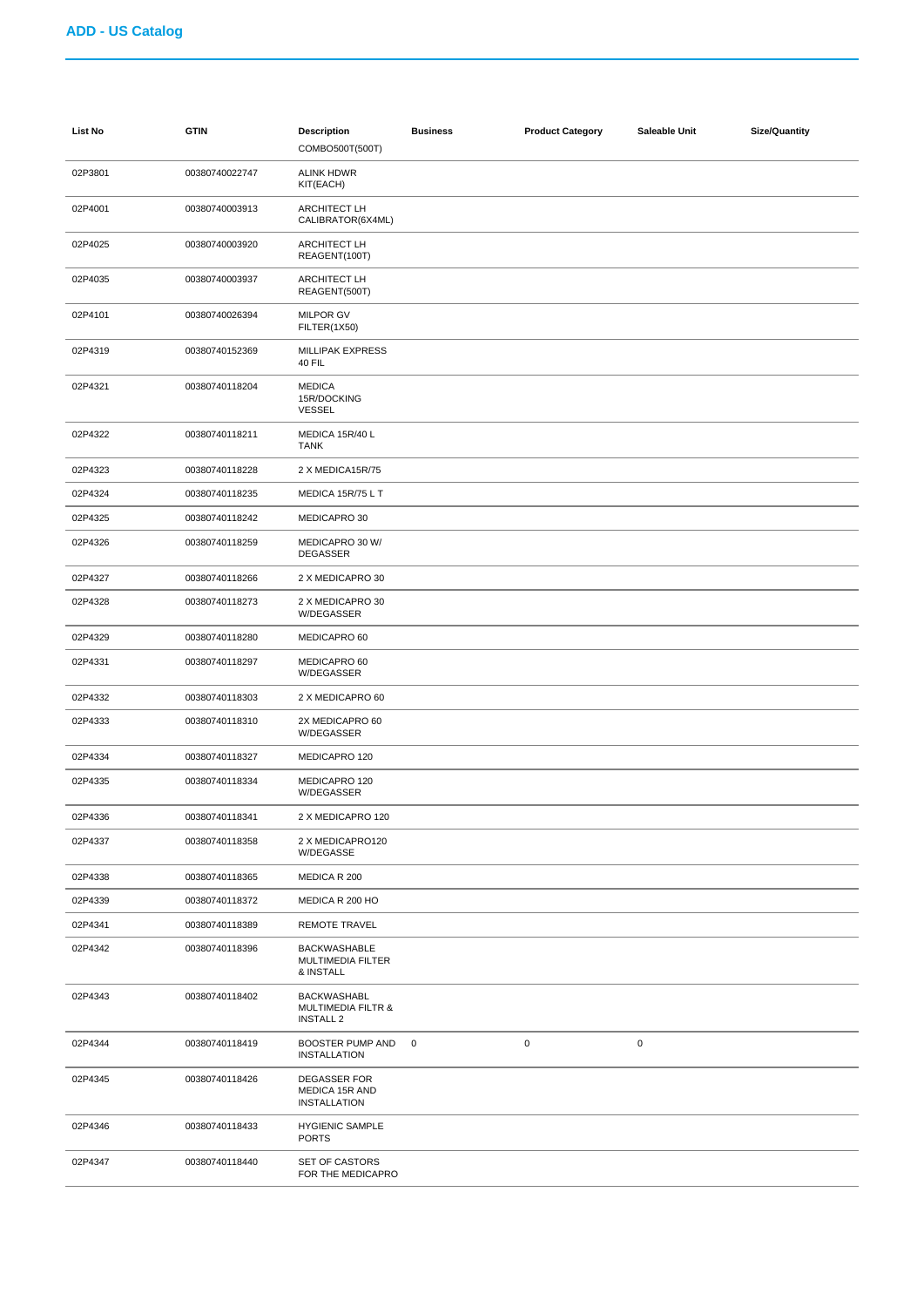| List No | <b>GTIN</b>    | <b>Description</b><br>COMBO500T(500T)                                   | <b>Business</b> | <b>Product Category</b> | Saleable Unit | <b>Size/Quantity</b> |
|---------|----------------|-------------------------------------------------------------------------|-----------------|-------------------------|---------------|----------------------|
| 02P3801 | 00380740022747 | ALINK HDWR<br>KIT(EACH)                                                 |                 |                         |               |                      |
| 02P4001 | 00380740003913 | <b>ARCHITECT LH</b><br>CALIBRATOR(6X4ML)                                |                 |                         |               |                      |
| 02P4025 | 00380740003920 | <b>ARCHITECT LH</b><br>REAGENT(100T)                                    |                 |                         |               |                      |
| 02P4035 | 00380740003937 | <b>ARCHITECT LH</b><br>REAGENT(500T)                                    |                 |                         |               |                      |
| 02P4101 | 00380740026394 | <b>MILPOR GV</b><br>FILTER(1X50)                                        |                 |                         |               |                      |
| 02P4319 | 00380740152369 | MILLIPAK EXPRESS<br>40 FIL                                              |                 |                         |               |                      |
| 02P4321 | 00380740118204 | <b>MEDICA</b><br>15R/DOCKING<br><b>VESSEL</b>                           |                 |                         |               |                      |
| 02P4322 | 00380740118211 | MEDICA 15R/40 L<br><b>TANK</b>                                          |                 |                         |               |                      |
| 02P4323 | 00380740118228 | 2 X MEDICA15R/75                                                        |                 |                         |               |                      |
| 02P4324 | 00380740118235 | MEDICA 15R/75 L T                                                       |                 |                         |               |                      |
| 02P4325 | 00380740118242 | MEDICAPRO 30                                                            |                 |                         |               |                      |
| 02P4326 | 00380740118259 | MEDICAPRO 30 W/<br><b>DEGASSER</b>                                      |                 |                         |               |                      |
| 02P4327 | 00380740118266 | 2 X MEDICAPRO 30                                                        |                 |                         |               |                      |
| 02P4328 | 00380740118273 | 2 X MEDICAPRO 30<br>W/DEGASSER                                          |                 |                         |               |                      |
| 02P4329 | 00380740118280 | MEDICAPRO 60                                                            |                 |                         |               |                      |
| 02P4331 | 00380740118297 | MEDICAPRO 60<br>W/DEGASSER                                              |                 |                         |               |                      |
| 02P4332 | 00380740118303 | 2 X MEDICAPRO 60                                                        |                 |                         |               |                      |
| 02P4333 | 00380740118310 | 2X MEDICAPRO 60<br>W/DEGASSER                                           |                 |                         |               |                      |
| 02P4334 | 00380740118327 | MEDICAPRO 120                                                           |                 |                         |               |                      |
| 02P4335 | 00380740118334 | MEDICAPRO 120<br>W/DEGASSER                                             |                 |                         |               |                      |
| 02P4336 | 00380740118341 | 2 X MEDICAPRO 120                                                       |                 |                         |               |                      |
| 02P4337 | 00380740118358 | 2 X MEDICAPRO120<br>W/DEGASSE                                           |                 |                         |               |                      |
| 02P4338 | 00380740118365 | MEDICA R 200                                                            |                 |                         |               |                      |
| 02P4339 | 00380740118372 | MEDICA R 200 HO                                                         |                 |                         |               |                      |
| 02P4341 | 00380740118389 | REMOTE TRAVEL                                                           |                 |                         |               |                      |
| 02P4342 | 00380740118396 | <b>BACKWASHABLE</b><br>MULTIMEDIA FILTER<br>& INSTALL                   |                 |                         |               |                      |
| 02P4343 | 00380740118402 | <b>BACKWASHABL</b><br><b>MULTIMEDIA FILTR &amp;</b><br><b>INSTALL 2</b> |                 |                         |               |                      |
| 02P4344 | 00380740118419 | BOOSTER PUMP AND<br><b>INSTALLATION</b>                                 | $\mathbf 0$     | $\pmb{0}$               | $\pmb{0}$     |                      |
| 02P4345 | 00380740118426 | <b>DEGASSER FOR</b><br>MEDICA 15R AND<br><b>INSTALLATION</b>            |                 |                         |               |                      |
| 02P4346 | 00380740118433 | <b>HYGIENIC SAMPLE</b><br><b>PORTS</b>                                  |                 |                         |               |                      |
| 02P4347 | 00380740118440 | <b>SET OF CASTORS</b><br>FOR THE MEDICAPRO                              |                 |                         |               |                      |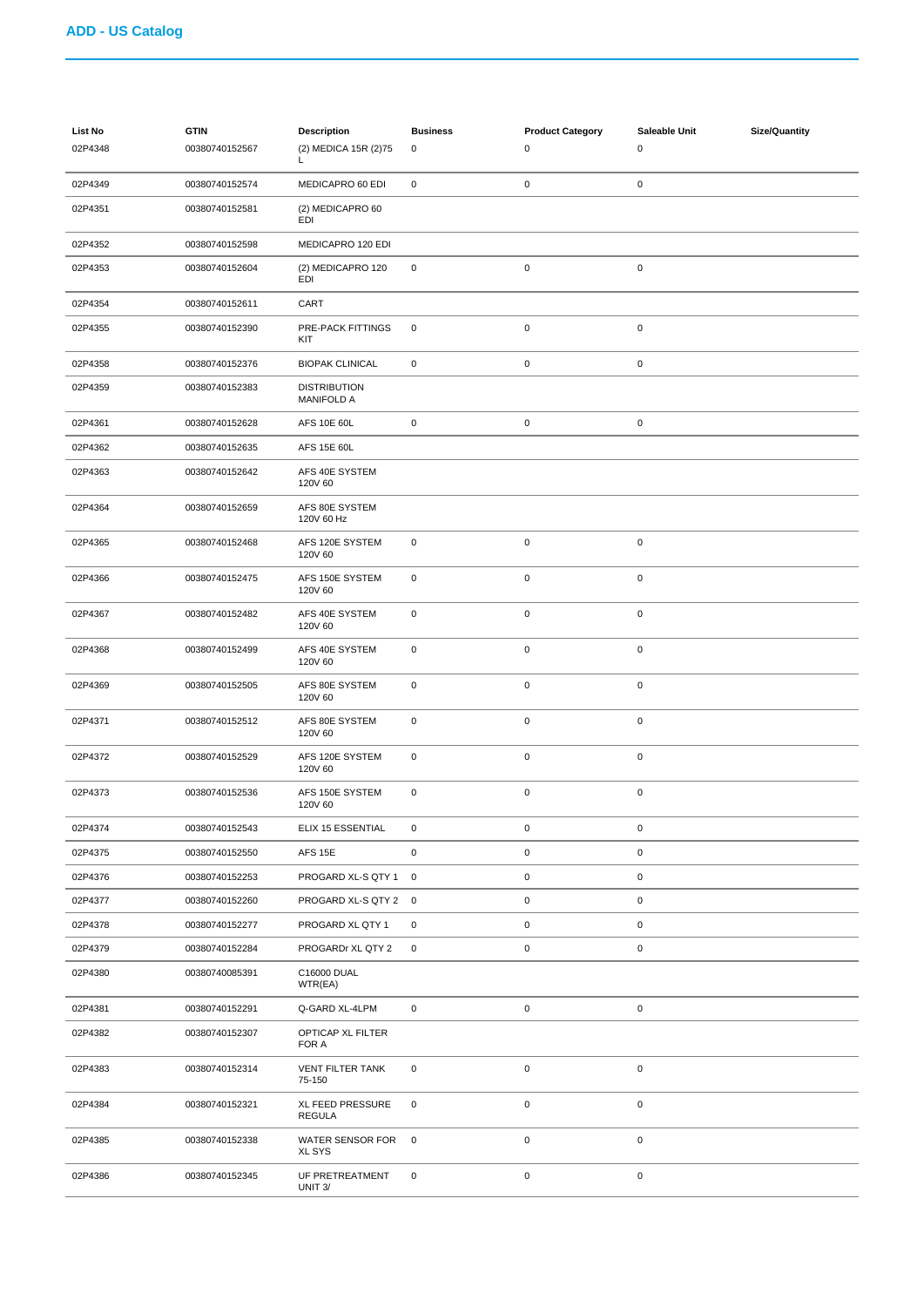| List No<br>02P4348 | <b>GTIN</b><br>00380740152567 | <b>Description</b><br>(2) MEDICA 15R (2)75<br>L | <b>Business</b><br>0 | <b>Product Category</b><br>0 | Saleable Unit<br>$\pmb{0}$ | <b>Size/Quantity</b> |
|--------------------|-------------------------------|-------------------------------------------------|----------------------|------------------------------|----------------------------|----------------------|
| 02P4349            | 00380740152574                | MEDICAPRO 60 EDI                                | $\mathbf 0$          | $\pmb{0}$                    | $\pmb{0}$                  |                      |
| 02P4351            | 00380740152581                | (2) MEDICAPRO 60<br>EDI                         |                      |                              |                            |                      |
| 02P4352            | 00380740152598                | MEDICAPRO 120 EDI                               |                      |                              |                            |                      |
| 02P4353            | 00380740152604                | (2) MEDICAPRO 120<br>EDI                        | $\mathsf 0$          | $\pmb{0}$                    | $\pmb{0}$                  |                      |
| 02P4354            | 00380740152611                | CART                                            |                      |                              |                            |                      |
| 02P4355            | 00380740152390                | PRE-PACK FITTINGS<br>KIT                        | $\mathbf 0$          | $\pmb{0}$                    | $\pmb{0}$                  |                      |
| 02P4358            | 00380740152376                | <b>BIOPAK CLINICAL</b>                          | $\mathbf 0$          | $\pmb{0}$                    | $\pmb{0}$                  |                      |
| 02P4359            | 00380740152383                | <b>DISTRIBUTION</b><br><b>MANIFOLD A</b>        |                      |                              |                            |                      |
| 02P4361            | 00380740152628                | AFS 10E 60L                                     | $\mathsf 0$          | $\pmb{0}$                    | $\mathsf 0$                |                      |
| 02P4362            | 00380740152635                | AFS 15E 60L                                     |                      |                              |                            |                      |
| 02P4363            | 00380740152642                | AFS 40E SYSTEM<br>120V 60                       |                      |                              |                            |                      |
| 02P4364            | 00380740152659                | AFS 80E SYSTEM<br>120V 60 Hz                    |                      |                              |                            |                      |
| 02P4365            | 00380740152468                | AFS 120E SYSTEM<br>120V 60                      | $\mathsf 0$          | $\pmb{0}$                    | $\mathsf 0$                |                      |
| 02P4366            | 00380740152475                | AFS 150E SYSTEM<br>120V 60                      | $\mathbf 0$          | $\pmb{0}$                    | $\mathbf 0$                |                      |
| 02P4367            | 00380740152482                | AFS 40E SYSTEM<br>120V 60                       | $\mathsf 0$          | $\pmb{0}$                    | $\mathsf 0$                |                      |
| 02P4368            | 00380740152499                | AFS 40E SYSTEM<br>120V 60                       | $\mathsf 0$          | $\pmb{0}$                    | $\pmb{0}$                  |                      |
| 02P4369            | 00380740152505                | AFS 80E SYSTEM<br>120V 60                       | $\mathbf 0$          | $\pmb{0}$                    | $\mathsf 0$                |                      |
| 02P4371            | 00380740152512                | AFS 80E SYSTEM<br>120V 60                       | $\mathsf 0$          | $\pmb{0}$                    | $\mathsf 0$                |                      |
| 02P4372            | 00380740152529                | AFS 120E SYSTEM<br>120V 60                      | $\mathsf 0$          | $\pmb{0}$                    | $\mathsf 0$                |                      |
| 02P4373            | 00380740152536                | AFS 150E SYSTEM<br>120V 60                      | $\mathbf 0$          | $\mathbf 0$                  | $\mathbf 0$                |                      |
| 02P4374            | 00380740152543                | ELIX 15 ESSENTIAL                               | 0                    | $\mathbf 0$                  | $\pmb{0}$                  |                      |
| 02P4375            | 00380740152550                | AFS 15E                                         | $\mathbf 0$          | $\pmb{0}$                    | $\pmb{0}$                  |                      |
| 02P4376            | 00380740152253                | PROGARD XL-S QTY 1 0                            |                      | $\pmb{0}$                    | $\mathbf 0$                |                      |
| 02P4377            | 00380740152260                | PROGARD XL-S QTY 2 0                            |                      | $\pmb{0}$                    | $\mathbf 0$                |                      |
| 02P4378            | 00380740152277                | PROGARD XL QTY 1                                | $\mathbf 0$          | $\pmb{0}$                    | $\pmb{0}$                  |                      |
| 02P4379            | 00380740152284                | PROGARDr XL QTY 2                               | $\mathbf 0$          | $\pmb{0}$                    | $\mathsf 0$                |                      |
| 02P4380            | 00380740085391                | C16000 DUAL<br>WTR(EA)                          |                      |                              |                            |                      |
| 02P4381            | 00380740152291                | Q-GARD XL-4LPM                                  | $\mathbf 0$          | $\pmb{0}$                    | $\pmb{0}$                  |                      |
| 02P4382            | 00380740152307                | OPTICAP XL FILTER<br>FOR A                      |                      |                              |                            |                      |
| 02P4383            | 00380740152314                | <b>VENT FILTER TANK</b><br>75-150               | $\pmb{0}$            | $\pmb{0}$                    | $\mathsf 0$                |                      |
| 02P4384            | 00380740152321                | XL FEED PRESSURE<br><b>REGULA</b>               | $\mathbf 0$          | $\mathbf 0$                  | $\pmb{0}$                  |                      |
| 02P4385            | 00380740152338                | WATER SENSOR FOR<br><b>XL SYS</b>               | $\mathbf 0$          | $\pmb{0}$                    | $\mathbf 0$                |                      |
| 02P4386            | 00380740152345                | UF PRETREATMENT<br>UNIT 3/                      | $\pmb{0}$            | $\pmb{0}$                    | $\pmb{0}$                  |                      |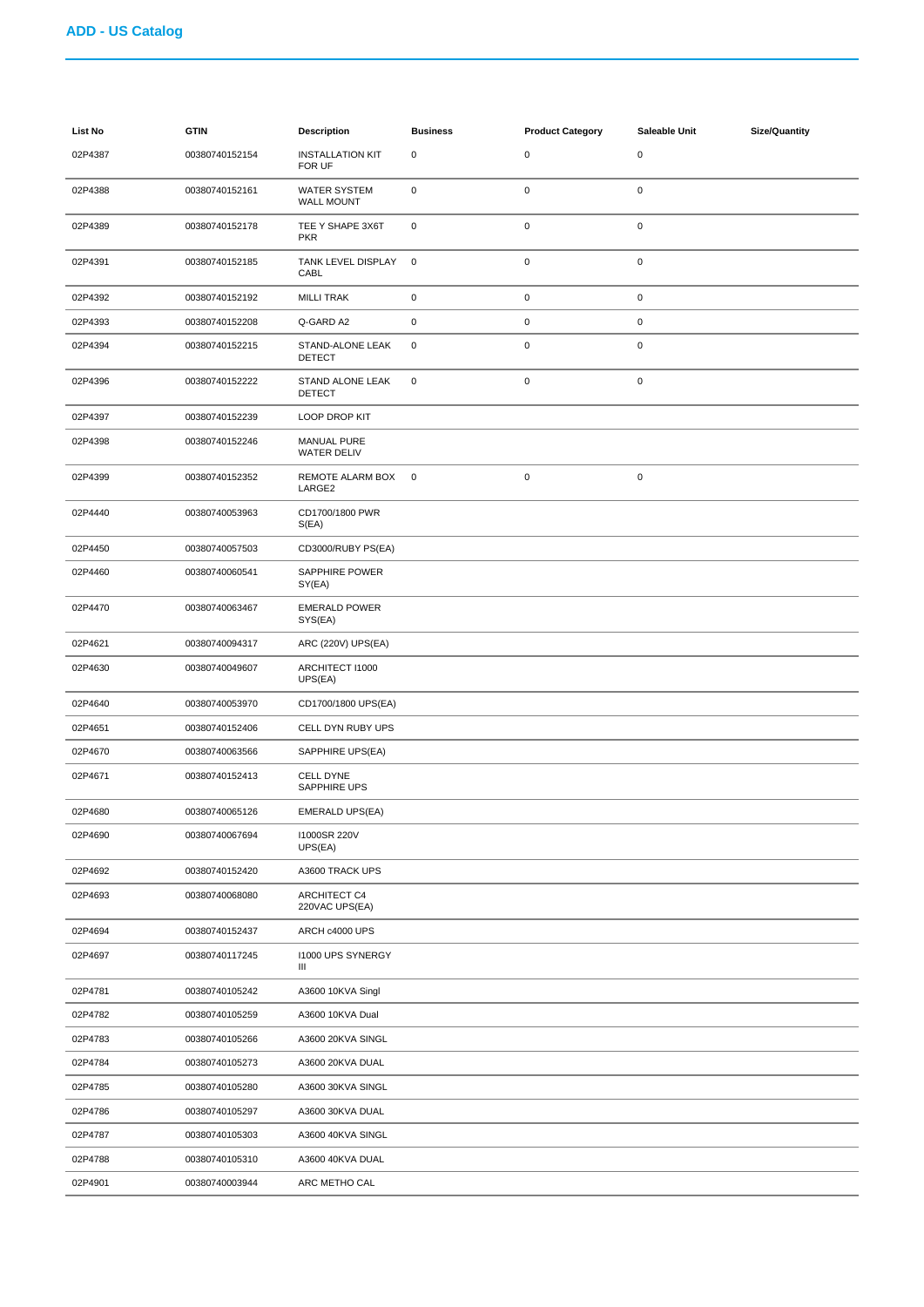| <b>List No</b> | <b>GTIN</b>    | <b>Description</b>                       | <b>Business</b> | <b>Product Category</b> | Saleable Unit | <b>Size/Quantity</b> |
|----------------|----------------|------------------------------------------|-----------------|-------------------------|---------------|----------------------|
| 02P4387        | 00380740152154 | <b>INSTALLATION KIT</b><br>FOR UF        | $\pmb{0}$       | $\pmb{0}$               | $\pmb{0}$     |                      |
| 02P4388        | 00380740152161 | <b>WATER SYSTEM</b><br><b>WALL MOUNT</b> | $\pmb{0}$       | $\mathbf 0$             | $\pmb{0}$     |                      |
| 02P4389        | 00380740152178 | TEE Y SHAPE 3X6T<br><b>PKR</b>           | 0               | $\pmb{0}$               | $\pmb{0}$     |                      |
| 02P4391        | 00380740152185 | TANK LEVEL DISPLAY<br>CABL               | $\mathbf 0$     | $\mathbf 0$             | 0             |                      |
| 02P4392        | 00380740152192 | <b>MILLI TRAK</b>                        | 0               | $\pmb{0}$               | $\pmb{0}$     |                      |
| 02P4393        | 00380740152208 | Q-GARD A2                                | 0               | $\pmb{0}$               | 0             |                      |
| 02P4394        | 00380740152215 | STAND-ALONE LEAK<br>DETECT               | $\pmb{0}$       | $\pmb{0}$               | 0             |                      |
| 02P4396        | 00380740152222 | STAND ALONE LEAK<br>DETECT               | 0               | $\pmb{0}$               | $\pmb{0}$     |                      |
| 02P4397        | 00380740152239 | LOOP DROP KIT                            |                 |                         |               |                      |
| 02P4398        | 00380740152246 | <b>MANUAL PURE</b><br>WATER DELIV        |                 |                         |               |                      |
| 02P4399        | 00380740152352 | REMOTE ALARM BOX<br>LARGE2               | 0               | $\pmb{0}$               | 0             |                      |
| 02P4440        | 00380740053963 | CD1700/1800 PWR<br>S(EA)                 |                 |                         |               |                      |
| 02P4450        | 00380740057503 | CD3000/RUBY PS(EA)                       |                 |                         |               |                      |
| 02P4460        | 00380740060541 | SAPPHIRE POWER<br>SY(EA)                 |                 |                         |               |                      |
| 02P4470        | 00380740063467 | <b>EMERALD POWER</b><br>SYS(EA)          |                 |                         |               |                      |
| 02P4621        | 00380740094317 | ARC (220V) UPS(EA)                       |                 |                         |               |                      |
| 02P4630        | 00380740049607 | ARCHITECT I1000<br>UPS(EA)               |                 |                         |               |                      |
| 02P4640        | 00380740053970 | CD1700/1800 UPS(EA)                      |                 |                         |               |                      |
| 02P4651        | 00380740152406 | CELL DYN RUBY UPS                        |                 |                         |               |                      |
| 02P4670        | 00380740063566 | SAPPHIRE UPS(EA)                         |                 |                         |               |                      |
| 02P4671        | 00380740152413 | <b>CELL DYNE</b><br>SAPPHIRE UPS         |                 |                         |               |                      |
| 02P4680        | 00380740065126 | EMERALD UPS(EA)                          |                 |                         |               |                      |
| 02P4690        | 00380740067694 | 11000SR 220V<br>UPS(EA)                  |                 |                         |               |                      |
| 02P4692        | 00380740152420 | A3600 TRACK UPS                          |                 |                         |               |                      |
| 02P4693        | 00380740068080 | ARCHITECT C4<br>220VAC UPS(EA)           |                 |                         |               |                      |
| 02P4694        | 00380740152437 | ARCH c4000 UPS                           |                 |                         |               |                      |
| 02P4697        | 00380740117245 | 11000 UPS SYNERGY<br>Ш                   |                 |                         |               |                      |
| 02P4781        | 00380740105242 | A3600 10KVA Singl                        |                 |                         |               |                      |
| 02P4782        | 00380740105259 | A3600 10KVA Dual                         |                 |                         |               |                      |
| 02P4783        | 00380740105266 | A3600 20KVA SINGL                        |                 |                         |               |                      |
| 02P4784        | 00380740105273 | A3600 20KVA DUAL                         |                 |                         |               |                      |
| 02P4785        | 00380740105280 | A3600 30KVA SINGL                        |                 |                         |               |                      |
| 02P4786        | 00380740105297 | A3600 30KVA DUAL                         |                 |                         |               |                      |
| 02P4787        | 00380740105303 | A3600 40KVA SINGL                        |                 |                         |               |                      |
| 02P4788        | 00380740105310 | A3600 40KVA DUAL                         |                 |                         |               |                      |
| 02P4901        | 00380740003944 | ARC METHO CAL                            |                 |                         |               |                      |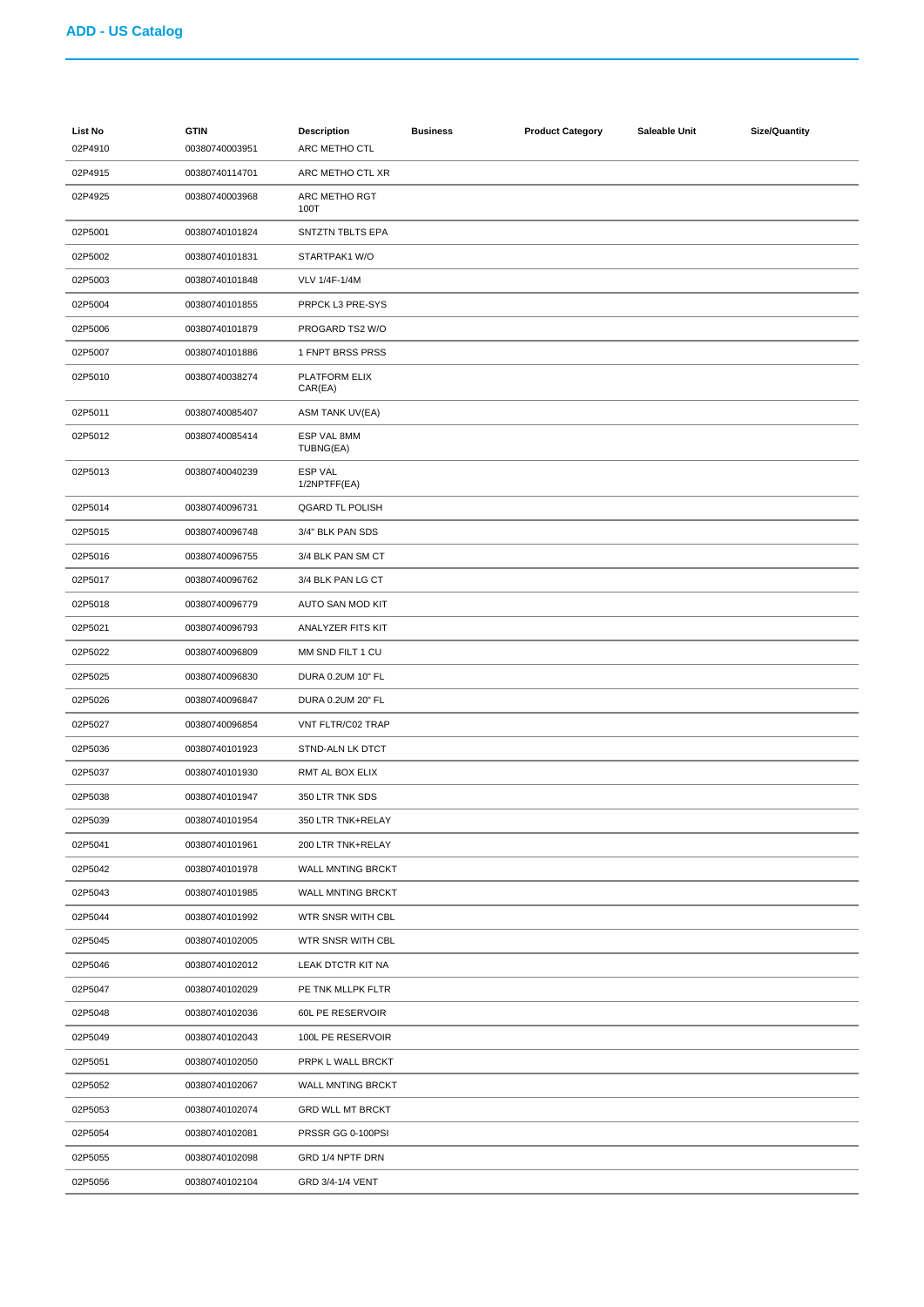| <b>List No</b><br>02P4910 | <b>GTIN</b><br>00380740003951 | <b>Description</b><br>ARC METHO CTL | <b>Business</b> | <b>Product Category</b> | Saleable Unit | <b>Size/Quantity</b> |
|---------------------------|-------------------------------|-------------------------------------|-----------------|-------------------------|---------------|----------------------|
| 02P4915                   | 00380740114701                | ARC METHO CTL XR                    |                 |                         |               |                      |
| 02P4925                   | 00380740003968                | ARC METHO RGT<br>100T               |                 |                         |               |                      |
| 02P5001                   | 00380740101824                | <b>SNTZTN TBLTS EPA</b>             |                 |                         |               |                      |
| 02P5002                   | 00380740101831                | STARTPAK1 W/O                       |                 |                         |               |                      |
| 02P5003                   | 00380740101848                | VLV 1/4F-1/4M                       |                 |                         |               |                      |
| 02P5004                   | 00380740101855                | PRPCK L3 PRE-SYS                    |                 |                         |               |                      |
| 02P5006                   | 00380740101879                | PROGARD TS2 W/O                     |                 |                         |               |                      |
| 02P5007                   | 00380740101886                | 1 FNPT BRSS PRSS                    |                 |                         |               |                      |
| 02P5010                   | 00380740038274                | PLATFORM ELIX<br>CAR(EA)            |                 |                         |               |                      |
| 02P5011                   | 00380740085407                | ASM TANK UV(EA)                     |                 |                         |               |                      |
| 02P5012                   | 00380740085414                | ESP VAL 8MM<br>TUBNG(EA)            |                 |                         |               |                      |
| 02P5013                   | 00380740040239                | ESP VAL<br>1/2NPTFF(EA)             |                 |                         |               |                      |
| 02P5014                   | 00380740096731                | <b>QGARD TL POLISH</b>              |                 |                         |               |                      |
| 02P5015                   | 00380740096748                | 3/4" BLK PAN SDS                    |                 |                         |               |                      |
| 02P5016                   | 00380740096755                | 3/4 BLK PAN SM CT                   |                 |                         |               |                      |
| 02P5017                   | 00380740096762                | 3/4 BLK PAN LG CT                   |                 |                         |               |                      |
| 02P5018                   | 00380740096779                | AUTO SAN MOD KIT                    |                 |                         |               |                      |
| 02P5021                   | 00380740096793                | ANALYZER FITS KIT                   |                 |                         |               |                      |
| 02P5022                   | 00380740096809                | MM SND FILT 1 CU                    |                 |                         |               |                      |
| 02P5025                   | 00380740096830                | DURA 0.2UM 10" FL                   |                 |                         |               |                      |
| 02P5026                   | 00380740096847                | DURA 0.2UM 20" FL                   |                 |                         |               |                      |
| 02P5027                   | 00380740096854                | VNT FLTR/C02 TRAP                   |                 |                         |               |                      |
| 02P5036                   | 00380740101923                | STND-ALN LK DTCT                    |                 |                         |               |                      |
| 02P5037                   | 00380740101930                | RMT AL BOX ELIX                     |                 |                         |               |                      |
| 02P5038                   | 00380740101947                | 350 LTR TNK SDS                     |                 |                         |               |                      |
| 02P5039                   | 00380740101954                | 350 LTR TNK+RELAY                   |                 |                         |               |                      |
| 02P5041                   | 00380740101961                | 200 LTR TNK+RELAY                   |                 |                         |               |                      |
| 02P5042                   | 00380740101978                | WALL MNTING BRCKT                   |                 |                         |               |                      |
| 02P5043                   | 00380740101985                | WALL MNTING BRCKT                   |                 |                         |               |                      |
| 02P5044                   | 00380740101992                | WTR SNSR WITH CBL                   |                 |                         |               |                      |
| 02P5045                   | 00380740102005                | WTR SNSR WITH CBL                   |                 |                         |               |                      |
| 02P5046                   | 00380740102012                | LEAK DTCTR KIT NA                   |                 |                         |               |                      |
| 02P5047                   | 00380740102029                | PE TNK MLLPK FLTR                   |                 |                         |               |                      |
| 02P5048                   | 00380740102036                | 60L PE RESERVOIR                    |                 |                         |               |                      |
| 02P5049                   | 00380740102043                | 100L PE RESERVOIR                   |                 |                         |               |                      |
| 02P5051                   | 00380740102050                | PRPK L WALL BRCKT                   |                 |                         |               |                      |
| 02P5052                   | 00380740102067                | WALL MNTING BRCKT                   |                 |                         |               |                      |
| 02P5053                   | 00380740102074                | <b>GRD WLL MT BRCKT</b>             |                 |                         |               |                      |
| 02P5054                   | 00380740102081                | PRSSR GG 0-100PSI                   |                 |                         |               |                      |
| 02P5055                   | 00380740102098                | GRD 1/4 NPTF DRN                    |                 |                         |               |                      |
| 02P5056                   | 00380740102104                | GRD 3/4-1/4 VENT                    |                 |                         |               |                      |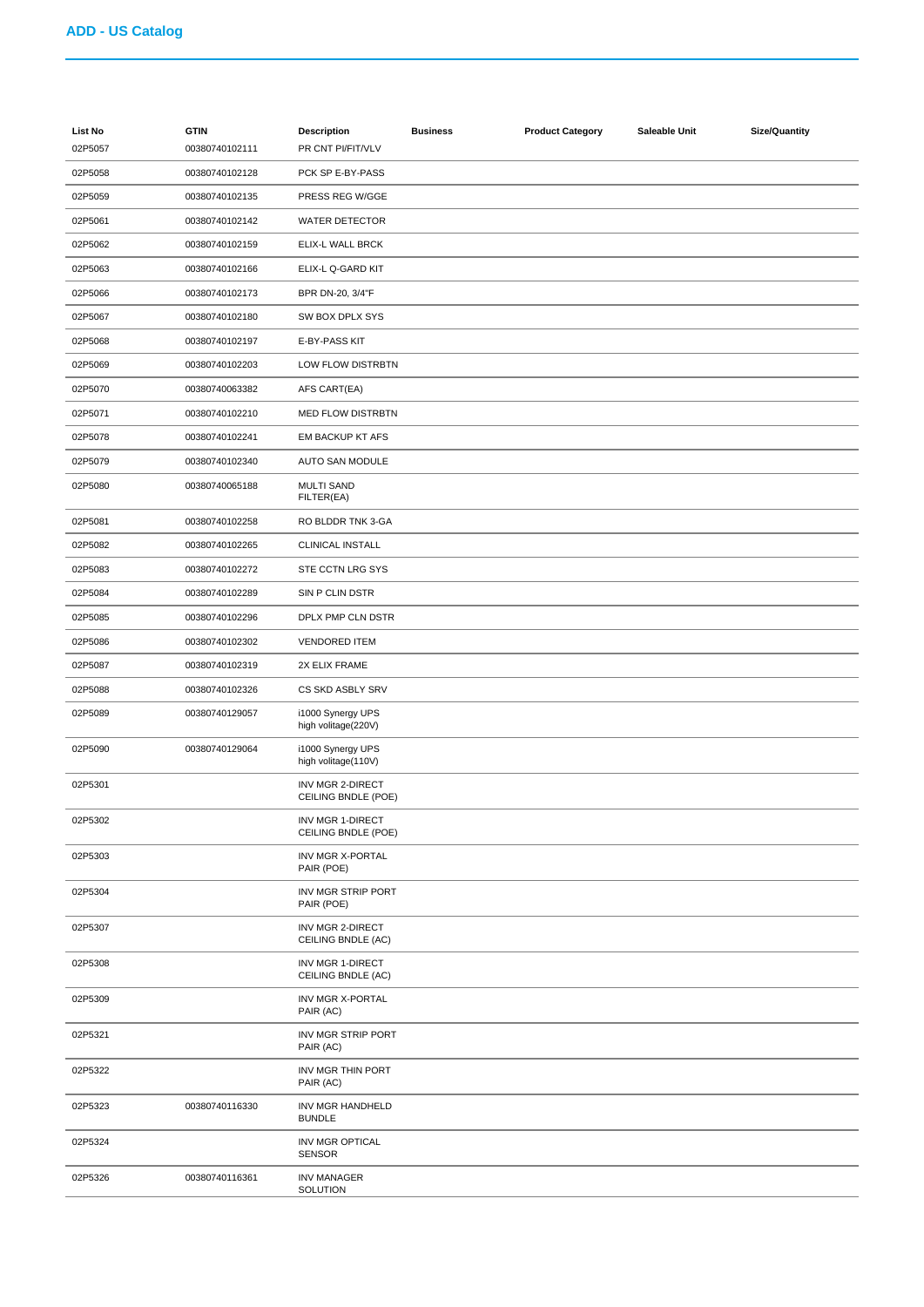| <b>List No</b> | <b>GTIN</b>    | <b>Description</b>                             | <b>Business</b> | <b>Product Category</b> | Saleable Unit | Size/Quantity |
|----------------|----------------|------------------------------------------------|-----------------|-------------------------|---------------|---------------|
| 02P5057        | 00380740102111 | PR CNT PI/FIT/VLV                              |                 |                         |               |               |
| 02P5058        | 00380740102128 | PCK SP E-BY-PASS                               |                 |                         |               |               |
| 02P5059        | 00380740102135 | PRESS REG W/GGE                                |                 |                         |               |               |
| 02P5061        | 00380740102142 | <b>WATER DETECTOR</b>                          |                 |                         |               |               |
| 02P5062        | 00380740102159 | ELIX-L WALL BRCK                               |                 |                         |               |               |
| 02P5063        | 00380740102166 | ELIX-L Q-GARD KIT                              |                 |                         |               |               |
| 02P5066        | 00380740102173 | BPR DN-20, 3/4"F                               |                 |                         |               |               |
| 02P5067        | 00380740102180 | SW BOX DPLX SYS                                |                 |                         |               |               |
| 02P5068        | 00380740102197 | E-BY-PASS KIT                                  |                 |                         |               |               |
| 02P5069        | 00380740102203 | LOW FLOW DISTRBTN                              |                 |                         |               |               |
| 02P5070        | 00380740063382 | AFS CART(EA)                                   |                 |                         |               |               |
| 02P5071        | 00380740102210 | <b>MED FLOW DISTRBTN</b>                       |                 |                         |               |               |
| 02P5078        | 00380740102241 | EM BACKUP KT AFS                               |                 |                         |               |               |
| 02P5079        | 00380740102340 | AUTO SAN MODULE                                |                 |                         |               |               |
| 02P5080        | 00380740065188 | <b>MULTI SAND</b><br>FILTER(EA)                |                 |                         |               |               |
| 02P5081        | 00380740102258 | RO BLDDR TNK 3-GA                              |                 |                         |               |               |
| 02P5082        | 00380740102265 | CLINICAL INSTALL                               |                 |                         |               |               |
| 02P5083        | 00380740102272 | STE CCTN LRG SYS                               |                 |                         |               |               |
| 02P5084        | 00380740102289 | SIN P CLIN DSTR                                |                 |                         |               |               |
| 02P5085        | 00380740102296 | DPLX PMP CLN DSTR                              |                 |                         |               |               |
| 02P5086        | 00380740102302 | <b>VENDORED ITEM</b>                           |                 |                         |               |               |
| 02P5087        | 00380740102319 | 2X ELIX FRAME                                  |                 |                         |               |               |
| 02P5088        | 00380740102326 | CS SKD ASBLY SRV                               |                 |                         |               |               |
| 02P5089        | 00380740129057 | i1000 Synergy UPS<br>high volitage(220V)       |                 |                         |               |               |
| 02P5090        | 00380740129064 | i1000 Synergy UPS<br>high volitage(110V)       |                 |                         |               |               |
| 02P5301        |                | INV MGR 2-DIRECT<br>CEILING BNDLE (POE)        |                 |                         |               |               |
| 02P5302        |                | <b>INV MGR 1-DIRECT</b><br>CEILING BNDLE (POE) |                 |                         |               |               |
| 02P5303        |                | INV MGR X-PORTAL<br>PAIR (POE)                 |                 |                         |               |               |
| 02P5304        |                | INV MGR STRIP PORT<br>PAIR (POE)               |                 |                         |               |               |
| 02P5307        |                | INV MGR 2-DIRECT<br>CEILING BNDLE (AC)         |                 |                         |               |               |
| 02P5308        |                | INV MGR 1-DIRECT<br>CEILING BNDLE (AC)         |                 |                         |               |               |
| 02P5309        |                | INV MGR X-PORTAL<br>PAIR (AC)                  |                 |                         |               |               |
| 02P5321        |                | INV MGR STRIP PORT<br>PAIR (AC)                |                 |                         |               |               |
| 02P5322        |                | INV MGR THIN PORT<br>PAIR (AC)                 |                 |                         |               |               |
| 02P5323        | 00380740116330 | INV MGR HANDHELD<br><b>BUNDLE</b>              |                 |                         |               |               |
| 02P5324        |                | INV MGR OPTICAL<br><b>SENSOR</b>               |                 |                         |               |               |
| 02P5326        | 00380740116361 | <b>INV MANAGER</b><br>SOLUTION                 |                 |                         |               |               |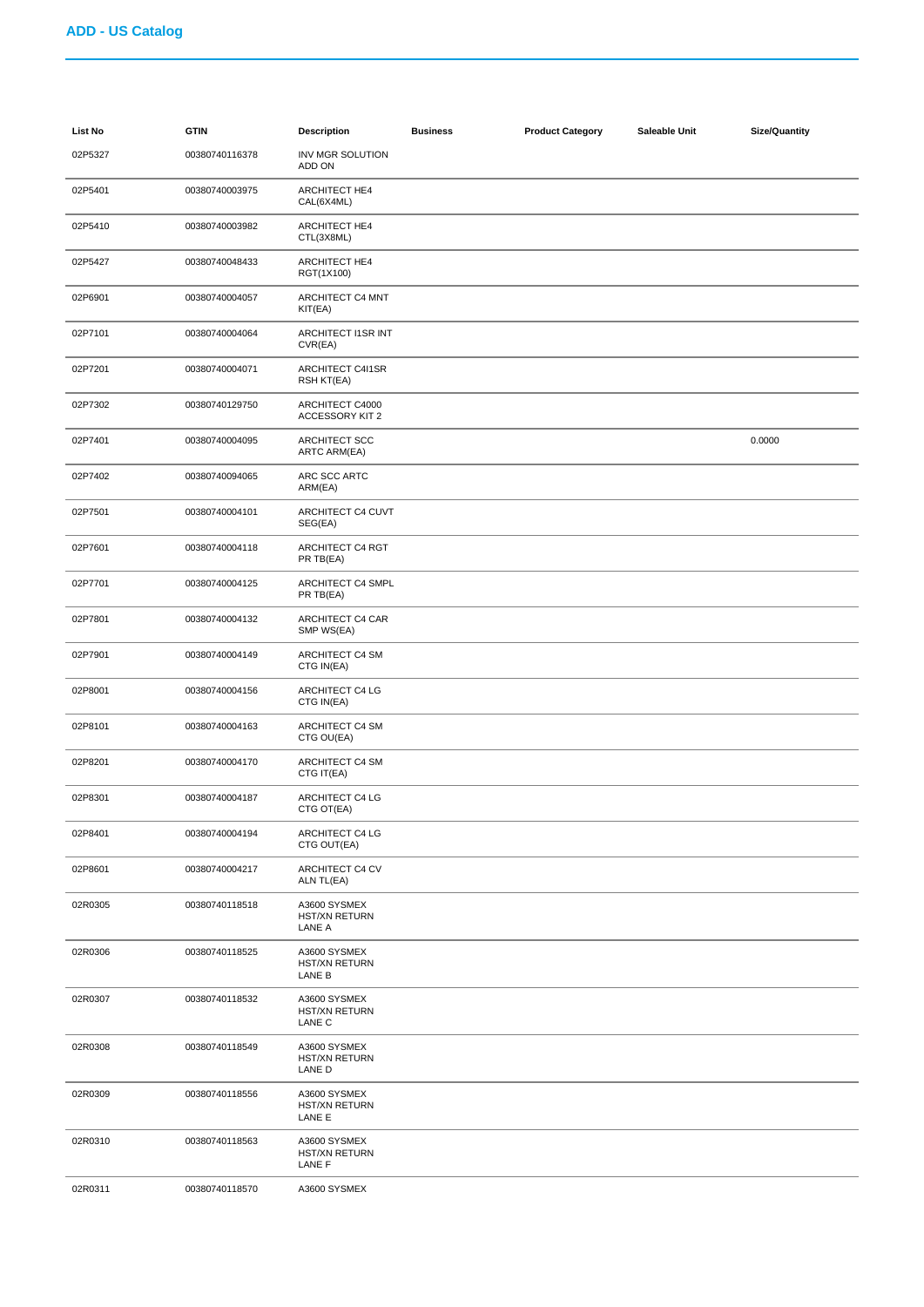| List No | <b>GTIN</b>    | <b>Description</b>                             | <b>Business</b> | <b>Product Category</b> | Saleable Unit | Size/Quantity |
|---------|----------------|------------------------------------------------|-----------------|-------------------------|---------------|---------------|
| 02P5327 | 00380740116378 | INV MGR SOLUTION<br>ADD ON                     |                 |                         |               |               |
| 02P5401 | 00380740003975 | ARCHITECT HE4<br>CAL(6X4ML)                    |                 |                         |               |               |
| 02P5410 | 00380740003982 | ARCHITECT HE4<br>CTL(3X8ML)                    |                 |                         |               |               |
| 02P5427 | 00380740048433 | <b>ARCHITECT HE4</b><br>RGT(1X100)             |                 |                         |               |               |
| 02P6901 | 00380740004057 | ARCHITECT C4 MNT<br>KIT(EA)                    |                 |                         |               |               |
| 02P7101 | 00380740004064 | ARCHITECT I1SR INT<br>CVR(EA)                  |                 |                         |               |               |
| 02P7201 | 00380740004071 | ARCHITECT C4I1SR<br>RSH KT(EA)                 |                 |                         |               |               |
| 02P7302 | 00380740129750 | ARCHITECT C4000<br><b>ACCESSORY KIT 2</b>      |                 |                         |               |               |
| 02P7401 | 00380740004095 | ARCHITECT SCC<br><b>ARTC ARM(EA)</b>           |                 |                         |               | 0.0000        |
| 02P7402 | 00380740094065 | ARC SCC ARTC<br>ARM(EA)                        |                 |                         |               |               |
| 02P7501 | 00380740004101 | ARCHITECT C4 CUVT<br>SEG(EA)                   |                 |                         |               |               |
| 02P7601 | 00380740004118 | ARCHITECT C4 RGT<br>PR TB(EA)                  |                 |                         |               |               |
| 02P7701 | 00380740004125 | ARCHITECT C4 SMPL<br>PR TB(EA)                 |                 |                         |               |               |
| 02P7801 | 00380740004132 | ARCHITECT C4 CAR<br>SMP WS(EA)                 |                 |                         |               |               |
| 02P7901 | 00380740004149 | ARCHITECT C4 SM<br>CTG IN(EA)                  |                 |                         |               |               |
| 02P8001 | 00380740004156 | ARCHITECT C4 LG<br>CTG IN(EA)                  |                 |                         |               |               |
| 02P8101 | 00380740004163 | ARCHITECT C4 SM<br>CTG OU(EA)                  |                 |                         |               |               |
| 02P8201 | 00380740004170 | ARCHITECT C4 SM<br>CTG IT(EA)                  |                 |                         |               |               |
| 02P8301 | 00380740004187 | ARCHITECT C4 LG<br>CTG OT(EA)                  |                 |                         |               |               |
| 02P8401 | 00380740004194 | <b>ARCHITECT C4 LG</b><br>CTG OUT(EA)          |                 |                         |               |               |
| 02P8601 | 00380740004217 | ARCHITECT C4 CV<br>ALN TL(EA)                  |                 |                         |               |               |
| 02R0305 | 00380740118518 | A3600 SYSMEX<br><b>HST/XN RETURN</b><br>LANE A |                 |                         |               |               |
| 02R0306 | 00380740118525 | A3600 SYSMEX<br>HST/XN RETURN<br>LANE B        |                 |                         |               |               |
| 02R0307 | 00380740118532 | A3600 SYSMEX<br><b>HST/XN RETURN</b><br>LANE C |                 |                         |               |               |
| 02R0308 | 00380740118549 | A3600 SYSMEX<br>HST/XN RETURN<br>LANE D        |                 |                         |               |               |
| 02R0309 | 00380740118556 | A3600 SYSMEX<br><b>HST/XN RETURN</b><br>LANE E |                 |                         |               |               |
| 02R0310 | 00380740118563 | A3600 SYSMEX<br><b>HST/XN RETURN</b><br>LANE F |                 |                         |               |               |
| 02R0311 | 00380740118570 | A3600 SYSMEX                                   |                 |                         |               |               |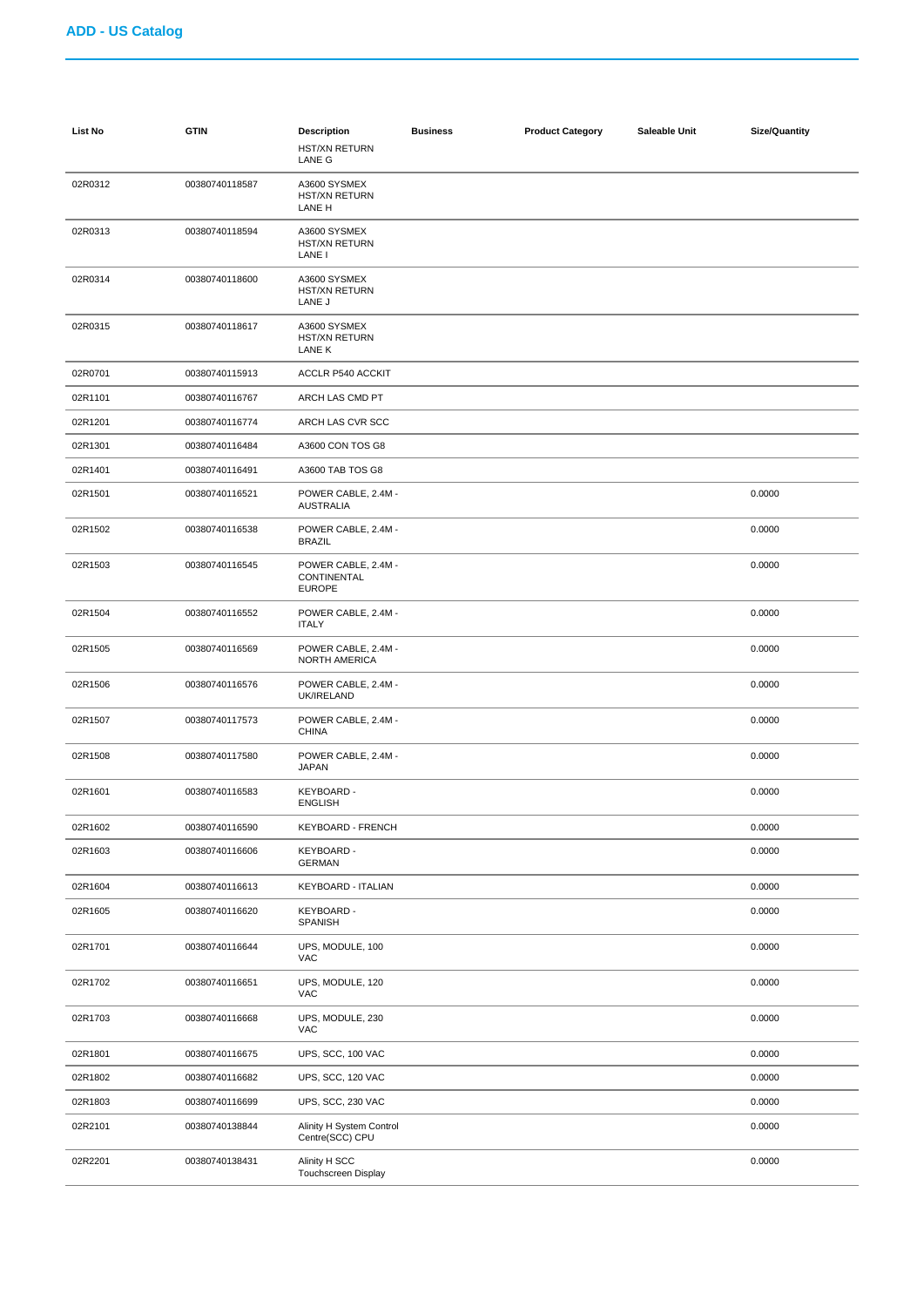| <b>List No</b> | <b>GTIN</b>    | <b>Description</b><br><b>HST/XN RETURN</b><br>LANE G | <b>Business</b> | <b>Product Category</b> | Saleable Unit | <b>Size/Quantity</b> |
|----------------|----------------|------------------------------------------------------|-----------------|-------------------------|---------------|----------------------|
| 02R0312        | 00380740118587 | A3600 SYSMEX<br><b>HST/XN RETURN</b><br>LANE H       |                 |                         |               |                      |
| 02R0313        | 00380740118594 | A3600 SYSMEX<br>HST/XN RETURN<br>LANE I              |                 |                         |               |                      |
| 02R0314        | 00380740118600 | A3600 SYSMEX<br><b>HST/XN RETURN</b><br>LANE J       |                 |                         |               |                      |
| 02R0315        | 00380740118617 | A3600 SYSMEX<br><b>HST/XN RETURN</b><br>LANE K       |                 |                         |               |                      |
| 02R0701        | 00380740115913 | ACCLR P540 ACCKIT                                    |                 |                         |               |                      |
| 02R1101        | 00380740116767 | ARCH LAS CMD PT                                      |                 |                         |               |                      |
| 02R1201        | 00380740116774 | ARCH LAS CVR SCC                                     |                 |                         |               |                      |
| 02R1301        | 00380740116484 | A3600 CON TOS G8                                     |                 |                         |               |                      |
| 02R1401        | 00380740116491 | A3600 TAB TOS G8                                     |                 |                         |               |                      |
| 02R1501        | 00380740116521 | POWER CABLE, 2.4M -<br><b>AUSTRALIA</b>              |                 |                         |               | 0.0000               |
| 02R1502        | 00380740116538 | POWER CABLE, 2.4M -<br><b>BRAZIL</b>                 |                 |                         |               | 0.0000               |
| 02R1503        | 00380740116545 | POWER CABLE, 2.4M -<br>CONTINENTAL<br><b>EUROPE</b>  |                 |                         |               | 0.0000               |
| 02R1504        | 00380740116552 | POWER CABLE, 2.4M -<br><b>ITALY</b>                  |                 |                         |               | 0.0000               |
| 02R1505        | 00380740116569 | POWER CABLE, 2.4M -<br><b>NORTH AMERICA</b>          |                 |                         |               | 0.0000               |
| 02R1506        | 00380740116576 | POWER CABLE, 2.4M -<br>UK/IRELAND                    |                 |                         |               | 0.0000               |
| 02R1507        | 00380740117573 | POWER CABLE, 2.4M -<br><b>CHINA</b>                  |                 |                         |               | 0.0000               |
| 02R1508        | 00380740117580 | POWER CABLE, 2.4M -<br><b>JAPAN</b>                  |                 |                         |               | 0.0000               |
| 02R1601        | 00380740116583 | <b>KEYBOARD -</b><br><b>ENGLISH</b>                  |                 |                         |               | 0.0000               |
| 02R1602        | 00380740116590 | KEYBOARD - FRENCH                                    |                 |                         |               | 0.0000               |
| 02R1603        | 00380740116606 | KEYBOARD -<br><b>GERMAN</b>                          |                 |                         |               | 0.0000               |
| 02R1604        | 00380740116613 | KEYBOARD - ITALIAN                                   |                 |                         |               | 0.0000               |
| 02R1605        | 00380740116620 | KEYBOARD -<br>SPANISH                                |                 |                         |               | 0.0000               |
| 02R1701        | 00380740116644 | UPS, MODULE, 100<br>VAC                              |                 |                         |               | 0.0000               |
| 02R1702        | 00380740116651 | UPS, MODULE, 120<br>VAC                              |                 |                         |               | 0.0000               |
| 02R1703        | 00380740116668 | UPS, MODULE, 230<br>VAC                              |                 |                         |               | 0.0000               |
| 02R1801        | 00380740116675 | UPS, SCC, 100 VAC                                    |                 |                         |               | 0.0000               |
| 02R1802        | 00380740116682 | UPS, SCC, 120 VAC                                    |                 |                         |               | 0.0000               |
| 02R1803        | 00380740116699 | UPS, SCC, 230 VAC                                    |                 |                         |               | 0.0000               |
| 02R2101        | 00380740138844 | Alinity H System Control<br>Centre(SCC) CPU          |                 |                         |               | 0.0000               |
| 02R2201        | 00380740138431 | Alinity H SCC<br><b>Touchscreen Display</b>          |                 |                         |               | 0.0000               |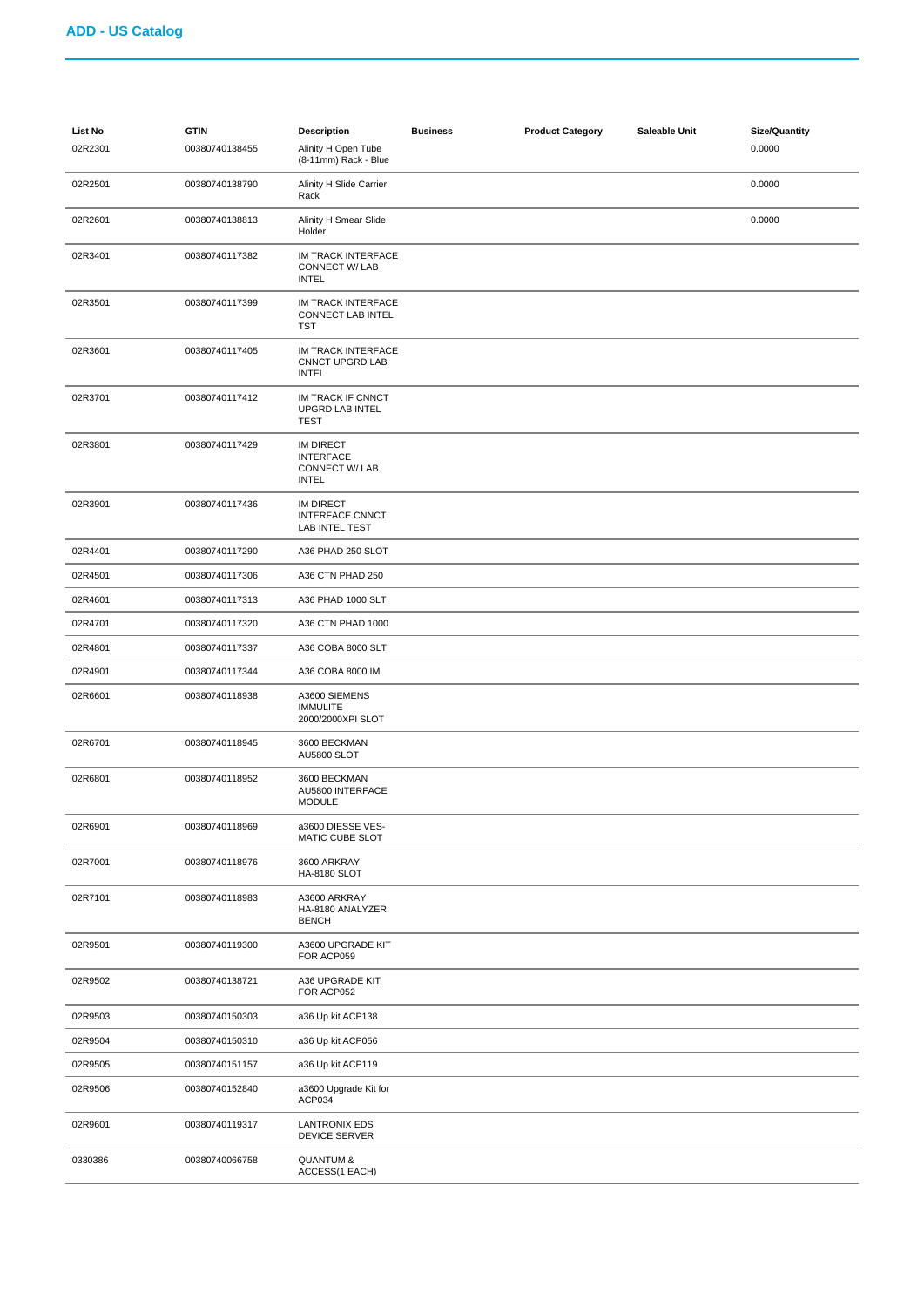| List No<br>02R2301 | <b>GTIN</b><br>00380740138455 | <b>Description</b><br>Alinity H Open Tube<br>(8-11mm) Rack - Blue      | <b>Business</b> | <b>Product Category</b> | Saleable Unit | <b>Size/Quantity</b><br>0.0000 |
|--------------------|-------------------------------|------------------------------------------------------------------------|-----------------|-------------------------|---------------|--------------------------------|
| 02R2501            | 00380740138790                | Alinity H Slide Carrier<br>Rack                                        |                 |                         |               | 0.0000                         |
| 02R2601            | 00380740138813                | Alinity H Smear Slide<br>Holder                                        |                 |                         |               | 0.0000                         |
| 02R3401            | 00380740117382                | IM TRACK INTERFACE<br>CONNECT W/ LAB<br><b>INTEL</b>                   |                 |                         |               |                                |
| 02R3501            | 00380740117399                | IM TRACK INTERFACE<br>CONNECT LAB INTEL<br><b>TST</b>                  |                 |                         |               |                                |
| 02R3601            | 00380740117405                | IM TRACK INTERFACE<br>CNNCT UPGRD LAB<br><b>INTEL</b>                  |                 |                         |               |                                |
| 02R3701            | 00380740117412                | IM TRACK IF CNNCT<br>UPGRD LAB INTEL<br><b>TEST</b>                    |                 |                         |               |                                |
| 02R3801            | 00380740117429                | <b>IM DIRECT</b><br><b>INTERFACE</b><br>CONNECT W/ LAB<br><b>INTEL</b> |                 |                         |               |                                |
| 02R3901            | 00380740117436                | <b>IM DIRECT</b><br><b>INTERFACE CNNCT</b><br>LAB INTEL TEST           |                 |                         |               |                                |
| 02R4401            | 00380740117290                | A36 PHAD 250 SLOT                                                      |                 |                         |               |                                |
| 02R4501            | 00380740117306                | A36 CTN PHAD 250                                                       |                 |                         |               |                                |
| 02R4601            | 00380740117313                | A36 PHAD 1000 SLT                                                      |                 |                         |               |                                |
| 02R4701            | 00380740117320                | A36 CTN PHAD 1000                                                      |                 |                         |               |                                |
| 02R4801            | 00380740117337                | A36 COBA 8000 SLT                                                      |                 |                         |               |                                |
| 02R4901            | 00380740117344                | A36 COBA 8000 IM                                                       |                 |                         |               |                                |
| 02R6601            | 00380740118938                | A3600 SIEMENS<br><b>IMMULITE</b><br>2000/2000XPI SLOT                  |                 |                         |               |                                |
| 02R6701            | 00380740118945                | 3600 BECKMAN<br>AU5800 SLOT                                            |                 |                         |               |                                |
| 02R6801            | 00380740118952                | 3600 BECKMAN<br>AU5800 INTERFACE<br><b>MODULE</b>                      |                 |                         |               |                                |
| 02R6901            | 00380740118969                | a3600 DIESSE VES-<br>MATIC CUBE SLOT                                   |                 |                         |               |                                |
| 02R7001            | 00380740118976                | 3600 ARKRAY<br><b>HA-8180 SLOT</b>                                     |                 |                         |               |                                |
| 02R7101            | 00380740118983                | A3600 ARKRAY<br>HA-8180 ANALYZER<br><b>BENCH</b>                       |                 |                         |               |                                |
| 02R9501            | 00380740119300                | A3600 UPGRADE KIT<br>FOR ACP059                                        |                 |                         |               |                                |
| 02R9502            | 00380740138721                | A36 UPGRADE KIT<br>FOR ACP052                                          |                 |                         |               |                                |
| 02R9503            | 00380740150303                | a36 Up kit ACP138                                                      |                 |                         |               |                                |
| 02R9504            | 00380740150310                | a36 Up kit ACP056                                                      |                 |                         |               |                                |
| 02R9505            | 00380740151157                | a36 Up kit ACP119                                                      |                 |                         |               |                                |
| 02R9506            | 00380740152840                | a3600 Upgrade Kit for<br>ACP034                                        |                 |                         |               |                                |
| 02R9601            | 00380740119317                | <b>LANTRONIX EDS</b><br><b>DEVICE SERVER</b>                           |                 |                         |               |                                |
| 0330386            | 00380740066758                | <b>QUANTUM &amp;</b><br>ACCESS(1 EACH)                                 |                 |                         |               |                                |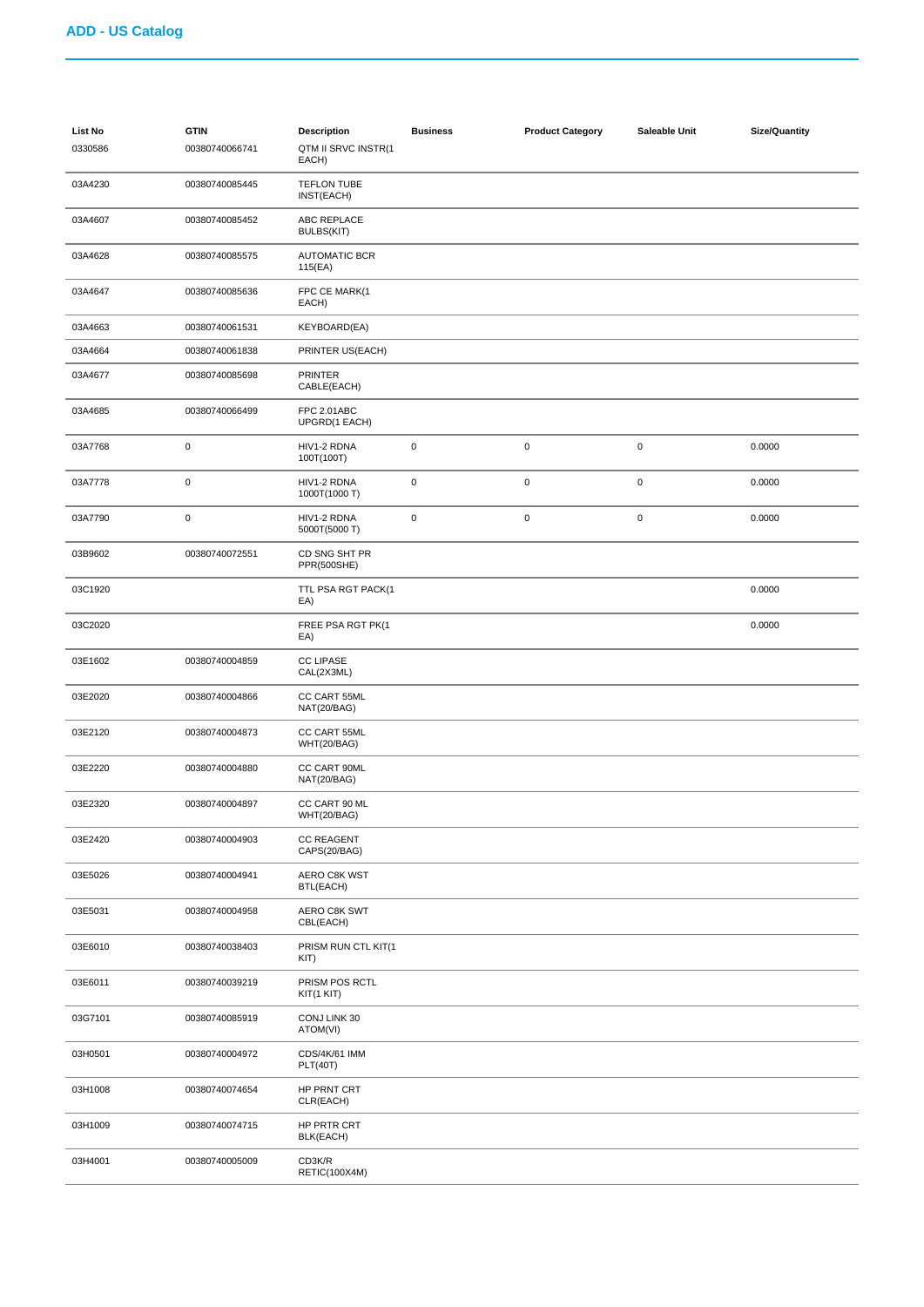| <b>List No</b><br>0330586 | <b>GTIN</b><br>00380740066741 | <b>Description</b><br>QTM II SRVC INSTR(1<br>EACH) | <b>Business</b> | <b>Product Category</b> | Saleable Unit | Size/Quantity |
|---------------------------|-------------------------------|----------------------------------------------------|-----------------|-------------------------|---------------|---------------|
| 03A4230                   | 00380740085445                | <b>TEFLON TUBE</b><br>INST(EACH)                   |                 |                         |               |               |
| 03A4607                   | 00380740085452                | ABC REPLACE<br>BULBS(KIT)                          |                 |                         |               |               |
| 03A4628                   | 00380740085575                | <b>AUTOMATIC BCR</b><br>115(EA)                    |                 |                         |               |               |
| 03A4647                   | 00380740085636                | FPC CE MARK(1<br>EACH)                             |                 |                         |               |               |
| 03A4663                   | 00380740061531                | KEYBOARD(EA)                                       |                 |                         |               |               |
| 03A4664                   | 00380740061838                | PRINTER US(EACH)                                   |                 |                         |               |               |
| 03A4677                   | 00380740085698                | PRINTER<br>CABLE(EACH)                             |                 |                         |               |               |
| 03A4685                   | 00380740066499                | FPC 2.01ABC<br>UPGRD(1 EACH)                       |                 |                         |               |               |
| 03A7768                   | $\pmb{0}$                     | HIV1-2 RDNA<br>100T(100T)                          | $\pmb{0}$       | $\mathbf 0$             | $\pmb{0}$     | 0.0000        |
| 03A7778                   | $\pmb{0}$                     | HIV1-2 RDNA<br>1000T(1000 T)                       | $\pmb{0}$       | $\mathbf 0$             | 0             | 0.0000        |
| 03A7790                   | $\pmb{0}$                     | HIV1-2 RDNA<br>5000T(5000 T)                       | $\pmb{0}$       | $\mathbf 0$             | $\pmb{0}$     | 0.0000        |
| 03B9602                   | 00380740072551                | CD SNG SHT PR<br>PPR(500SHE)                       |                 |                         |               |               |
| 03C1920                   |                               | TTL PSA RGT PACK(1<br>EA)                          |                 |                         |               | 0.0000        |
| 03C2020                   |                               | FREE PSA RGT PK(1<br>EA)                           |                 |                         |               | 0.0000        |
| 03E1602                   | 00380740004859                | <b>CC LIPASE</b><br>CAL(2X3ML)                     |                 |                         |               |               |
| 03E2020                   | 00380740004866                | CC CART 55ML<br>NAT(20/BAG)                        |                 |                         |               |               |
| 03E2120                   | 00380740004873                | CC CART 55ML<br>WHT(20/BAG)                        |                 |                         |               |               |
| 03E2220                   | 00380740004880                | CC CART 90ML<br>NAT(20/BAG)                        |                 |                         |               |               |
| 03E2320                   | 00380740004897                | CC CART 90 ML<br>WHT(20/BAG)                       |                 |                         |               |               |
| 03E2420                   | 00380740004903                | <b>CC REAGENT</b><br>CAPS(20/BAG)                  |                 |                         |               |               |
| 03E5026                   | 00380740004941                | AERO C8K WST<br>BTL(EACH)                          |                 |                         |               |               |
| 03E5031                   | 00380740004958                | AERO C8K SWT<br>CBL(EACH)                          |                 |                         |               |               |
| 03E6010                   | 00380740038403                | PRISM RUN CTL KIT(1<br>KIT)                        |                 |                         |               |               |
| 03E6011                   | 00380740039219                | PRISM POS RCTL<br>KIT(1 KIT)                       |                 |                         |               |               |
| 03G7101                   | 00380740085919                | CONJ LINK 30<br>ATOM(VI)                           |                 |                         |               |               |
| 03H0501                   | 00380740004972                | CDS/4K/61 IMM<br>PLT(40T)                          |                 |                         |               |               |
| 03H1008                   | 00380740074654                | HP PRNT CRT<br>CLR(EACH)                           |                 |                         |               |               |
| 03H1009                   | 00380740074715                | HP PRTR CRT<br>BLK(EACH)                           |                 |                         |               |               |
| 03H4001                   | 00380740005009                | CD3K/R<br><b>RETIC(100X4M)</b>                     |                 |                         |               |               |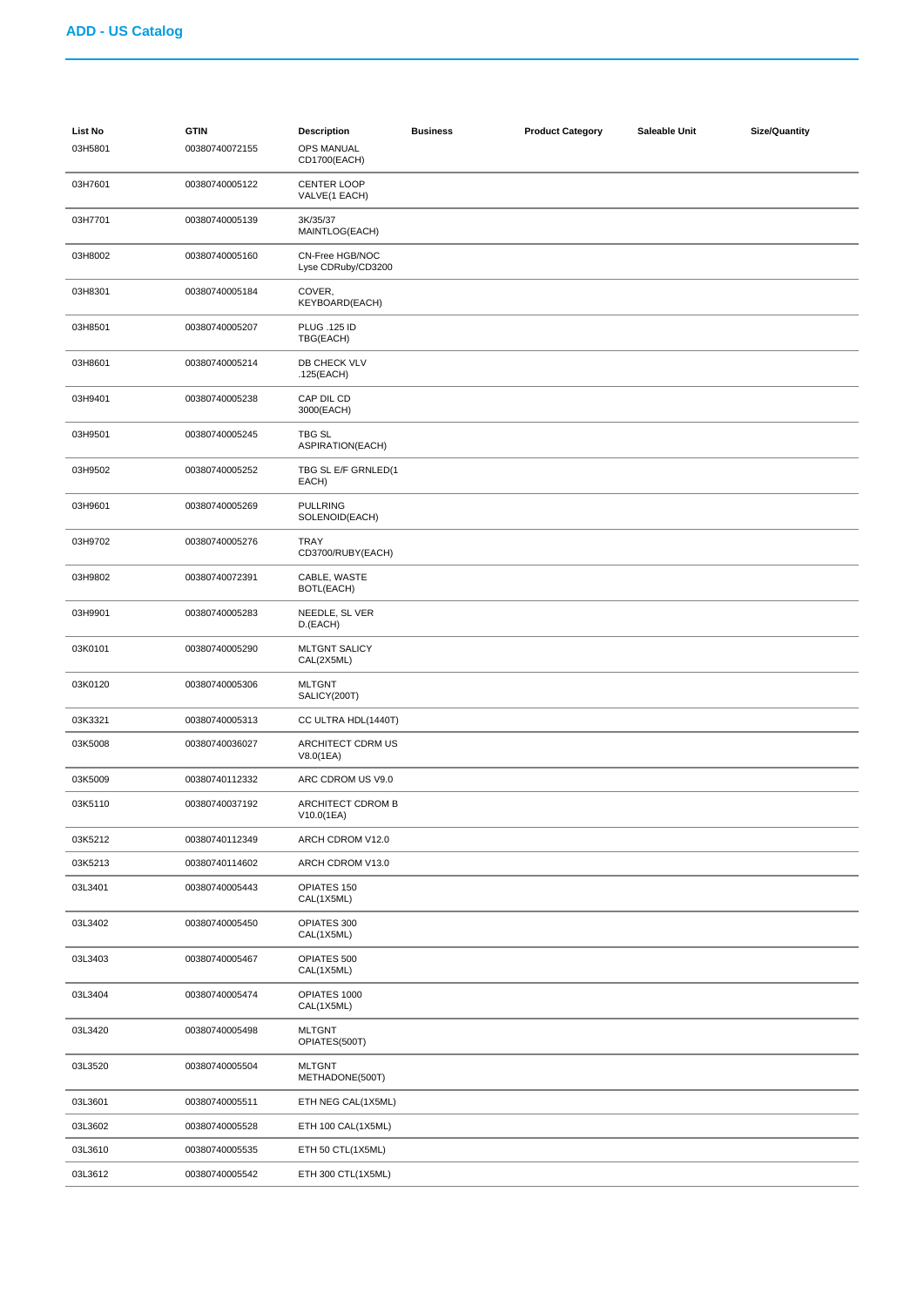| List No<br>03H5801 | <b>GTIN</b><br>00380740072155 | <b>Description</b><br>OPS MANUAL<br>CD1700(EACH) | <b>Business</b> | <b>Product Category</b> | Saleable Unit | <b>Size/Quantity</b> |
|--------------------|-------------------------------|--------------------------------------------------|-----------------|-------------------------|---------------|----------------------|
| 03H7601            | 00380740005122                | <b>CENTER LOOP</b><br>VALVE(1 EACH)              |                 |                         |               |                      |
| 03H7701            | 00380740005139                | 3K/35/37<br>MAINTLOG(EACH)                       |                 |                         |               |                      |
| 03H8002            | 00380740005160                | CN-Free HGB/NOC<br>Lyse CDRuby/CD3200            |                 |                         |               |                      |
| 03H8301            | 00380740005184                | COVER,<br>KEYBOARD(EACH)                         |                 |                         |               |                      |
| 03H8501            | 00380740005207                | <b>PLUG .125 ID</b><br>TBG(EACH)                 |                 |                         |               |                      |
| 03H8601            | 00380740005214                | DB CHECK VLV<br>.125(EACH)                       |                 |                         |               |                      |
| 03H9401            | 00380740005238                | CAP DIL CD<br>3000(EACH)                         |                 |                         |               |                      |
| 03H9501            | 00380740005245                | TBG SL<br>ASPIRATION(EACH)                       |                 |                         |               |                      |
| 03H9502            | 00380740005252                | TBG SL E/F GRNLED(1<br>EACH)                     |                 |                         |               |                      |
| 03H9601            | 00380740005269                | <b>PULLRING</b><br>SOLENOID(EACH)                |                 |                         |               |                      |
| 03H9702            | 00380740005276                | TRAY<br>CD3700/RUBY(EACH)                        |                 |                         |               |                      |
| 03H9802            | 00380740072391                | CABLE, WASTE<br>BOTL(EACH)                       |                 |                         |               |                      |
| 03H9901            | 00380740005283                | NEEDLE, SL VER<br>D.(EACH)                       |                 |                         |               |                      |
| 03K0101            | 00380740005290                | <b>MLTGNT SALICY</b><br>CAL(2X5ML)               |                 |                         |               |                      |
| 03K0120            | 00380740005306                | <b>MLTGNT</b><br>SALICY(200T)                    |                 |                         |               |                      |
| 03K3321            | 00380740005313                | CC ULTRA HDL(1440T)                              |                 |                         |               |                      |
| 03K5008            | 00380740036027                | ARCHITECT CDRM US<br>V8.0(1EA)                   |                 |                         |               |                      |
| 03K5009            | 00380740112332                | ARC CDROM US V9.0                                |                 |                         |               |                      |
| 03K5110            | 00380740037192                | ARCHITECT CDROM B<br>V10.0(1EA)                  |                 |                         |               |                      |
| 03K5212            | 00380740112349                | ARCH CDROM V12.0                                 |                 |                         |               |                      |
| 03K5213            | 00380740114602                | ARCH CDROM V13.0                                 |                 |                         |               |                      |
| 03L3401            | 00380740005443                | OPIATES 150<br>CAL(1X5ML)                        |                 |                         |               |                      |
| 03L3402            | 00380740005450                | OPIATES 300<br>CAL(1X5ML)                        |                 |                         |               |                      |
| 03L3403            | 00380740005467                | OPIATES 500<br>CAL(1X5ML)                        |                 |                         |               |                      |
| 03L3404            | 00380740005474                | OPIATES 1000<br>CAL(1X5ML)                       |                 |                         |               |                      |
| 03L3420            | 00380740005498                | <b>MLTGNT</b><br>OPIATES(500T)                   |                 |                         |               |                      |
| 03L3520            | 00380740005504                | <b>MLTGNT</b><br>METHADONE(500T)                 |                 |                         |               |                      |
| 03L3601            | 00380740005511                | ETH NEG CAL(1X5ML)                               |                 |                         |               |                      |
| 03L3602            | 00380740005528                | ETH 100 CAL(1X5ML)                               |                 |                         |               |                      |
| 03L3610            | 00380740005535                | ETH 50 CTL(1X5ML)                                |                 |                         |               |                      |
| 03L3612            | 00380740005542                | ETH 300 CTL(1X5ML)                               |                 |                         |               |                      |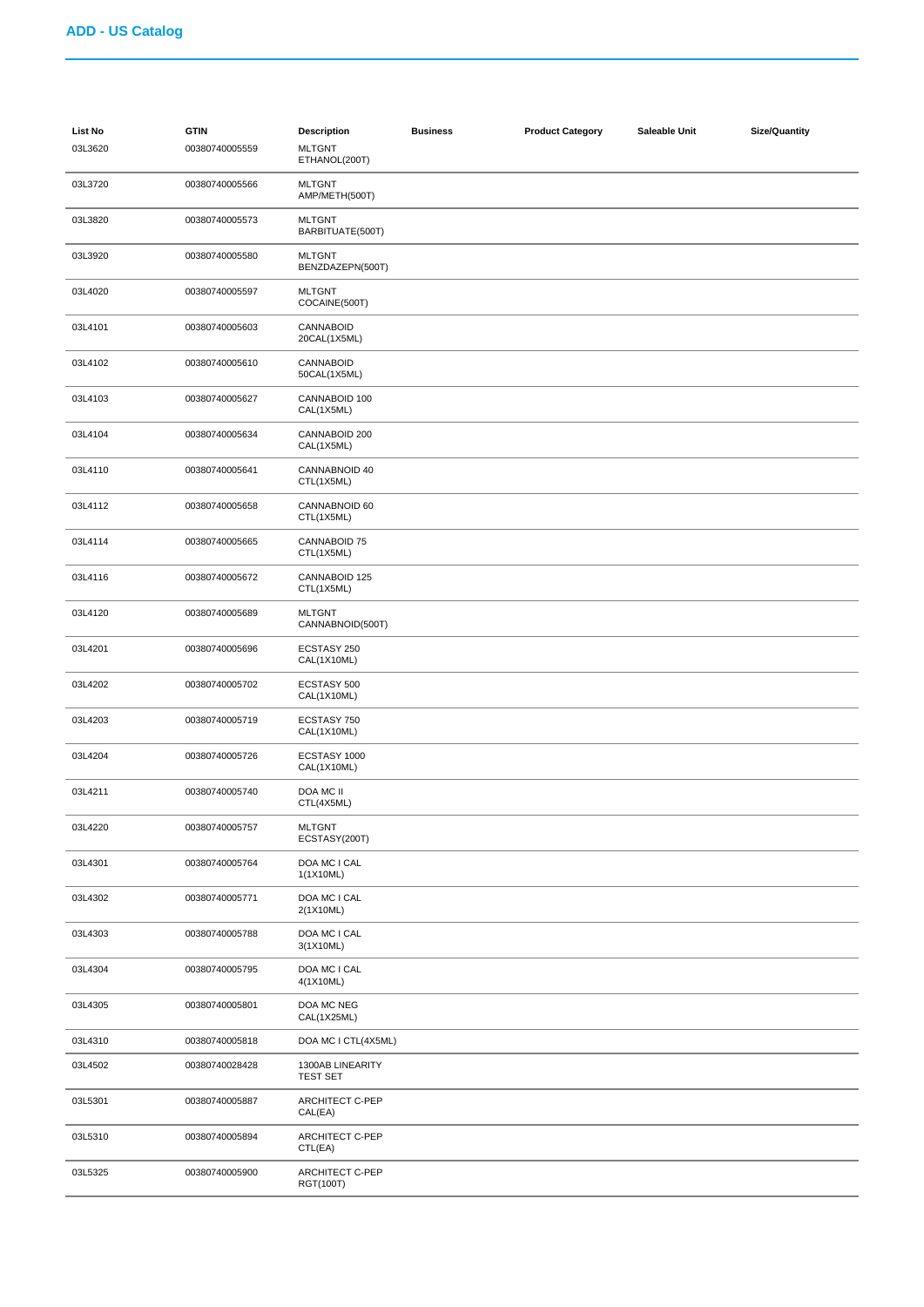| List No<br>03L3620 | <b>GTIN</b><br>00380740005559 | <b>Description</b><br><b>MLTGNT</b><br>ETHANOL(200T) | <b>Business</b> | <b>Product Category</b> | Saleable Unit | <b>Size/Quantity</b> |
|--------------------|-------------------------------|------------------------------------------------------|-----------------|-------------------------|---------------|----------------------|
| 03L3720            | 00380740005566                | <b>MLTGNT</b><br>AMP/METH(500T)                      |                 |                         |               |                      |
| 03L3820            | 00380740005573                | <b>MLTGNT</b><br>BARBITUATE(500T)                    |                 |                         |               |                      |
| 03L3920            | 00380740005580                | <b>MLTGNT</b><br>BENZDAZEPN(500T)                    |                 |                         |               |                      |
| 03L4020            | 00380740005597                | <b>MLTGNT</b><br>COCAINE(500T)                       |                 |                         |               |                      |
| 03L4101            | 00380740005603                | CANNABOID<br>20CAL(1X5ML)                            |                 |                         |               |                      |
| 03L4102            | 00380740005610                | CANNABOID<br>50CAL(1X5ML)                            |                 |                         |               |                      |
| 03L4103            | 00380740005627                | CANNABOID 100<br>CAL(1X5ML)                          |                 |                         |               |                      |
| 03L4104            | 00380740005634                | CANNABOID 200<br>CAL(1X5ML)                          |                 |                         |               |                      |
| 03L4110            | 00380740005641                | CANNABNOID 40<br>CTL(1X5ML)                          |                 |                         |               |                      |
| 03L4112            | 00380740005658                | CANNABNOID 60<br>CTL(1X5ML)                          |                 |                         |               |                      |
| 03L4114            | 00380740005665                | CANNABOID 75<br>CTL(1X5ML)                           |                 |                         |               |                      |
| 03L4116            | 00380740005672                | CANNABOID 125<br>CTL(1X5ML)                          |                 |                         |               |                      |
| 03L4120            | 00380740005689                | <b>MLTGNT</b><br>CANNABNOID(500T)                    |                 |                         |               |                      |
| 03L4201            | 00380740005696                | ECSTASY 250<br>CAL(1X10ML)                           |                 |                         |               |                      |
| 03L4202            | 00380740005702                | ECSTASY 500<br>CAL(1X10ML)                           |                 |                         |               |                      |
| 03L4203            | 00380740005719                | ECSTASY 750<br>CAL(1X10ML)                           |                 |                         |               |                      |
| 03L4204            | 00380740005726                | ECSTASY 1000<br>CAL(1X10ML)                          |                 |                         |               |                      |
| 03L4211            | 00380740005740                | DOA MC II<br>CTL(4X5ML)                              |                 |                         |               |                      |
| 03L4220            | 00380740005757                | <b>MLTGNT</b><br>ECSTASY(200T)                       |                 |                         |               |                      |
| 03L4301            | 00380740005764                | DOA MC I CAL<br>1(1X10ML)                            |                 |                         |               |                      |
| 03L4302            | 00380740005771                | DOA MC I CAL<br>2(1X10ML)                            |                 |                         |               |                      |
| 03L4303            | 00380740005788                | DOA MC I CAL<br>3(1X10ML)                            |                 |                         |               |                      |
| 03L4304            | 00380740005795                | DOA MC I CAL<br>4(1X10ML)                            |                 |                         |               |                      |
| 03L4305            | 00380740005801                | DOA MC NEG<br>CAL(1X25ML)                            |                 |                         |               |                      |
| 03L4310            | 00380740005818                | DOA MC I CTL(4X5ML)                                  |                 |                         |               |                      |
| 03L4502            | 00380740028428                | 1300AB LINEARITY<br><b>TEST SET</b>                  |                 |                         |               |                      |
| 03L5301            | 00380740005887                | ARCHITECT C-PEP<br>CAL(EA)                           |                 |                         |               |                      |
| 03L5310            | 00380740005894                | <b>ARCHITECT C-PEP</b><br>CTL(EA)                    |                 |                         |               |                      |
| 03L5325            | 00380740005900                | <b>ARCHITECT C-PEP</b><br>RGT(100T)                  |                 |                         |               |                      |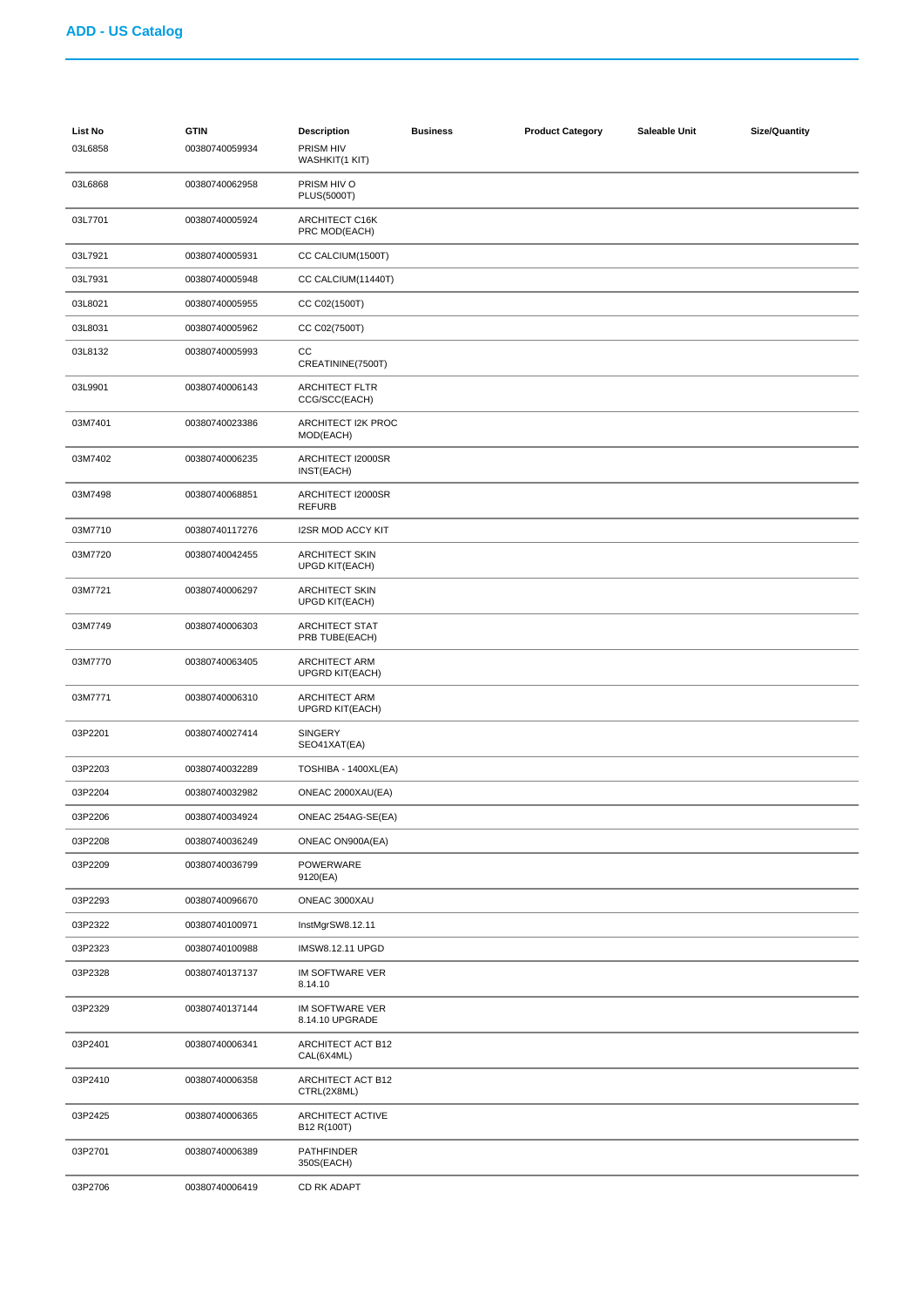| <b>List No</b><br>03L6858 | <b>GTIN</b><br>00380740059934 | <b>Description</b><br>PRISM HIV<br>WASHKIT(1 KIT) | <b>Business</b> | <b>Product Category</b> | Saleable Unit | <b>Size/Quantity</b> |
|---------------------------|-------------------------------|---------------------------------------------------|-----------------|-------------------------|---------------|----------------------|
| 03L6868                   | 00380740062958                | PRISM HIV O<br><b>PLUS(5000T)</b>                 |                 |                         |               |                      |
| 03L7701                   | 00380740005924                | ARCHITECT C16K<br>PRC MOD(EACH)                   |                 |                         |               |                      |
| 03L7921                   | 00380740005931                | CC CALCIUM(1500T)                                 |                 |                         |               |                      |
| 03L7931                   | 00380740005948                | CC CALCIUM(11440T)                                |                 |                         |               |                      |
| 03L8021                   | 00380740005955                | CC C02(1500T)                                     |                 |                         |               |                      |
| 03L8031                   | 00380740005962                | CC C02(7500T)                                     |                 |                         |               |                      |
| 03L8132                   | 00380740005993                | CC<br>CREATININE(7500T)                           |                 |                         |               |                      |
| 03L9901                   | 00380740006143                | <b>ARCHITECT FLTR</b><br>CCG/SCC(EACH)            |                 |                         |               |                      |
| 03M7401                   | 00380740023386                | ARCHITECT I2K PROC<br>MOD(EACH)                   |                 |                         |               |                      |
| 03M7402                   | 00380740006235                | ARCHITECT I2000SR<br>INST(EACH)                   |                 |                         |               |                      |
| 03M7498                   | 00380740068851                | ARCHITECT I2000SR<br><b>REFURB</b>                |                 |                         |               |                      |
| 03M7710                   | 00380740117276                | <b>I2SR MOD ACCY KIT</b>                          |                 |                         |               |                      |
| 03M7720                   | 00380740042455                | <b>ARCHITECT SKIN</b><br>UPGD KIT(EACH)           |                 |                         |               |                      |
| 03M7721                   | 00380740006297                | <b>ARCHITECT SKIN</b><br><b>UPGD KIT(EACH)</b>    |                 |                         |               |                      |
| 03M7749                   | 00380740006303                | <b>ARCHITECT STAT</b><br>PRB TUBE(EACH)           |                 |                         |               |                      |
| 03M7770                   | 00380740063405                | ARCHITECT ARM<br>UPGRD KIT(EACH)                  |                 |                         |               |                      |
| 03M7771                   | 00380740006310                | ARCHITECT ARM<br><b>UPGRD KIT(EACH)</b>           |                 |                         |               |                      |
| 03P2201                   | 00380740027414                | <b>SINGERY</b><br>SEO41XAT(EA)                    |                 |                         |               |                      |
| 03P2203                   | 00380740032289                | TOSHIBA - 1400XL(EA)                              |                 |                         |               |                      |
| 03P2204                   | 00380740032982                | ONEAC 2000XAU(EA)                                 |                 |                         |               |                      |
| 03P2206                   | 00380740034924                | ONEAC 254AG-SE(EA)                                |                 |                         |               |                      |
| 03P2208                   | 00380740036249                | ONEAC ON900A(EA)                                  |                 |                         |               |                      |
| 03P2209                   | 00380740036799                | POWERWARE<br>9120(EA)                             |                 |                         |               |                      |
| 03P2293                   | 00380740096670                | ONEAC 3000XAU                                     |                 |                         |               |                      |
| 03P2322                   | 00380740100971                | InstMgrSW8.12.11                                  |                 |                         |               |                      |
| 03P2323                   | 00380740100988                | IMSW8.12.11 UPGD                                  |                 |                         |               |                      |
| 03P2328                   | 00380740137137                | IM SOFTWARE VER<br>8.14.10                        |                 |                         |               |                      |
| 03P2329                   | 00380740137144                | IM SOFTWARE VER<br>8.14.10 UPGRADE                |                 |                         |               |                      |
| 03P2401                   | 00380740006341                | ARCHITECT ACT B12<br>CAL(6X4ML)                   |                 |                         |               |                      |
| 03P2410                   | 00380740006358                | ARCHITECT ACT B12<br>CTRL(2X8ML)                  |                 |                         |               |                      |
| 03P2425                   | 00380740006365                | ARCHITECT ACTIVE<br>B12 R(100T)                   |                 |                         |               |                      |
| 03P2701                   | 00380740006389                | <b>PATHFINDER</b><br>350S(EACH)                   |                 |                         |               |                      |
| 03P2706                   | 00380740006419                | CD RK ADAPT                                       |                 |                         |               |                      |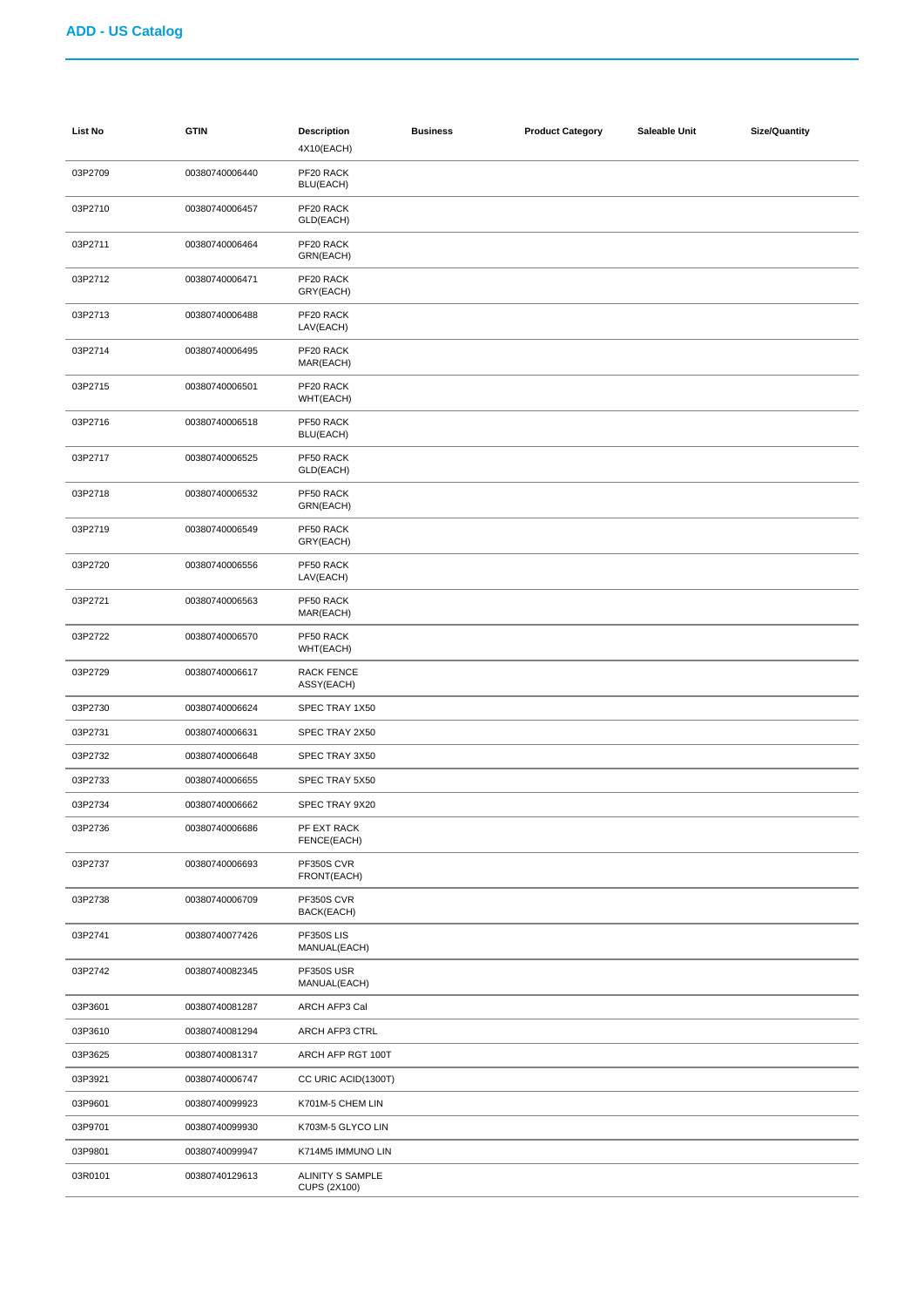| <b>List No</b> | <b>GTIN</b>    | <b>Description</b><br>4X10(EACH)        | <b>Business</b> | <b>Product Category</b> | Saleable Unit | <b>Size/Quantity</b> |
|----------------|----------------|-----------------------------------------|-----------------|-------------------------|---------------|----------------------|
| 03P2709        | 00380740006440 | PF20 RACK<br>BLU(EACH)                  |                 |                         |               |                      |
| 03P2710        | 00380740006457 | PF20 RACK<br>GLD(EACH)                  |                 |                         |               |                      |
| 03P2711        | 00380740006464 | PF20 RACK<br>GRN(EACH)                  |                 |                         |               |                      |
| 03P2712        | 00380740006471 | PF20 RACK<br>GRY(EACH)                  |                 |                         |               |                      |
| 03P2713        | 00380740006488 | PF20 RACK<br>LAV(EACH)                  |                 |                         |               |                      |
| 03P2714        | 00380740006495 | PF20 RACK<br>MAR(EACH)                  |                 |                         |               |                      |
| 03P2715        | 00380740006501 | PF20 RACK<br>WHT(EACH)                  |                 |                         |               |                      |
| 03P2716        | 00380740006518 | PF50 RACK<br>BLU(EACH)                  |                 |                         |               |                      |
| 03P2717        | 00380740006525 | PF50 RACK<br>GLD(EACH)                  |                 |                         |               |                      |
| 03P2718        | 00380740006532 | PF50 RACK<br>GRN(EACH)                  |                 |                         |               |                      |
| 03P2719        | 00380740006549 | PF50 RACK<br>GRY(EACH)                  |                 |                         |               |                      |
| 03P2720        | 00380740006556 | PF50 RACK<br>LAV(EACH)                  |                 |                         |               |                      |
| 03P2721        | 00380740006563 | PF50 RACK<br>MAR(EACH)                  |                 |                         |               |                      |
| 03P2722        | 00380740006570 | PF50 RACK<br>WHT(EACH)                  |                 |                         |               |                      |
| 03P2729        | 00380740006617 | <b>RACK FENCE</b><br>ASSY(EACH)         |                 |                         |               |                      |
| 03P2730        | 00380740006624 | SPEC TRAY 1X50                          |                 |                         |               |                      |
| 03P2731        | 00380740006631 | SPEC TRAY 2X50                          |                 |                         |               |                      |
| 03P2732        | 00380740006648 | SPEC TRAY 3X50                          |                 |                         |               |                      |
| 03P2733        | 00380740006655 | SPEC TRAY 5X50                          |                 |                         |               |                      |
| 03P2734        | 00380740006662 | SPEC TRAY 9X20                          |                 |                         |               |                      |
| 03P2736        | 00380740006686 | PF EXT RACK<br>FENCE(EACH)              |                 |                         |               |                      |
| 03P2737        | 00380740006693 | PF350S CVR<br>FRONT(EACH)               |                 |                         |               |                      |
| 03P2738        | 00380740006709 | PF350S CVR<br>BACK(EACH)                |                 |                         |               |                      |
| 03P2741        | 00380740077426 | PF350SLIS<br>MANUAL(EACH)               |                 |                         |               |                      |
| 03P2742        | 00380740082345 | PF350S USR<br>MANUAL(EACH)              |                 |                         |               |                      |
| 03P3601        | 00380740081287 | ARCH AFP3 Cal                           |                 |                         |               |                      |
| 03P3610        | 00380740081294 | ARCH AFP3 CTRL                          |                 |                         |               |                      |
| 03P3625        | 00380740081317 | ARCH AFP RGT 100T                       |                 |                         |               |                      |
| 03P3921        | 00380740006747 | CC URIC ACID(1300T)                     |                 |                         |               |                      |
| 03P9601        | 00380740099923 | K701M-5 CHEM LIN                        |                 |                         |               |                      |
| 03P9701        | 00380740099930 | K703M-5 GLYCO LIN                       |                 |                         |               |                      |
| 03P9801        | 00380740099947 | K714M5 IMMUNO LIN                       |                 |                         |               |                      |
| 03R0101        | 00380740129613 | ALINITY S SAMPLE<br><b>CUPS (2X100)</b> |                 |                         |               |                      |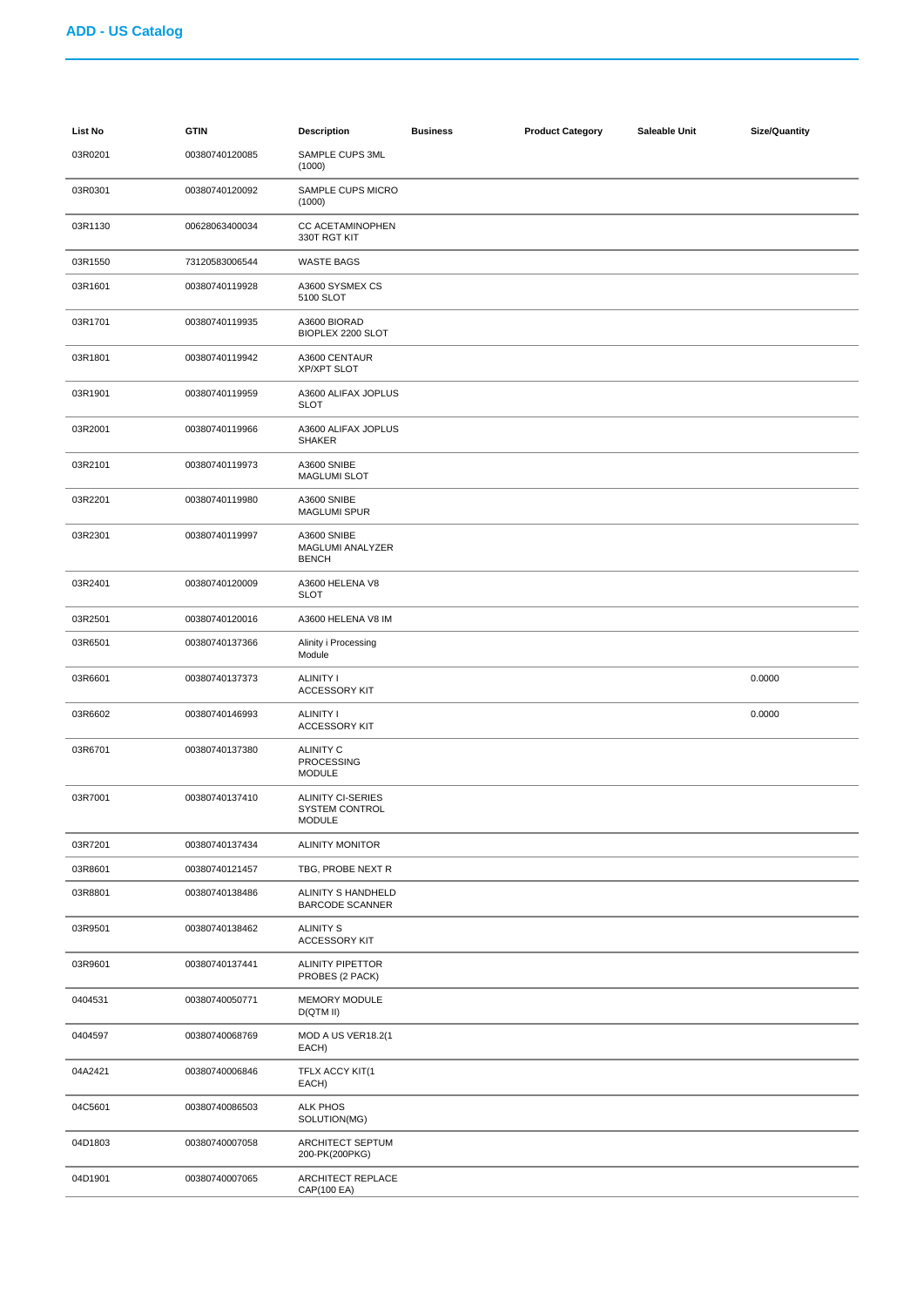| List No | <b>GTIN</b>    | <b>Description</b>                                          | <b>Business</b> | <b>Product Category</b> | Saleable Unit | <b>Size/Quantity</b> |
|---------|----------------|-------------------------------------------------------------|-----------------|-------------------------|---------------|----------------------|
| 03R0201 | 00380740120085 | SAMPLE CUPS 3ML<br>(1000)                                   |                 |                         |               |                      |
| 03R0301 | 00380740120092 | SAMPLE CUPS MICRO<br>(1000)                                 |                 |                         |               |                      |
| 03R1130 | 00628063400034 | <b>CC ACETAMINOPHEN</b><br>330T RGT KIT                     |                 |                         |               |                      |
| 03R1550 | 73120583006544 | <b>WASTE BAGS</b>                                           |                 |                         |               |                      |
| 03R1601 | 00380740119928 | A3600 SYSMEX CS<br>5100 SLOT                                |                 |                         |               |                      |
| 03R1701 | 00380740119935 | A3600 BIORAD<br>BIOPLEX 2200 SLOT                           |                 |                         |               |                      |
| 03R1801 | 00380740119942 | A3600 CENTAUR<br><b>XP/XPT SLOT</b>                         |                 |                         |               |                      |
| 03R1901 | 00380740119959 | A3600 ALIFAX JOPLUS<br><b>SLOT</b>                          |                 |                         |               |                      |
| 03R2001 | 00380740119966 | A3600 ALIFAX JOPLUS<br><b>SHAKER</b>                        |                 |                         |               |                      |
| 03R2101 | 00380740119973 | A3600 SNIBE<br><b>MAGLUMI SLOT</b>                          |                 |                         |               |                      |
| 03R2201 | 00380740119980 | A3600 SNIBE<br><b>MAGLUMI SPUR</b>                          |                 |                         |               |                      |
| 03R2301 | 00380740119997 | A3600 SNIBE<br>MAGLUMI ANALYZER<br><b>BENCH</b>             |                 |                         |               |                      |
| 03R2401 | 00380740120009 | A3600 HELENA V8<br><b>SLOT</b>                              |                 |                         |               |                      |
| 03R2501 | 00380740120016 | A3600 HELENA V8 IM                                          |                 |                         |               |                      |
| 03R6501 | 00380740137366 | Alinity i Processing<br>Module                              |                 |                         |               |                      |
| 03R6601 | 00380740137373 | ALINITY I<br><b>ACCESSORY KIT</b>                           |                 |                         |               | 0.0000               |
| 03R6602 | 00380740146993 | <b>ALINITY I</b><br><b>ACCESSORY KIT</b>                    |                 |                         |               | 0.0000               |
| 03R6701 | 00380740137380 | <b>ALINITY C</b><br><b>PROCESSING</b><br><b>MODULE</b>      |                 |                         |               |                      |
| 03R7001 | 00380740137410 | <b>ALINITY CI-SERIES</b><br>SYSTEM CONTROL<br><b>MODULE</b> |                 |                         |               |                      |
| 03R7201 | 00380740137434 | <b>ALINITY MONITOR</b>                                      |                 |                         |               |                      |
| 03R8601 | 00380740121457 | TBG, PROBE NEXT R                                           |                 |                         |               |                      |
| 03R8801 | 00380740138486 | ALINITY S HANDHELD<br><b>BARCODE SCANNER</b>                |                 |                         |               |                      |
| 03R9501 | 00380740138462 | <b>ALINITY S</b><br><b>ACCESSORY KIT</b>                    |                 |                         |               |                      |
| 03R9601 | 00380740137441 | <b>ALINITY PIPETTOR</b><br>PROBES (2 PACK)                  |                 |                         |               |                      |
| 0404531 | 00380740050771 | MEMORY MODULE<br>D(QTM II)                                  |                 |                         |               |                      |
| 0404597 | 00380740068769 | MOD A US VER18.2(1<br>EACH)                                 |                 |                         |               |                      |
| 04A2421 | 00380740006846 | TFLX ACCY KIT(1<br>EACH)                                    |                 |                         |               |                      |
| 04C5601 | 00380740086503 | <b>ALK PHOS</b><br>SOLUTION(MG)                             |                 |                         |               |                      |
| 04D1803 | 00380740007058 | ARCHITECT SEPTUM<br>200-PK(200PKG)                          |                 |                         |               |                      |
| 04D1901 | 00380740007065 | ARCHITECT REPLACE<br>CAP(100 EA)                            |                 |                         |               |                      |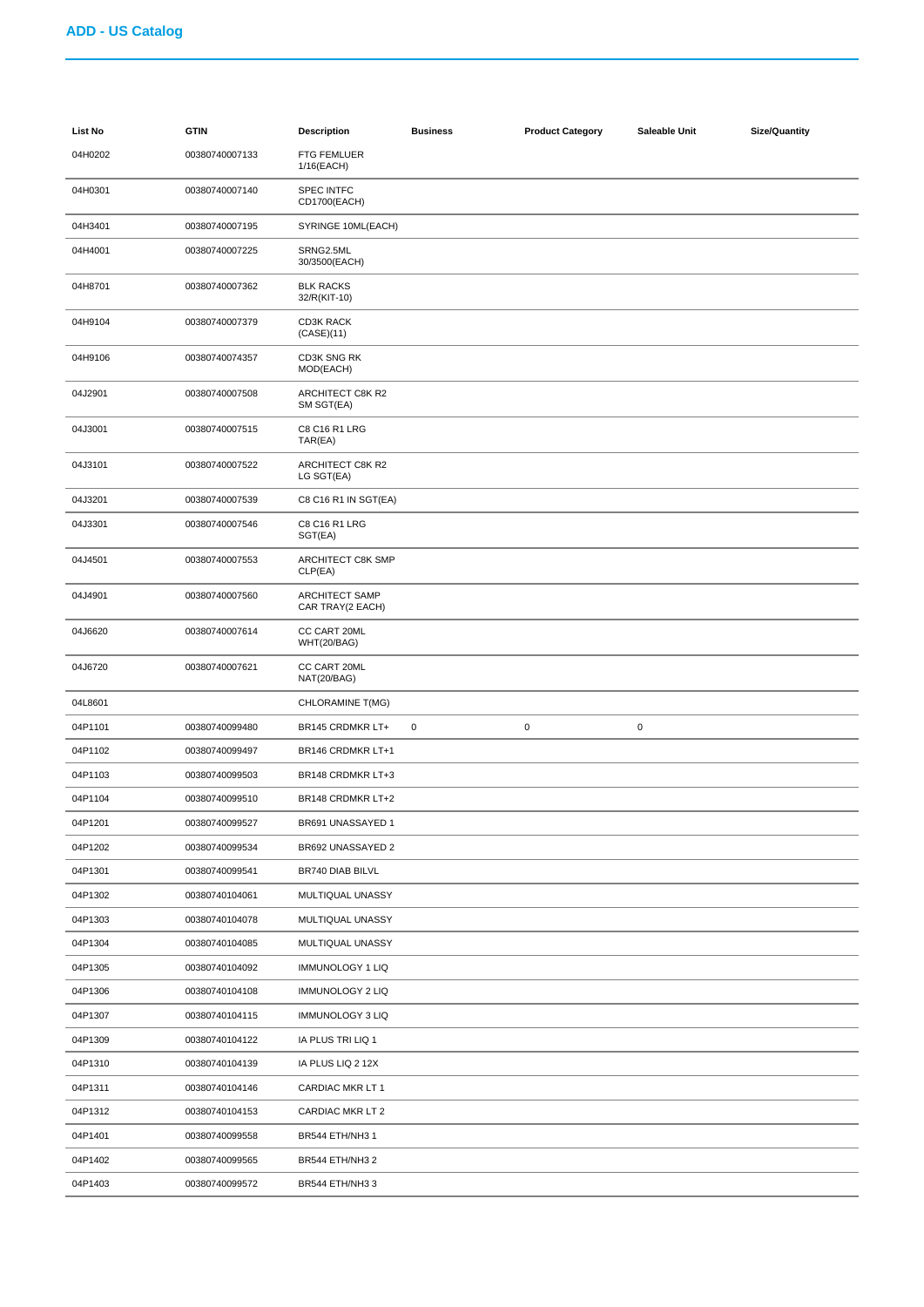| List No | <b>GTIN</b>    | <b>Description</b>                        | <b>Business</b> | <b>Product Category</b> | Saleable Unit | Size/Quantity |
|---------|----------------|-------------------------------------------|-----------------|-------------------------|---------------|---------------|
| 04H0202 | 00380740007133 | <b>FTG FEMLUER</b><br>1/16(EACH)          |                 |                         |               |               |
| 04H0301 | 00380740007140 | <b>SPEC INTFC</b><br>CD1700(EACH)         |                 |                         |               |               |
| 04H3401 | 00380740007195 | SYRINGE 10ML(EACH)                        |                 |                         |               |               |
| 04H4001 | 00380740007225 | SRNG2.5ML<br>30/3500(EACH)                |                 |                         |               |               |
| 04H8701 | 00380740007362 | <b>BLK RACKS</b><br>32/R(KIT-10)          |                 |                         |               |               |
| 04H9104 | 00380740007379 | <b>CD3K RACK</b><br>(CASE)(11)            |                 |                         |               |               |
| 04H9106 | 00380740074357 | CD3K SNG RK<br>MOD(EACH)                  |                 |                         |               |               |
| 04J2901 | 00380740007508 | ARCHITECT C8K R2<br>SM SGT(EA)            |                 |                         |               |               |
| 04J3001 | 00380740007515 | C8 C16 R1 LRG<br>TAR(EA)                  |                 |                         |               |               |
| 04J3101 | 00380740007522 | ARCHITECT C8K R2<br>LG SGT(EA)            |                 |                         |               |               |
| 04J3201 | 00380740007539 | C8 C16 R1 IN SGT(EA)                      |                 |                         |               |               |
| 04J3301 | 00380740007546 | C8 C16 R1 LRG<br>SGT(EA)                  |                 |                         |               |               |
| 04J4501 | 00380740007553 | ARCHITECT C8K SMP<br>CLP(EA)              |                 |                         |               |               |
| 04J4901 | 00380740007560 | <b>ARCHITECT SAMP</b><br>CAR TRAY(2 EACH) |                 |                         |               |               |
| 04J6620 | 00380740007614 | CC CART 20ML<br>WHT(20/BAG)               |                 |                         |               |               |
| 04J6720 | 00380740007621 | CC CART 20ML<br>NAT(20/BAG)               |                 |                         |               |               |
| 04L8601 |                | CHLORAMINE T(MG)                          |                 |                         |               |               |
| 04P1101 | 00380740099480 | BR145 CRDMKR LT+                          | $\pmb{0}$       | $\pmb{0}$               | $\mathbf 0$   |               |
| 04P1102 | 00380740099497 | BR146 CRDMKR LT+1                         |                 |                         |               |               |
| 04P1103 | 00380740099503 | BR148 CRDMKR LT+3                         |                 |                         |               |               |
| 04P1104 | 00380740099510 | BR148 CRDMKR LT+2                         |                 |                         |               |               |
| 04P1201 | 00380740099527 | BR691 UNASSAYED 1                         |                 |                         |               |               |
| 04P1202 | 00380740099534 | BR692 UNASSAYED 2                         |                 |                         |               |               |
| 04P1301 | 00380740099541 | BR740 DIAB BILVL                          |                 |                         |               |               |
| 04P1302 | 00380740104061 | MULTIQUAL UNASSY                          |                 |                         |               |               |
| 04P1303 | 00380740104078 | MULTIQUAL UNASSY                          |                 |                         |               |               |
| 04P1304 | 00380740104085 | MULTIQUAL UNASSY                          |                 |                         |               |               |
| 04P1305 | 00380740104092 | IMMUNOLOGY 1 LIQ                          |                 |                         |               |               |
| 04P1306 | 00380740104108 | IMMUNOLOGY 2 LIQ                          |                 |                         |               |               |
| 04P1307 | 00380740104115 | IMMUNOLOGY 3 LIQ                          |                 |                         |               |               |
| 04P1309 | 00380740104122 | IA PLUS TRI LIQ 1                         |                 |                         |               |               |
| 04P1310 | 00380740104139 | IA PLUS LIQ 2 12X                         |                 |                         |               |               |
| 04P1311 | 00380740104146 | CARDIAC MKR LT 1                          |                 |                         |               |               |
| 04P1312 | 00380740104153 | CARDIAC MKR LT 2                          |                 |                         |               |               |
| 04P1401 | 00380740099558 | BR544 ETH/NH3 1                           |                 |                         |               |               |
| 04P1402 | 00380740099565 | BR544 ETH/NH3 2                           |                 |                         |               |               |
| 04P1403 | 00380740099572 | BR544 ETH/NH3 3                           |                 |                         |               |               |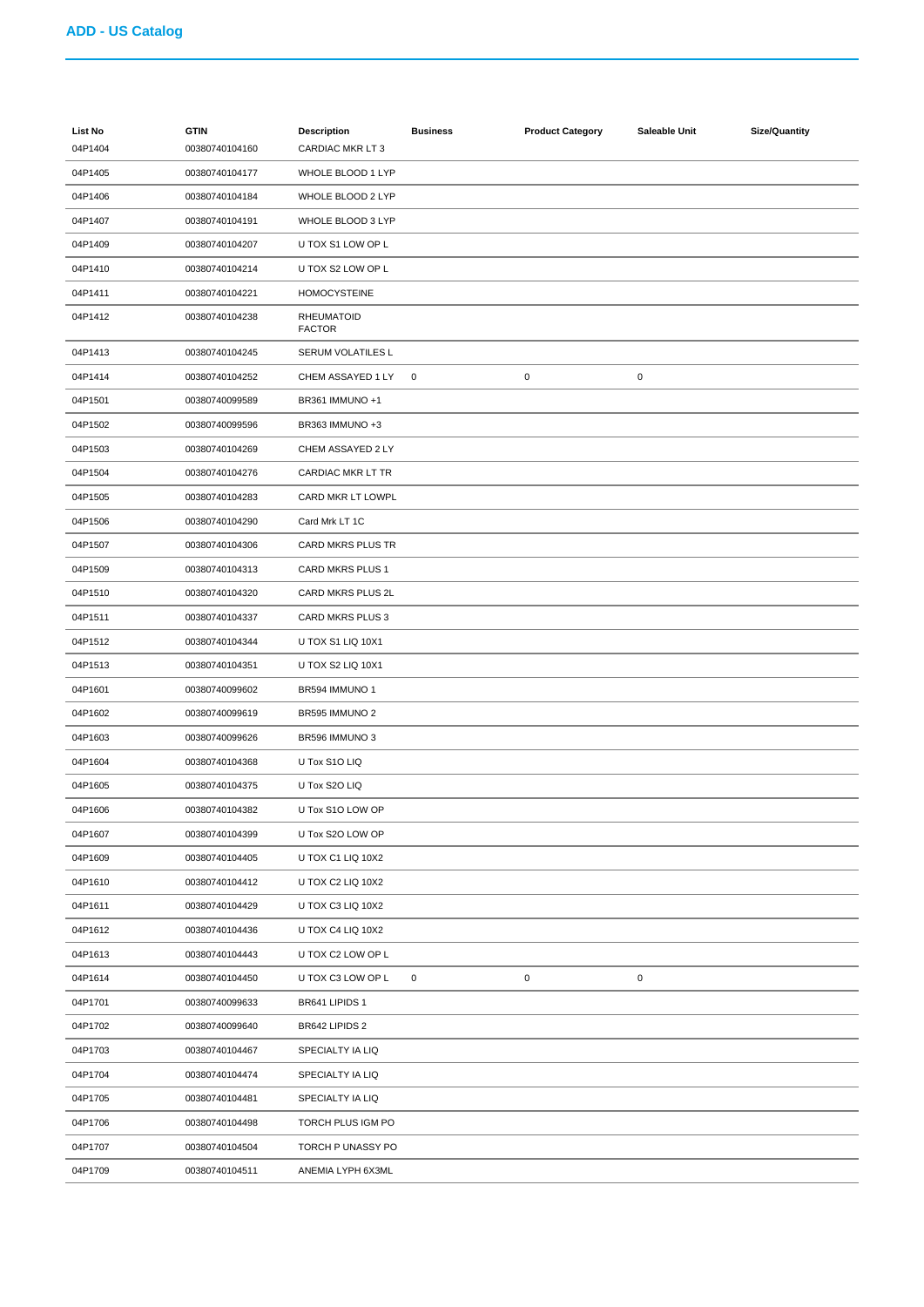| List No<br>04P1404 | <b>GTIN</b><br>00380740104160 | <b>Description</b><br><b>CARDIAC MKR LT3</b> | <b>Business</b> | <b>Product Category</b> | Saleable Unit | <b>Size/Quantity</b> |
|--------------------|-------------------------------|----------------------------------------------|-----------------|-------------------------|---------------|----------------------|
| 04P1405            | 00380740104177                | WHOLE BLOOD 1 LYP                            |                 |                         |               |                      |
| 04P1406            | 00380740104184                | WHOLE BLOOD 2 LYP                            |                 |                         |               |                      |
| 04P1407            | 00380740104191                | WHOLE BLOOD 3 LYP                            |                 |                         |               |                      |
| 04P1409            | 00380740104207                | U TOX S1 LOW OP L                            |                 |                         |               |                      |
| 04P1410            | 00380740104214                | U TOX S2 LOW OP L                            |                 |                         |               |                      |
| 04P1411            | 00380740104221                | <b>HOMOCYSTEINE</b>                          |                 |                         |               |                      |
| 04P1412            | 00380740104238                | <b>RHEUMATOID</b><br><b>FACTOR</b>           |                 |                         |               |                      |
| 04P1413            | 00380740104245                | SERUM VOLATILES L                            |                 |                         |               |                      |
| 04P1414            | 00380740104252                | CHEM ASSAYED 1 LY                            | $\mathbf 0$     | $\mathbf 0$             | $\mathbf 0$   |                      |
| 04P1501            | 00380740099589                | BR361 IMMUNO +1                              |                 |                         |               |                      |
| 04P1502            | 00380740099596                | BR363 IMMUNO +3                              |                 |                         |               |                      |
| 04P1503            | 00380740104269                | CHEM ASSAYED 2 LY                            |                 |                         |               |                      |
| 04P1504            | 00380740104276                | CARDIAC MKR LT TR                            |                 |                         |               |                      |
| 04P1505            | 00380740104283                | CARD MKR LT LOWPL                            |                 |                         |               |                      |
| 04P1506            | 00380740104290                | Card Mrk LT 1C                               |                 |                         |               |                      |
| 04P1507            | 00380740104306                | CARD MKRS PLUS TR                            |                 |                         |               |                      |
| 04P1509            | 00380740104313                | CARD MKRS PLUS 1                             |                 |                         |               |                      |
| 04P1510            | 00380740104320                | CARD MKRS PLUS 2L                            |                 |                         |               |                      |
| 04P1511            | 00380740104337                | CARD MKRS PLUS 3                             |                 |                         |               |                      |
| 04P1512            | 00380740104344                | U TOX S1 LIQ 10X1                            |                 |                         |               |                      |
| 04P1513            | 00380740104351                | U TOX S2 LIQ 10X1                            |                 |                         |               |                      |
| 04P1601            | 00380740099602                | BR594 IMMUNO 1                               |                 |                         |               |                      |
| 04P1602            | 00380740099619                | BR595 IMMUNO 2                               |                 |                         |               |                      |
| 04P1603            | 00380740099626                | BR596 IMMUNO 3                               |                 |                         |               |                      |
| 04P1604            | 00380740104368                | U Tox S1O LIQ                                |                 |                         |               |                      |
| 04P1605            | 00380740104375                | U Tox S2O LIQ                                |                 |                         |               |                      |
| 04P1606            | 00380740104382                | U Tox S1O LOW OP                             |                 |                         |               |                      |
| 04P1607            | 00380740104399                | U Tox S2O LOW OP                             |                 |                         |               |                      |
| 04P1609            | 00380740104405                | U TOX C1 LIQ 10X2                            |                 |                         |               |                      |
| 04P1610            | 00380740104412                | U TOX C2 LIQ 10X2                            |                 |                         |               |                      |
| 04P1611            | 00380740104429                | U TOX C3 LIQ 10X2                            |                 |                         |               |                      |
| 04P1612            | 00380740104436                | U TOX C4 LIQ 10X2                            |                 |                         |               |                      |
| 04P1613            | 00380740104443                | U TOX C2 LOW OP L                            |                 |                         |               |                      |
| 04P1614            | 00380740104450                | U TOX C3 LOW OP L                            | 0               | $\pmb{0}$               | $\pmb{0}$     |                      |
| 04P1701            | 00380740099633                | BR641 LIPIDS 1                               |                 |                         |               |                      |
| 04P1702            | 00380740099640                | BR642 LIPIDS 2                               |                 |                         |               |                      |
| 04P1703            | 00380740104467                | SPECIALTY IA LIQ                             |                 |                         |               |                      |
| 04P1704            | 00380740104474                | SPECIALTY IA LIQ                             |                 |                         |               |                      |
| 04P1705            | 00380740104481                | SPECIALTY IA LIQ                             |                 |                         |               |                      |
| 04P1706            | 00380740104498                | TORCH PLUS IGM PO                            |                 |                         |               |                      |
| 04P1707            | 00380740104504                | TORCH P UNASSY PO                            |                 |                         |               |                      |
| 04P1709            | 00380740104511                | ANEMIA LYPH 6X3ML                            |                 |                         |               |                      |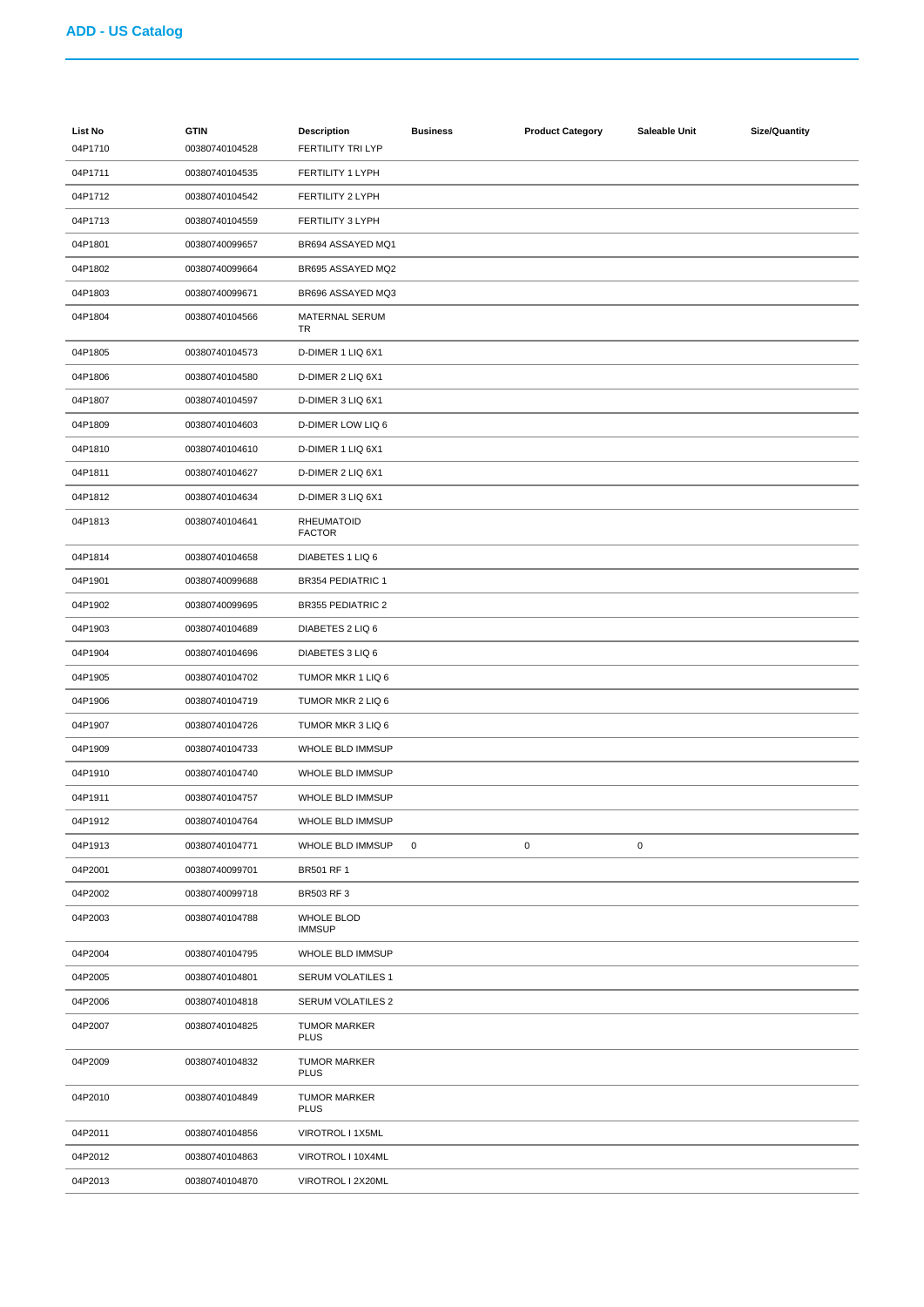| <b>List No</b> | <b>GTIN</b>    | <b>Description</b>                 | <b>Business</b> | <b>Product Category</b> | Saleable Unit | <b>Size/Quantity</b> |
|----------------|----------------|------------------------------------|-----------------|-------------------------|---------------|----------------------|
| 04P1710        | 00380740104528 | <b>FERTILITY TRI LYP</b>           |                 |                         |               |                      |
| 04P1711        | 00380740104535 | FERTILITY 1 LYPH                   |                 |                         |               |                      |
| 04P1712        | 00380740104542 | FERTILITY 2 LYPH                   |                 |                         |               |                      |
| 04P1713        | 00380740104559 | FERTILITY 3 LYPH                   |                 |                         |               |                      |
| 04P1801        | 00380740099657 | BR694 ASSAYED MQ1                  |                 |                         |               |                      |
| 04P1802        | 00380740099664 | BR695 ASSAYED MQ2                  |                 |                         |               |                      |
| 04P1803        | 00380740099671 | BR696 ASSAYED MQ3                  |                 |                         |               |                      |
| 04P1804        | 00380740104566 | MATERNAL SERUM<br>TR               |                 |                         |               |                      |
| 04P1805        | 00380740104573 | D-DIMER 1 LIQ 6X1                  |                 |                         |               |                      |
| 04P1806        | 00380740104580 | D-DIMER 2 LIQ 6X1                  |                 |                         |               |                      |
| 04P1807        | 00380740104597 | D-DIMER 3 LIQ 6X1                  |                 |                         |               |                      |
| 04P1809        | 00380740104603 | <b>D-DIMER LOW LIQ 6</b>           |                 |                         |               |                      |
| 04P1810        | 00380740104610 | D-DIMER 1 LIQ 6X1                  |                 |                         |               |                      |
| 04P1811        | 00380740104627 | D-DIMER 2 LIQ 6X1                  |                 |                         |               |                      |
| 04P1812        | 00380740104634 | D-DIMER 3 LIQ 6X1                  |                 |                         |               |                      |
| 04P1813        | 00380740104641 | <b>RHEUMATOID</b><br><b>FACTOR</b> |                 |                         |               |                      |
| 04P1814        | 00380740104658 | DIABETES 1 LIQ 6                   |                 |                         |               |                      |
| 04P1901        | 00380740099688 | <b>BR354 PEDIATRIC 1</b>           |                 |                         |               |                      |
| 04P1902        | 00380740099695 | <b>BR355 PEDIATRIC 2</b>           |                 |                         |               |                      |
| 04P1903        | 00380740104689 | DIABETES 2 LIQ 6                   |                 |                         |               |                      |
| 04P1904        | 00380740104696 | DIABETES 3 LIQ 6                   |                 |                         |               |                      |
| 04P1905        | 00380740104702 | TUMOR MKR 1 LIQ 6                  |                 |                         |               |                      |
| 04P1906        | 00380740104719 | TUMOR MKR 2 LIQ 6                  |                 |                         |               |                      |
| 04P1907        | 00380740104726 | TUMOR MKR 3 LIQ 6                  |                 |                         |               |                      |
| 04P1909        | 00380740104733 | WHOLE BLD IMMSUP                   |                 |                         |               |                      |
| 04P1910        | 00380740104740 | WHOLE BLD IMMSUP                   |                 |                         |               |                      |
| 04P1911        | 00380740104757 | WHOLE BLD IMMSUP                   |                 |                         |               |                      |
| 04P1912        | 00380740104764 | WHOLE BLD IMMSUP                   |                 |                         |               |                      |
| 04P1913        | 00380740104771 | WHOLE BLD IMMSUP                   | $\mathbf 0$     | $\pmb{0}$               | $\mathsf 0$   |                      |
| 04P2001        | 00380740099701 | BR501 RF 1                         |                 |                         |               |                      |
| 04P2002        | 00380740099718 | BR503 RF 3                         |                 |                         |               |                      |
| 04P2003        | 00380740104788 | <b>WHOLE BLOD</b><br><b>IMMSUP</b> |                 |                         |               |                      |
| 04P2004        | 00380740104795 | WHOLE BLD IMMSUP                   |                 |                         |               |                      |
| 04P2005        | 00380740104801 | SERUM VOLATILES 1                  |                 |                         |               |                      |
| 04P2006        | 00380740104818 | SERUM VOLATILES 2                  |                 |                         |               |                      |
| 04P2007        | 00380740104825 | <b>TUMOR MARKER</b><br><b>PLUS</b> |                 |                         |               |                      |
| 04P2009        | 00380740104832 | <b>TUMOR MARKER</b><br><b>PLUS</b> |                 |                         |               |                      |
| 04P2010        | 00380740104849 | <b>TUMOR MARKER</b><br><b>PLUS</b> |                 |                         |               |                      |
| 04P2011        | 00380740104856 | VIROTROL I 1X5ML                   |                 |                         |               |                      |
| 04P2012        | 00380740104863 | VIROTROL I 10X4ML                  |                 |                         |               |                      |
| 04P2013        | 00380740104870 | VIROTROL I 2X20ML                  |                 |                         |               |                      |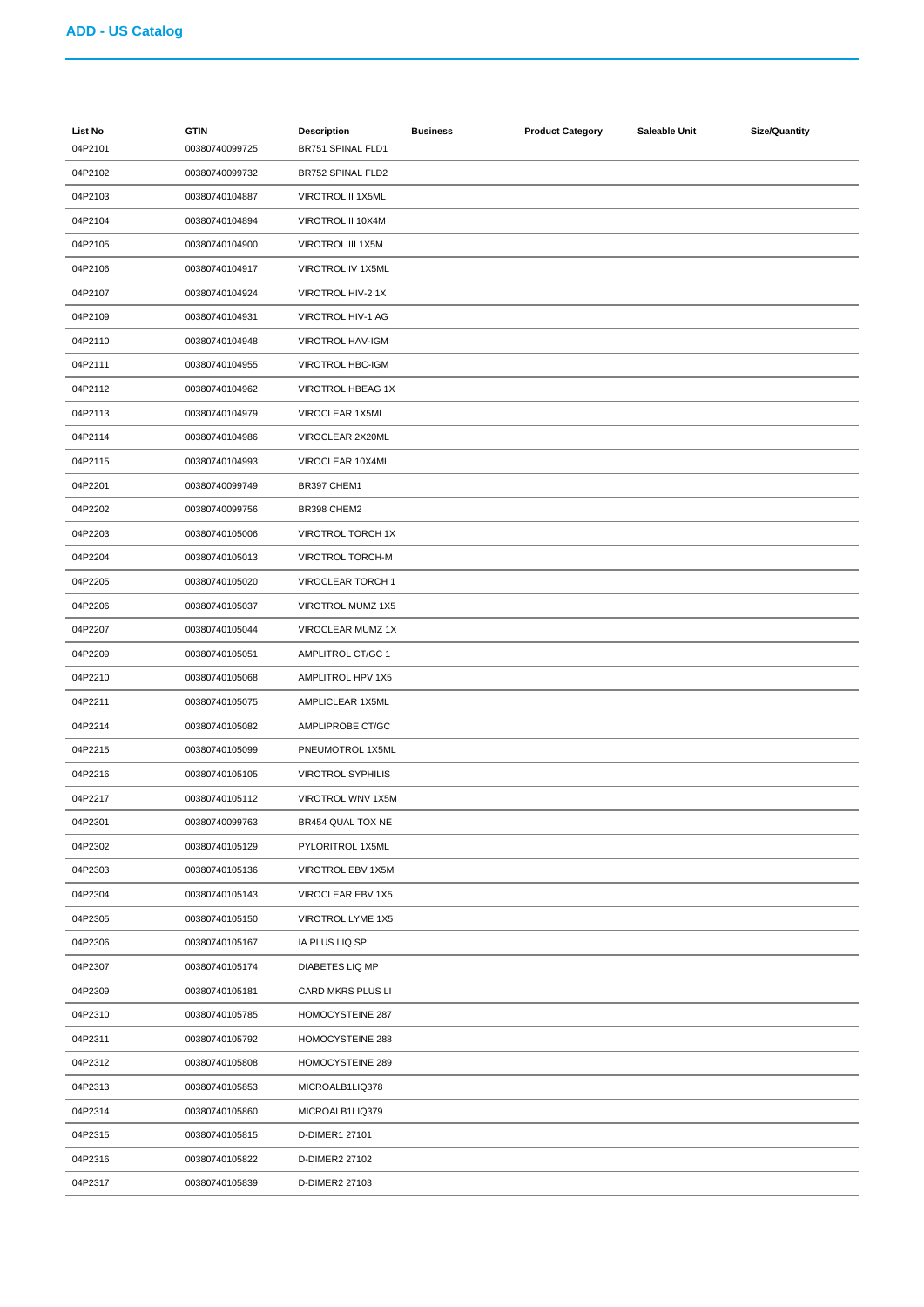| <b>List No</b> | <b>GTIN</b>    | <b>Description</b>       | <b>Business</b> | <b>Product Category</b> | Saleable Unit | Size/Quantity |
|----------------|----------------|--------------------------|-----------------|-------------------------|---------------|---------------|
| 04P2101        | 00380740099725 | BR751 SPINAL FLD1        |                 |                         |               |               |
| 04P2102        | 00380740099732 | BR752 SPINAL FLD2        |                 |                         |               |               |
| 04P2103        | 00380740104887 | VIROTROL II 1X5ML        |                 |                         |               |               |
| 04P2104        | 00380740104894 | VIROTROL II 10X4M        |                 |                         |               |               |
| 04P2105        | 00380740104900 | VIROTROL III 1X5M        |                 |                         |               |               |
| 04P2106        | 00380740104917 | VIROTROL IV 1X5ML        |                 |                         |               |               |
| 04P2107        | 00380740104924 | VIROTROL HIV-2 1X        |                 |                         |               |               |
| 04P2109        | 00380740104931 | VIROTROL HIV-1 AG        |                 |                         |               |               |
| 04P2110        | 00380740104948 | <b>VIROTROL HAV-IGM</b>  |                 |                         |               |               |
| 04P2111        | 00380740104955 | <b>VIROTROL HBC-IGM</b>  |                 |                         |               |               |
| 04P2112        | 00380740104962 | VIROTROL HBEAG 1X        |                 |                         |               |               |
| 04P2113        | 00380740104979 | VIROCLEAR 1X5ML          |                 |                         |               |               |
| 04P2114        | 00380740104986 | VIROCLEAR 2X20ML         |                 |                         |               |               |
| 04P2115        | 00380740104993 | VIROCLEAR 10X4ML         |                 |                         |               |               |
| 04P2201        | 00380740099749 | BR397 CHEM1              |                 |                         |               |               |
| 04P2202        | 00380740099756 | BR398 CHEM2              |                 |                         |               |               |
| 04P2203        | 00380740105006 | VIROTROL TORCH 1X        |                 |                         |               |               |
| 04P2204        | 00380740105013 | <b>VIROTROL TORCH-M</b>  |                 |                         |               |               |
| 04P2205        | 00380740105020 | VIROCLEAR TORCH 1        |                 |                         |               |               |
| 04P2206        | 00380740105037 | VIROTROL MUMZ 1X5        |                 |                         |               |               |
| 04P2207        | 00380740105044 | VIROCLEAR MUMZ 1X        |                 |                         |               |               |
| 04P2209        | 00380740105051 | AMPLITROL CT/GC 1        |                 |                         |               |               |
| 04P2210        | 00380740105068 | AMPLITROL HPV 1X5        |                 |                         |               |               |
| 04P2211        | 00380740105075 | AMPLICLEAR 1X5ML         |                 |                         |               |               |
| 04P2214        | 00380740105082 | AMPLIPROBE CT/GC         |                 |                         |               |               |
| 04P2215        | 00380740105099 | PNEUMOTROL 1X5ML         |                 |                         |               |               |
| 04P2216        | 00380740105105 | <b>VIROTROL SYPHILIS</b> |                 |                         |               |               |
| 04P2217        | 00380740105112 | VIROTROL WNV 1X5M        |                 |                         |               |               |
| 04P2301        | 00380740099763 | BR454 QUAL TOX NE        |                 |                         |               |               |
| 04P2302        | 00380740105129 | PYLORITROL 1X5ML         |                 |                         |               |               |
| 04P2303        | 00380740105136 | VIROTROL EBV 1X5M        |                 |                         |               |               |
| 04P2304        | 00380740105143 | VIROCLEAR EBV 1X5        |                 |                         |               |               |
| 04P2305        | 00380740105150 | VIROTROL LYME 1X5        |                 |                         |               |               |
| 04P2306        | 00380740105167 | IA PLUS LIQ SP           |                 |                         |               |               |
| 04P2307        | 00380740105174 | DIABETES LIQ MP          |                 |                         |               |               |
| 04P2309        | 00380740105181 | CARD MKRS PLUS LI        |                 |                         |               |               |
| 04P2310        | 00380740105785 | HOMOCYSTEINE 287         |                 |                         |               |               |
| 04P2311        | 00380740105792 | HOMOCYSTEINE 288         |                 |                         |               |               |
| 04P2312        | 00380740105808 | HOMOCYSTEINE 289         |                 |                         |               |               |
| 04P2313        | 00380740105853 | MICROALB1LIQ378          |                 |                         |               |               |
| 04P2314        | 00380740105860 | MICROALB1LIQ379          |                 |                         |               |               |
| 04P2315        | 00380740105815 | D-DIMER1 27101           |                 |                         |               |               |
| 04P2316        | 00380740105822 | D-DIMER2 27102           |                 |                         |               |               |
| 04P2317        | 00380740105839 | D-DIMER2 27103           |                 |                         |               |               |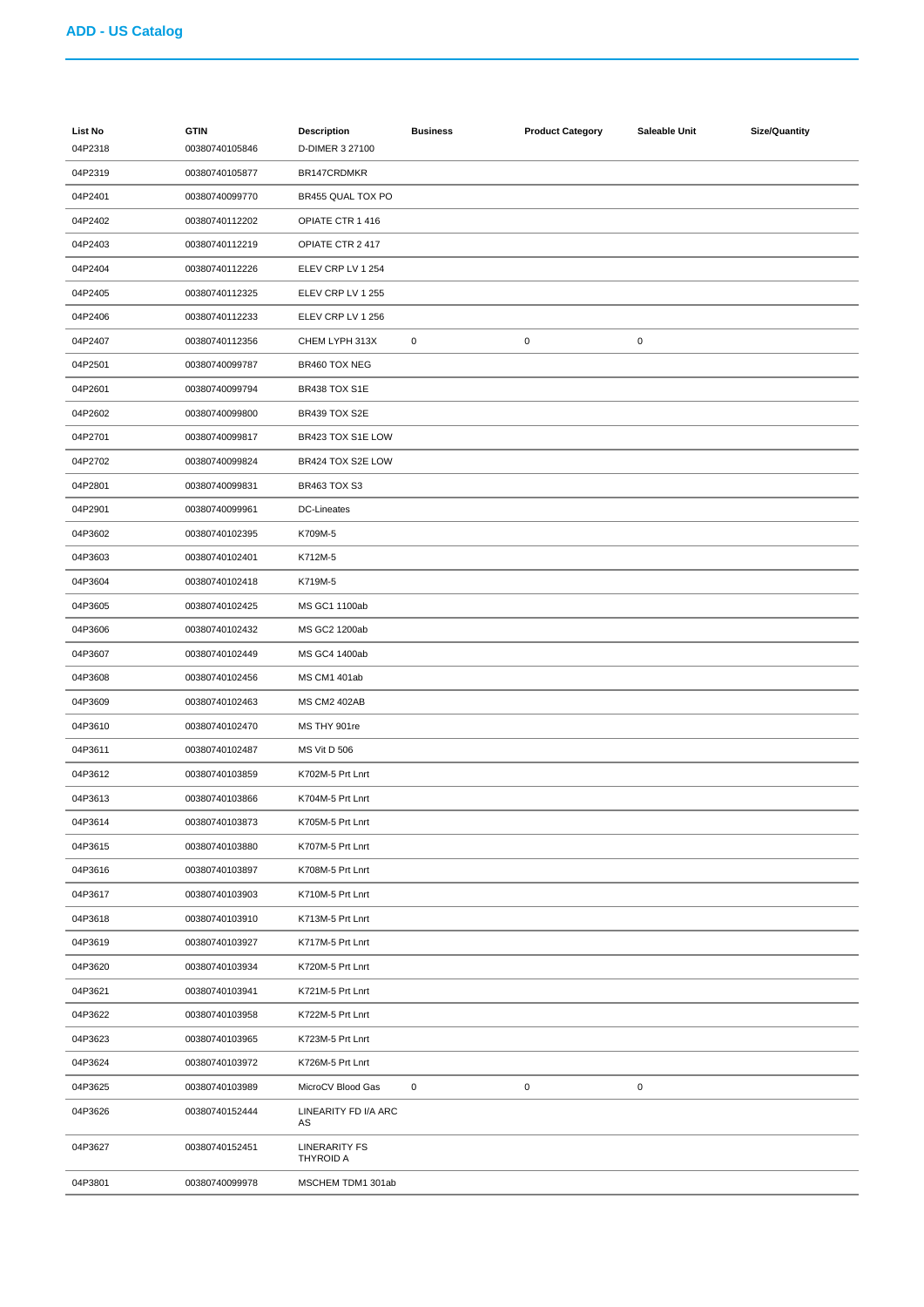| List No<br>04P2318 | <b>GTIN</b><br>00380740105846 | <b>Description</b><br>D-DIMER 3 27100    | <b>Business</b> | <b>Product Category</b> | Saleable Unit | <b>Size/Quantity</b> |
|--------------------|-------------------------------|------------------------------------------|-----------------|-------------------------|---------------|----------------------|
| 04P2319            | 00380740105877                | BR147CRDMKR                              |                 |                         |               |                      |
| 04P2401            | 00380740099770                | BR455 QUAL TOX PO                        |                 |                         |               |                      |
| 04P2402            | 00380740112202                | OPIATE CTR 1 416                         |                 |                         |               |                      |
| 04P2403            | 00380740112219                | OPIATE CTR 2 417                         |                 |                         |               |                      |
| 04P2404            | 00380740112226                | ELEV CRP LV 1 254                        |                 |                         |               |                      |
| 04P2405            | 00380740112325                | ELEV CRP LV 1 255                        |                 |                         |               |                      |
| 04P2406            | 00380740112233                | ELEV CRP LV 1 256                        |                 |                         |               |                      |
| 04P2407            | 00380740112356                | CHEM LYPH 313X                           | $\pmb{0}$       | $\pmb{0}$               | 0             |                      |
| 04P2501            | 00380740099787                | BR460 TOX NEG                            |                 |                         |               |                      |
| 04P2601            | 00380740099794                | BR438 TOX S1E                            |                 |                         |               |                      |
| 04P2602            | 00380740099800                | BR439 TOX S2E                            |                 |                         |               |                      |
| 04P2701            | 00380740099817                | BR423 TOX S1E LOW                        |                 |                         |               |                      |
| 04P2702            | 00380740099824                | BR424 TOX S2E LOW                        |                 |                         |               |                      |
| 04P2801            | 00380740099831                | BR463 TOX S3                             |                 |                         |               |                      |
| 04P2901            | 00380740099961                | <b>DC-Lineates</b>                       |                 |                         |               |                      |
| 04P3602            | 00380740102395                | K709M-5                                  |                 |                         |               |                      |
| 04P3603            | 00380740102401                | K712M-5                                  |                 |                         |               |                      |
| 04P3604            | 00380740102418                | K719M-5                                  |                 |                         |               |                      |
| 04P3605            | 00380740102425                | MS GC1 1100ab                            |                 |                         |               |                      |
| 04P3606            | 00380740102432                | MS GC2 1200ab                            |                 |                         |               |                      |
| 04P3607            | 00380740102449                | MS GC4 1400ab                            |                 |                         |               |                      |
| 04P3608            | 00380740102456                | MS CM1 401ab                             |                 |                         |               |                      |
| 04P3609            | 00380740102463                | <b>MS CM2 402AB</b>                      |                 |                         |               |                      |
| 04P3610            | 00380740102470                | MS THY 901re                             |                 |                         |               |                      |
| 04P3611            | 00380740102487                | <b>MS Vit D 506</b>                      |                 |                         |               |                      |
| 04P3612            | 00380740103859                | K702M-5 Prt Lnrt                         |                 |                         |               |                      |
| 04P3613            | 00380740103866                | K704M-5 Prt Lnrt                         |                 |                         |               |                      |
| 04P3614            | 00380740103873                | K705M-5 Prt Lnrt                         |                 |                         |               |                      |
| 04P3615            | 00380740103880                | K707M-5 Prt Lnrt                         |                 |                         |               |                      |
| 04P3616            | 00380740103897                | K708M-5 Prt Lnrt                         |                 |                         |               |                      |
| 04P3617            | 00380740103903                | K710M-5 Prt Lnrt                         |                 |                         |               |                      |
| 04P3618            | 00380740103910                | K713M-5 Prt Lnrt                         |                 |                         |               |                      |
| 04P3619            | 00380740103927                | K717M-5 Prt Lnrt                         |                 |                         |               |                      |
| 04P3620            | 00380740103934                | K720M-5 Prt Lnrt                         |                 |                         |               |                      |
| 04P3621            | 00380740103941                | K721M-5 Prt Lnrt                         |                 |                         |               |                      |
| 04P3622            | 00380740103958                | K722M-5 Prt Lnrt                         |                 |                         |               |                      |
| 04P3623            | 00380740103965                | K723M-5 Prt Lnrt                         |                 |                         |               |                      |
| 04P3624            | 00380740103972                | K726M-5 Prt Lnrt                         |                 |                         |               |                      |
| 04P3625            | 00380740103989                | MicroCV Blood Gas                        | $\mathbf 0$     | $\mathbf 0$             | 0             |                      |
| 04P3626            | 00380740152444                | LINEARITY FD I/A ARC                     |                 |                         |               |                      |
|                    |                               | AS                                       |                 |                         |               |                      |
| 04P3627            | 00380740152451                | <b>LINERARITY FS</b><br><b>THYROID A</b> |                 |                         |               |                      |
| 04P3801            | 00380740099978                | MSCHEM TDM1 301ab                        |                 |                         |               |                      |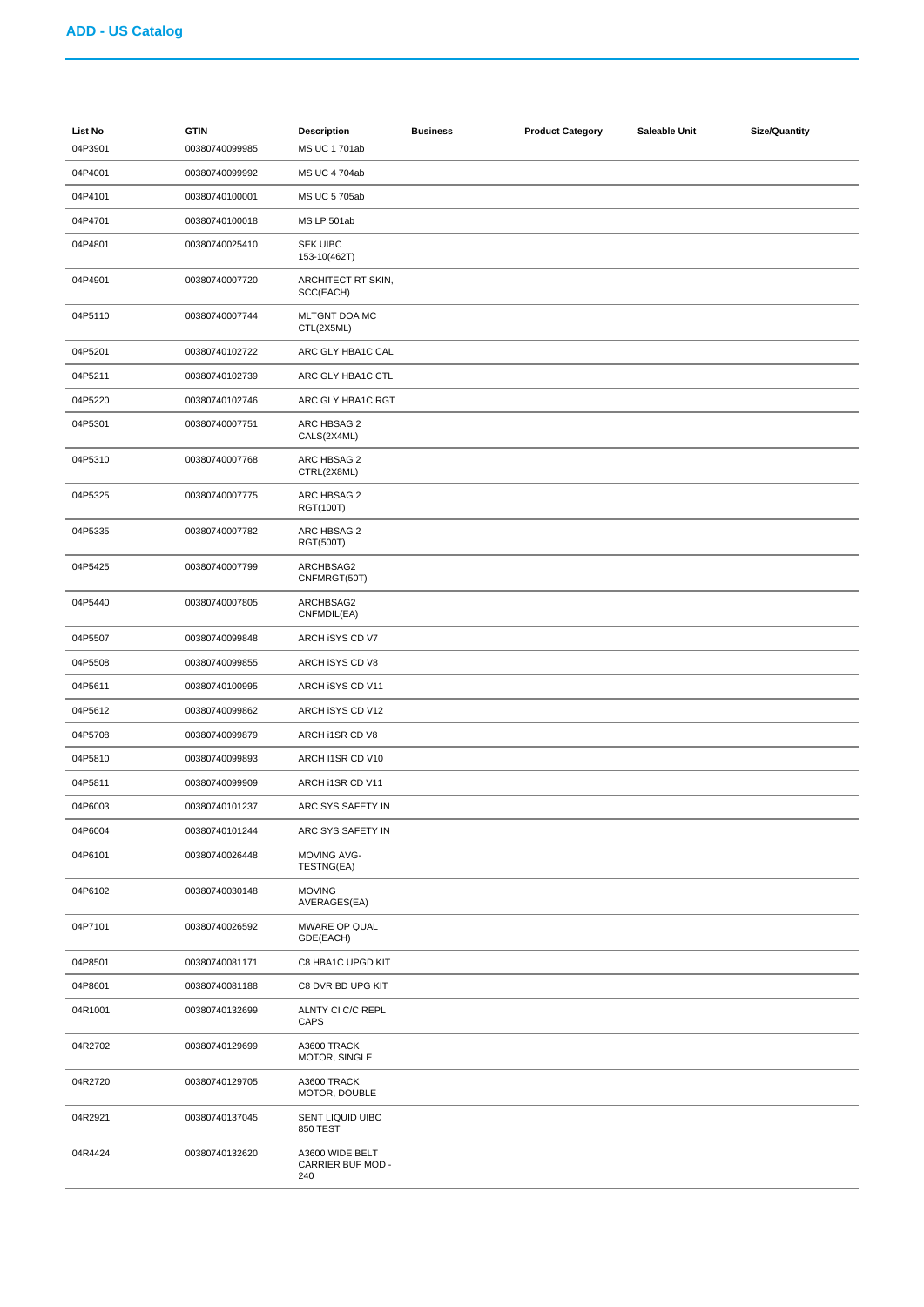| <b>List No</b><br>04P3901 | <b>GTIN</b><br>00380740099985 | <b>Description</b><br>MS UC 1 701ab         | <b>Business</b> | <b>Product Category</b> | Saleable Unit | <b>Size/Quantity</b> |
|---------------------------|-------------------------------|---------------------------------------------|-----------------|-------------------------|---------------|----------------------|
| 04P4001                   | 00380740099992                | MS UC 4 704ab                               |                 |                         |               |                      |
| 04P4101                   | 00380740100001                | MS UC 5 705ab                               |                 |                         |               |                      |
| 04P4701                   | 00380740100018                | MS LP 501ab                                 |                 |                         |               |                      |
| 04P4801                   | 00380740025410                | <b>SEK UIBC</b><br>153-10(462T)             |                 |                         |               |                      |
| 04P4901                   | 00380740007720                | ARCHITECT RT SKIN,<br>SCC(EACH)             |                 |                         |               |                      |
| 04P5110                   | 00380740007744                | MLTGNT DOA MC<br>CTL(2X5ML)                 |                 |                         |               |                      |
| 04P5201                   | 00380740102722                | ARC GLY HBA1C CAL                           |                 |                         |               |                      |
| 04P5211                   | 00380740102739                | ARC GLY HBA1C CTL                           |                 |                         |               |                      |
| 04P5220                   | 00380740102746                | ARC GLY HBA1C RGT                           |                 |                         |               |                      |
| 04P5301                   | 00380740007751                | ARC HBSAG 2<br>CALS(2X4ML)                  |                 |                         |               |                      |
| 04P5310                   | 00380740007768                | ARC HBSAG 2<br>CTRL(2X8ML)                  |                 |                         |               |                      |
| 04P5325                   | 00380740007775                | ARC HBSAG 2<br>RGT(100T)                    |                 |                         |               |                      |
| 04P5335                   | 00380740007782                | ARC HBSAG 2<br>RGT(500T)                    |                 |                         |               |                      |
| 04P5425                   | 00380740007799                | ARCHBSAG2<br>CNFMRGT(50T)                   |                 |                         |               |                      |
| 04P5440                   | 00380740007805                | ARCHBSAG2<br>CNFMDIL(EA)                    |                 |                         |               |                      |
| 04P5507                   | 00380740099848                | ARCH ISYS CD V7                             |                 |                         |               |                      |
| 04P5508                   | 00380740099855                | ARCH ISYS CD V8                             |                 |                         |               |                      |
| 04P5611                   | 00380740100995                | ARCH ISYS CD V11                            |                 |                         |               |                      |
| 04P5612                   | 00380740099862                | ARCH ISYS CD V12                            |                 |                         |               |                      |
| 04P5708                   | 00380740099879                | ARCH I1SR CD V8                             |                 |                         |               |                      |
| 04P5810                   | 00380740099893                | ARCH I1SR CD V10                            |                 |                         |               |                      |
| 04P5811                   | 00380740099909                | ARCH I1SR CD V11                            |                 |                         |               |                      |
| 04P6003                   | 00380740101237                | ARC SYS SAFETY IN                           |                 |                         |               |                      |
| 04P6004                   | 00380740101244                | ARC SYS SAFETY IN                           |                 |                         |               |                      |
| 04P6101                   | 00380740026448                | MOVING AVG-<br>TESTNG(EA)                   |                 |                         |               |                      |
| 04P6102                   | 00380740030148                | <b>MOVING</b><br>AVERAGES(EA)               |                 |                         |               |                      |
| 04P7101                   | 00380740026592                | MWARE OP QUAL<br>GDE(EACH)                  |                 |                         |               |                      |
| 04P8501                   | 00380740081171                | C8 HBA1C UPGD KIT                           |                 |                         |               |                      |
| 04P8601                   | 00380740081188                | C8 DVR BD UPG KIT                           |                 |                         |               |                      |
| 04R1001                   | 00380740132699                | ALNTY CI C/C REPL<br>CAPS                   |                 |                         |               |                      |
| 04R2702                   | 00380740129699                | A3600 TRACK<br>MOTOR, SINGLE                |                 |                         |               |                      |
| 04R2720                   | 00380740129705                | A3600 TRACK<br>MOTOR, DOUBLE                |                 |                         |               |                      |
| 04R2921                   | 00380740137045                | SENT LIQUID UIBC<br>850 TEST                |                 |                         |               |                      |
| 04R4424                   | 00380740132620                | A3600 WIDE BELT<br>CARRIER BUF MOD -<br>240 |                 |                         |               |                      |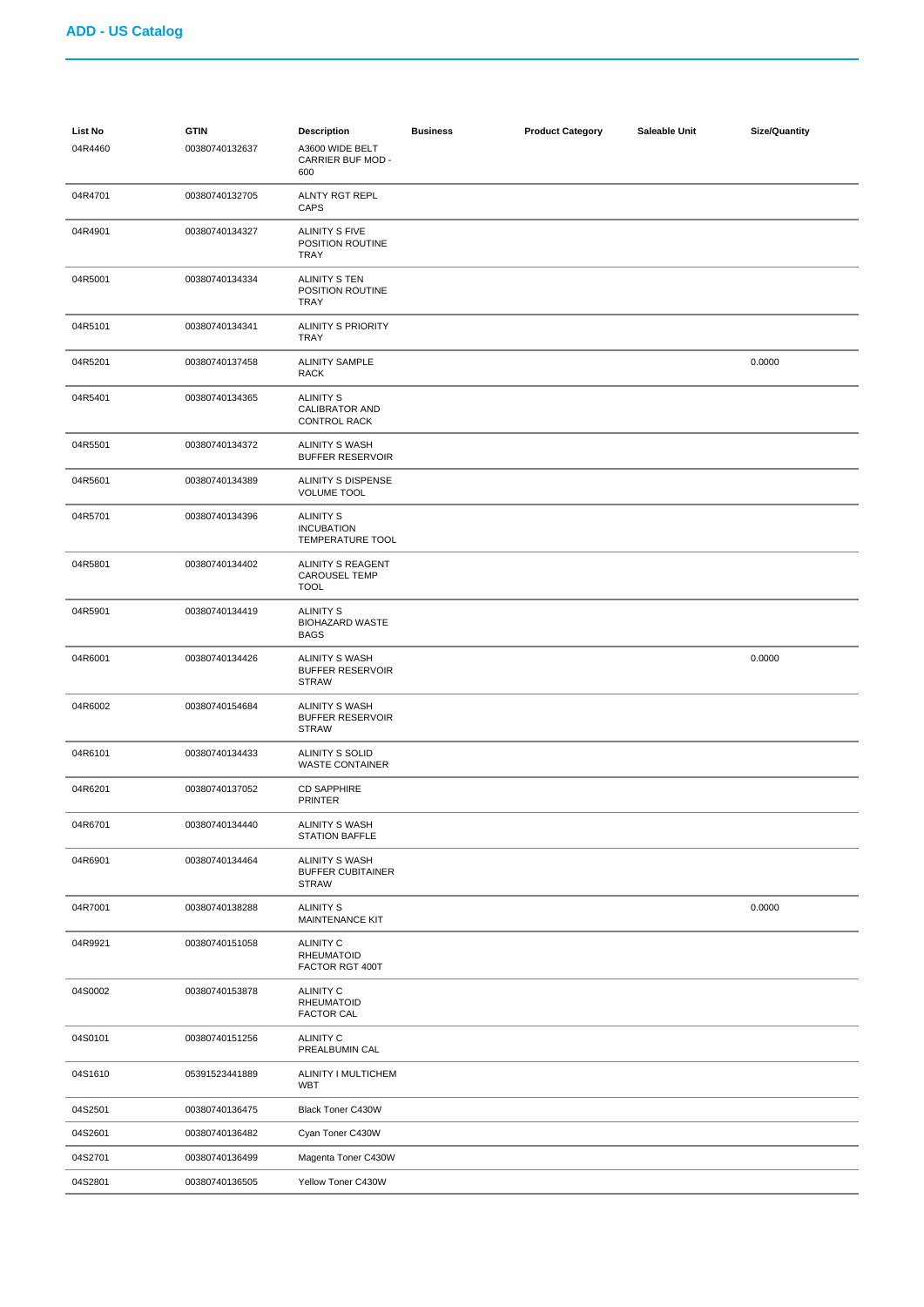| List No<br>04R4460 | <b>GTIN</b><br>00380740132637 | <b>Description</b><br>A3600 WIDE BELT<br>CARRIER BUF MOD -<br>600 | <b>Business</b> | <b>Product Category</b> | Saleable Unit | <b>Size/Quantity</b> |
|--------------------|-------------------------------|-------------------------------------------------------------------|-----------------|-------------------------|---------------|----------------------|
| 04R4701            | 00380740132705                | <b>ALNTY RGT REPL</b><br>CAPS                                     |                 |                         |               |                      |
| 04R4901            | 00380740134327                | <b>ALINITY S FIVE</b><br>POSITION ROUTINE<br><b>TRAY</b>          |                 |                         |               |                      |
| 04R5001            | 00380740134334                | ALINITY S TEN<br>POSITION ROUTINE<br>TRAY                         |                 |                         |               |                      |
| 04R5101            | 00380740134341                | <b>ALINITY S PRIORITY</b><br>TRAY                                 |                 |                         |               |                      |
| 04R5201            | 00380740137458                | <b>ALINITY SAMPLE</b><br>RACK                                     |                 |                         |               | 0.0000               |
| 04R5401            | 00380740134365                | <b>ALINITY S</b><br><b>CALIBRATOR AND</b><br><b>CONTROL RACK</b>  |                 |                         |               |                      |
| 04R5501            | 00380740134372                | <b>ALINITY S WASH</b><br><b>BUFFER RESERVOIR</b>                  |                 |                         |               |                      |
| 04R5601            | 00380740134389                | ALINITY S DISPENSE<br><b>VOLUME TOOL</b>                          |                 |                         |               |                      |
| 04R5701            | 00380740134396                | <b>ALINITY S</b><br><b>INCUBATION</b><br>TEMPERATURE TOOL         |                 |                         |               |                      |
| 04R5801            | 00380740134402                | ALINITY S REAGENT<br><b>CAROUSEL TEMP</b><br><b>TOOL</b>          |                 |                         |               |                      |
| 04R5901            | 00380740134419                | <b>ALINITY S</b><br><b>BIOHAZARD WASTE</b><br><b>BAGS</b>         |                 |                         |               |                      |
| 04R6001            | 00380740134426                | ALINITY S WASH<br><b>BUFFER RESERVOIR</b><br><b>STRAW</b>         |                 |                         |               | 0.0000               |
| 04R6002            | 00380740154684                | <b>ALINITY S WASH</b><br><b>BUFFER RESERVOIR</b><br><b>STRAW</b>  |                 |                         |               |                      |
| 04R6101            | 00380740134433                | ALINITY S SOLID<br><b>WASTE CONTAINER</b>                         |                 |                         |               |                      |
| 04R6201            | 00380740137052                | <b>CD SAPPHIRE</b><br><b>PRINTER</b>                              |                 |                         |               |                      |
| 04R6701            | 00380740134440                | ALINITY S WASH<br><b>STATION BAFFLE</b>                           |                 |                         |               |                      |
| 04R6901            | 00380740134464                | ALINITY S WASH<br><b>BUFFER CUBITAINER</b><br><b>STRAW</b>        |                 |                         |               |                      |
| 04R7001            | 00380740138288                | <b>ALINITY S</b><br>MAINTENANCE KIT                               |                 |                         |               | 0.0000               |
| 04R9921            | 00380740151058                | <b>ALINITY C</b><br><b>RHEUMATOID</b><br>FACTOR RGT 400T          |                 |                         |               |                      |
| 04S0002            | 00380740153878                | <b>ALINITY C</b><br><b>RHEUMATOID</b><br><b>FACTOR CAL</b>        |                 |                         |               |                      |
| 04S0101            | 00380740151256                | <b>ALINITY C</b><br>PREALBUMIN CAL                                |                 |                         |               |                      |
| 04S1610            | 05391523441889                | ALINITY I MULTICHEM<br><b>WBT</b>                                 |                 |                         |               |                      |
| 04S2501            | 00380740136475                | Black Toner C430W                                                 |                 |                         |               |                      |
| 04S2601            | 00380740136482                | Cyan Toner C430W                                                  |                 |                         |               |                      |
| 04S2701            | 00380740136499                | Magenta Toner C430W                                               |                 |                         |               |                      |
| 04S2801            | 00380740136505                | Yellow Toner C430W                                                |                 |                         |               |                      |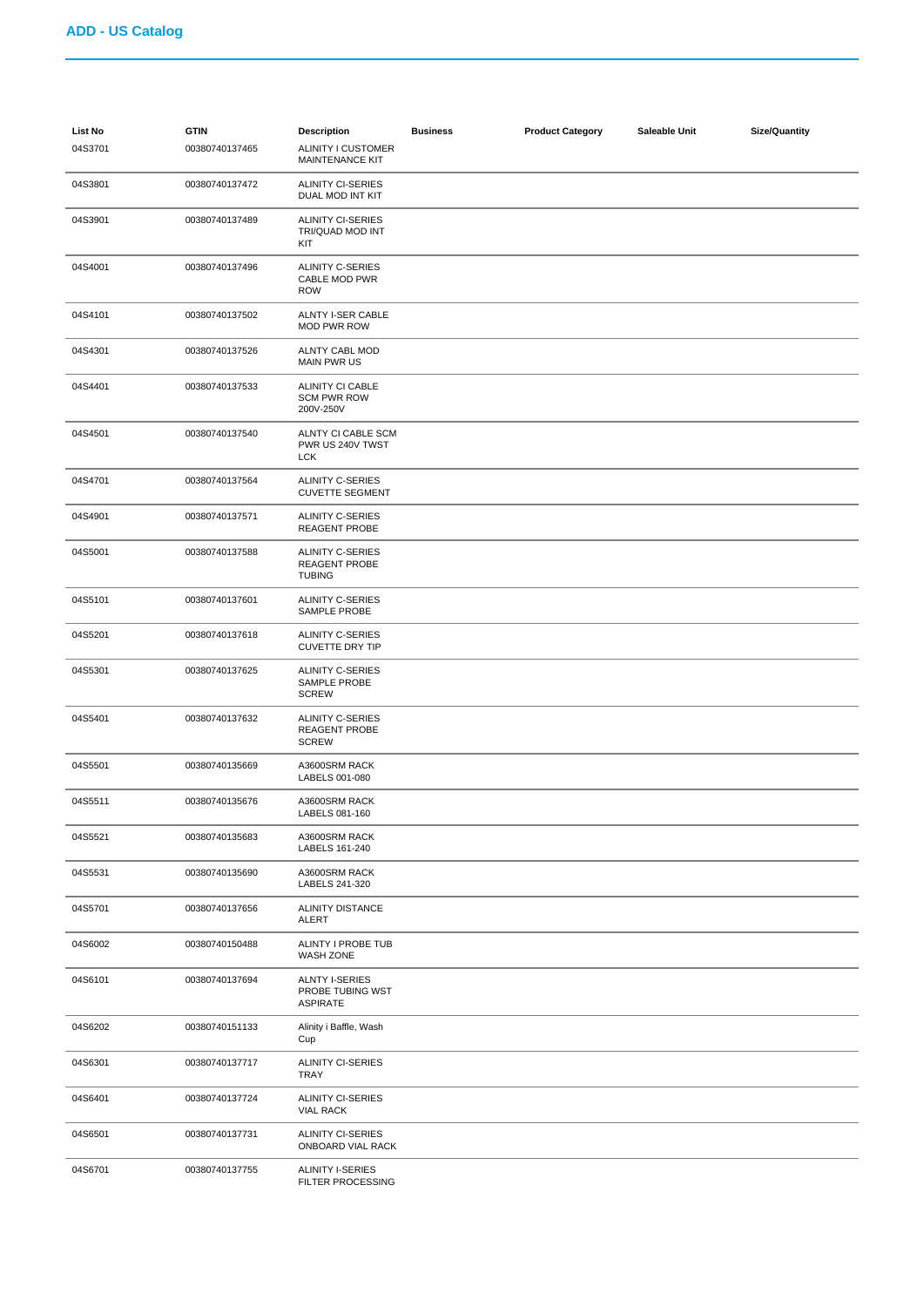| <b>List No</b><br>04S3701 | <b>GTIN</b><br>00380740137465 | <b>Description</b><br>ALINITY I CUSTOMER<br><b>MAINTENANCE KIT</b> | <b>Business</b> | <b>Product Category</b> | Saleable Unit | <b>Size/Quantity</b> |
|---------------------------|-------------------------------|--------------------------------------------------------------------|-----------------|-------------------------|---------------|----------------------|
| 04S3801                   | 00380740137472                | <b>ALINITY CI-SERIES</b><br>DUAL MOD INT KIT                       |                 |                         |               |                      |
| 04S3901                   | 00380740137489                | <b>ALINITY CI-SERIES</b><br>TRI/QUAD MOD INT<br>KIT                |                 |                         |               |                      |
| 04S4001                   | 00380740137496                | ALINITY C-SERIES<br>CABLE MOD PWR<br><b>ROW</b>                    |                 |                         |               |                      |
| 04S4101                   | 00380740137502                | <b>ALNTY I-SER CABLE</b><br>MOD PWR ROW                            |                 |                         |               |                      |
| 04S4301                   | 00380740137526                | ALNTY CABL MOD<br><b>MAIN PWR US</b>                               |                 |                         |               |                      |
| 04S4401                   | 00380740137533                | ALINITY CI CABLE<br><b>SCM PWR ROW</b><br>200V-250V                |                 |                         |               |                      |
| 04S4501                   | 00380740137540                | ALNTY CI CABLE SCM<br>PWR US 240V TWST<br><b>LCK</b>               |                 |                         |               |                      |
| 04S4701                   | 00380740137564                | ALINITY C-SERIES<br><b>CUVETTE SEGMENT</b>                         |                 |                         |               |                      |
| 04S4901                   | 00380740137571                | ALINITY C-SERIES<br><b>REAGENT PROBE</b>                           |                 |                         |               |                      |
| 04S5001                   | 00380740137588                | <b>ALINITY C-SERIES</b><br><b>REAGENT PROBE</b><br><b>TUBING</b>   |                 |                         |               |                      |
| 04S5101                   | 00380740137601                | ALINITY C-SERIES<br>SAMPLE PROBE                                   |                 |                         |               |                      |
| 04S5201                   | 00380740137618                | ALINITY C-SERIES<br><b>CUVETTE DRY TIP</b>                         |                 |                         |               |                      |
| 04S5301                   | 00380740137625                | ALINITY C-SERIES<br>SAMPLE PROBE<br><b>SCREW</b>                   |                 |                         |               |                      |
| 04S5401                   | 00380740137632                | ALINITY C-SERIES<br><b>REAGENT PROBE</b><br><b>SCREW</b>           |                 |                         |               |                      |
| 04S5501                   | 00380740135669                | A3600SRM RACK<br>LABELS 001-080                                    |                 |                         |               |                      |
| 04S5511                   | 00380740135676                | A3600SRM RACK<br>LABELS 081-160                                    |                 |                         |               |                      |
| 04S5521                   | 00380740135683                | A3600SRM RACK<br>LABELS 161-240                                    |                 |                         |               |                      |
| 04S5531                   | 00380740135690                | A3600SRM RACK<br>LABELS 241-320                                    |                 |                         |               |                      |
| 04S5701                   | 00380740137656                | <b>ALINITY DISTANCE</b><br>ALERT                                   |                 |                         |               |                      |
| 04S6002                   | 00380740150488                | ALINTY I PROBE TUB<br>WASH ZONE                                    |                 |                         |               |                      |
| 04S6101                   | 00380740137694                | <b>ALNTY I-SERIES</b><br>PROBE TUBING WST<br><b>ASPIRATE</b>       |                 |                         |               |                      |
| 04S6202                   | 00380740151133                | Alinity i Baffle, Wash<br>Cup                                      |                 |                         |               |                      |
| 04S6301                   | 00380740137717                | <b>ALINITY CI-SERIES</b><br>TRAY                                   |                 |                         |               |                      |
| 04S6401                   | 00380740137724                | ALINITY CI-SERIES<br><b>VIAL RACK</b>                              |                 |                         |               |                      |
| 04S6501                   | 00380740137731                | ALINITY CI-SERIES<br>ONBOARD VIAL RACK                             |                 |                         |               |                      |
| 04S6701                   | 00380740137755                | <b>ALINITY I-SERIES</b><br>FILTER PROCESSING                       |                 |                         |               |                      |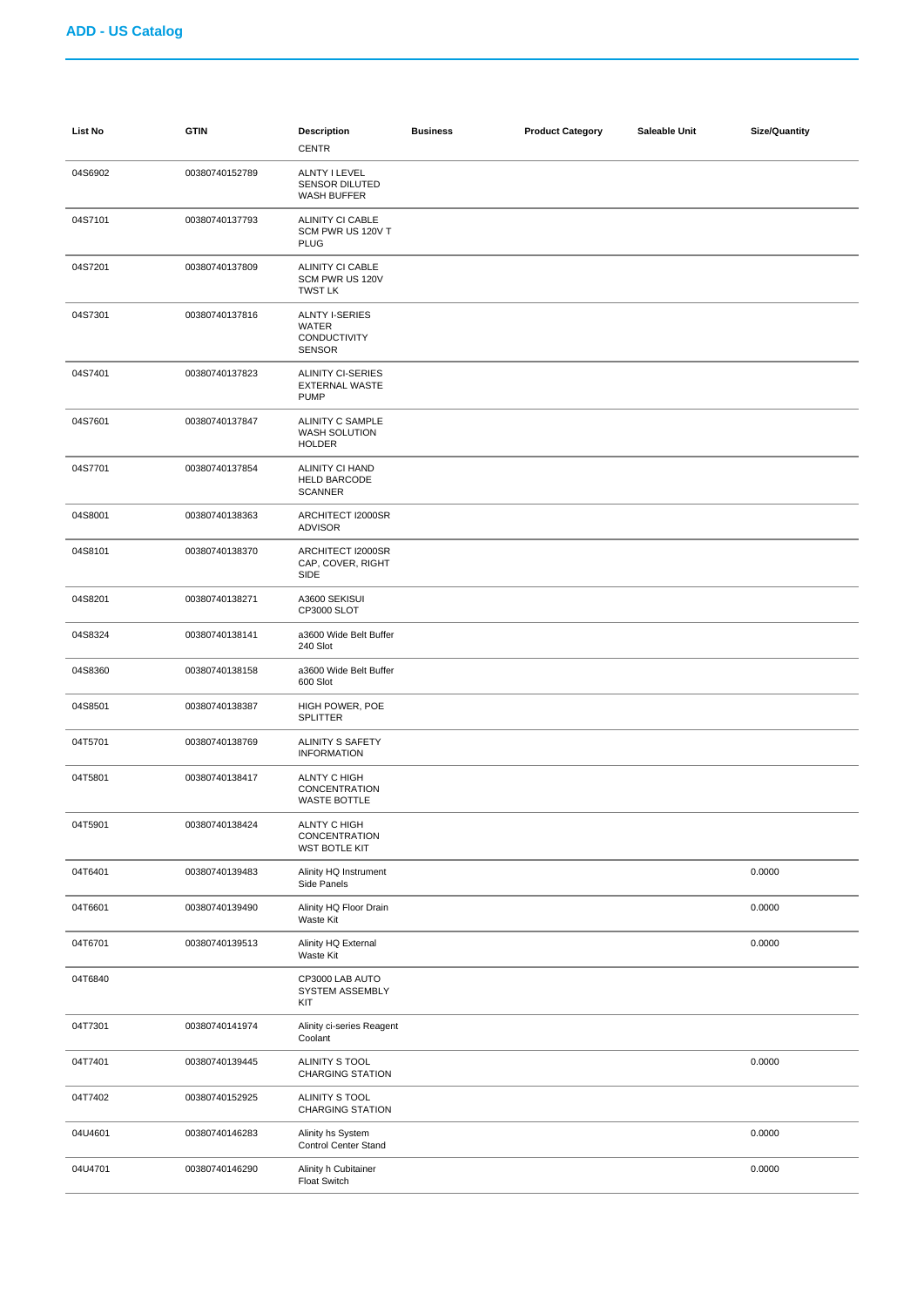| <b>List No</b> | <b>GTIN</b>    | <b>Description</b><br><b>CENTR</b>                                  | <b>Business</b> | <b>Product Category</b> | Saleable Unit | <b>Size/Quantity</b> |
|----------------|----------------|---------------------------------------------------------------------|-----------------|-------------------------|---------------|----------------------|
| 04S6902        | 00380740152789 | ALNTY I LEVEL<br><b>SENSOR DILUTED</b><br>WASH BUFFER               |                 |                         |               |                      |
| 04S7101        | 00380740137793 | ALINITY CI CABLE<br>SCM PWR US 120V T<br><b>PLUG</b>                |                 |                         |               |                      |
| 04S7201        | 00380740137809 | ALINITY CI CABLE<br>SCM PWR US 120V<br><b>TWST LK</b>               |                 |                         |               |                      |
| 04S7301        | 00380740137816 | <b>ALNTY I-SERIES</b><br>WATER<br>CONDUCTIVITY<br><b>SENSOR</b>     |                 |                         |               |                      |
| 04S7401        | 00380740137823 | ALINITY CI-SERIES<br><b>EXTERNAL WASTE</b><br><b>PUMP</b>           |                 |                         |               |                      |
| 04S7601        | 00380740137847 | ALINITY C SAMPLE<br><b>WASH SOLUTION</b><br><b>HOLDER</b>           |                 |                         |               |                      |
| 04S7701        | 00380740137854 | ALINITY CI HAND<br><b>HELD BARCODE</b><br><b>SCANNER</b>            |                 |                         |               |                      |
| 04S8001        | 00380740138363 | ARCHITECT I2000SR<br><b>ADVISOR</b>                                 |                 |                         |               |                      |
| 04S8101        | 00380740138370 | ARCHITECT I2000SR<br>CAP, COVER, RIGHT<br>SIDE                      |                 |                         |               |                      |
| 04S8201        | 00380740138271 | A3600 SEKISUI<br>CP3000 SLOT                                        |                 |                         |               |                      |
| 04S8324        | 00380740138141 | a3600 Wide Belt Buffer<br>240 Slot                                  |                 |                         |               |                      |
| 04S8360        | 00380740138158 | a3600 Wide Belt Buffer<br>600 Slot                                  |                 |                         |               |                      |
| 04S8501        | 00380740138387 | HIGH POWER, POE<br>SPLITTER                                         |                 |                         |               |                      |
| 04T5701        | 00380740138769 | ALINITY S SAFETY<br><b>INFORMATION</b>                              |                 |                         |               |                      |
| 04T5801        | 00380740138417 | <b>ALNTY C HIGH</b><br><b>CONCENTRATION</b><br>WASTE BOTTLE         |                 |                         |               |                      |
| 04T5901        | 00380740138424 | <b>ALNTY C HIGH</b><br><b>CONCENTRATION</b><br><b>WST BOTLE KIT</b> |                 |                         |               |                      |
| 04T6401        | 00380740139483 | Alinity HQ Instrument<br>Side Panels                                |                 |                         |               | 0.0000               |
| 04T6601        | 00380740139490 | Alinity HQ Floor Drain<br>Waste Kit                                 |                 |                         |               | 0.0000               |
| 04T6701        | 00380740139513 | Alinity HQ External<br>Waste Kit                                    |                 |                         |               | 0.0000               |
| 04T6840        |                | CP3000 LAB AUTO<br>SYSTEM ASSEMBLY<br>KIT                           |                 |                         |               |                      |
| 04T7301        | 00380740141974 | Alinity ci-series Reagent<br>Coolant                                |                 |                         |               |                      |
| 04T7401        | 00380740139445 | ALINITY S TOOL<br><b>CHARGING STATION</b>                           |                 |                         |               | 0.0000               |
| 04T7402        | 00380740152925 | ALINITY S TOOL<br><b>CHARGING STATION</b>                           |                 |                         |               |                      |
| 04U4601        | 00380740146283 | Alinity hs System<br>Control Center Stand                           |                 |                         |               | 0.0000               |
| 04U4701        | 00380740146290 | Alinity h Cubitainer<br>Float Switch                                |                 |                         |               | 0.0000               |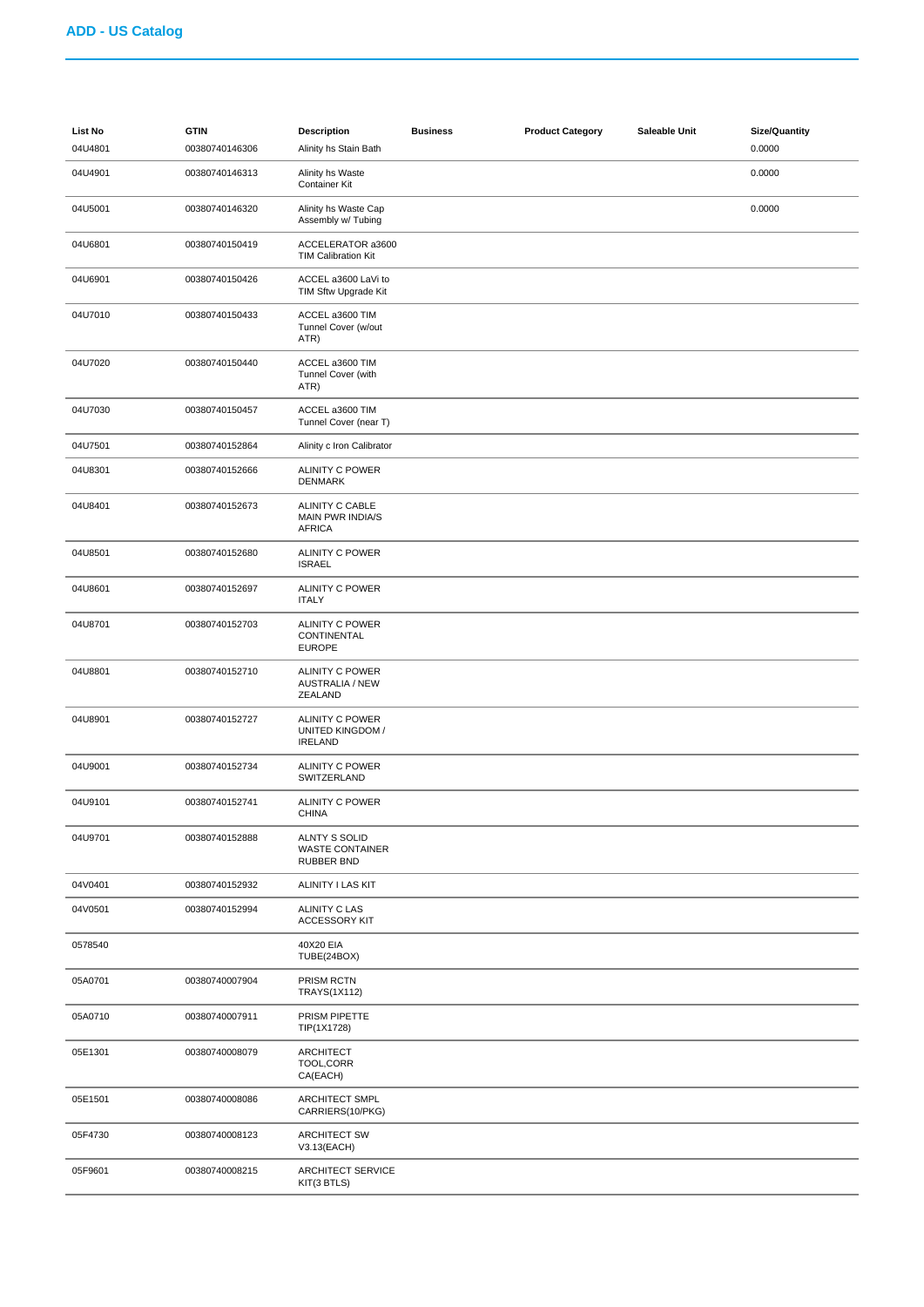| List No<br>04U4801 | <b>GTIN</b><br>00380740146306 | <b>Description</b><br>Alinity hs Stain Bath                  | <b>Business</b> | <b>Product Category</b> | Saleable Unit | <b>Size/Quantity</b><br>0.0000 |
|--------------------|-------------------------------|--------------------------------------------------------------|-----------------|-------------------------|---------------|--------------------------------|
| 04U4901            | 00380740146313                | Alinity hs Waste<br>Container Kit                            |                 |                         |               | 0.0000                         |
| 04U5001            | 00380740146320                | Alinity hs Waste Cap<br>Assembly w/ Tubing                   |                 |                         |               | 0.0000                         |
| 04U6801            | 00380740150419                | ACCELERATOR a3600<br><b>TIM Calibration Kit</b>              |                 |                         |               |                                |
| 04U6901            | 00380740150426                | ACCEL a3600 LaVi to<br>TIM Sftw Upgrade Kit                  |                 |                         |               |                                |
| 04U7010            | 00380740150433                | ACCEL a3600 TIM<br>Tunnel Cover (w/out<br>ATR)               |                 |                         |               |                                |
| 04U7020            | 00380740150440                | ACCEL a3600 TIM<br>Tunnel Cover (with<br>ATR)                |                 |                         |               |                                |
| 04U7030            | 00380740150457                | ACCEL a3600 TIM<br>Tunnel Cover (near T)                     |                 |                         |               |                                |
| 04U7501            | 00380740152864                | Alinity c Iron Calibrator                                    |                 |                         |               |                                |
| 04U8301            | 00380740152666                | <b>ALINITY C POWER</b><br><b>DENMARK</b>                     |                 |                         |               |                                |
| 04U8401            | 00380740152673                | ALINITY C CABLE<br>MAIN PWR INDIA/S<br><b>AFRICA</b>         |                 |                         |               |                                |
| 04U8501            | 00380740152680                | <b>ALINITY C POWER</b><br><b>ISRAEL</b>                      |                 |                         |               |                                |
| 04U8601            | 00380740152697                | <b>ALINITY C POWER</b><br><b>ITALY</b>                       |                 |                         |               |                                |
| 04U8701            | 00380740152703                | ALINITY C POWER<br>CONTINENTAL<br><b>EUROPE</b>              |                 |                         |               |                                |
| 04U8801            | 00380740152710                | ALINITY C POWER<br><b>AUSTRALIA / NEW</b><br>ZEALAND         |                 |                         |               |                                |
| 04U8901            | 00380740152727                | ALINITY C POWER<br>UNITED KINGDOM /<br><b>IRELAND</b>        |                 |                         |               |                                |
| 04U9001            | 00380740152734                | <b>ALINITY C POWER</b><br>SWITZERLAND                        |                 |                         |               |                                |
| 04U9101            | 00380740152741                | <b>ALINITY C POWER</b><br>CHINA                              |                 |                         |               |                                |
| 04U9701            | 00380740152888                | ALNTY S SOLID<br><b>WASTE CONTAINER</b><br><b>RUBBER BND</b> |                 |                         |               |                                |
| 04V0401            | 00380740152932                | ALINITY I LAS KIT                                            |                 |                         |               |                                |
| 04V0501            | 00380740152994                | ALINITY C LAS<br><b>ACCESSORY KIT</b>                        |                 |                         |               |                                |
| 0578540            |                               | 40X20 EIA<br>TUBE(24BOX)                                     |                 |                         |               |                                |
| 05A0701            | 00380740007904                | PRISM RCTN<br>TRAYS(1X112)                                   |                 |                         |               |                                |
| 05A0710            | 00380740007911                | PRISM PIPETTE<br>TIP(1X1728)                                 |                 |                         |               |                                |
| 05E1301            | 00380740008079                | ARCHITECT<br>TOOL, CORR<br>CA(EACH)                          |                 |                         |               |                                |
| 05E1501            | 00380740008086                | ARCHITECT SMPL<br>CARRIERS(10/PKG)                           |                 |                         |               |                                |
| 05F4730            | 00380740008123                | <b>ARCHITECT SW</b><br>V3.13(EACH)                           |                 |                         |               |                                |
| 05F9601            | 00380740008215                | ARCHITECT SERVICE<br>KIT(3 BTLS)                             |                 |                         |               |                                |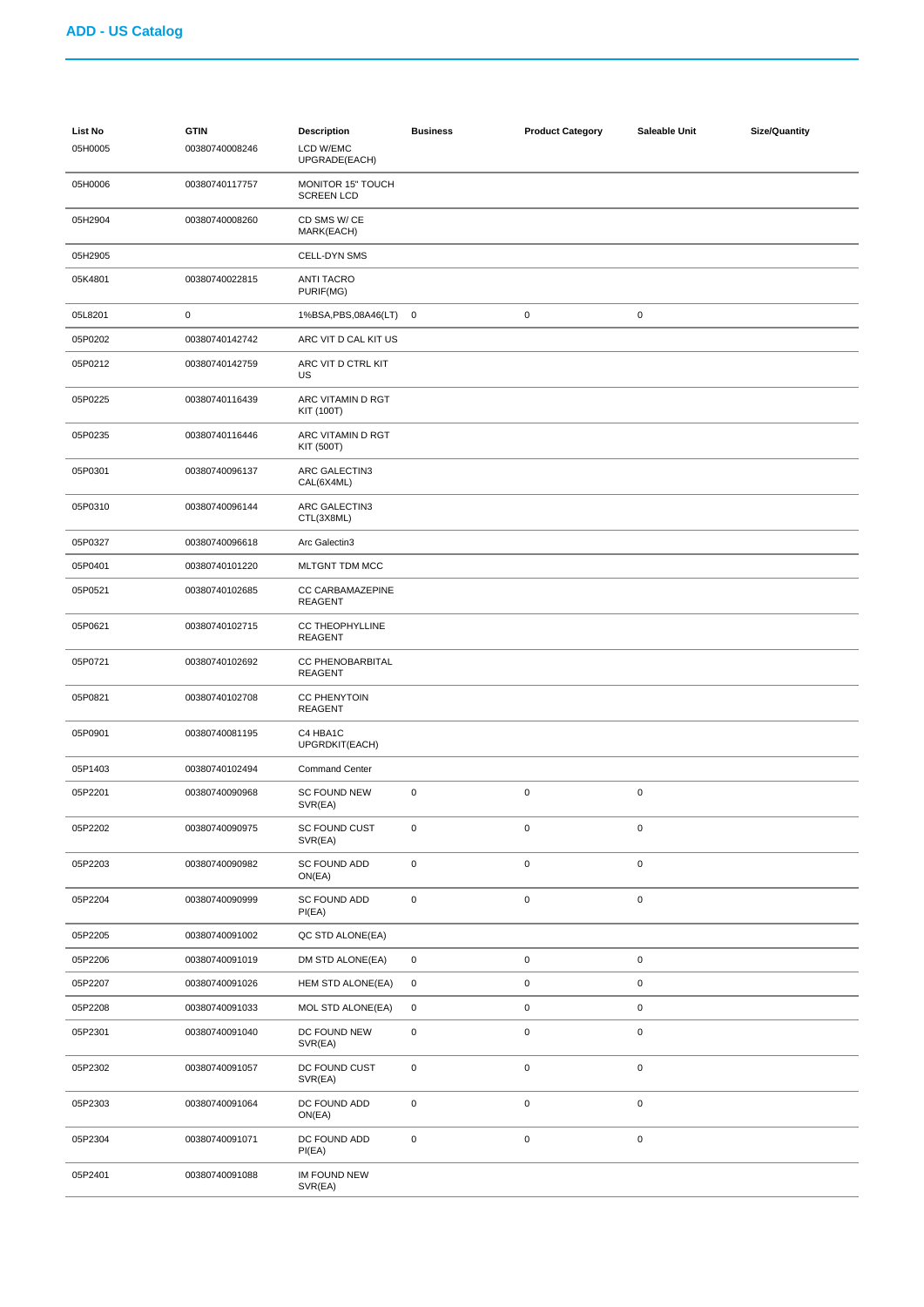| List No<br>05H0005 | <b>GTIN</b><br>00380740008246 | <b>Description</b><br>LCD W/EMC<br>UPGRADE(EACH) | <b>Business</b> | <b>Product Category</b> | Saleable Unit       | <b>Size/Quantity</b> |
|--------------------|-------------------------------|--------------------------------------------------|-----------------|-------------------------|---------------------|----------------------|
| 05H0006            | 00380740117757                | MONITOR 15" TOUCH<br><b>SCREEN LCD</b>           |                 |                         |                     |                      |
| 05H2904            | 00380740008260                | CD SMS W/CE<br>MARK(EACH)                        |                 |                         |                     |                      |
| 05H2905            |                               | CELL-DYN SMS                                     |                 |                         |                     |                      |
| 05K4801            | 00380740022815                | <b>ANTI TACRO</b><br>PURIF(MG)                   |                 |                         |                     |                      |
| 05L8201            | $\pmb{0}$                     | 1%BSA, PBS, 08A46(LT) 0                          |                 | $\pmb{0}$               | $\mathsf 0$         |                      |
| 05P0202            | 00380740142742                | ARC VIT D CAL KIT US                             |                 |                         |                     |                      |
| 05P0212            | 00380740142759                | ARC VIT D CTRL KIT<br>US                         |                 |                         |                     |                      |
| 05P0225            | 00380740116439                | ARC VITAMIN D RGT<br>KIT (100T)                  |                 |                         |                     |                      |
| 05P0235            | 00380740116446                | ARC VITAMIN D RGT<br>KIT (500T)                  |                 |                         |                     |                      |
| 05P0301            | 00380740096137                | ARC GALECTIN3<br>CAL(6X4ML)                      |                 |                         |                     |                      |
| 05P0310            | 00380740096144                | ARC GALECTIN3<br>CTL(3X8ML)                      |                 |                         |                     |                      |
| 05P0327            | 00380740096618                | Arc Galectin3                                    |                 |                         |                     |                      |
| 05P0401            | 00380740101220                | MLTGNT TDM MCC                                   |                 |                         |                     |                      |
| 05P0521            | 00380740102685                | CC CARBAMAZEPINE<br><b>REAGENT</b>               |                 |                         |                     |                      |
| 05P0621            | 00380740102715                | <b>CC THEOPHYLLINE</b><br><b>REAGENT</b>         |                 |                         |                     |                      |
| 05P0721            | 00380740102692                | <b>CC PHENOBARBITAL</b><br><b>REAGENT</b>        |                 |                         |                     |                      |
| 05P0821            | 00380740102708                | <b>CC PHENYTOIN</b><br>REAGENT                   |                 |                         |                     |                      |
| 05P0901            | 00380740081195                | C4 HBA1C<br>UPGRDKIT(EACH)                       |                 |                         |                     |                      |
| 05P1403            | 00380740102494                | <b>Command Center</b>                            |                 |                         |                     |                      |
| 05P2201            | 00380740090968                | <b>SC FOUND NEW</b><br>SVR(EA)                   | 0               | $\mathbf 0$             | $\pmb{0}$           |                      |
| 05P2202            | 00380740090975                | SC FOUND CUST<br>SVR(EA)                         | 0               | $\pmb{0}$               | $\pmb{0}$           |                      |
| 05P2203            | 00380740090982                | SC FOUND ADD<br>ON(EA)                           | $\pmb{0}$       | $\pmb{0}$               | $\mathsf{O}\xspace$ |                      |
| 05P2204            | 00380740090999                | SC FOUND ADD<br>PI(EA)                           | 0               | $\pmb{0}$               | $\pmb{0}$           |                      |
| 05P2205            | 00380740091002                | QC STD ALONE(EA)                                 |                 |                         |                     |                      |
| 05P2206            | 00380740091019                | DM STD ALONE(EA)                                 | 0               | $\pmb{0}$               | $\pmb{0}$           |                      |
| 05P2207            | 00380740091026                | HEM STD ALONE(EA)                                | 0               | $\pmb{0}$               | $\pmb{0}$           |                      |
| 05P2208            | 00380740091033                | MOL STD ALONE(EA)                                | 0               | $\pmb{0}$               | $\mathsf{O}\xspace$ |                      |
| 05P2301            | 00380740091040                | DC FOUND NEW<br>SVR(EA)                          | 0               | $\pmb{0}$               | $\pmb{0}$           |                      |
| 05P2302            | 00380740091057                | DC FOUND CUST<br>SVR(EA)                         | 0               | $\pmb{0}$               | $\mathsf 0$         |                      |
| 05P2303            | 00380740091064                | DC FOUND ADD<br>ON(EA)                           | $\pmb{0}$       | $\pmb{0}$               | $\mathsf{O}\xspace$ |                      |
| 05P2304            | 00380740091071                | DC FOUND ADD<br>PI(EA)                           | $\pmb{0}$       | $\pmb{0}$               | $\pmb{0}$           |                      |
| 05P2401            | 00380740091088                | IM FOUND NEW<br>SVR(EA)                          |                 |                         |                     |                      |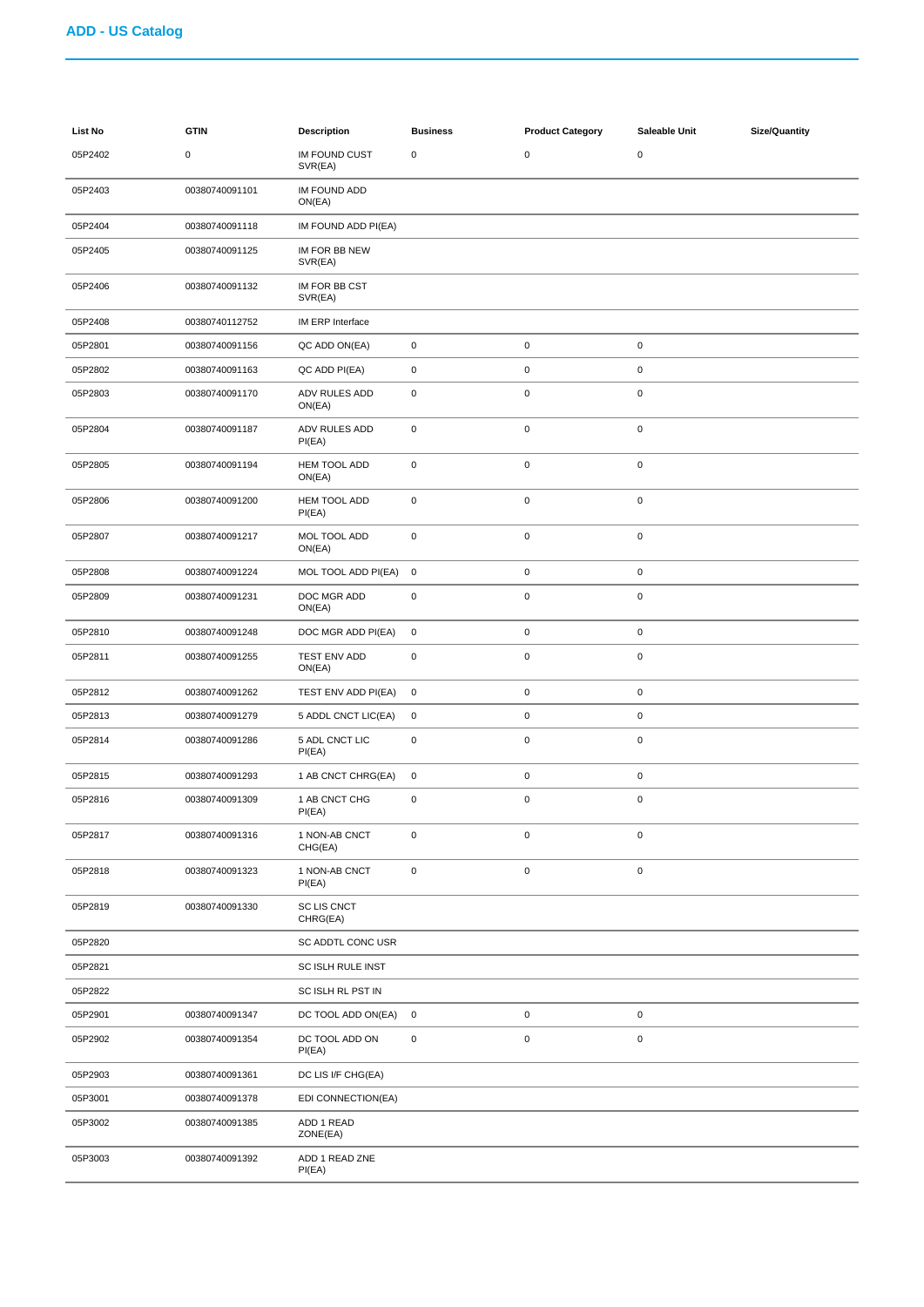| List No | <b>GTIN</b>    | <b>Description</b>              | <b>Business</b> | <b>Product Category</b> | Saleable Unit | <b>Size/Quantity</b> |
|---------|----------------|---------------------------------|-----------------|-------------------------|---------------|----------------------|
| 05P2402 | 0              | <b>IM FOUND CUST</b><br>SVR(EA) | $\pmb{0}$       | $\pmb{0}$               | $\pmb{0}$     |                      |
| 05P2403 | 00380740091101 | IM FOUND ADD<br>ON(EA)          |                 |                         |               |                      |
| 05P2404 | 00380740091118 | IM FOUND ADD PI(EA)             |                 |                         |               |                      |
| 05P2405 | 00380740091125 | IM FOR BB NEW<br>SVR(EA)        |                 |                         |               |                      |
| 05P2406 | 00380740091132 | IM FOR BB CST<br>SVR(EA)        |                 |                         |               |                      |
| 05P2408 | 00380740112752 | IM ERP Interface                |                 |                         |               |                      |
| 05P2801 | 00380740091156 | QC ADD ON(EA)                   | $\mathbf 0$     | $\mathbf 0$             | 0             |                      |
| 05P2802 | 00380740091163 | QC ADD PI(EA)                   | $\pmb{0}$       | $\mathbf 0$             | 0             |                      |
| 05P2803 | 00380740091170 | ADV RULES ADD<br>ON(EA)         | $\pmb{0}$       | $\mathbf 0$             | 0             |                      |
| 05P2804 | 00380740091187 | ADV RULES ADD<br>PI(EA)         | $\mathsf 0$     | $\mathbf 0$             | 0             |                      |
| 05P2805 | 00380740091194 | HEM TOOL ADD<br>ON(EA)          | $\pmb{0}$       | $\mathbf 0$             | $\pmb{0}$     |                      |
| 05P2806 | 00380740091200 | HEM TOOL ADD<br>PI(EA)          | $\pmb{0}$       | $\mathbf 0$             | 0             |                      |
| 05P2807 | 00380740091217 | MOL TOOL ADD<br>ON(EA)          | $\pmb{0}$       | $\mathbf 0$             | $\pmb{0}$     |                      |
| 05P2808 | 00380740091224 | MOL TOOL ADD PI(EA)             | $\mathbf 0$     | $\mathbf 0$             | 0             |                      |
| 05P2809 | 00380740091231 | DOC MGR ADD<br>ON(EA)           | $\mathbf 0$     | $\mathbf 0$             | 0             |                      |
| 05P2810 | 00380740091248 | DOC MGR ADD PI(EA)              | $\mathbf 0$     | $\mathbf 0$             | $\pmb{0}$     |                      |
| 05P2811 | 00380740091255 | TEST ENV ADD<br>ON(EA)          | $\mathsf 0$     | $\mathbf 0$             | 0             |                      |
| 05P2812 | 00380740091262 | TEST ENV ADD PI(EA)             | $\mathbf 0$     | $\mathbf 0$             | 0             |                      |
| 05P2813 | 00380740091279 | 5 ADDL CNCT LIC(EA)             | 0               | $\mathbf 0$             | $\pmb{0}$     |                      |
| 05P2814 | 00380740091286 | 5 ADL CNCT LIC<br>PI(EA)        | $\mathsf 0$     | $\mathbf 0$             | 0             |                      |
| 05P2815 | 00380740091293 | 1 AB CNCT CHRG(EA)              | $\mathbf 0$     | $\mathbf 0$             | $\pmb{0}$     |                      |
| 05P2816 | 00380740091309 | 1 AB CNCT CHG<br>PI(EA)         | $\mathbf 0$     | $\mathbf 0$             | $\pmb{0}$     |                      |
| 05P2817 | 00380740091316 | 1 NON-AB CNCT<br>CHG(EA)        | $\mathsf 0$     | $\mathbf 0$             | 0             |                      |
| 05P2818 | 00380740091323 | 1 NON-AB CNCT<br>PI(EA)         | $\pmb{0}$       | $\mathbf 0$             | $\pmb{0}$     |                      |
| 05P2819 | 00380740091330 | <b>SC LIS CNCT</b><br>CHRG(EA)  |                 |                         |               |                      |
| 05P2820 |                | SC ADDTL CONC USR               |                 |                         |               |                      |
| 05P2821 |                | <b>SC ISLH RULE INST</b>        |                 |                         |               |                      |
| 05P2822 |                | SC ISLH RL PST IN               |                 |                         |               |                      |
| 05P2901 | 00380740091347 | DC TOOL ADD ON(EA)              | $\mathbf 0$     | $\mathbf 0$             | $\pmb{0}$     |                      |
| 05P2902 | 00380740091354 | DC TOOL ADD ON<br>PI(EA)        | $\pmb{0}$       | $\mathbf 0$             | 0             |                      |
| 05P2903 | 00380740091361 | DC LIS I/F CHG(EA)              |                 |                         |               |                      |
| 05P3001 | 00380740091378 | EDI CONNECTION(EA)              |                 |                         |               |                      |
| 05P3002 | 00380740091385 | ADD 1 READ<br>ZONE(EA)          |                 |                         |               |                      |
| 05P3003 | 00380740091392 | ADD 1 READ ZNE<br>PI(EA)        |                 |                         |               |                      |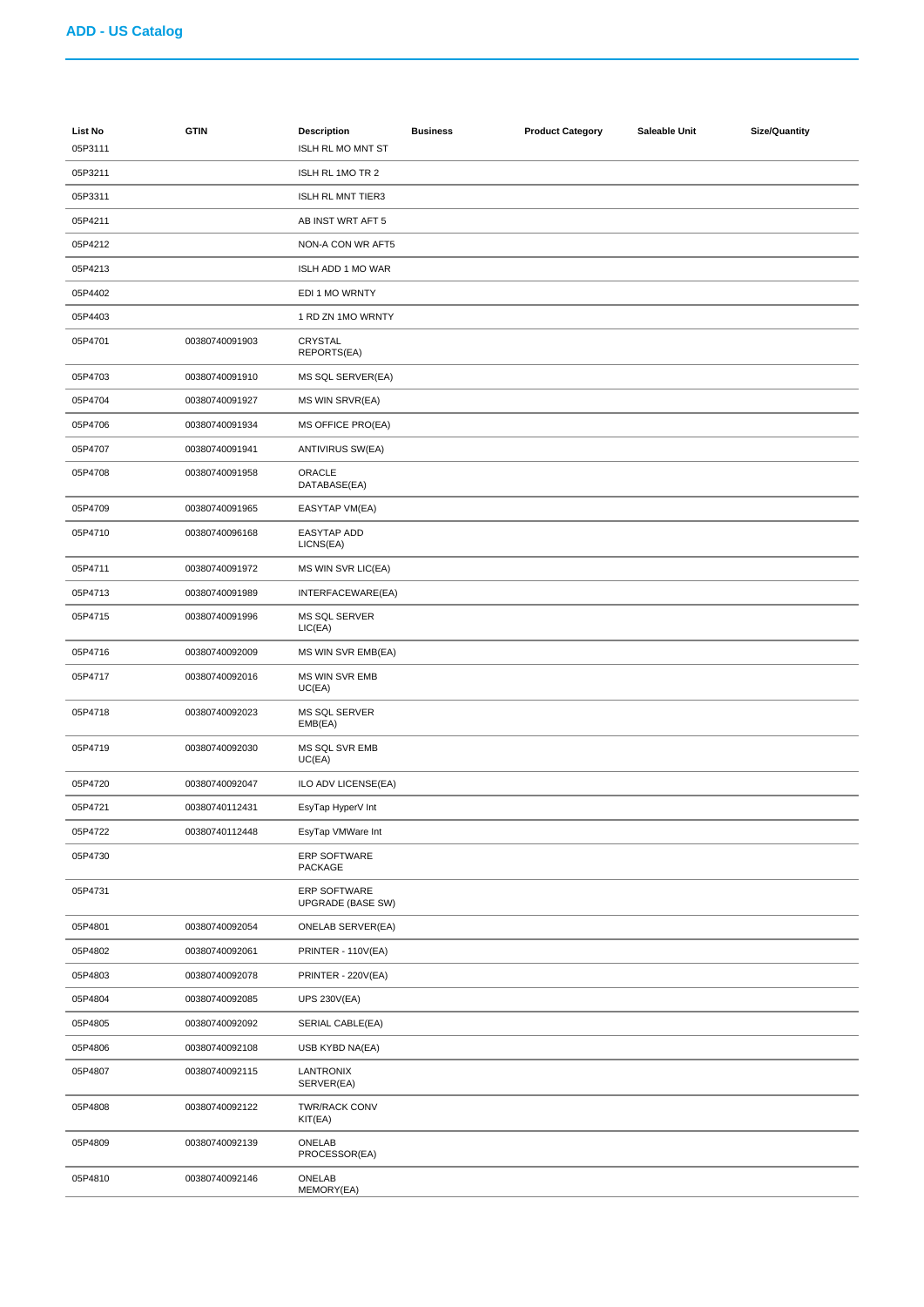| List No<br>05P3111 | <b>GTIN</b>    | <b>Description</b><br>ISLH RL MO MNT ST  | <b>Business</b> | <b>Product Category</b> | Saleable Unit | <b>Size/Quantity</b> |
|--------------------|----------------|------------------------------------------|-----------------|-------------------------|---------------|----------------------|
| 05P3211            |                | ISLH RL 1MO TR 2                         |                 |                         |               |                      |
| 05P3311            |                | <b>ISLH RL MNT TIER3</b>                 |                 |                         |               |                      |
| 05P4211            |                | AB INST WRT AFT 5                        |                 |                         |               |                      |
| 05P4212            |                | NON-A CON WR AFT5                        |                 |                         |               |                      |
| 05P4213            |                | ISLH ADD 1 MO WAR                        |                 |                         |               |                      |
| 05P4402            |                | EDI 1 MO WRNTY                           |                 |                         |               |                      |
| 05P4403            |                | 1 RD ZN 1MO WRNTY                        |                 |                         |               |                      |
| 05P4701            | 00380740091903 | CRYSTAL                                  |                 |                         |               |                      |
|                    |                | REPORTS(EA)                              |                 |                         |               |                      |
| 05P4703            | 00380740091910 | MS SQL SERVER(EA)                        |                 |                         |               |                      |
| 05P4704            | 00380740091927 | MS WIN SRVR(EA)                          |                 |                         |               |                      |
| 05P4706            | 00380740091934 | <b>MS OFFICE PRO(EA)</b>                 |                 |                         |               |                      |
| 05P4707            | 00380740091941 | ANTIVIRUS SW(EA)                         |                 |                         |               |                      |
| 05P4708            | 00380740091958 | ORACLE<br>DATABASE(EA)                   |                 |                         |               |                      |
| 05P4709            | 00380740091965 | EASYTAP VM(EA)                           |                 |                         |               |                      |
| 05P4710            | 00380740096168 | <b>EASYTAP ADD</b><br>LICNS(EA)          |                 |                         |               |                      |
| 05P4711            | 00380740091972 | MS WIN SVR LIC(EA)                       |                 |                         |               |                      |
| 05P4713            | 00380740091989 | INTERFACEWARE(EA)                        |                 |                         |               |                      |
| 05P4715            | 00380740091996 | MS SQL SERVER<br>LIC(EA)                 |                 |                         |               |                      |
| 05P4716            | 00380740092009 | MS WIN SVR EMB(EA)                       |                 |                         |               |                      |
| 05P4717            | 00380740092016 | MS WIN SVR EMB<br>UC(EA)                 |                 |                         |               |                      |
| 05P4718            | 00380740092023 | MS SQL SERVER<br>EMB(EA)                 |                 |                         |               |                      |
| 05P4719            | 00380740092030 | MS SQL SVR EMB<br>UC(EA)                 |                 |                         |               |                      |
| 05P4720            | 00380740092047 | ILO ADV LICENSE(EA)                      |                 |                         |               |                      |
| 05P4721            | 00380740112431 | EsyTap HyperV Int                        |                 |                         |               |                      |
| 05P4722            | 00380740112448 | EsyTap VMWare Int                        |                 |                         |               |                      |
| 05P4730            |                | ERP SOFTWARE<br>PACKAGE                  |                 |                         |               |                      |
| 05P4731            |                | ERP SOFTWARE<br><b>UPGRADE (BASE SW)</b> |                 |                         |               |                      |
| 05P4801            | 00380740092054 | ONELAB SERVER(EA)                        |                 |                         |               |                      |
| 05P4802            | 00380740092061 | PRINTER - 110V(EA)                       |                 |                         |               |                      |
| 05P4803            | 00380740092078 | PRINTER - 220V(EA)                       |                 |                         |               |                      |
| 05P4804            | 00380740092085 | <b>UPS 230V(EA)</b>                      |                 |                         |               |                      |
| 05P4805            | 00380740092092 | SERIAL CABLE(EA)                         |                 |                         |               |                      |
| 05P4806            | 00380740092108 | USB KYBD NA(EA)                          |                 |                         |               |                      |
| 05P4807            | 00380740092115 | LANTRONIX<br>SERVER(EA)                  |                 |                         |               |                      |
| 05P4808            | 00380740092122 | <b>TWR/RACK CONV</b><br>KIT(EA)          |                 |                         |               |                      |
| 05P4809            | 00380740092139 | ONELAB<br>PROCESSOR(EA)                  |                 |                         |               |                      |
| 05P4810            | 00380740092146 | ONELAB<br>MEMORY(EA)                     |                 |                         |               |                      |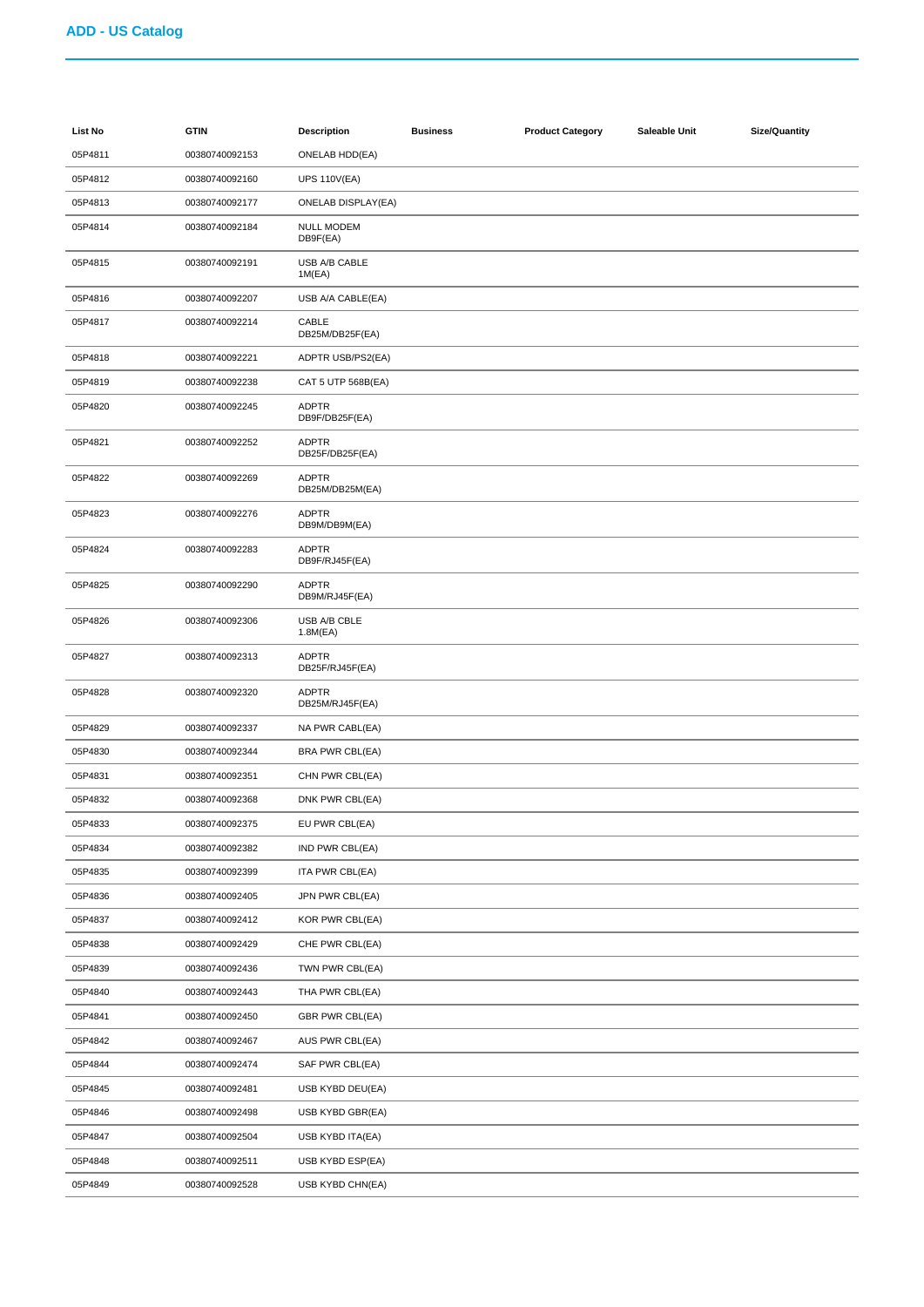| List No | <b>GTIN</b>    | <b>Description</b>              | <b>Business</b> | <b>Product Category</b> | Saleable Unit | <b>Size/Quantity</b> |
|---------|----------------|---------------------------------|-----------------|-------------------------|---------------|----------------------|
| 05P4811 | 00380740092153 | <b>ONELAB HDD(EA)</b>           |                 |                         |               |                      |
| 05P4812 | 00380740092160 | <b>UPS 110V(EA)</b>             |                 |                         |               |                      |
| 05P4813 | 00380740092177 | ONELAB DISPLAY(EA)              |                 |                         |               |                      |
| 05P4814 | 00380740092184 | NULL MODEM<br>DB9F(EA)          |                 |                         |               |                      |
| 05P4815 | 00380740092191 | USB A/B CABLE<br>1M(EA)         |                 |                         |               |                      |
| 05P4816 | 00380740092207 | USB A/A CABLE(EA)               |                 |                         |               |                      |
| 05P4817 | 00380740092214 | CABLE<br>DB25M/DB25F(EA)        |                 |                         |               |                      |
| 05P4818 | 00380740092221 | ADPTR USB/PS2(EA)               |                 |                         |               |                      |
| 05P4819 | 00380740092238 | CAT 5 UTP 568B(EA)              |                 |                         |               |                      |
| 05P4820 | 00380740092245 | <b>ADPTR</b><br>DB9F/DB25F(EA)  |                 |                         |               |                      |
| 05P4821 | 00380740092252 | <b>ADPTR</b><br>DB25F/DB25F(EA) |                 |                         |               |                      |
| 05P4822 | 00380740092269 | <b>ADPTR</b><br>DB25M/DB25M(EA) |                 |                         |               |                      |
| 05P4823 | 00380740092276 | <b>ADPTR</b><br>DB9M/DB9M(EA)   |                 |                         |               |                      |
| 05P4824 | 00380740092283 | <b>ADPTR</b><br>DB9F/RJ45F(EA)  |                 |                         |               |                      |
| 05P4825 | 00380740092290 | <b>ADPTR</b><br>DB9M/RJ45F(EA)  |                 |                         |               |                      |
| 05P4826 | 00380740092306 | USB A/B CBLE<br>1.8M(EA)        |                 |                         |               |                      |
| 05P4827 | 00380740092313 | <b>ADPTR</b><br>DB25F/RJ45F(EA) |                 |                         |               |                      |
| 05P4828 | 00380740092320 | <b>ADPTR</b><br>DB25M/RJ45F(EA) |                 |                         |               |                      |
| 05P4829 | 00380740092337 | NA PWR CABL(EA)                 |                 |                         |               |                      |
| 05P4830 | 00380740092344 | BRA PWR CBL(EA)                 |                 |                         |               |                      |
| 05P4831 | 00380740092351 | CHN PWR CBL(EA)                 |                 |                         |               |                      |
| 05P4832 | 00380740092368 | DNK PWR CBL(EA)                 |                 |                         |               |                      |
| 05P4833 | 00380740092375 | EU PWR CBL(EA)                  |                 |                         |               |                      |
| 05P4834 | 00380740092382 | IND PWR CBL(EA)                 |                 |                         |               |                      |
| 05P4835 | 00380740092399 | ITA PWR CBL(EA)                 |                 |                         |               |                      |
| 05P4836 | 00380740092405 | JPN PWR CBL(EA)                 |                 |                         |               |                      |
| 05P4837 | 00380740092412 | KOR PWR CBL(EA)                 |                 |                         |               |                      |
| 05P4838 | 00380740092429 | CHE PWR CBL(EA)                 |                 |                         |               |                      |
| 05P4839 | 00380740092436 | TWN PWR CBL(EA)                 |                 |                         |               |                      |
| 05P4840 | 00380740092443 | THA PWR CBL(EA)                 |                 |                         |               |                      |
| 05P4841 | 00380740092450 | GBR PWR CBL(EA)                 |                 |                         |               |                      |
| 05P4842 | 00380740092467 | AUS PWR CBL(EA)                 |                 |                         |               |                      |
| 05P4844 | 00380740092474 | SAF PWR CBL(EA)                 |                 |                         |               |                      |
| 05P4845 | 00380740092481 | USB KYBD DEU(EA)                |                 |                         |               |                      |
| 05P4846 | 00380740092498 | USB KYBD GBR(EA)                |                 |                         |               |                      |
| 05P4847 | 00380740092504 | USB KYBD ITA(EA)                |                 |                         |               |                      |
| 05P4848 | 00380740092511 | USB KYBD ESP(EA)                |                 |                         |               |                      |
| 05P4849 | 00380740092528 | USB KYBD CHN(EA)                |                 |                         |               |                      |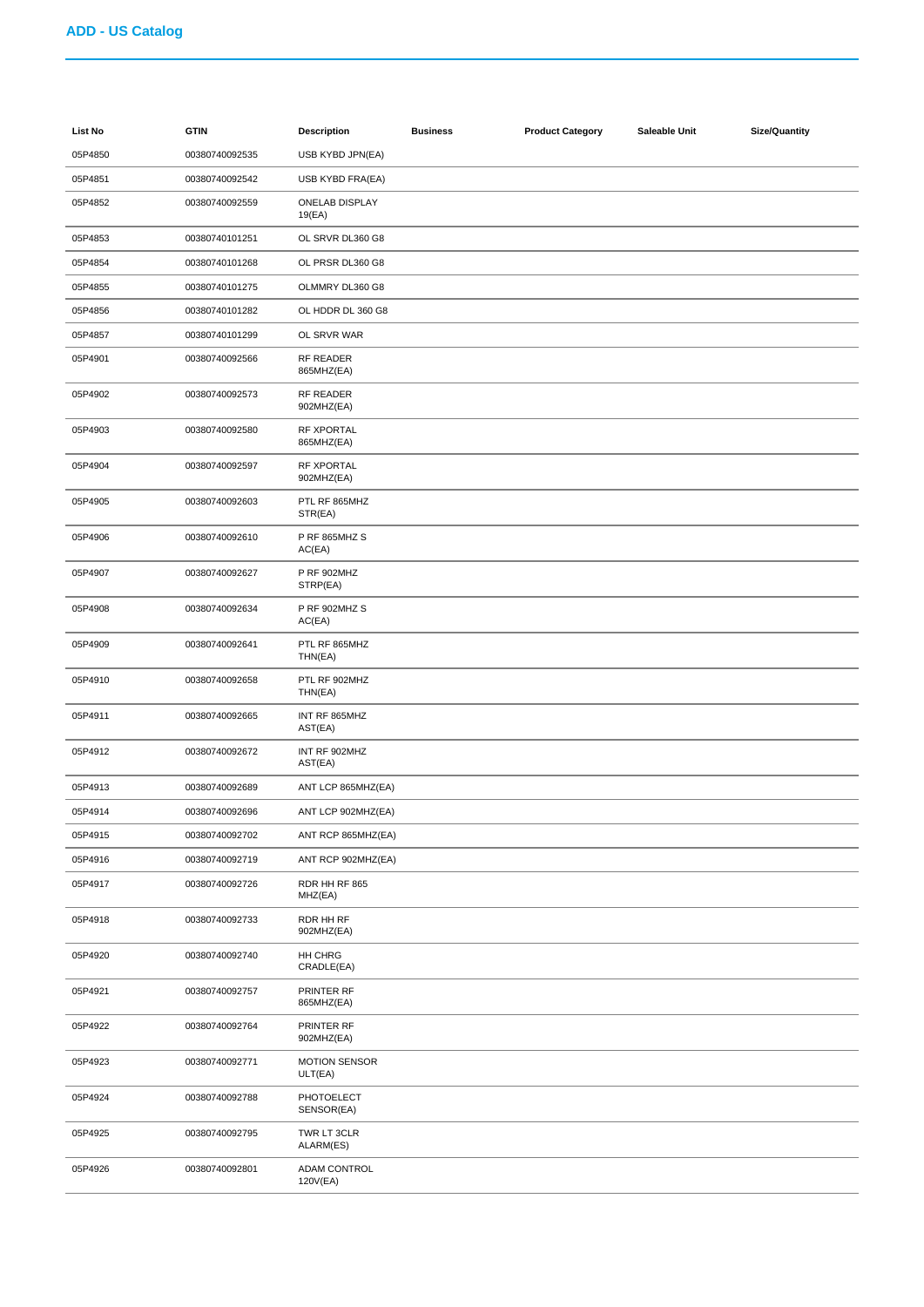| List No | <b>GTIN</b>    | Description                     | <b>Business</b> | <b>Product Category</b> | Saleable Unit | <b>Size/Quantity</b> |
|---------|----------------|---------------------------------|-----------------|-------------------------|---------------|----------------------|
| 05P4850 | 00380740092535 | USB KYBD JPN(EA)                |                 |                         |               |                      |
| 05P4851 | 00380740092542 | USB KYBD FRA(EA)                |                 |                         |               |                      |
| 05P4852 | 00380740092559 | ONELAB DISPLAY<br>19(EA)        |                 |                         |               |                      |
| 05P4853 | 00380740101251 | OL SRVR DL360 G8                |                 |                         |               |                      |
| 05P4854 | 00380740101268 | OL PRSR DL360 G8                |                 |                         |               |                      |
| 05P4855 | 00380740101275 | OLMMRY DL360 G8                 |                 |                         |               |                      |
| 05P4856 | 00380740101282 | OL HDDR DL 360 G8               |                 |                         |               |                      |
| 05P4857 | 00380740101299 | OL SRVR WAR                     |                 |                         |               |                      |
| 05P4901 | 00380740092566 | RF READER<br>865MHZ(EA)         |                 |                         |               |                      |
| 05P4902 | 00380740092573 | RF READER<br>902MHZ(EA)         |                 |                         |               |                      |
| 05P4903 | 00380740092580 | RF XPORTAL<br>865MHZ(EA)        |                 |                         |               |                      |
| 05P4904 | 00380740092597 | RF XPORTAL<br>902MHZ(EA)        |                 |                         |               |                      |
| 05P4905 | 00380740092603 | PTL RF 865MHZ<br>STR(EA)        |                 |                         |               |                      |
| 05P4906 | 00380740092610 | P RF 865MHZ S<br>AC(EA)         |                 |                         |               |                      |
| 05P4907 | 00380740092627 | P RF 902MHZ<br>STRP(EA)         |                 |                         |               |                      |
| 05P4908 | 00380740092634 | P RF 902MHZ S<br>AC(EA)         |                 |                         |               |                      |
| 05P4909 | 00380740092641 | PTL RF 865MHZ<br>THN(EA)        |                 |                         |               |                      |
| 05P4910 | 00380740092658 | PTL RF 902MHZ<br>THN(EA)        |                 |                         |               |                      |
| 05P4911 | 00380740092665 | INT RF 865MHZ<br>AST(EA)        |                 |                         |               |                      |
| 05P4912 | 00380740092672 | INT RF 902MHZ<br>AST(EA)        |                 |                         |               |                      |
| 05P4913 | 00380740092689 | ANT LCP 865MHZ(EA)              |                 |                         |               |                      |
| 05P4914 | 00380740092696 | ANT LCP 902MHZ(EA)              |                 |                         |               |                      |
| 05P4915 | 00380740092702 | ANT RCP 865MHZ(EA)              |                 |                         |               |                      |
| 05P4916 | 00380740092719 | ANT RCP 902MHZ(EA)              |                 |                         |               |                      |
| 05P4917 | 00380740092726 | RDR HH RF 865<br>MHZ(EA)        |                 |                         |               |                      |
| 05P4918 | 00380740092733 | RDR HH RF<br>902MHZ(EA)         |                 |                         |               |                      |
| 05P4920 | 00380740092740 | HH CHRG<br>CRADLE(EA)           |                 |                         |               |                      |
| 05P4921 | 00380740092757 | PRINTER RF<br>865MHZ(EA)        |                 |                         |               |                      |
| 05P4922 | 00380740092764 | PRINTER RF<br>902MHZ(EA)        |                 |                         |               |                      |
| 05P4923 | 00380740092771 | <b>MOTION SENSOR</b><br>ULT(EA) |                 |                         |               |                      |
| 05P4924 | 00380740092788 | PHOTOELECT<br>SENSOR(EA)        |                 |                         |               |                      |
| 05P4925 | 00380740092795 | TWR LT 3CLR<br>ALARM(ES)        |                 |                         |               |                      |
| 05P4926 | 00380740092801 | ADAM CONTROL<br>120V(EA)        |                 |                         |               |                      |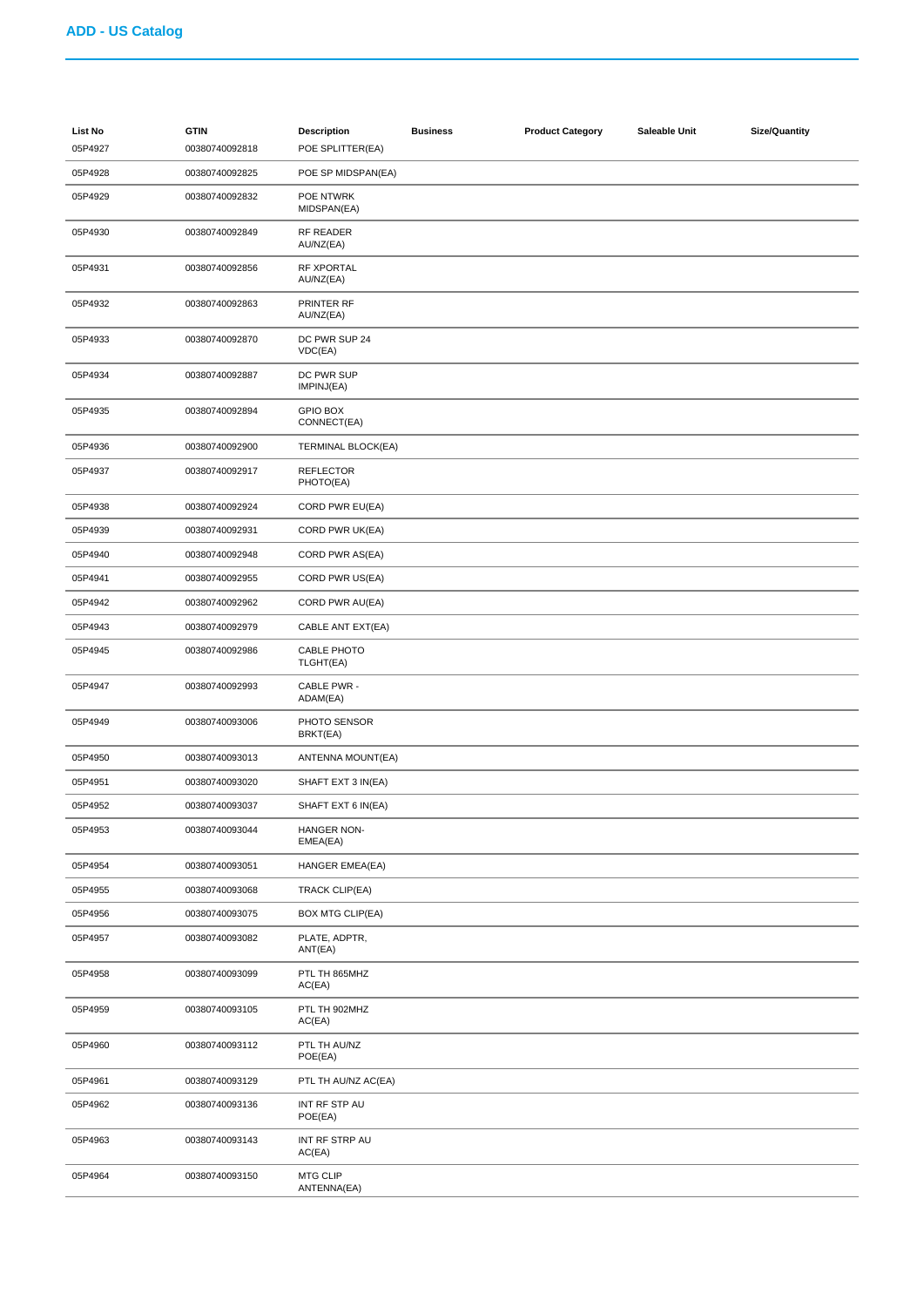| List No<br>05P4927 | <b>GTIN</b><br>00380740092818 | <b>Description</b><br>POE SPLITTER(EA) | <b>Business</b> | <b>Product Category</b> | Saleable Unit | <b>Size/Quantity</b> |
|--------------------|-------------------------------|----------------------------------------|-----------------|-------------------------|---------------|----------------------|
| 05P4928            | 00380740092825                | POE SP MIDSPAN(EA)                     |                 |                         |               |                      |
| 05P4929            | 00380740092832                | POE NTWRK<br>MIDSPAN(EA)               |                 |                         |               |                      |
| 05P4930            | 00380740092849                | <b>RF READER</b><br>AU/NZ(EA)          |                 |                         |               |                      |
| 05P4931            | 00380740092856                | RF XPORTAL<br>AU/NZ(EA)                |                 |                         |               |                      |
| 05P4932            | 00380740092863                | PRINTER RF<br>AU/NZ(EA)                |                 |                         |               |                      |
| 05P4933            | 00380740092870                | DC PWR SUP 24<br>VDC(EA)               |                 |                         |               |                      |
| 05P4934            | 00380740092887                | DC PWR SUP<br>IMPINJ(EA)               |                 |                         |               |                      |
| 05P4935            | 00380740092894                | <b>GPIO BOX</b><br>CONNECT(EA)         |                 |                         |               |                      |
| 05P4936            | 00380740092900                | <b>TERMINAL BLOCK(EA)</b>              |                 |                         |               |                      |
| 05P4937            | 00380740092917                | <b>REFLECTOR</b><br>PHOTO(EA)          |                 |                         |               |                      |
| 05P4938            | 00380740092924                | CORD PWR EU(EA)                        |                 |                         |               |                      |
| 05P4939            | 00380740092931                | CORD PWR UK(EA)                        |                 |                         |               |                      |
| 05P4940            | 00380740092948                | CORD PWR AS(EA)                        |                 |                         |               |                      |
| 05P4941            | 00380740092955                | CORD PWR US(EA)                        |                 |                         |               |                      |
| 05P4942            | 00380740092962                | CORD PWR AU(EA)                        |                 |                         |               |                      |
| 05P4943            | 00380740092979                | CABLE ANT EXT(EA)                      |                 |                         |               |                      |
| 05P4945            | 00380740092986                | CABLE PHOTO<br>TLGHT(EA)               |                 |                         |               |                      |
| 05P4947            | 00380740092993                | CABLE PWR -<br>ADAM(EA)                |                 |                         |               |                      |
| 05P4949            | 00380740093006                | PHOTO SENSOR<br>BRKT(EA)               |                 |                         |               |                      |
| 05P4950            | 00380740093013                | ANTENNA MOUNT(EA)                      |                 |                         |               |                      |
| 05P4951            | 00380740093020                | SHAFT EXT 3 IN(EA)                     |                 |                         |               |                      |
| 05P4952            | 00380740093037                | SHAFT EXT 6 IN(EA)                     |                 |                         |               |                      |
| 05P4953            | 00380740093044                | HANGER NON-<br>EMEA(EA)                |                 |                         |               |                      |
| 05P4954            | 00380740093051                | HANGER EMEA(EA)                        |                 |                         |               |                      |
| 05P4955            | 00380740093068                | <b>TRACK CLIP(EA)</b>                  |                 |                         |               |                      |
| 05P4956            | 00380740093075                | <b>BOX MTG CLIP(EA)</b>                |                 |                         |               |                      |
| 05P4957            | 00380740093082                | PLATE, ADPTR,<br>ANT(EA)               |                 |                         |               |                      |
| 05P4958            | 00380740093099                | PTL TH 865MHZ<br>AC(EA)                |                 |                         |               |                      |
| 05P4959            | 00380740093105                | PTL TH 902MHZ<br>AC(EA)                |                 |                         |               |                      |
| 05P4960            | 00380740093112                | PTL TH AU/NZ<br>POE(EA)                |                 |                         |               |                      |
| 05P4961            | 00380740093129                | PTL TH AU/NZ AC(EA)                    |                 |                         |               |                      |
| 05P4962            | 00380740093136                | INT RF STP AU<br>POE(EA)               |                 |                         |               |                      |
| 05P4963            | 00380740093143                | INT RF STRP AU<br>AC(EA)               |                 |                         |               |                      |
| 05P4964            | 00380740093150                | MTG CLIP<br>ANTENNA(EA)                |                 |                         |               |                      |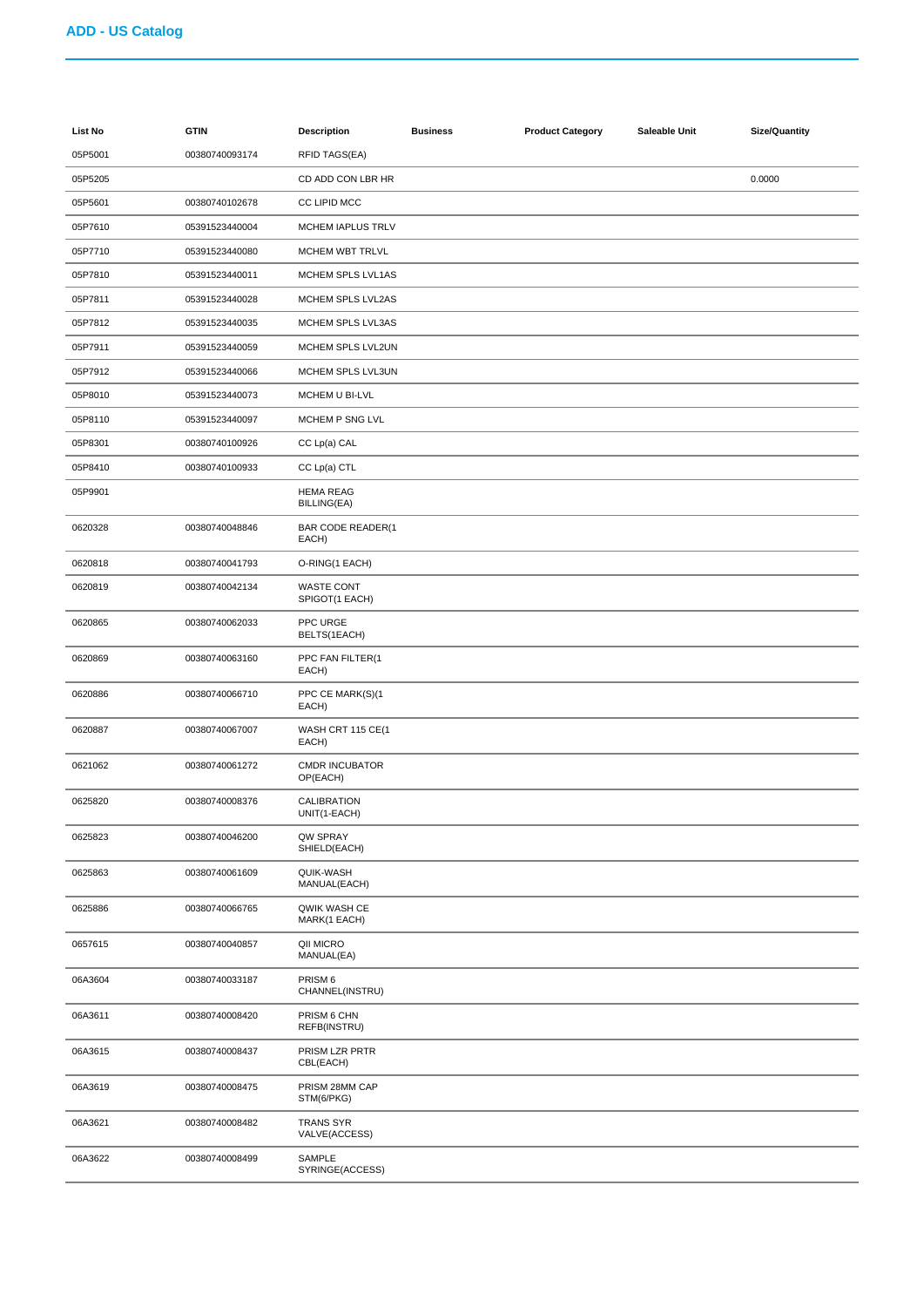| List No | <b>GTIN</b>    | <b>Description</b>                    | <b>Business</b> | <b>Product Category</b> | Saleable Unit | <b>Size/Quantity</b> |
|---------|----------------|---------------------------------------|-----------------|-------------------------|---------------|----------------------|
| 05P5001 | 00380740093174 | <b>RFID TAGS(EA)</b>                  |                 |                         |               |                      |
| 05P5205 |                | CD ADD CON LBR HR                     |                 |                         |               | 0.0000               |
| 05P5601 | 00380740102678 | CC LIPID MCC                          |                 |                         |               |                      |
| 05P7610 | 05391523440004 | MCHEM IAPLUS TRLV                     |                 |                         |               |                      |
| 05P7710 | 05391523440080 | MCHEM WBT TRLVL                       |                 |                         |               |                      |
| 05P7810 | 05391523440011 | MCHEM SPLS LVL1AS                     |                 |                         |               |                      |
| 05P7811 | 05391523440028 | MCHEM SPLS LVL2AS                     |                 |                         |               |                      |
| 05P7812 | 05391523440035 | MCHEM SPLS LVL3AS                     |                 |                         |               |                      |
| 05P7911 | 05391523440059 | MCHEM SPLS LVL2UN                     |                 |                         |               |                      |
| 05P7912 | 05391523440066 | MCHEM SPLS LVL3UN                     |                 |                         |               |                      |
| 05P8010 | 05391523440073 | MCHEM U BI-LVL                        |                 |                         |               |                      |
| 05P8110 | 05391523440097 | MCHEM P SNG LVL                       |                 |                         |               |                      |
| 05P8301 | 00380740100926 | CC Lp(a) CAL                          |                 |                         |               |                      |
| 05P8410 | 00380740100933 | CC Lp(a) CTL                          |                 |                         |               |                      |
| 05P9901 |                | <b>HEMA REAG</b><br>BILLING(EA)       |                 |                         |               |                      |
| 0620328 | 00380740048846 | <b>BAR CODE READER(1</b><br>EACH)     |                 |                         |               |                      |
| 0620818 | 00380740041793 | O-RING(1 EACH)                        |                 |                         |               |                      |
| 0620819 | 00380740042134 | <b>WASTE CONT</b><br>SPIGOT(1 EACH)   |                 |                         |               |                      |
| 0620865 | 00380740062033 | PPC URGE<br>BELTS(1EACH)              |                 |                         |               |                      |
| 0620869 | 00380740063160 | PPC FAN FILTER(1<br>EACH)             |                 |                         |               |                      |
| 0620886 | 00380740066710 | PPC CE MARK(S)(1<br>EACH)             |                 |                         |               |                      |
| 0620887 | 00380740067007 | WASH CRT 115 CE(1<br>EACH)            |                 |                         |               |                      |
| 0621062 | 00380740061272 | <b>CMDR INCUBATOR</b><br>OP(EACH)     |                 |                         |               |                      |
| 0625820 | 00380740008376 | CALIBRATION<br>UNIT(1-EACH)           |                 |                         |               |                      |
| 0625823 | 00380740046200 | QW SPRAY<br>SHIELD(EACH)              |                 |                         |               |                      |
| 0625863 | 00380740061609 | QUIK-WASH<br>MANUAL(EACH)             |                 |                         |               |                      |
| 0625886 | 00380740066765 | QWIK WASH CE<br>MARK(1 EACH)          |                 |                         |               |                      |
| 0657615 | 00380740040857 | QII MICRO<br>MANUAL(EA)               |                 |                         |               |                      |
| 06A3604 | 00380740033187 | PRISM <sub>6</sub><br>CHANNEL(INSTRU) |                 |                         |               |                      |
| 06A3611 | 00380740008420 | PRISM 6 CHN<br>REFB(INSTRU)           |                 |                         |               |                      |
| 06A3615 | 00380740008437 | PRISM LZR PRTR<br>CBL(EACH)           |                 |                         |               |                      |
| 06A3619 | 00380740008475 | PRISM 28MM CAP<br>STM(6/PKG)          |                 |                         |               |                      |
| 06A3621 | 00380740008482 | <b>TRANS SYR</b><br>VALVE(ACCESS)     |                 |                         |               |                      |
| 06A3622 | 00380740008499 | SAMPLE<br>SYRINGE(ACCESS)             |                 |                         |               |                      |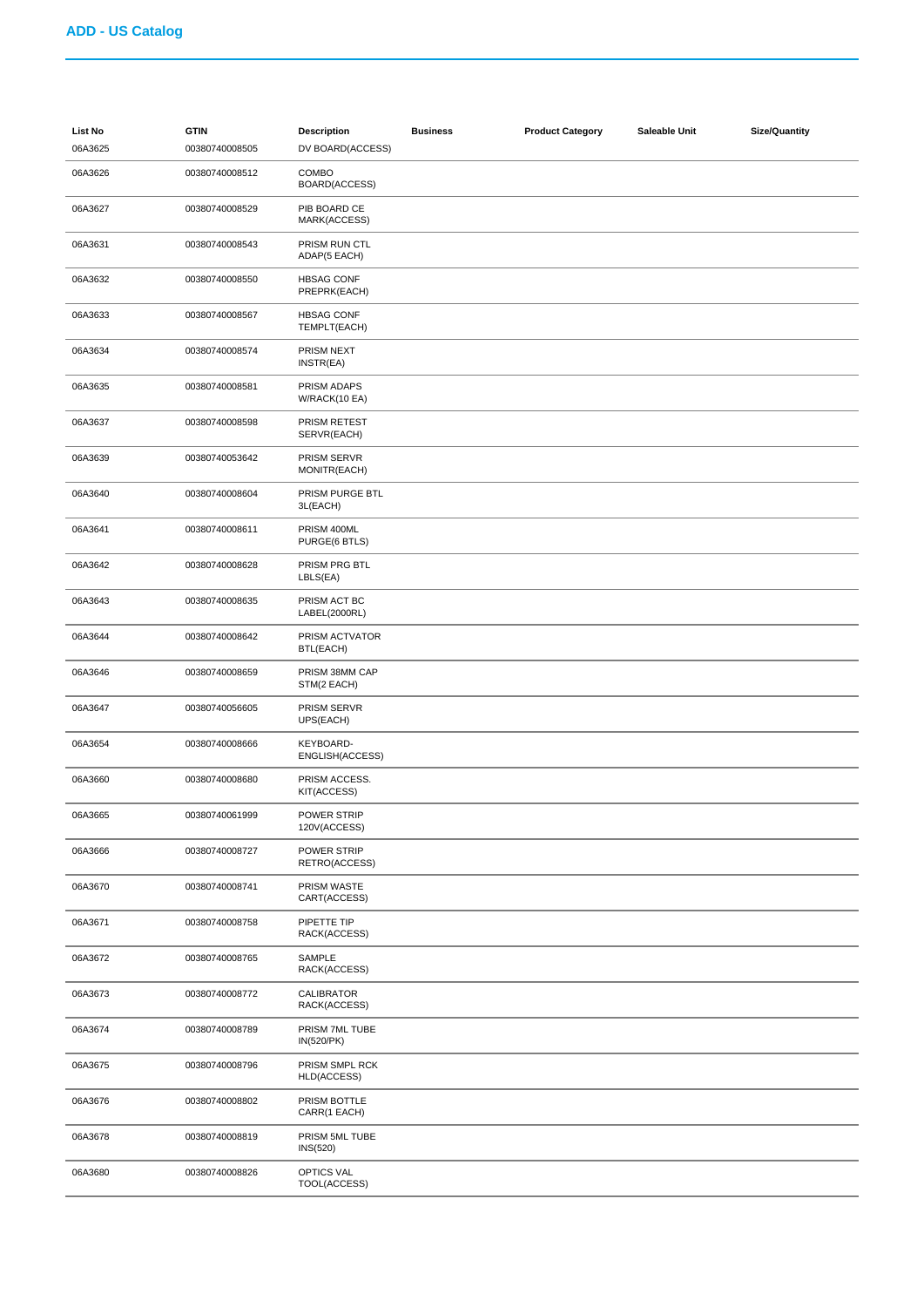| <b>List No</b><br>06A3625 | <b>GTIN</b><br>00380740008505 | <b>Description</b><br>DV BOARD(ACCESS) | <b>Business</b> | <b>Product Category</b> | Saleable Unit | <b>Size/Quantity</b> |
|---------------------------|-------------------------------|----------------------------------------|-----------------|-------------------------|---------------|----------------------|
| 06A3626                   | 00380740008512                | COMBO<br>BOARD(ACCESS)                 |                 |                         |               |                      |
| 06A3627                   | 00380740008529                | PIB BOARD CE<br>MARK(ACCESS)           |                 |                         |               |                      |
| 06A3631                   | 00380740008543                | PRISM RUN CTL<br>ADAP(5 EACH)          |                 |                         |               |                      |
| 06A3632                   | 00380740008550                | <b>HBSAG CONF</b><br>PREPRK(EACH)      |                 |                         |               |                      |
| 06A3633                   | 00380740008567                | <b>HBSAG CONF</b><br>TEMPLT(EACH)      |                 |                         |               |                      |
| 06A3634                   | 00380740008574                | PRISM NEXT<br>INSTR(EA)                |                 |                         |               |                      |
| 06A3635                   | 00380740008581                | PRISM ADAPS<br>W/RACK(10 EA)           |                 |                         |               |                      |
| 06A3637                   | 00380740008598                | PRISM RETEST<br>SERVR(EACH)            |                 |                         |               |                      |
| 06A3639                   | 00380740053642                | PRISM SERVR<br>MONITR(EACH)            |                 |                         |               |                      |
| 06A3640                   | 00380740008604                | PRISM PURGE BTL<br>3L(EACH)            |                 |                         |               |                      |
| 06A3641                   | 00380740008611                | PRISM 400ML<br>PURGE(6 BTLS)           |                 |                         |               |                      |
| 06A3642                   | 00380740008628                | PRISM PRG BTL<br>LBLS(EA)              |                 |                         |               |                      |
| 06A3643                   | 00380740008635                | PRISM ACT BC<br>LABEL(2000RL)          |                 |                         |               |                      |
| 06A3644                   | 00380740008642                | PRISM ACTVATOR<br>BTL(EACH)            |                 |                         |               |                      |
| 06A3646                   | 00380740008659                | PRISM 38MM CAP<br>STM(2 EACH)          |                 |                         |               |                      |
| 06A3647                   | 00380740056605                | PRISM SERVR<br>UPS(EACH)               |                 |                         |               |                      |
| 06A3654                   | 00380740008666                | KEYBOARD-<br>ENGLISH(ACCESS)           |                 |                         |               |                      |
| 06A3660                   | 00380740008680                | PRISM ACCESS.<br>KIT(ACCESS)           |                 |                         |               |                      |
| 06A3665                   | 00380740061999                | POWER STRIP<br>120V(ACCESS)            |                 |                         |               |                      |
| 06A3666                   | 00380740008727                | POWER STRIP<br>RETRO(ACCESS)           |                 |                         |               |                      |
| 06A3670                   | 00380740008741                | PRISM WASTE<br>CART(ACCESS)            |                 |                         |               |                      |
| 06A3671                   | 00380740008758                | PIPETTE TIP<br>RACK(ACCESS)            |                 |                         |               |                      |
| 06A3672                   | 00380740008765                | SAMPLE<br>RACK(ACCESS)                 |                 |                         |               |                      |
| 06A3673                   | 00380740008772                | CALIBRATOR<br>RACK(ACCESS)             |                 |                         |               |                      |
| 06A3674                   | 00380740008789                | PRISM 7ML TUBE<br>IN(520/PK)           |                 |                         |               |                      |
| 06A3675                   | 00380740008796                | PRISM SMPL RCK<br>HLD(ACCESS)          |                 |                         |               |                      |
| 06A3676                   | 00380740008802                | PRISM BOTTLE<br>CARR(1 EACH)           |                 |                         |               |                      |
| 06A3678                   | 00380740008819                | PRISM 5ML TUBE<br><b>INS(520)</b>      |                 |                         |               |                      |
| 06A3680                   | 00380740008826                | OPTICS VAL<br>TOOL(ACCESS)             |                 |                         |               |                      |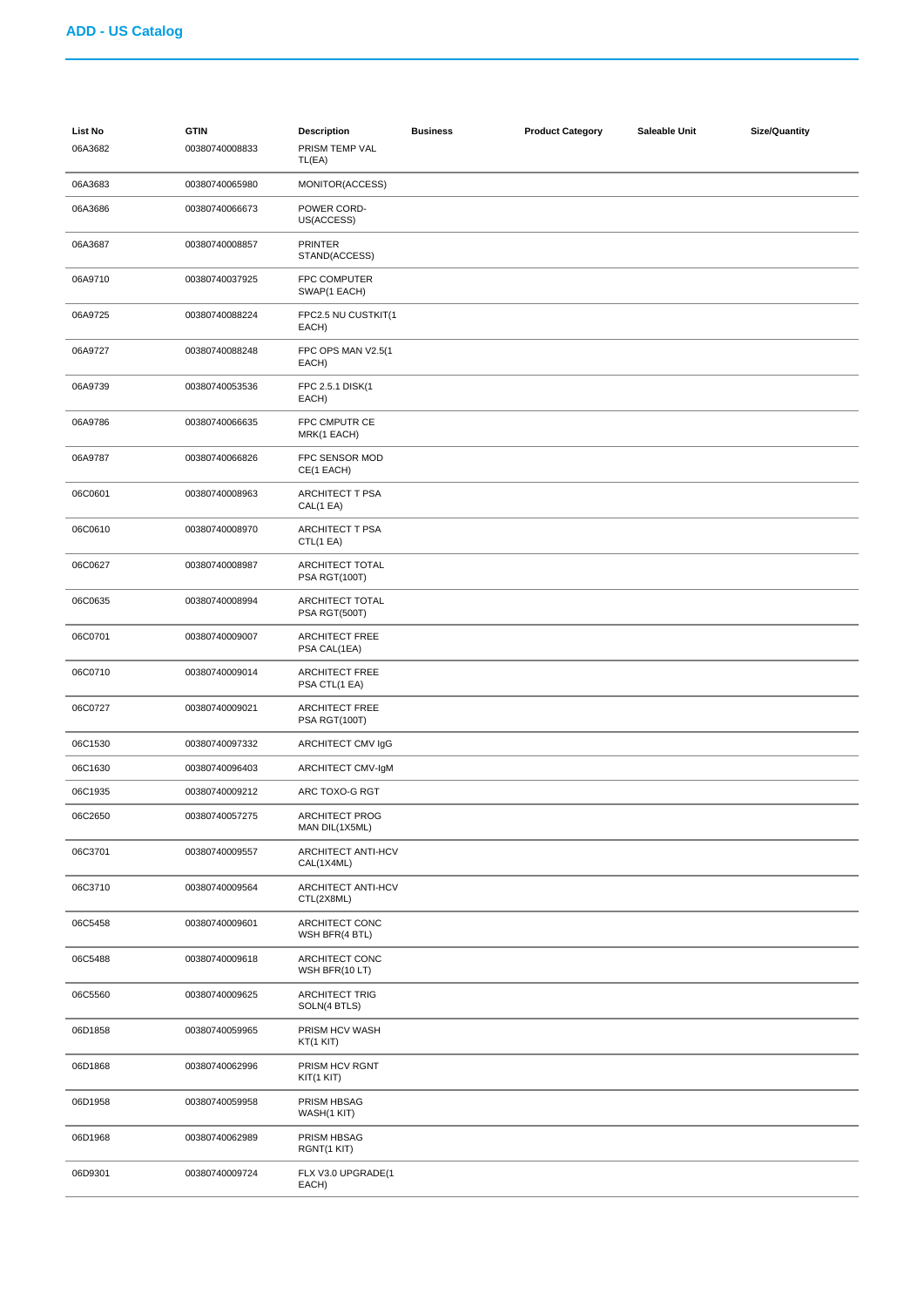| List No<br>06A3682 | <b>GTIN</b><br>00380740008833 | <b>Description</b><br>PRISM TEMP VAL<br>TL(EA) | <b>Business</b> | <b>Product Category</b> | Saleable Unit | <b>Size/Quantity</b> |
|--------------------|-------------------------------|------------------------------------------------|-----------------|-------------------------|---------------|----------------------|
| 06A3683            | 00380740065980                | MONITOR(ACCESS)                                |                 |                         |               |                      |
| 06A3686            | 00380740066673                | POWER CORD-<br>US(ACCESS)                      |                 |                         |               |                      |
| 06A3687            | 00380740008857                | <b>PRINTER</b><br>STAND(ACCESS)                |                 |                         |               |                      |
| 06A9710            | 00380740037925                | FPC COMPUTER<br>SWAP(1 EACH)                   |                 |                         |               |                      |
| 06A9725            | 00380740088224                | FPC2.5 NU CUSTKIT(1<br>EACH)                   |                 |                         |               |                      |
| 06A9727            | 00380740088248                | FPC OPS MAN V2.5(1<br>EACH)                    |                 |                         |               |                      |
| 06A9739            | 00380740053536                | FPC 2.5.1 DISK(1<br>EACH)                      |                 |                         |               |                      |
| 06A9786            | 00380740066635                | FPC CMPUTR CE<br>MRK(1 EACH)                   |                 |                         |               |                      |
| 06A9787            | 00380740066826                | FPC SENSOR MOD<br>CE(1 EACH)                   |                 |                         |               |                      |
| 06C0601            | 00380740008963                | <b>ARCHITECT T PSA</b><br>CAL(1 EA)            |                 |                         |               |                      |
| 06C0610            | 00380740008970                | <b>ARCHITECT T PSA</b><br>CTL(1 EA)            |                 |                         |               |                      |
| 06C0627            | 00380740008987                | ARCHITECT TOTAL<br>PSA RGT(100T)               |                 |                         |               |                      |
| 06C0635            | 00380740008994                | ARCHITECT TOTAL<br>PSA RGT(500T)               |                 |                         |               |                      |
| 06C0701            | 00380740009007                | <b>ARCHITECT FREE</b><br>PSA CAL(1EA)          |                 |                         |               |                      |
| 06C0710            | 00380740009014                | <b>ARCHITECT FREE</b><br>PSA CTL(1 EA)         |                 |                         |               |                      |
| 06C0727            | 00380740009021                | <b>ARCHITECT FREE</b><br>PSA RGT(100T)         |                 |                         |               |                      |
| 06C1530            | 00380740097332                | ARCHITECT CMV IgG                              |                 |                         |               |                      |
| 06C1630            | 00380740096403                | ARCHITECT CMV-IgM                              |                 |                         |               |                      |
| 06C1935            | 00380740009212                | ARC TOXO-G RGT                                 |                 |                         |               |                      |
| 06C2650            | 00380740057275                | <b>ARCHITECT PROG</b><br>MAN DIL(1X5ML)        |                 |                         |               |                      |
| 06C3701            | 00380740009557                | ARCHITECT ANTI-HCV<br>CAL(1X4ML)               |                 |                         |               |                      |
| 06C3710            | 00380740009564                | ARCHITECT ANTI-HCV<br>CTL(2X8ML)               |                 |                         |               |                      |
| 06C5458            | 00380740009601                | ARCHITECT CONC<br>WSH BFR(4 BTL)               |                 |                         |               |                      |
| 06C5488            | 00380740009618                | ARCHITECT CONC<br>WSH BFR(10 LT)               |                 |                         |               |                      |
| 06C5560            | 00380740009625                | <b>ARCHITECT TRIG</b><br>SOLN(4 BTLS)          |                 |                         |               |                      |
| 06D1858            | 00380740059965                | PRISM HCV WASH<br>KT(1 KIT)                    |                 |                         |               |                      |
| 06D1868            | 00380740062996                | PRISM HCV RGNT<br>KIT(1 KIT)                   |                 |                         |               |                      |
| 06D1958            | 00380740059958                | PRISM HBSAG<br>WASH(1 KIT)                     |                 |                         |               |                      |
| 06D1968            | 00380740062989                | PRISM HBSAG<br>RGNT(1 KIT)                     |                 |                         |               |                      |
| 06D9301            | 00380740009724                | FLX V3.0 UPGRADE(1<br>EACH)                    |                 |                         |               |                      |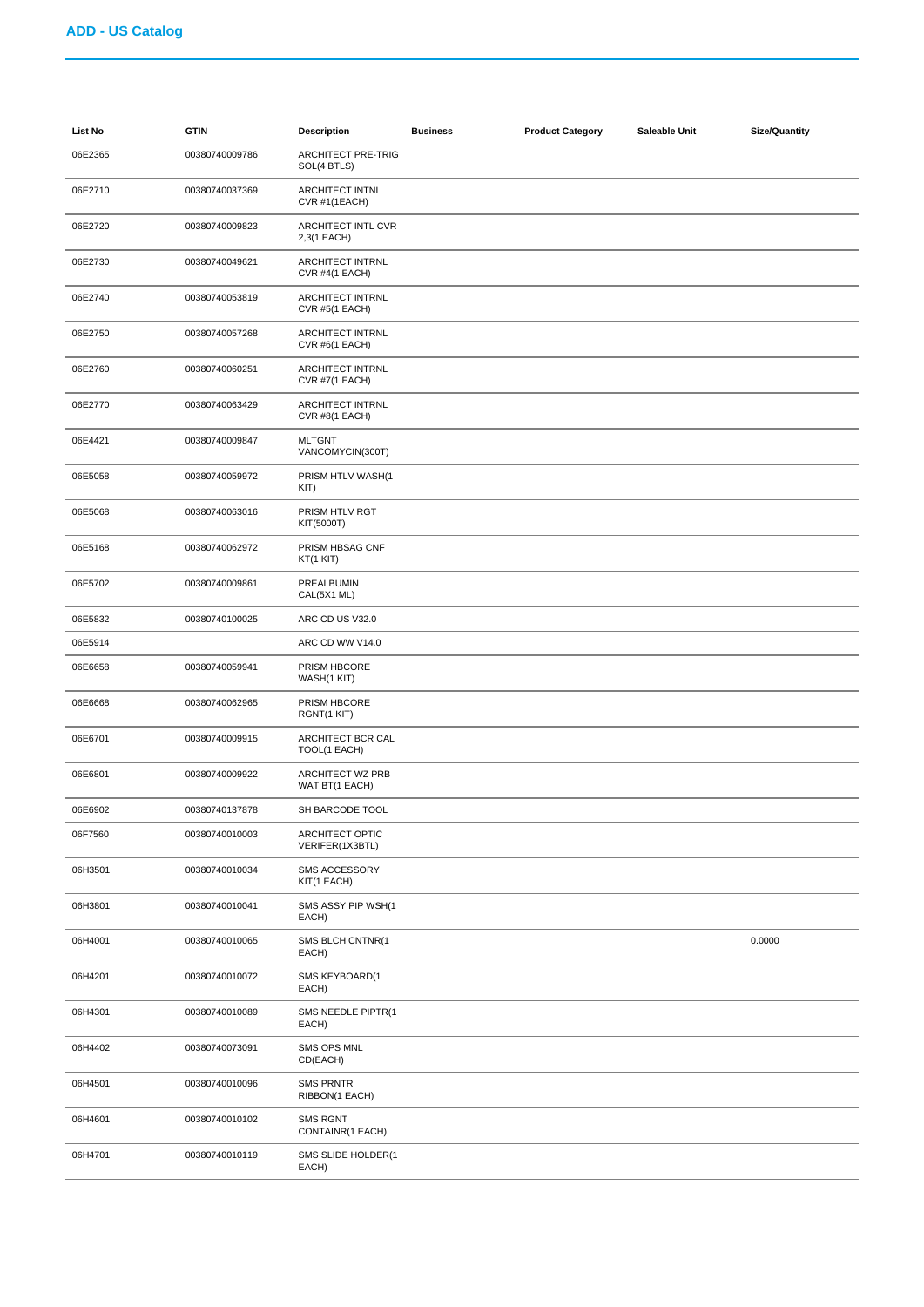| List No | <b>GTIN</b>    | <b>Description</b>                        | <b>Business</b> | <b>Product Category</b> | Saleable Unit | <b>Size/Quantity</b> |
|---------|----------------|-------------------------------------------|-----------------|-------------------------|---------------|----------------------|
| 06E2365 | 00380740009786 | <b>ARCHITECT PRE-TRIG</b><br>SOL(4 BTLS)  |                 |                         |               |                      |
| 06E2710 | 00380740037369 | <b>ARCHITECT INTNL</b><br>CVR #1(1EACH)   |                 |                         |               |                      |
| 06E2720 | 00380740009823 | ARCHITECT INTL CVR<br>2,3(1 EACH)         |                 |                         |               |                      |
| 06E2730 | 00380740049621 | ARCHITECT INTRNL<br>CVR #4(1 EACH)        |                 |                         |               |                      |
| 06E2740 | 00380740053819 | ARCHITECT INTRNL<br><b>CVR #5(1 EACH)</b> |                 |                         |               |                      |
| 06E2750 | 00380740057268 | ARCHITECT INTRNL<br>CVR #6(1 EACH)        |                 |                         |               |                      |
| 06E2760 | 00380740060251 | ARCHITECT INTRNL<br>CVR #7(1 EACH)        |                 |                         |               |                      |
| 06E2770 | 00380740063429 | <b>ARCHITECT INTRNL</b><br>CVR #8(1 EACH) |                 |                         |               |                      |
| 06E4421 | 00380740009847 | <b>MLTGNT</b><br>VANCOMYCIN(300T)         |                 |                         |               |                      |
| 06E5058 | 00380740059972 | PRISM HTLV WASH(1<br>KIT                  |                 |                         |               |                      |
| 06E5068 | 00380740063016 | PRISM HTLV RGT<br>KIT(5000T)              |                 |                         |               |                      |
| 06E5168 | 00380740062972 | PRISM HBSAG CNF<br>KT(1 KIT)              |                 |                         |               |                      |
| 06E5702 | 00380740009861 | PREALBUMIN<br>CAL(5X1 ML)                 |                 |                         |               |                      |
| 06E5832 | 00380740100025 | ARC CD US V32.0                           |                 |                         |               |                      |
| 06E5914 |                | ARC CD WW V14.0                           |                 |                         |               |                      |
| 06E6658 | 00380740059941 | PRISM HBCORE<br>WASH(1 KIT)               |                 |                         |               |                      |
| 06E6668 | 00380740062965 | PRISM HBCORE<br>RGNT(1 KIT)               |                 |                         |               |                      |
| 06E6701 | 00380740009915 | ARCHITECT BCR CAL<br>TOOL(1 EACH)         |                 |                         |               |                      |
| 06E6801 | 00380740009922 | ARCHITECT WZ PRB<br>WAT BT(1 EACH)        |                 |                         |               |                      |
| 06E6902 | 00380740137878 | SH BARCODE TOOL                           |                 |                         |               |                      |
| 06F7560 | 00380740010003 | ARCHITECT OPTIC<br>VERIFER(1X3BTL)        |                 |                         |               |                      |
| 06H3501 | 00380740010034 | <b>SMS ACCESSORY</b><br>KIT(1 EACH)       |                 |                         |               |                      |
| 06H3801 | 00380740010041 | SMS ASSY PIP WSH(1<br>EACH)               |                 |                         |               |                      |
| 06H4001 | 00380740010065 | SMS BLCH CNTNR(1<br>EACH)                 |                 |                         |               | 0.0000               |
| 06H4201 | 00380740010072 | SMS KEYBOARD(1<br>EACH)                   |                 |                         |               |                      |
| 06H4301 | 00380740010089 | SMS NEEDLE PIPTR(1<br>EACH)               |                 |                         |               |                      |
| 06H4402 | 00380740073091 | SMS OPS MNL<br>CD(EACH)                   |                 |                         |               |                      |
| 06H4501 | 00380740010096 | <b>SMS PRNTR</b><br>RIBBON(1 EACH)        |                 |                         |               |                      |
| 06H4601 | 00380740010102 | <b>SMS RGNT</b><br>CONTAINR(1 EACH)       |                 |                         |               |                      |
| 06H4701 | 00380740010119 | SMS SLIDE HOLDER(1<br>EACH)               |                 |                         |               |                      |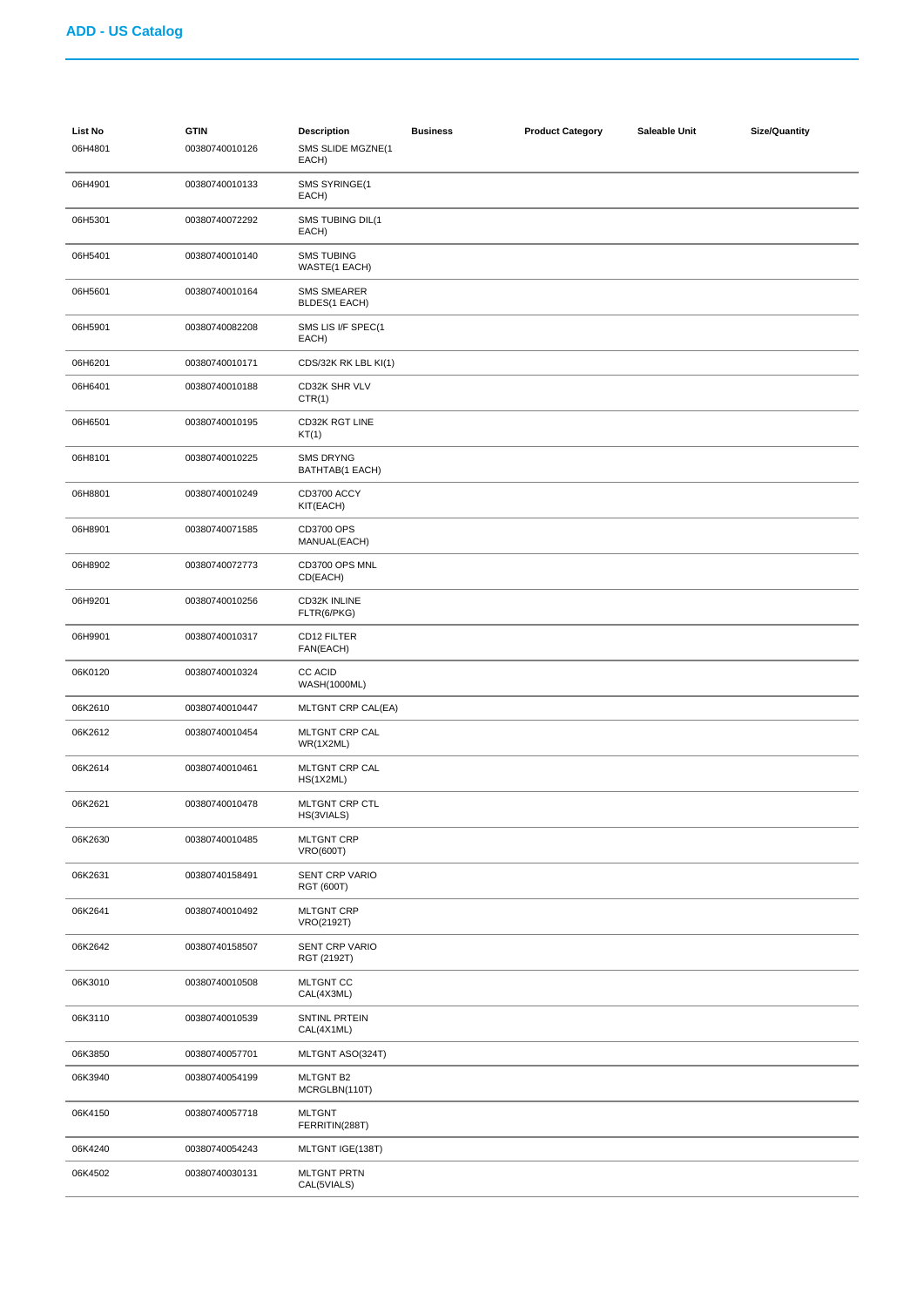| List No<br>06H4801 | <b>GTIN</b><br>00380740010126 | <b>Description</b><br>SMS SLIDE MGZNE(1<br>EACH) | <b>Business</b> | <b>Product Category</b> | Saleable Unit | <b>Size/Quantity</b> |
|--------------------|-------------------------------|--------------------------------------------------|-----------------|-------------------------|---------------|----------------------|
| 06H4901            | 00380740010133                | SMS SYRINGE(1<br>EACH)                           |                 |                         |               |                      |
| 06H5301            | 00380740072292                | SMS TUBING DIL(1<br>EACH)                        |                 |                         |               |                      |
| 06H5401            | 00380740010140                | <b>SMS TUBING</b><br>WASTE(1 EACH)               |                 |                         |               |                      |
| 06H5601            | 00380740010164                | <b>SMS SMEARER</b><br>BLDES(1 EACH)              |                 |                         |               |                      |
| 06H5901            | 00380740082208                | SMS LIS I/F SPEC(1<br>EACH)                      |                 |                         |               |                      |
| 06H6201            | 00380740010171                | CDS/32K RK LBL KI(1)                             |                 |                         |               |                      |
| 06H6401            | 00380740010188                | CD32K SHR VLV<br>CTR(1)                          |                 |                         |               |                      |
| 06H6501            | 00380740010195                | CD32K RGT LINE<br>KT(1)                          |                 |                         |               |                      |
| 06H8101            | 00380740010225                | <b>SMS DRYNG</b><br>BATHTAB(1 EACH)              |                 |                         |               |                      |
| 06H8801            | 00380740010249                | CD3700 ACCY<br>KIT(EACH)                         |                 |                         |               |                      |
| 06H8901            | 00380740071585                | CD3700 OPS<br>MANUAL(EACH)                       |                 |                         |               |                      |
| 06H8902            | 00380740072773                | CD3700 OPS MNL<br>CD(EACH)                       |                 |                         |               |                      |
| 06H9201            | 00380740010256                | CD32K INLINE<br>FLTR(6/PKG)                      |                 |                         |               |                      |
| 06H9901            | 00380740010317                | CD12 FILTER<br>FAN(EACH)                         |                 |                         |               |                      |
| 06K0120            | 00380740010324                | <b>CC ACID</b><br><b>WASH(1000ML)</b>            |                 |                         |               |                      |
| 06K2610            | 00380740010447                | MLTGNT CRP CAL(EA)                               |                 |                         |               |                      |
| 06K2612            | 00380740010454                | MLTGNT CRP CAL<br>WR(1X2ML)                      |                 |                         |               |                      |
| 06K2614            | 00380740010461                | MLTGNT CRP CAL<br>HS(1X2ML)                      |                 |                         |               |                      |
| 06K2621            | 00380740010478                | MLTGNT CRP CTL<br>HS(3VIALS)                     |                 |                         |               |                      |
| 06K2630            | 00380740010485                | <b>MLTGNT CRP</b><br><b>VRO(600T)</b>            |                 |                         |               |                      |
| 06K2631            | 00380740158491                | <b>SENT CRP VARIO</b><br>RGT (600T)              |                 |                         |               |                      |
| 06K2641            | 00380740010492                | <b>MLTGNT CRP</b><br>VRO(2192T)                  |                 |                         |               |                      |
| 06K2642            | 00380740158507                | <b>SENT CRP VARIO</b><br>RGT (2192T)             |                 |                         |               |                      |
| 06K3010            | 00380740010508                | <b>MLTGNT CC</b><br>CAL(4X3ML)                   |                 |                         |               |                      |
| 06K3110            | 00380740010539                | SNTINL PRTEIN<br>CAL(4X1ML)                      |                 |                         |               |                      |
| 06K3850            | 00380740057701                | MLTGNT ASO(324T)                                 |                 |                         |               |                      |
| 06K3940            | 00380740054199                | <b>MLTGNT B2</b><br>MCRGLBN(110T)                |                 |                         |               |                      |
| 06K4150            | 00380740057718                | <b>MLTGNT</b><br>FERRITIN(288T)                  |                 |                         |               |                      |
| 06K4240            | 00380740054243                | MLTGNT IGE(138T)                                 |                 |                         |               |                      |
| 06K4502            | 00380740030131                | <b>MLTGNT PRTN</b><br>CAL(5VIALS)                |                 |                         |               |                      |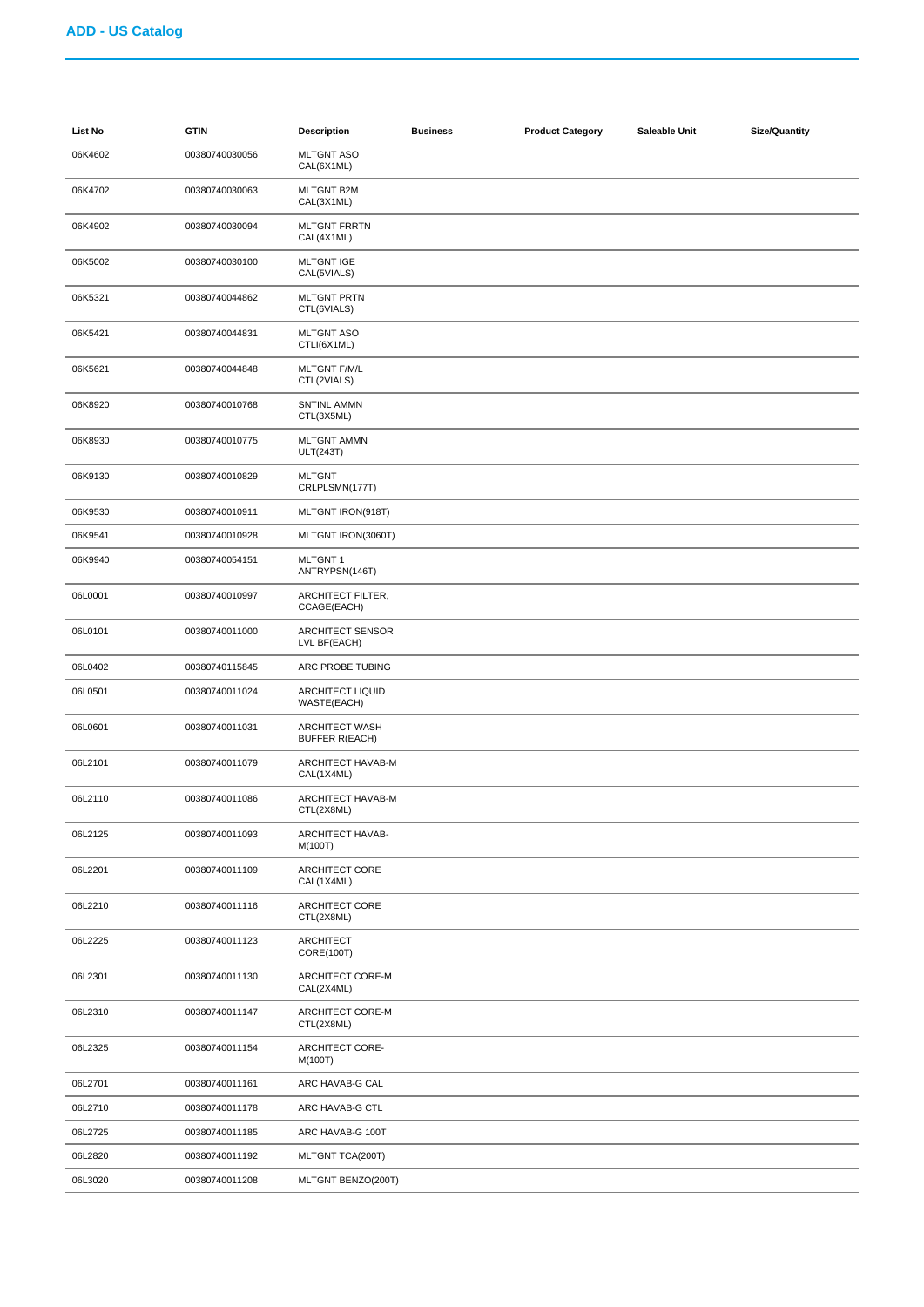| List No | <b>GTIN</b>    | <b>Description</b>                             | <b>Business</b> | <b>Product Category</b> | Saleable Unit | <b>Size/Quantity</b> |
|---------|----------------|------------------------------------------------|-----------------|-------------------------|---------------|----------------------|
| 06K4602 | 00380740030056 | <b>MLTGNT ASO</b><br>CAL(6X1ML)                |                 |                         |               |                      |
| 06K4702 | 00380740030063 | <b>MLTGNT B2M</b><br>CAL(3X1ML)                |                 |                         |               |                      |
| 06K4902 | 00380740030094 | <b>MLTGNT FRRTN</b><br>CAL(4X1ML)              |                 |                         |               |                      |
| 06K5002 | 00380740030100 | <b>MLTGNT IGE</b><br>CAL(5VIALS)               |                 |                         |               |                      |
| 06K5321 | 00380740044862 | <b>MLTGNT PRTN</b><br>CTL(6VIALS)              |                 |                         |               |                      |
| 06K5421 | 00380740044831 | <b>MLTGNT ASO</b><br>CTLI(6X1ML)               |                 |                         |               |                      |
| 06K5621 | 00380740044848 | <b>MLTGNT F/M/L</b><br>CTL(2VIALS)             |                 |                         |               |                      |
| 06K8920 | 00380740010768 | SNTINL AMMN<br>CTL(3X5ML)                      |                 |                         |               |                      |
| 06K8930 | 00380740010775 | <b>MLTGNT AMMN</b><br><b>ULT(243T)</b>         |                 |                         |               |                      |
| 06K9130 | 00380740010829 | <b>MLTGNT</b><br>CRLPLSMN(177T)                |                 |                         |               |                      |
| 06K9530 | 00380740010911 | MLTGNT IRON(918T)                              |                 |                         |               |                      |
| 06K9541 | 00380740010928 | MLTGNT IRON(3060T)                             |                 |                         |               |                      |
| 06K9940 | 00380740054151 | <b>MLTGNT1</b><br>ANTRYPSN(146T)               |                 |                         |               |                      |
| 06L0001 | 00380740010997 | ARCHITECT FILTER,<br>CCAGE(EACH)               |                 |                         |               |                      |
| 06L0101 | 00380740011000 | ARCHITECT SENSOR<br>LVL BF(EACH)               |                 |                         |               |                      |
| 06L0402 | 00380740115845 | ARC PROBE TUBING                               |                 |                         |               |                      |
| 06L0501 | 00380740011024 | <b>ARCHITECT LIQUID</b><br>WASTE(EACH)         |                 |                         |               |                      |
| 06L0601 | 00380740011031 | <b>ARCHITECT WASH</b><br><b>BUFFER R(EACH)</b> |                 |                         |               |                      |
| 06L2101 | 00380740011079 | ARCHITECT HAVAB-M<br>CAL(1X4ML)                |                 |                         |               |                      |
| 06L2110 | 00380740011086 | ARCHITECT HAVAB-M<br>CTL(2X8ML)                |                 |                         |               |                      |
| 06L2125 | 00380740011093 | ARCHITECT HAVAB-<br>M(100T)                    |                 |                         |               |                      |
| 06L2201 | 00380740011109 | ARCHITECT CORE<br>CAL(1X4ML)                   |                 |                         |               |                      |
| 06L2210 | 00380740011116 | ARCHITECT CORE<br>CTL(2X8ML)                   |                 |                         |               |                      |
| 06L2225 | 00380740011123 | <b>ARCHITECT</b><br>CORE(100T)                 |                 |                         |               |                      |
| 06L2301 | 00380740011130 | ARCHITECT CORE-M<br>CAL(2X4ML)                 |                 |                         |               |                      |
| 06L2310 | 00380740011147 | ARCHITECT CORE-M<br>CTL(2X8ML)                 |                 |                         |               |                      |
| 06L2325 | 00380740011154 | <b>ARCHITECT CORE-</b><br>M(100T)              |                 |                         |               |                      |
| 06L2701 | 00380740011161 | ARC HAVAB-G CAL                                |                 |                         |               |                      |
| 06L2710 | 00380740011178 | ARC HAVAB-G CTL                                |                 |                         |               |                      |
| 06L2725 | 00380740011185 | ARC HAVAB-G 100T                               |                 |                         |               |                      |
| 06L2820 | 00380740011192 | MLTGNT TCA(200T)                               |                 |                         |               |                      |
| 06L3020 | 00380740011208 | MLTGNT BENZO(200T)                             |                 |                         |               |                      |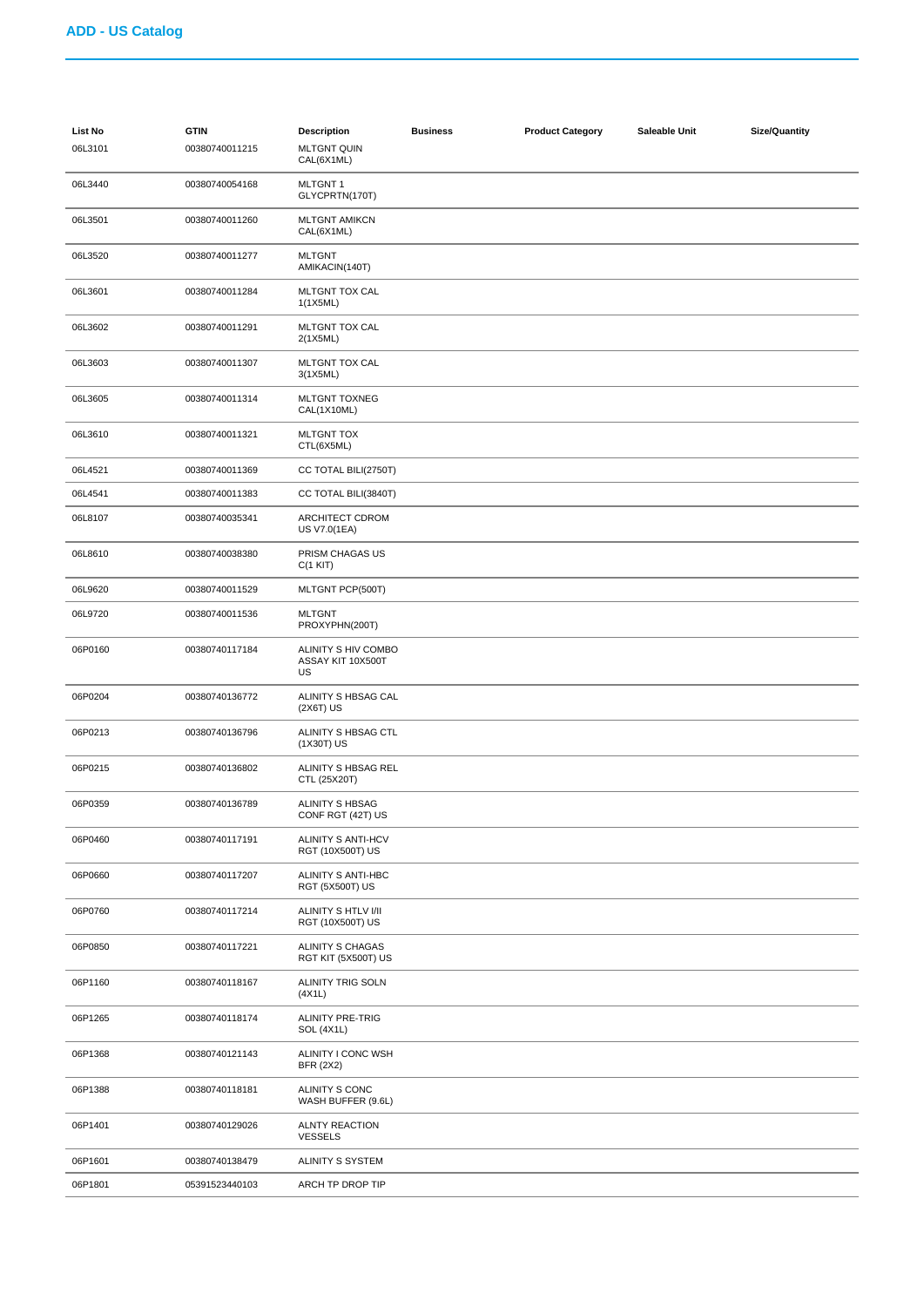| List No<br>06L3101 | <b>GTIN</b><br>00380740011215 | <b>Description</b><br><b>MLTGNT QUIN</b><br>CAL(6X1ML) | <b>Business</b> | <b>Product Category</b> | Saleable Unit | <b>Size/Quantity</b> |
|--------------------|-------------------------------|--------------------------------------------------------|-----------------|-------------------------|---------------|----------------------|
| 06L3440            | 00380740054168                | <b>MLTGNT1</b><br>GLYCPRTN(170T)                       |                 |                         |               |                      |
| 06L3501            | 00380740011260                | <b>MLTGNT AMIKCN</b><br>CAL(6X1ML)                     |                 |                         |               |                      |
| 06L3520            | 00380740011277                | <b>MLTGNT</b><br>AMIKACIN(140T)                        |                 |                         |               |                      |
| 06L3601            | 00380740011284                | MLTGNT TOX CAL<br>1(1X5ML)                             |                 |                         |               |                      |
| 06L3602            | 00380740011291                | MLTGNT TOX CAL<br>2(1X5ML)                             |                 |                         |               |                      |
| 06L3603            | 00380740011307                | MLTGNT TOX CAL<br>3(1X5ML)                             |                 |                         |               |                      |
| 06L3605            | 00380740011314                | MLTGNT TOXNEG<br>CAL(1X10ML)                           |                 |                         |               |                      |
| 06L3610            | 00380740011321                | <b>MLTGNT TOX</b><br>CTL(6X5ML)                        |                 |                         |               |                      |
| 06L4521            | 00380740011369                | CC TOTAL BILI(2750T)                                   |                 |                         |               |                      |
| 06L4541            | 00380740011383                | CC TOTAL BILI(3840T)                                   |                 |                         |               |                      |
| 06L8107            | 00380740035341                | ARCHITECT CDROM<br>US V7.0(1EA)                        |                 |                         |               |                      |
| 06L8610            | 00380740038380                | PRISM CHAGAS US<br>C(1 KIT)                            |                 |                         |               |                      |
| 06L9620            | 00380740011529                | MLTGNT PCP(500T)                                       |                 |                         |               |                      |
| 06L9720            | 00380740011536                | <b>MLTGNT</b><br>PROXYPHN(200T)                        |                 |                         |               |                      |
| 06P0160            | 00380740117184                | ALINITY S HIV COMBO<br>ASSAY KIT 10X500T<br>US         |                 |                         |               |                      |
| 06P0204            | 00380740136772                | ALINITY S HBSAG CAL<br>$(2X6T)$ US                     |                 |                         |               |                      |
| 06P0213            | 00380740136796                | ALINITY S HBSAG CTL<br>(1X30T) US                      |                 |                         |               |                      |
| 06P0215            | 00380740136802                | ALINITY S HBSAG REL<br>CTL (25X20T)                    |                 |                         |               |                      |
| 06P0359            | 00380740136789                | ALINITY S HBSAG<br>CONF RGT (42T) US                   |                 |                         |               |                      |
| 06P0460            | 00380740117191                | ALINITY S ANTI-HCV<br>RGT (10X500T) US                 |                 |                         |               |                      |
| 06P0660            | 00380740117207                | ALINITY S ANTI-HBC<br><b>RGT (5X500T) US</b>           |                 |                         |               |                      |
| 06P0760            | 00380740117214                | ALINITY S HTLV I/II<br>RGT (10X500T) US                |                 |                         |               |                      |
| 06P0850            | 00380740117221                | ALINITY S CHAGAS<br>RGT KIT (5X500T) US                |                 |                         |               |                      |
| 06P1160            | 00380740118167                | <b>ALINITY TRIG SOLN</b><br>(4X1L)                     |                 |                         |               |                      |
| 06P1265            | 00380740118174                | <b>ALINITY PRE-TRIG</b><br><b>SOL (4X1L)</b>           |                 |                         |               |                      |
| 06P1368            | 00380740121143                | ALINITY I CONC WSH<br><b>BFR (2X2)</b>                 |                 |                         |               |                      |
| 06P1388            | 00380740118181                | ALINITY S CONC<br>WASH BUFFER (9.6L)                   |                 |                         |               |                      |
| 06P1401            | 00380740129026                | <b>ALNTY REACTION</b><br><b>VESSELS</b>                |                 |                         |               |                      |
| 06P1601            | 00380740138479                | ALINITY S SYSTEM                                       |                 |                         |               |                      |
| 06P1801            | 05391523440103                | ARCH TP DROP TIP                                       |                 |                         |               |                      |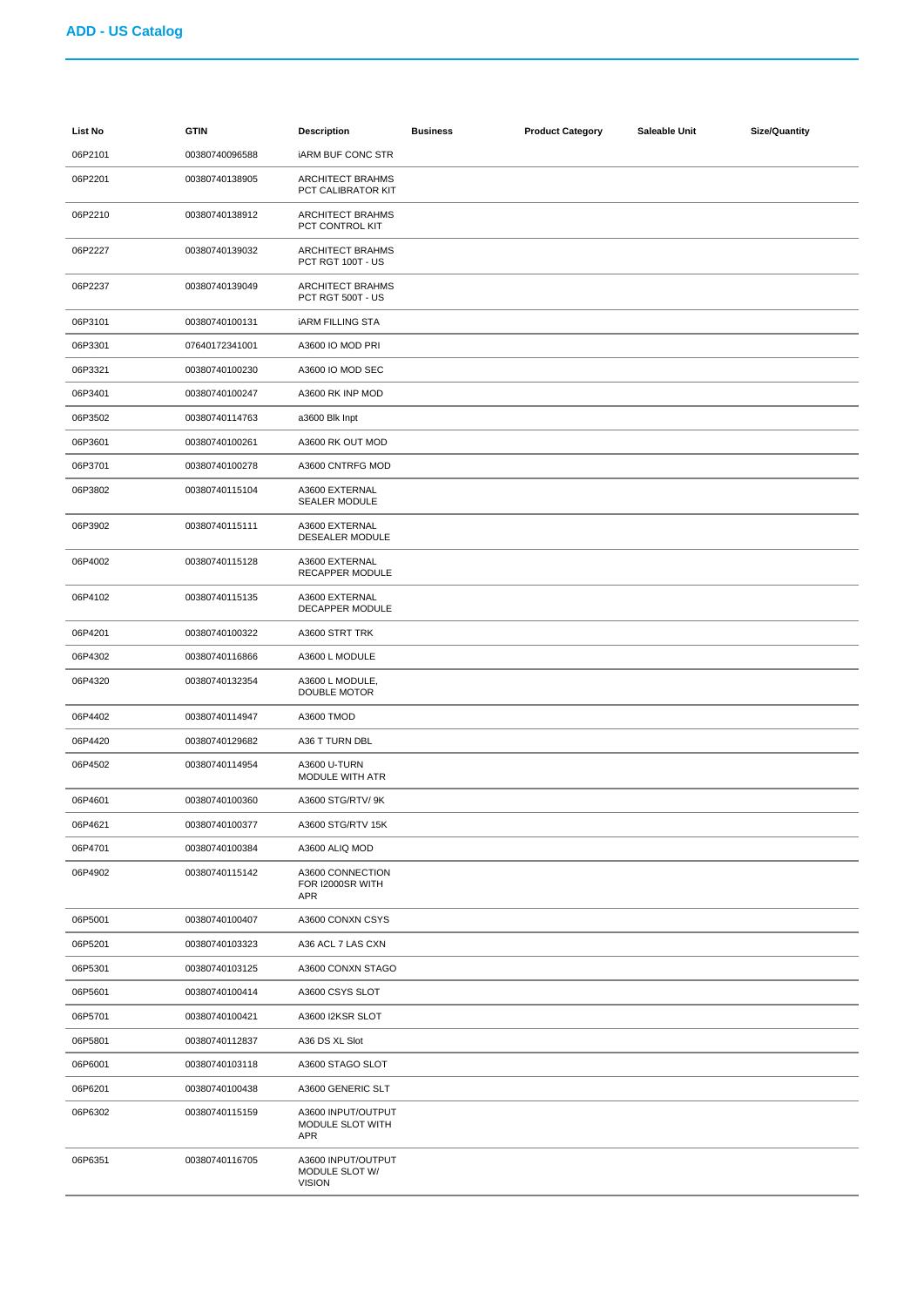| List No | <b>GTIN</b>    | <b>Description</b>                                    | <b>Business</b> | <b>Product Category</b> | Saleable Unit | <b>Size/Quantity</b> |
|---------|----------------|-------------------------------------------------------|-----------------|-------------------------|---------------|----------------------|
| 06P2101 | 00380740096588 | <b>IARM BUF CONC STR</b>                              |                 |                         |               |                      |
| 06P2201 | 00380740138905 | ARCHITECT BRAHMS<br>PCT CALIBRATOR KIT                |                 |                         |               |                      |
| 06P2210 | 00380740138912 | ARCHITECT BRAHMS<br>PCT CONTROL KIT                   |                 |                         |               |                      |
| 06P2227 | 00380740139032 | <b>ARCHITECT BRAHMS</b><br>PCT RGT 100T - US          |                 |                         |               |                      |
| 06P2237 | 00380740139049 | <b>ARCHITECT BRAHMS</b><br>PCT RGT 500T - US          |                 |                         |               |                      |
| 06P3101 | 00380740100131 | <b>IARM FILLING STA</b>                               |                 |                         |               |                      |
| 06P3301 | 07640172341001 | A3600 IO MOD PRI                                      |                 |                         |               |                      |
| 06P3321 | 00380740100230 | A3600 IO MOD SEC                                      |                 |                         |               |                      |
| 06P3401 | 00380740100247 | A3600 RK INP MOD                                      |                 |                         |               |                      |
| 06P3502 | 00380740114763 | a3600 Blk Inpt                                        |                 |                         |               |                      |
| 06P3601 | 00380740100261 | A3600 RK OUT MOD                                      |                 |                         |               |                      |
| 06P3701 | 00380740100278 | A3600 CNTRFG MOD                                      |                 |                         |               |                      |
| 06P3802 | 00380740115104 | A3600 EXTERNAL<br><b>SEALER MODULE</b>                |                 |                         |               |                      |
| 06P3902 | 00380740115111 | A3600 EXTERNAL<br>DESEALER MODULE                     |                 |                         |               |                      |
| 06P4002 | 00380740115128 | A3600 EXTERNAL<br>RECAPPER MODULE                     |                 |                         |               |                      |
| 06P4102 | 00380740115135 | A3600 EXTERNAL<br><b>DECAPPER MODULE</b>              |                 |                         |               |                      |
| 06P4201 | 00380740100322 | A3600 STRT TRK                                        |                 |                         |               |                      |
| 06P4302 | 00380740116866 | A3600 L MODULE                                        |                 |                         |               |                      |
| 06P4320 | 00380740132354 | A3600 L MODULE,<br>DOUBLE MOTOR                       |                 |                         |               |                      |
| 06P4402 | 00380740114947 | A3600 TMOD                                            |                 |                         |               |                      |
| 06P4420 | 00380740129682 | A36 T TURN DBL                                        |                 |                         |               |                      |
| 06P4502 | 00380740114954 | A3600 U-TURN<br>MODULE WITH ATR                       |                 |                         |               |                      |
| 06P4601 | 00380740100360 | A3600 STG/RTV/ 9K                                     |                 |                         |               |                      |
| 06P4621 | 00380740100377 | A3600 STG/RTV 15K                                     |                 |                         |               |                      |
| 06P4701 | 00380740100384 | A3600 ALIQ MOD                                        |                 |                         |               |                      |
| 06P4902 | 00380740115142 | A3600 CONNECTION<br>FOR I2000SR WITH<br>APR           |                 |                         |               |                      |
| 06P5001 | 00380740100407 | A3600 CONXN CSYS                                      |                 |                         |               |                      |
| 06P5201 | 00380740103323 | A36 ACL 7 LAS CXN                                     |                 |                         |               |                      |
| 06P5301 | 00380740103125 | A3600 CONXN STAGO                                     |                 |                         |               |                      |
| 06P5601 | 00380740100414 | A3600 CSYS SLOT                                       |                 |                         |               |                      |
| 06P5701 | 00380740100421 | A3600 I2KSR SLOT                                      |                 |                         |               |                      |
| 06P5801 | 00380740112837 | A36 DS XL Slot                                        |                 |                         |               |                      |
| 06P6001 | 00380740103118 | A3600 STAGO SLOT                                      |                 |                         |               |                      |
| 06P6201 | 00380740100438 | A3600 GENERIC SLT                                     |                 |                         |               |                      |
| 06P6302 | 00380740115159 | A3600 INPUT/OUTPUT<br>MODULE SLOT WITH<br>APR         |                 |                         |               |                      |
| 06P6351 | 00380740116705 | A3600 INPUT/OUTPUT<br>MODULE SLOT W/<br><b>VISION</b> |                 |                         |               |                      |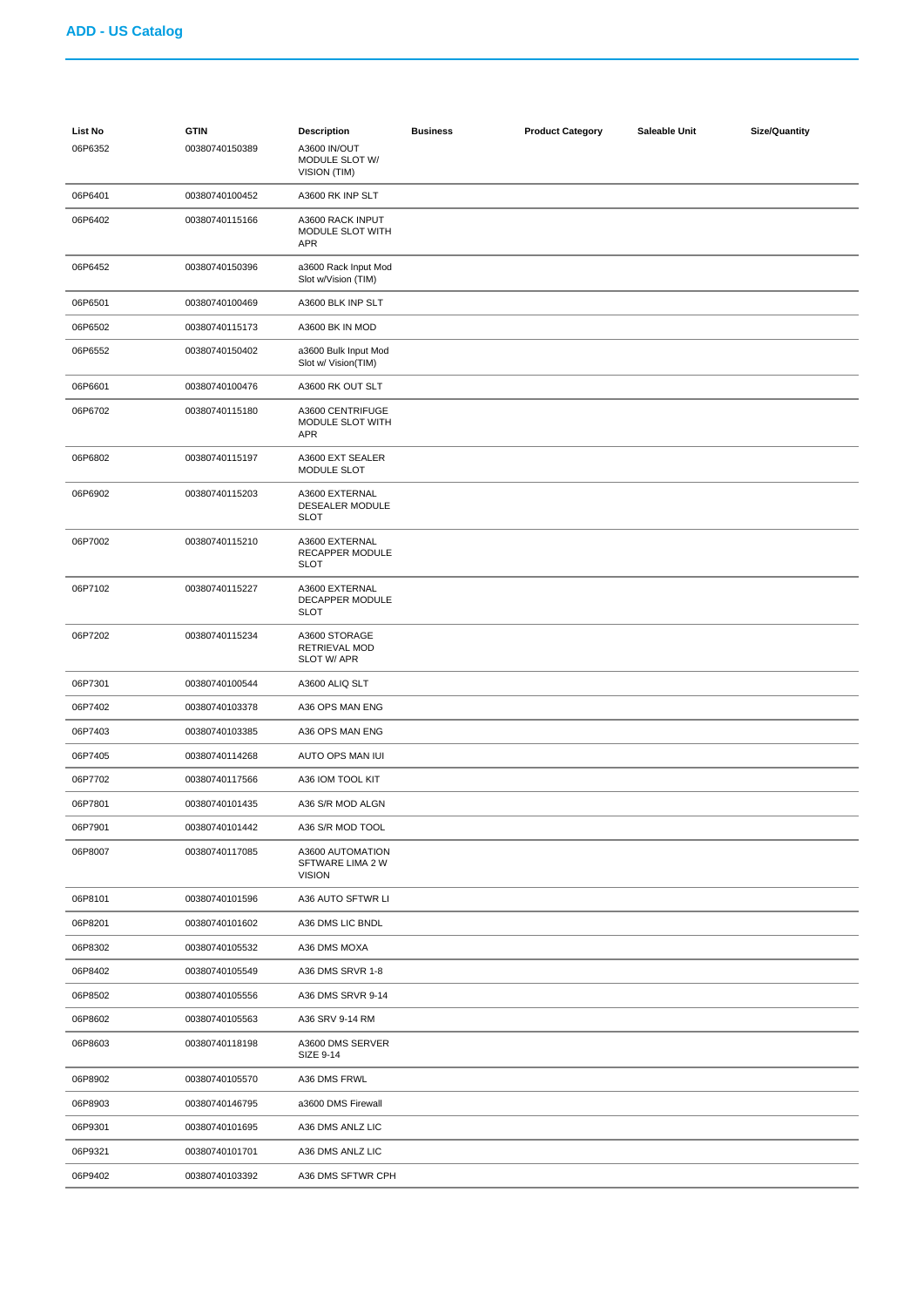| List No<br>06P6352 | <b>GTIN</b><br>00380740150389 | <b>Description</b><br>A3600 IN/OUT<br>MODULE SLOT W/<br>VISION (TIM) | <b>Business</b> | <b>Product Category</b> | Saleable Unit | <b>Size/Quantity</b> |
|--------------------|-------------------------------|----------------------------------------------------------------------|-----------------|-------------------------|---------------|----------------------|
| 06P6401            | 00380740100452                | A3600 RK INP SLT                                                     |                 |                         |               |                      |
| 06P6402            | 00380740115166                | A3600 RACK INPUT<br>MODULE SLOT WITH<br><b>APR</b>                   |                 |                         |               |                      |
| 06P6452            | 00380740150396                | a3600 Rack Input Mod<br>Slot w/Vision (TIM)                          |                 |                         |               |                      |
| 06P6501            | 00380740100469                | A3600 BLK INP SLT                                                    |                 |                         |               |                      |
| 06P6502            | 00380740115173                | A3600 BK IN MOD                                                      |                 |                         |               |                      |
| 06P6552            | 00380740150402                | a3600 Bulk Input Mod<br>Slot w/ Vision(TIM)                          |                 |                         |               |                      |
| 06P6601            | 00380740100476                | A3600 RK OUT SLT                                                     |                 |                         |               |                      |
| 06P6702            | 00380740115180                | A3600 CENTRIFUGE<br>MODULE SLOT WITH<br>APR                          |                 |                         |               |                      |
| 06P6802            | 00380740115197                | A3600 EXT SEALER<br>MODULE SLOT                                      |                 |                         |               |                      |
| 06P6902            | 00380740115203                | A3600 EXTERNAL<br><b>DESEALER MODULE</b><br><b>SLOT</b>              |                 |                         |               |                      |
| 06P7002            | 00380740115210                | A3600 EXTERNAL<br>RECAPPER MODULE<br><b>SLOT</b>                     |                 |                         |               |                      |
| 06P7102            | 00380740115227                | A3600 EXTERNAL<br>DECAPPER MODULE<br><b>SLOT</b>                     |                 |                         |               |                      |
| 06P7202            | 00380740115234                | A3600 STORAGE<br><b>RETRIEVAL MOD</b><br>SLOT W/ APR                 |                 |                         |               |                      |
| 06P7301            | 00380740100544                | A3600 ALIQ SLT                                                       |                 |                         |               |                      |
| 06P7402            | 00380740103378                | A36 OPS MAN ENG                                                      |                 |                         |               |                      |
| 06P7403            | 00380740103385                | A36 OPS MAN ENG                                                      |                 |                         |               |                      |
| 06P7405            | 00380740114268                | AUTO OPS MAN IUI                                                     |                 |                         |               |                      |
| 06P7702            | 00380740117566                | A36 IOM TOOL KIT                                                     |                 |                         |               |                      |
| 06P7801            | 00380740101435                | A36 S/R MOD ALGN                                                     |                 |                         |               |                      |
| 06P7901            | 00380740101442                | A36 S/R MOD TOOL                                                     |                 |                         |               |                      |
| 06P8007            | 00380740117085                | A3600 AUTOMATION<br>SFTWARE LIMA 2 W<br><b>VISION</b>                |                 |                         |               |                      |
| 06P8101            | 00380740101596                | A36 AUTO SFTWR LI                                                    |                 |                         |               |                      |
| 06P8201            | 00380740101602                | A36 DMS LIC BNDL                                                     |                 |                         |               |                      |
| 06P8302            | 00380740105532                | A36 DMS MOXA                                                         |                 |                         |               |                      |
| 06P8402            | 00380740105549                | A36 DMS SRVR 1-8                                                     |                 |                         |               |                      |
| 06P8502            | 00380740105556                | A36 DMS SRVR 9-14                                                    |                 |                         |               |                      |
| 06P8602            | 00380740105563                | A36 SRV 9-14 RM                                                      |                 |                         |               |                      |
| 06P8603            | 00380740118198                | A3600 DMS SERVER<br>SIZE 9-14                                        |                 |                         |               |                      |
| 06P8902            | 00380740105570                | A36 DMS FRWL                                                         |                 |                         |               |                      |
| 06P8903            | 00380740146795                | a3600 DMS Firewall                                                   |                 |                         |               |                      |
| 06P9301            | 00380740101695                | A36 DMS ANLZ LIC                                                     |                 |                         |               |                      |
| 06P9321            | 00380740101701                | A36 DMS ANLZ LIC                                                     |                 |                         |               |                      |
| 06P9402            | 00380740103392                | A36 DMS SFTWR CPH                                                    |                 |                         |               |                      |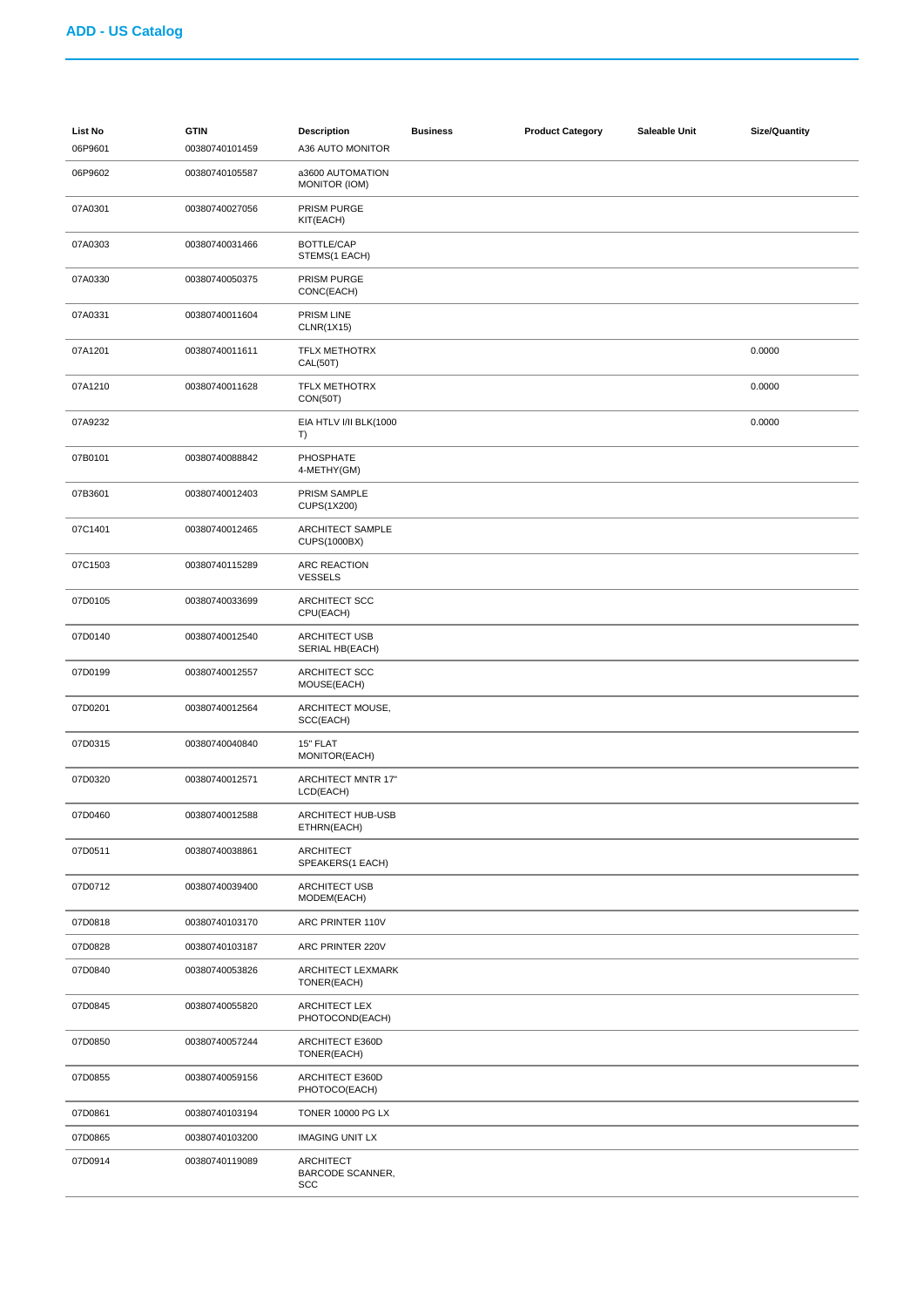| <b>List No</b><br>06P9601 | <b>GTIN</b><br>00380740101459 | <b>Description</b><br>A36 AUTO MONITOR      | <b>Business</b> | <b>Product Category</b> | Saleable Unit | <b>Size/Quantity</b> |
|---------------------------|-------------------------------|---------------------------------------------|-----------------|-------------------------|---------------|----------------------|
| 06P9602                   | 00380740105587                | a3600 AUTOMATION<br><b>MONITOR (IOM)</b>    |                 |                         |               |                      |
| 07A0301                   | 00380740027056                | <b>PRISM PURGE</b><br>KIT(EACH)             |                 |                         |               |                      |
| 07A0303                   | 00380740031466                | BOTTLE/CAP<br>STEMS(1 EACH)                 |                 |                         |               |                      |
| 07A0330                   | 00380740050375                | PRISM PURGE<br>CONC(EACH)                   |                 |                         |               |                      |
| 07A0331                   | 00380740011604                | PRISM LINE<br><b>CLNR(1X15)</b>             |                 |                         |               |                      |
| 07A1201                   | 00380740011611                | <b>TFLX METHOTRX</b><br><b>CAL(50T)</b>     |                 |                         |               | 0.0000               |
| 07A1210                   | 00380740011628                | <b>TFLX METHOTRX</b><br><b>CON(50T)</b>     |                 |                         |               | 0.0000               |
| 07A9232                   |                               | EIA HTLV I/II BLK(1000<br>T)                |                 |                         |               | 0.0000               |
| 07B0101                   | 00380740088842                | PHOSPHATE<br>4-METHY(GM)                    |                 |                         |               |                      |
| 07B3601                   | 00380740012403                | PRISM SAMPLE<br>CUPS(1X200)                 |                 |                         |               |                      |
| 07C1401                   | 00380740012465                | ARCHITECT SAMPLE<br>CUPS(1000BX)            |                 |                         |               |                      |
| 07C1503                   | 00380740115289                | ARC REACTION<br><b>VESSELS</b>              |                 |                         |               |                      |
| 07D0105                   | 00380740033699                | ARCHITECT SCC<br>CPU(EACH)                  |                 |                         |               |                      |
| 07D0140                   | 00380740012540                | ARCHITECT USB<br>SERIAL HB(EACH)            |                 |                         |               |                      |
| 07D0199                   | 00380740012557                | ARCHITECT SCC<br>MOUSE(EACH)                |                 |                         |               |                      |
| 07D0201                   | 00380740012564                | ARCHITECT MOUSE,<br>SCC(EACH)               |                 |                         |               |                      |
| 07D0315                   | 00380740040840                | 15" FLAT<br>MONITOR(EACH)                   |                 |                         |               |                      |
| 07D0320                   | 00380740012571                | <b>ARCHITECT MNTR 17"</b><br>LCD(EACH)      |                 |                         |               |                      |
| 07D0460                   | 00380740012588                | ARCHITECT HUB-USB<br>ETHRN(EACH)            |                 |                         |               |                      |
| 07D0511                   | 00380740038861                | <b>ARCHITECT</b><br>SPEAKERS(1 EACH)        |                 |                         |               |                      |
| 07D0712                   | 00380740039400                | ARCHITECT USB<br>MODEM(EACH)                |                 |                         |               |                      |
| 07D0818                   | 00380740103170                | ARC PRINTER 110V                            |                 |                         |               |                      |
| 07D0828                   | 00380740103187                | ARC PRINTER 220V                            |                 |                         |               |                      |
| 07D0840                   | 00380740053826                | ARCHITECT LEXMARK<br>TONER(EACH)            |                 |                         |               |                      |
| 07D0845                   | 00380740055820                | <b>ARCHITECT LEX</b><br>PHOTOCOND(EACH)     |                 |                         |               |                      |
| 07D0850                   | 00380740057244                | ARCHITECT E360D<br>TONER(EACH)              |                 |                         |               |                      |
| 07D0855                   | 00380740059156                | <b>ARCHITECT E360D</b><br>PHOTOCO(EACH)     |                 |                         |               |                      |
| 07D0861                   | 00380740103194                | <b>TONER 10000 PG LX</b>                    |                 |                         |               |                      |
| 07D0865                   | 00380740103200                | <b>IMAGING UNIT LX</b>                      |                 |                         |               |                      |
| 07D0914                   | 00380740119089                | <b>ARCHITECT</b><br>BARCODE SCANNER,<br>SCC |                 |                         |               |                      |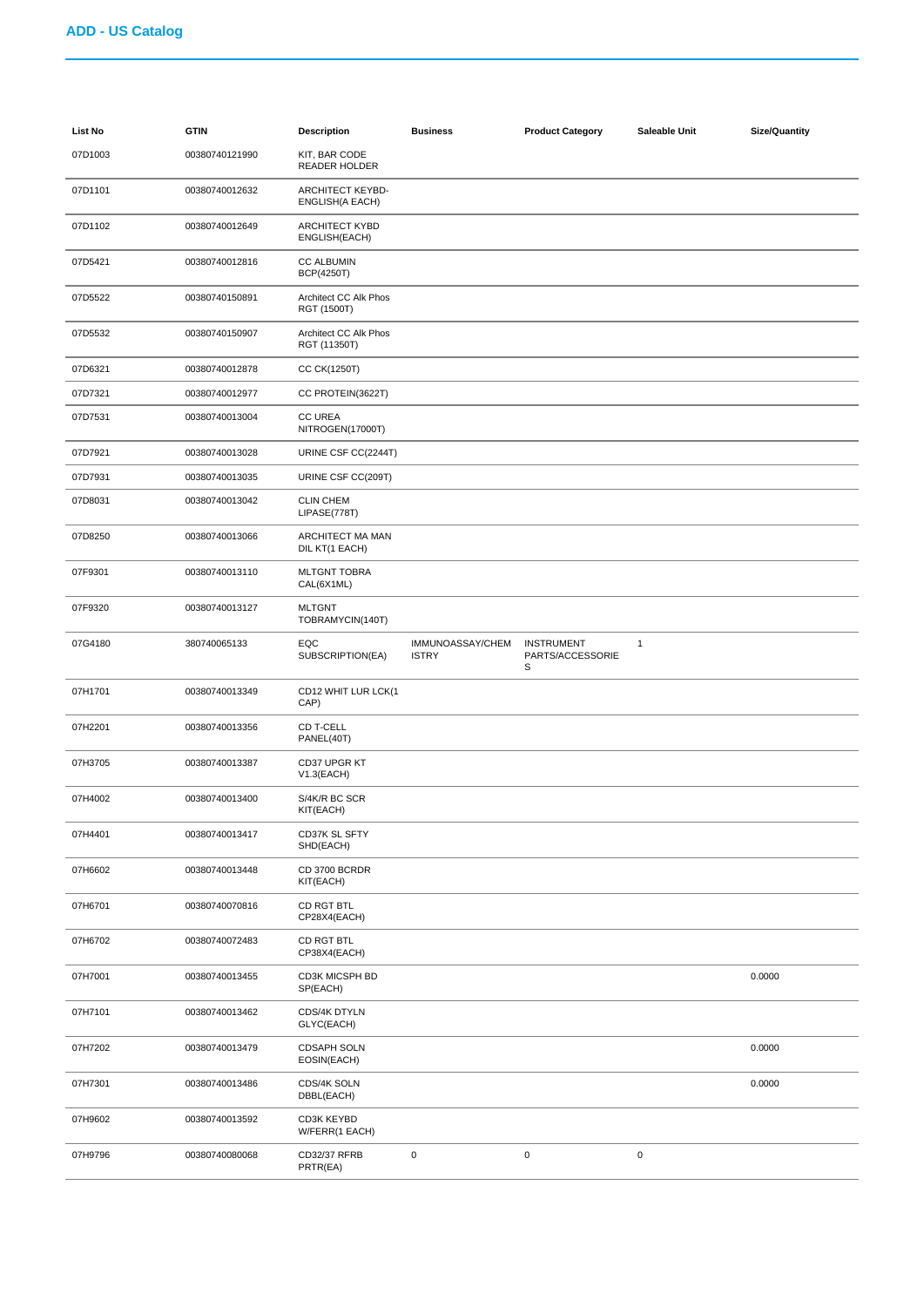| List No | <b>GTIN</b>    | <b>Description</b>                     | <b>Business</b>                  | <b>Product Category</b>                    | Saleable Unit | <b>Size/Quantity</b> |
|---------|----------------|----------------------------------------|----------------------------------|--------------------------------------------|---------------|----------------------|
| 07D1003 | 00380740121990 | KIT, BAR CODE<br>READER HOLDER         |                                  |                                            |               |                      |
| 07D1101 | 00380740012632 | ARCHITECT KEYBD-<br>ENGLISH(A EACH)    |                                  |                                            |               |                      |
| 07D1102 | 00380740012649 | <b>ARCHITECT KYBD</b><br>ENGLISH(EACH) |                                  |                                            |               |                      |
| 07D5421 | 00380740012816 | <b>CC ALBUMIN</b><br><b>BCP(4250T)</b> |                                  |                                            |               |                      |
| 07D5522 | 00380740150891 | Architect CC Alk Phos<br>RGT (1500T)   |                                  |                                            |               |                      |
| 07D5532 | 00380740150907 | Architect CC Alk Phos<br>RGT (11350T)  |                                  |                                            |               |                      |
| 07D6321 | 00380740012878 | CC CK(1250T)                           |                                  |                                            |               |                      |
| 07D7321 | 00380740012977 | CC PROTEIN(3622T)                      |                                  |                                            |               |                      |
| 07D7531 | 00380740013004 | <b>CC UREA</b><br>NITROGEN(17000T)     |                                  |                                            |               |                      |
| 07D7921 | 00380740013028 | URINE CSF CC(2244T)                    |                                  |                                            |               |                      |
| 07D7931 | 00380740013035 | URINE CSF CC(209T)                     |                                  |                                            |               |                      |
| 07D8031 | 00380740013042 | <b>CLIN CHEM</b><br>LIPASE(778T)       |                                  |                                            |               |                      |
| 07D8250 | 00380740013066 | ARCHITECT MA MAN<br>DIL KT(1 EACH)     |                                  |                                            |               |                      |
| 07F9301 | 00380740013110 | <b>MLTGNT TOBRA</b><br>CAL(6X1ML)      |                                  |                                            |               |                      |
| 07F9320 | 00380740013127 | <b>MLTGNT</b><br>TOBRAMYCIN(140T)      |                                  |                                            |               |                      |
| 07G4180 | 380740065133   | EQC<br>SUBSCRIPTION(EA)                | IMMUNOASSAY/CHEM<br><b>ISTRY</b> | <b>INSTRUMENT</b><br>PARTS/ACCESSORIE<br>S | $\mathbf{1}$  |                      |
| 07H1701 | 00380740013349 | CD12 WHIT LUR LCK(1<br>CAP)            |                                  |                                            |               |                      |
| 07H2201 | 00380740013356 | CD T-CELL<br>PANEL(40T)                |                                  |                                            |               |                      |
| 07H3705 | 00380740013387 | CD37 UPGR KT<br>$V1.3$ (EACH)          |                                  |                                            |               |                      |
| 07H4002 | 00380740013400 | S/4K/R BC SCR<br>KIT(EACH)             |                                  |                                            |               |                      |
| 07H4401 | 00380740013417 | CD37K SL SFTY<br>SHD(EACH)             |                                  |                                            |               |                      |
| 07H6602 | 00380740013448 | CD 3700 BCRDR<br>KIT(EACH)             |                                  |                                            |               |                      |
| 07H6701 | 00380740070816 | CD RGT BTL<br>CP28X4(EACH)             |                                  |                                            |               |                      |
| 07H6702 | 00380740072483 | CD RGT BTL<br>CP38X4(EACH)             |                                  |                                            |               |                      |
| 07H7001 | 00380740013455 | CD3K MICSPH BD<br>SP(EACH)             |                                  |                                            |               | 0.0000               |
| 07H7101 | 00380740013462 | CDS/4K DTYLN<br>GLYC(EACH)             |                                  |                                            |               |                      |
| 07H7202 | 00380740013479 | CDSAPH SOLN<br>EOSIN(EACH)             |                                  |                                            |               | 0.0000               |
| 07H7301 | 00380740013486 | CDS/4K SOLN<br>DBBL(EACH)              |                                  |                                            |               | 0.0000               |
| 07H9602 | 00380740013592 | CD3K KEYBD<br>W/FERR(1 EACH)           |                                  |                                            |               |                      |
| 07H9796 | 00380740080068 | CD32/37 RFRB<br>PRTR(EA)               | 0                                | $\mathsf 0$                                | 0             |                      |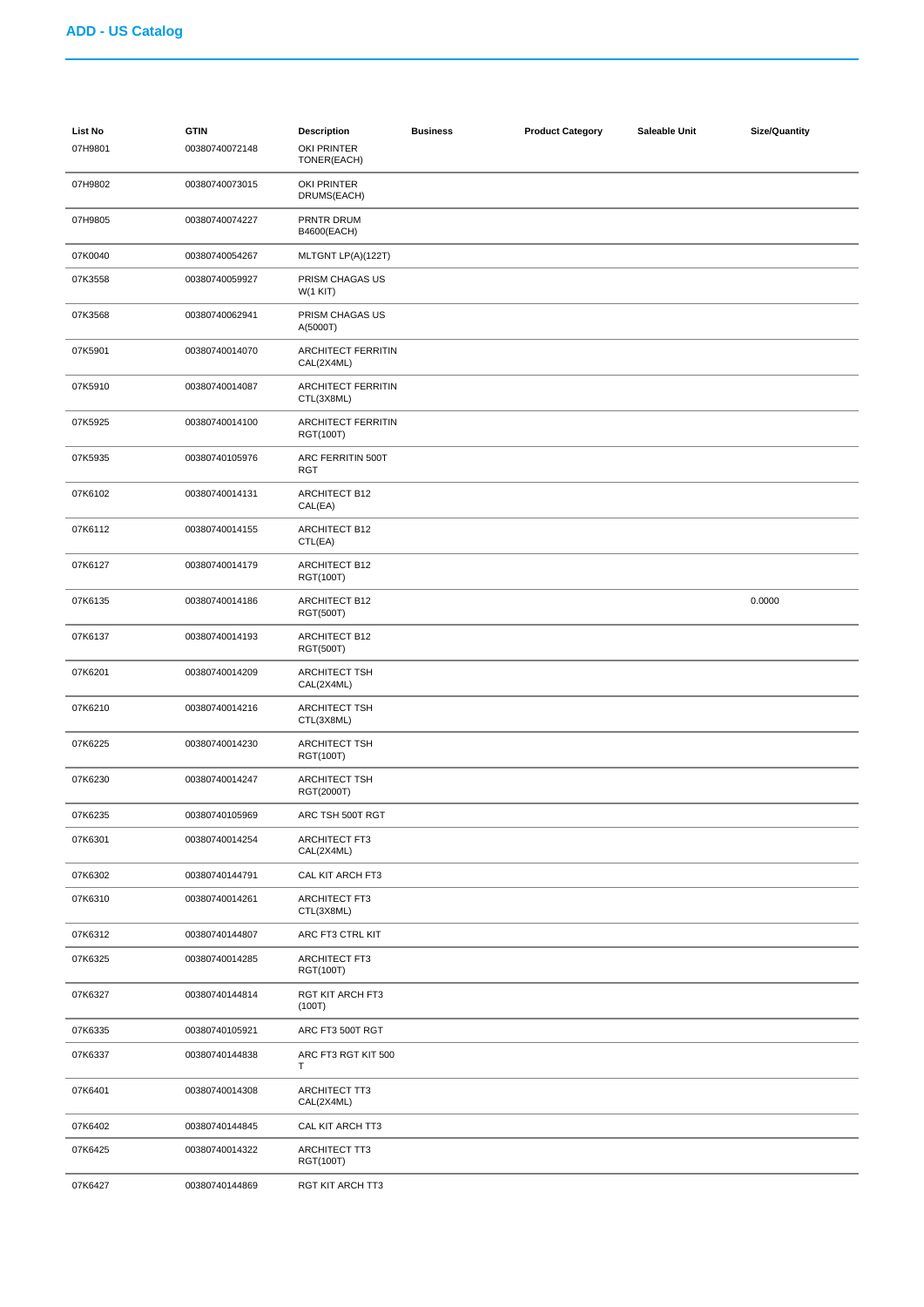| <b>List No</b><br>07H9801 | <b>GTIN</b><br>00380740072148 | <b>Description</b><br>OKI PRINTER<br>TONER(EACH) | <b>Business</b> | <b>Product Category</b> | Saleable Unit | <b>Size/Quantity</b> |
|---------------------------|-------------------------------|--------------------------------------------------|-----------------|-------------------------|---------------|----------------------|
| 07H9802                   | 00380740073015                | OKI PRINTER<br>DRUMS(EACH)                       |                 |                         |               |                      |
| 07H9805                   | 00380740074227                | PRNTR DRUM<br>B4600(EACH)                        |                 |                         |               |                      |
| 07K0040                   | 00380740054267                | MLTGNT LP(A)(122T)                               |                 |                         |               |                      |
| 07K3558                   | 00380740059927                | PRISM CHAGAS US<br>W(1 KIT)                      |                 |                         |               |                      |
| 07K3568                   | 00380740062941                | PRISM CHAGAS US<br>A(5000T)                      |                 |                         |               |                      |
| 07K5901                   | 00380740014070                | <b>ARCHITECT FERRITIN</b><br>CAL(2X4ML)          |                 |                         |               |                      |
| 07K5910                   | 00380740014087                | <b>ARCHITECT FERRITIN</b><br>CTL(3X8ML)          |                 |                         |               |                      |
| 07K5925                   | 00380740014100                | <b>ARCHITECT FERRITIN</b><br>RGT(100T)           |                 |                         |               |                      |
| 07K5935                   | 00380740105976                | ARC FERRITIN 500T<br><b>RGT</b>                  |                 |                         |               |                      |
| 07K6102                   | 00380740014131                | <b>ARCHITECT B12</b><br>CAL(EA)                  |                 |                         |               |                      |
| 07K6112                   | 00380740014155                | <b>ARCHITECT B12</b><br>CTL(EA)                  |                 |                         |               |                      |
| 07K6127                   | 00380740014179                | <b>ARCHITECT B12</b><br>RGT(100T)                |                 |                         |               |                      |
| 07K6135                   | 00380740014186                | <b>ARCHITECT B12</b><br>RGT(500T)                |                 |                         |               | 0.0000               |
| 07K6137                   | 00380740014193                | <b>ARCHITECT B12</b><br>RGT(500T)                |                 |                         |               |                      |
| 07K6201                   | 00380740014209                | ARCHITECT TSH<br>CAL(2X4ML)                      |                 |                         |               |                      |
| 07K6210                   | 00380740014216                | ARCHITECT TSH<br>CTL(3X8ML)                      |                 |                         |               |                      |
| 07K6225                   | 00380740014230                | ARCHITECT TSH<br>RGT(100T)                       |                 |                         |               |                      |
| 07K6230                   | 00380740014247                | ARCHITECT TSH<br>RGT(2000T)                      |                 |                         |               |                      |
| 07K6235                   | 00380740105969                | ARC TSH 500T RGT                                 |                 |                         |               |                      |
| 07K6301                   | 00380740014254                | <b>ARCHITECT FT3</b><br>CAL(2X4ML)               |                 |                         |               |                      |
| 07K6302                   | 00380740144791                | CAL KIT ARCH FT3                                 |                 |                         |               |                      |
| 07K6310                   | 00380740014261                | <b>ARCHITECT FT3</b><br>CTL(3X8ML)               |                 |                         |               |                      |
| 07K6312                   | 00380740144807                | ARC FT3 CTRL KIT                                 |                 |                         |               |                      |
| 07K6325                   | 00380740014285                | ARCHITECT FT3<br>RGT(100T)                       |                 |                         |               |                      |
| 07K6327                   | 00380740144814                | RGT KIT ARCH FT3<br>(100T)                       |                 |                         |               |                      |
| 07K6335                   | 00380740105921                | ARC FT3 500T RGT                                 |                 |                         |               |                      |
| 07K6337                   | 00380740144838                | ARC FT3 RGT KIT 500<br>т                         |                 |                         |               |                      |
| 07K6401                   | 00380740014308                | ARCHITECT TT3<br>CAL(2X4ML)                      |                 |                         |               |                      |
| 07K6402                   | 00380740144845                | CAL KIT ARCH TT3                                 |                 |                         |               |                      |
| 07K6425                   | 00380740014322                | <b>ARCHITECT TT3</b><br>RGT(100T)                |                 |                         |               |                      |
| 07K6427                   | 00380740144869                | RGT KIT ARCH TT3                                 |                 |                         |               |                      |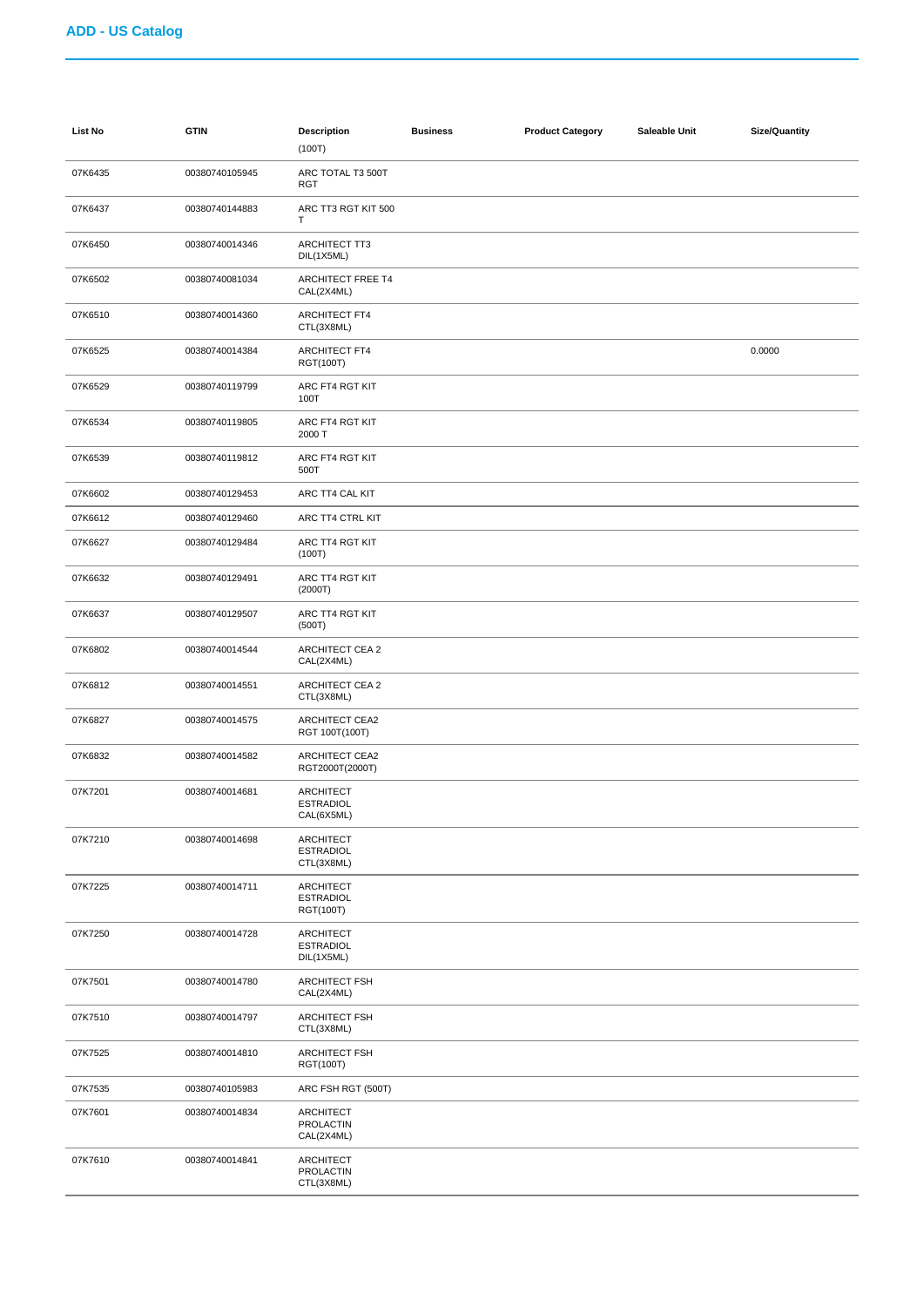| List No | <b>GTIN</b>    | <b>Description</b><br>(100T)                       | <b>Business</b> | <b>Product Category</b> | Saleable Unit | <b>Size/Quantity</b> |
|---------|----------------|----------------------------------------------------|-----------------|-------------------------|---------------|----------------------|
| 07K6435 | 00380740105945 | ARC TOTAL T3 500T<br><b>RGT</b>                    |                 |                         |               |                      |
| 07K6437 | 00380740144883 | ARC TT3 RGT KIT 500<br>т                           |                 |                         |               |                      |
| 07K6450 | 00380740014346 | ARCHITECT TT3<br>DIL(1X5ML)                        |                 |                         |               |                      |
| 07K6502 | 00380740081034 | ARCHITECT FREE T4<br>CAL(2X4ML)                    |                 |                         |               |                      |
| 07K6510 | 00380740014360 | ARCHITECT FT4<br>CTL(3X8ML)                        |                 |                         |               |                      |
| 07K6525 | 00380740014384 | ARCHITECT FT4<br>RGT(100T)                         |                 |                         |               | 0.0000               |
| 07K6529 | 00380740119799 | ARC FT4 RGT KIT<br>100T                            |                 |                         |               |                      |
| 07K6534 | 00380740119805 | ARC FT4 RGT KIT<br>2000 T                          |                 |                         |               |                      |
| 07K6539 | 00380740119812 | ARC FT4 RGT KIT<br>500T                            |                 |                         |               |                      |
| 07K6602 | 00380740129453 | ARC TT4 CAL KIT                                    |                 |                         |               |                      |
| 07K6612 | 00380740129460 | ARC TT4 CTRL KIT                                   |                 |                         |               |                      |
| 07K6627 | 00380740129484 | ARC TT4 RGT KIT<br>(100T)                          |                 |                         |               |                      |
| 07K6632 | 00380740129491 | ARC TT4 RGT KIT<br>(2000T)                         |                 |                         |               |                      |
| 07K6637 | 00380740129507 | ARC TT4 RGT KIT<br>(500T)                          |                 |                         |               |                      |
| 07K6802 | 00380740014544 | <b>ARCHITECT CEA 2</b><br>CAL(2X4ML)               |                 |                         |               |                      |
| 07K6812 | 00380740014551 | <b>ARCHITECT CEA 2</b><br>CTL(3X8ML)               |                 |                         |               |                      |
| 07K6827 | 00380740014575 | ARCHITECT CEA2<br>RGT 100T(100T)                   |                 |                         |               |                      |
| 07K6832 | 00380740014582 | <b>ARCHITECT CEA2</b><br>RGT2000T(2000T)           |                 |                         |               |                      |
| 07K7201 | 00380740014681 | <b>ARCHITECT</b><br><b>ESTRADIOL</b><br>CAL(6X5ML) |                 |                         |               |                      |
| 07K7210 | 00380740014698 | <b>ARCHITECT</b><br><b>ESTRADIOL</b><br>CTL(3X8ML) |                 |                         |               |                      |
| 07K7225 | 00380740014711 | ARCHITECT<br><b>ESTRADIOL</b><br>RGT(100T)         |                 |                         |               |                      |
| 07K7250 | 00380740014728 | ARCHITECT<br><b>ESTRADIOL</b><br>DIL(1X5ML)        |                 |                         |               |                      |
| 07K7501 | 00380740014780 | <b>ARCHITECT FSH</b><br>CAL(2X4ML)                 |                 |                         |               |                      |
| 07K7510 | 00380740014797 | ARCHITECT FSH<br>CTL(3X8ML)                        |                 |                         |               |                      |
| 07K7525 | 00380740014810 | <b>ARCHITECT FSH</b><br>RGT(100T)                  |                 |                         |               |                      |
| 07K7535 | 00380740105983 | ARC FSH RGT (500T)                                 |                 |                         |               |                      |
| 07K7601 | 00380740014834 | ARCHITECT<br><b>PROLACTIN</b><br>CAL(2X4ML)        |                 |                         |               |                      |
| 07K7610 | 00380740014841 | ARCHITECT<br>PROLACTIN<br>CTL(3X8ML)               |                 |                         |               |                      |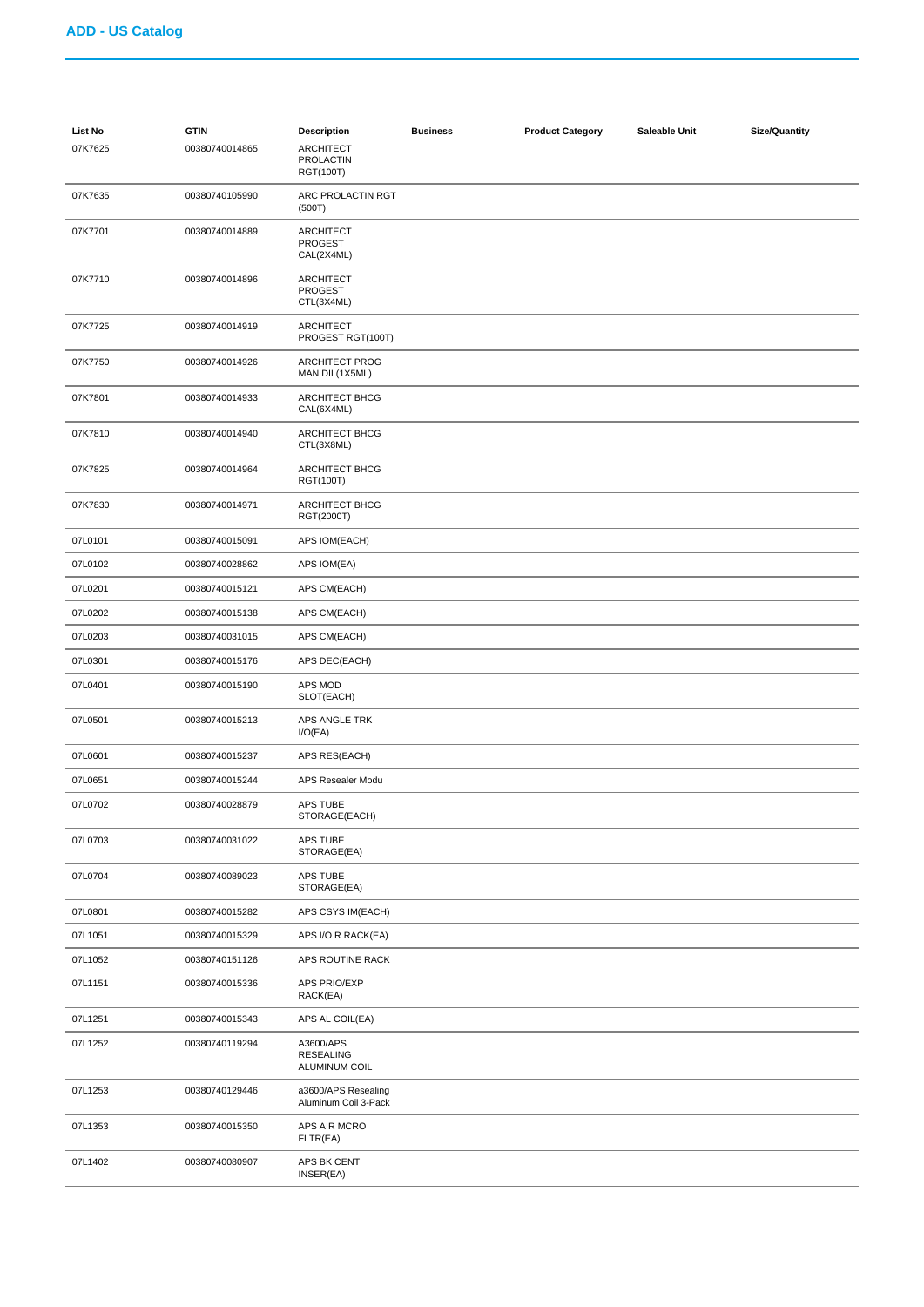| List No | <b>GTIN</b>    | <b>Description</b>                               | <b>Business</b> | <b>Product Category</b> | Saleable Unit | <b>Size/Quantity</b> |
|---------|----------------|--------------------------------------------------|-----------------|-------------------------|---------------|----------------------|
| 07K7625 | 00380740014865 | ARCHITECT<br><b>PROLACTIN</b><br>RGT(100T)       |                 |                         |               |                      |
| 07K7635 | 00380740105990 | ARC PROLACTIN RGT<br>(500T)                      |                 |                         |               |                      |
| 07K7701 | 00380740014889 | <b>ARCHITECT</b><br><b>PROGEST</b><br>CAL(2X4ML) |                 |                         |               |                      |
| 07K7710 | 00380740014896 | ARCHITECT<br><b>PROGEST</b><br>CTL(3X4ML)        |                 |                         |               |                      |
| 07K7725 | 00380740014919 | <b>ARCHITECT</b><br>PROGEST RGT(100T)            |                 |                         |               |                      |
| 07K7750 | 00380740014926 | <b>ARCHITECT PROG</b><br>MAN DIL(1X5ML)          |                 |                         |               |                      |
| 07K7801 | 00380740014933 | ARCHITECT BHCG<br>CAL(6X4ML)                     |                 |                         |               |                      |
| 07K7810 | 00380740014940 | <b>ARCHITECT BHCG</b><br>CTL(3X8ML)              |                 |                         |               |                      |
| 07K7825 | 00380740014964 | ARCHITECT BHCG<br>RGT(100T)                      |                 |                         |               |                      |
| 07K7830 | 00380740014971 | ARCHITECT BHCG<br>RGT(2000T)                     |                 |                         |               |                      |
| 07L0101 | 00380740015091 | APS IOM(EACH)                                    |                 |                         |               |                      |
| 07L0102 | 00380740028862 | APS IOM(EA)                                      |                 |                         |               |                      |
| 07L0201 | 00380740015121 | APS CM(EACH)                                     |                 |                         |               |                      |
| 07L0202 | 00380740015138 | APS CM(EACH)                                     |                 |                         |               |                      |
| 07L0203 | 00380740031015 | APS CM(EACH)                                     |                 |                         |               |                      |
| 07L0301 | 00380740015176 | APS DEC(EACH)                                    |                 |                         |               |                      |
| 07L0401 | 00380740015190 | APS MOD<br>SLOT(EACH)                            |                 |                         |               |                      |
| 07L0501 | 00380740015213 | APS ANGLE TRK<br>I/O(EA)                         |                 |                         |               |                      |
| 07L0601 | 00380740015237 | APS RES(EACH)                                    |                 |                         |               |                      |
| 07L0651 | 00380740015244 | APS Resealer Modu                                |                 |                         |               |                      |
| 07L0702 | 00380740028879 | APS TUBE<br>STORAGE(EACH)                        |                 |                         |               |                      |
| 07L0703 | 00380740031022 | APS TUBE<br>STORAGE(EA)                          |                 |                         |               |                      |
| 07L0704 | 00380740089023 | APS TUBE<br>STORAGE(EA)                          |                 |                         |               |                      |
| 07L0801 | 00380740015282 | APS CSYS IM(EACH)                                |                 |                         |               |                      |
| 07L1051 | 00380740015329 | APS I/O R RACK(EA)                               |                 |                         |               |                      |
| 07L1052 | 00380740151126 | APS ROUTINE RACK                                 |                 |                         |               |                      |
| 07L1151 | 00380740015336 | <b>APS PRIO/EXP</b><br>RACK(EA)                  |                 |                         |               |                      |
| 07L1251 | 00380740015343 | APS AL COIL(EA)                                  |                 |                         |               |                      |
| 07L1252 | 00380740119294 | A3600/APS<br><b>RESEALING</b><br>ALUMINUM COIL   |                 |                         |               |                      |
| 07L1253 | 00380740129446 | a3600/APS Resealing<br>Aluminum Coil 3-Pack      |                 |                         |               |                      |
| 07L1353 | 00380740015350 | APS AIR MCRO<br>FLTR(EA)                         |                 |                         |               |                      |
| 07L1402 | 00380740080907 | APS BK CENT<br>INSER(EA)                         |                 |                         |               |                      |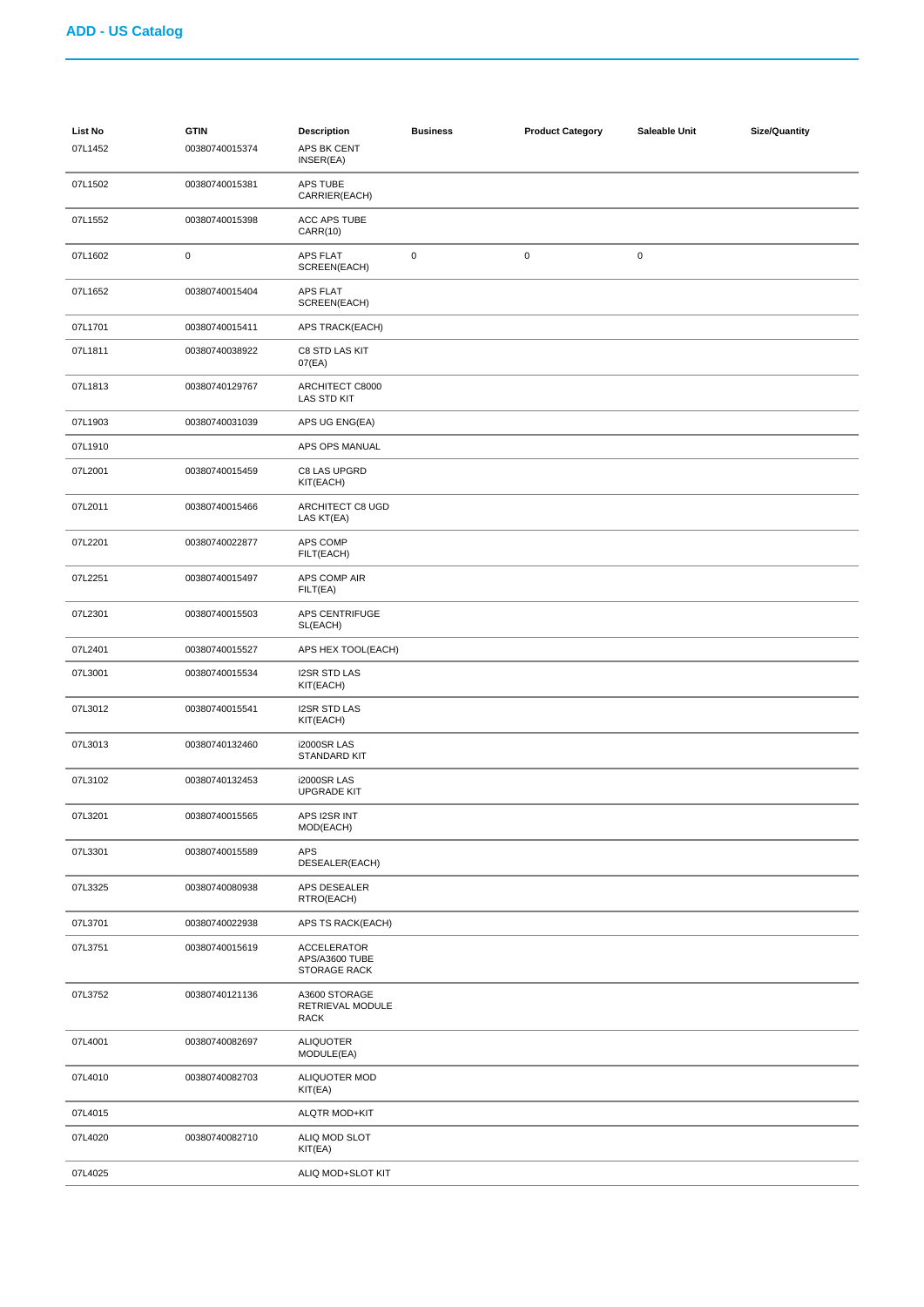| <b>List No</b><br>07L1452 | <b>GTIN</b><br>00380740015374 | <b>Description</b><br>APS BK CENT<br>INSER(EA)       | <b>Business</b> | <b>Product Category</b> | Saleable Unit | <b>Size/Quantity</b> |
|---------------------------|-------------------------------|------------------------------------------------------|-----------------|-------------------------|---------------|----------------------|
| 07L1502                   | 00380740015381                | APS TUBE<br>CARRIER(EACH)                            |                 |                         |               |                      |
| 07L1552                   | 00380740015398                | ACC APS TUBE<br><b>CARR(10)</b>                      |                 |                         |               |                      |
| 07L1602                   | 0                             | <b>APS FLAT</b><br>SCREEN(EACH)                      | $\pmb{0}$       | $\pmb{0}$               | $\pmb{0}$     |                      |
| 07L1652                   | 00380740015404                | APS FLAT<br>SCREEN(EACH)                             |                 |                         |               |                      |
| 07L1701                   | 00380740015411                | APS TRACK(EACH)                                      |                 |                         |               |                      |
| 07L1811                   | 00380740038922                | C8 STD LAS KIT<br>07(EA)                             |                 |                         |               |                      |
| 07L1813                   | 00380740129767                | ARCHITECT C8000<br>LAS STD KIT                       |                 |                         |               |                      |
| 07L1903                   | 00380740031039                | APS UG ENG(EA)                                       |                 |                         |               |                      |
| 07L1910                   |                               | APS OPS MANUAL                                       |                 |                         |               |                      |
| 07L2001                   | 00380740015459                | C8 LAS UPGRD<br>KIT(EACH)                            |                 |                         |               |                      |
| 07L2011                   | 00380740015466                | ARCHITECT C8 UGD<br>LAS KT(EA)                       |                 |                         |               |                      |
| 07L2201                   | 00380740022877                | APS COMP<br>FILT(EACH)                               |                 |                         |               |                      |
| 07L2251                   | 00380740015497                | APS COMP AIR<br>FILT(EA)                             |                 |                         |               |                      |
| 07L2301                   | 00380740015503                | APS CENTRIFUGE<br>SL(EACH)                           |                 |                         |               |                      |
| 07L2401                   | 00380740015527                | APS HEX TOOL(EACH)                                   |                 |                         |               |                      |
| 07L3001                   | 00380740015534                | <b>I2SR STD LAS</b><br>KIT(EACH)                     |                 |                         |               |                      |
| 07L3012                   | 00380740015541                | <b>I2SR STD LAS</b><br>KIT(EACH)                     |                 |                         |               |                      |
| 07L3013                   | 00380740132460                | <b>i2000SR LAS</b><br>STANDARD KIT                   |                 |                         |               |                      |
| 07L3102                   | 00380740132453                | <b>i2000SR LAS</b><br><b>UPGRADE KIT</b>             |                 |                         |               |                      |
| 07L3201                   | 00380740015565                | APS I2SR INT<br>MOD(EACH)                            |                 |                         |               |                      |
| 07L3301                   | 00380740015589                | APS<br>DESEALER(EACH)                                |                 |                         |               |                      |
| 07L3325                   | 00380740080938                | APS DESEALER<br>RTRO(EACH)                           |                 |                         |               |                      |
| 07L3701                   | 00380740022938                | APS TS RACK(EACH)                                    |                 |                         |               |                      |
| 07L3751                   | 00380740015619                | <b>ACCELERATOR</b><br>APS/A3600 TUBE<br>STORAGE RACK |                 |                         |               |                      |
| 07L3752                   | 00380740121136                | A3600 STORAGE<br>RETRIEVAL MODULE<br><b>RACK</b>     |                 |                         |               |                      |
| 07L4001                   | 00380740082697                | <b>ALIQUOTER</b><br>MODULE(EA)                       |                 |                         |               |                      |
| 07L4010                   | 00380740082703                | <b>ALIQUOTER MOD</b><br>KIT(EA)                      |                 |                         |               |                      |
| 07L4015                   |                               | ALQTR MOD+KIT                                        |                 |                         |               |                      |
| 07L4020                   | 00380740082710                | ALIQ MOD SLOT<br>KIT(EA)                             |                 |                         |               |                      |
| 07L4025                   |                               | ALIQ MOD+SLOT KIT                                    |                 |                         |               |                      |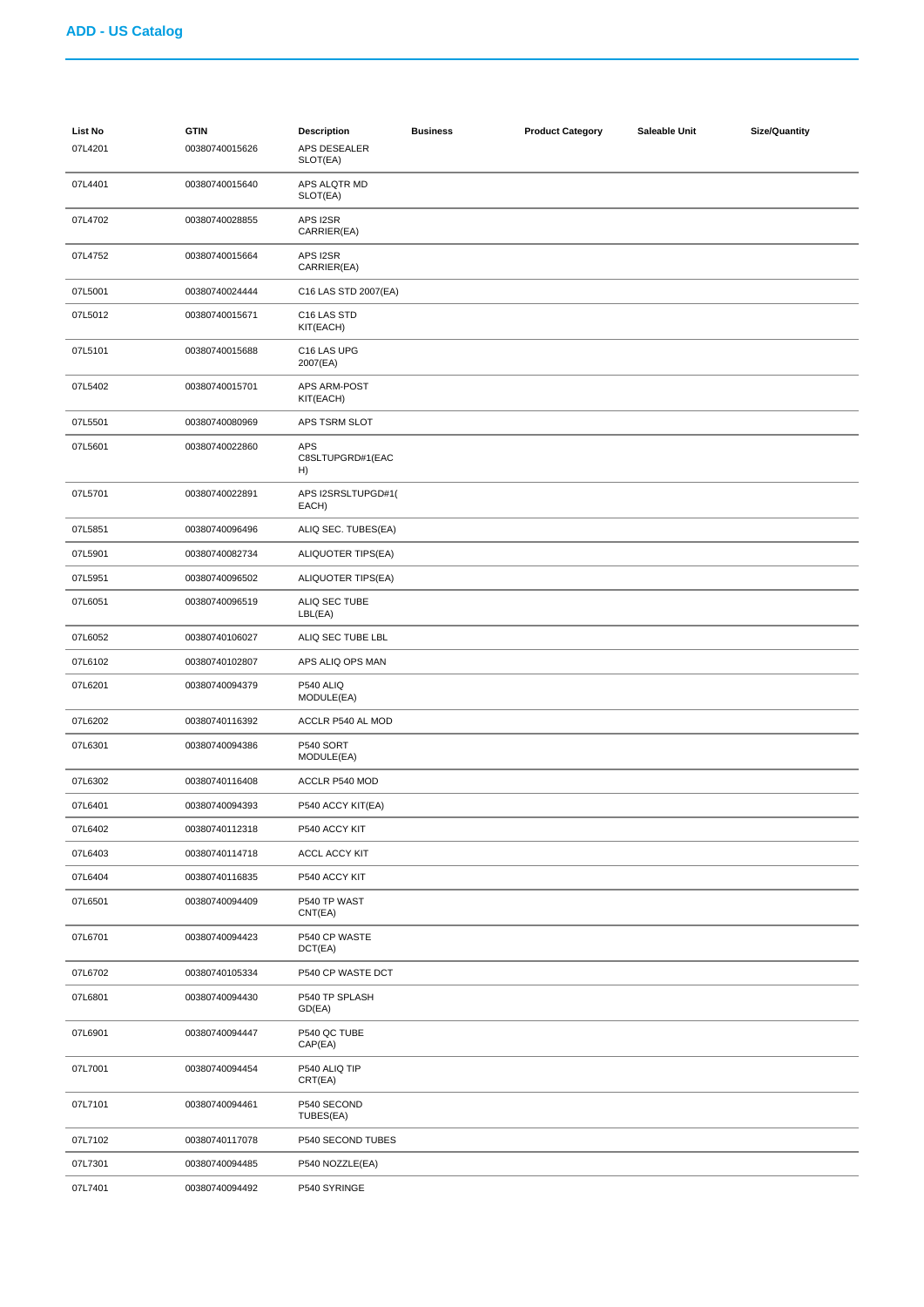| List No<br>07L4201 | <b>GTIN</b><br>00380740015626 | <b>Description</b><br>APS DESEALER<br>SLOT(EA) | <b>Business</b> | <b>Product Category</b> | Saleable Unit | <b>Size/Quantity</b> |
|--------------------|-------------------------------|------------------------------------------------|-----------------|-------------------------|---------------|----------------------|
| 07L4401            | 00380740015640                | APS ALQTR MD<br>SLOT(EA)                       |                 |                         |               |                      |
| 07L4702            | 00380740028855                | APS I2SR<br>CARRIER(EA)                        |                 |                         |               |                      |
| 07L4752            | 00380740015664                | APS I2SR<br>CARRIER(EA)                        |                 |                         |               |                      |
| 07L5001            | 00380740024444                | C16 LAS STD 2007(EA)                           |                 |                         |               |                      |
| 07L5012            | 00380740015671                | C16 LAS STD<br>KIT(EACH)                       |                 |                         |               |                      |
| 07L5101            | 00380740015688                | C16 LAS UPG<br>2007(EA)                        |                 |                         |               |                      |
| 07L5402            | 00380740015701                | APS ARM-POST<br>KIT(EACH)                      |                 |                         |               |                      |
| 07L5501            | 00380740080969                | APS TSRM SLOT                                  |                 |                         |               |                      |
| 07L5601            | 00380740022860                | <b>APS</b><br>C8SLTUPGRD#1(EAC<br>H)           |                 |                         |               |                      |
| 07L5701            | 00380740022891                | APS I2SRSLTUPGD#1(<br>EACH)                    |                 |                         |               |                      |
| 07L5851            | 00380740096496                | ALIQ SEC. TUBES(EA)                            |                 |                         |               |                      |
| 07L5901            | 00380740082734                | ALIQUOTER TIPS(EA)                             |                 |                         |               |                      |
| 07L5951            | 00380740096502                | ALIQUOTER TIPS(EA)                             |                 |                         |               |                      |
| 07L6051            | 00380740096519                | ALIQ SEC TUBE<br>LBL(EA)                       |                 |                         |               |                      |
| 07L6052            | 00380740106027                | ALIQ SEC TUBE LBL                              |                 |                         |               |                      |
| 07L6102            | 00380740102807                | APS ALIQ OPS MAN                               |                 |                         |               |                      |
| 07L6201            | 00380740094379                | P540 ALIQ<br>MODULE(EA)                        |                 |                         |               |                      |
| 07L6202            | 00380740116392                | ACCLR P540 AL MOD                              |                 |                         |               |                      |
| 07L6301            | 00380740094386                | P540 SORT<br>MODULE(EA)                        |                 |                         |               |                      |
| 07L6302            | 00380740116408                | ACCLR P540 MOD                                 |                 |                         |               |                      |
| 07L6401            | 00380740094393                | P540 ACCY KIT(EA)                              |                 |                         |               |                      |
| 07L6402            | 00380740112318                | P540 ACCY KIT                                  |                 |                         |               |                      |
| 07L6403            | 00380740114718                | ACCL ACCY KIT                                  |                 |                         |               |                      |
| 07L6404            | 00380740116835                | P540 ACCY KIT                                  |                 |                         |               |                      |
| 07L6501            | 00380740094409                | P540 TP WAST<br>CNT(EA)                        |                 |                         |               |                      |
| 07L6701            | 00380740094423                | P540 CP WASTE<br>DCT(EA)                       |                 |                         |               |                      |
| 07L6702            | 00380740105334                | P540 CP WASTE DCT                              |                 |                         |               |                      |
| 07L6801            | 00380740094430                | P540 TP SPLASH<br>GD(EA)                       |                 |                         |               |                      |
| 07L6901            | 00380740094447                | P540 QC TUBE<br>CAP(EA)                        |                 |                         |               |                      |
| 07L7001            | 00380740094454                | P540 ALIQ TIP<br>CRT(EA)                       |                 |                         |               |                      |
| 07L7101            | 00380740094461                | P540 SECOND<br>TUBES(EA)                       |                 |                         |               |                      |
| 07L7102            | 00380740117078                | P540 SECOND TUBES                              |                 |                         |               |                      |
| 07L7301            | 00380740094485                | P540 NOZZLE(EA)                                |                 |                         |               |                      |
| 07L7401            | 00380740094492                | P540 SYRINGE                                   |                 |                         |               |                      |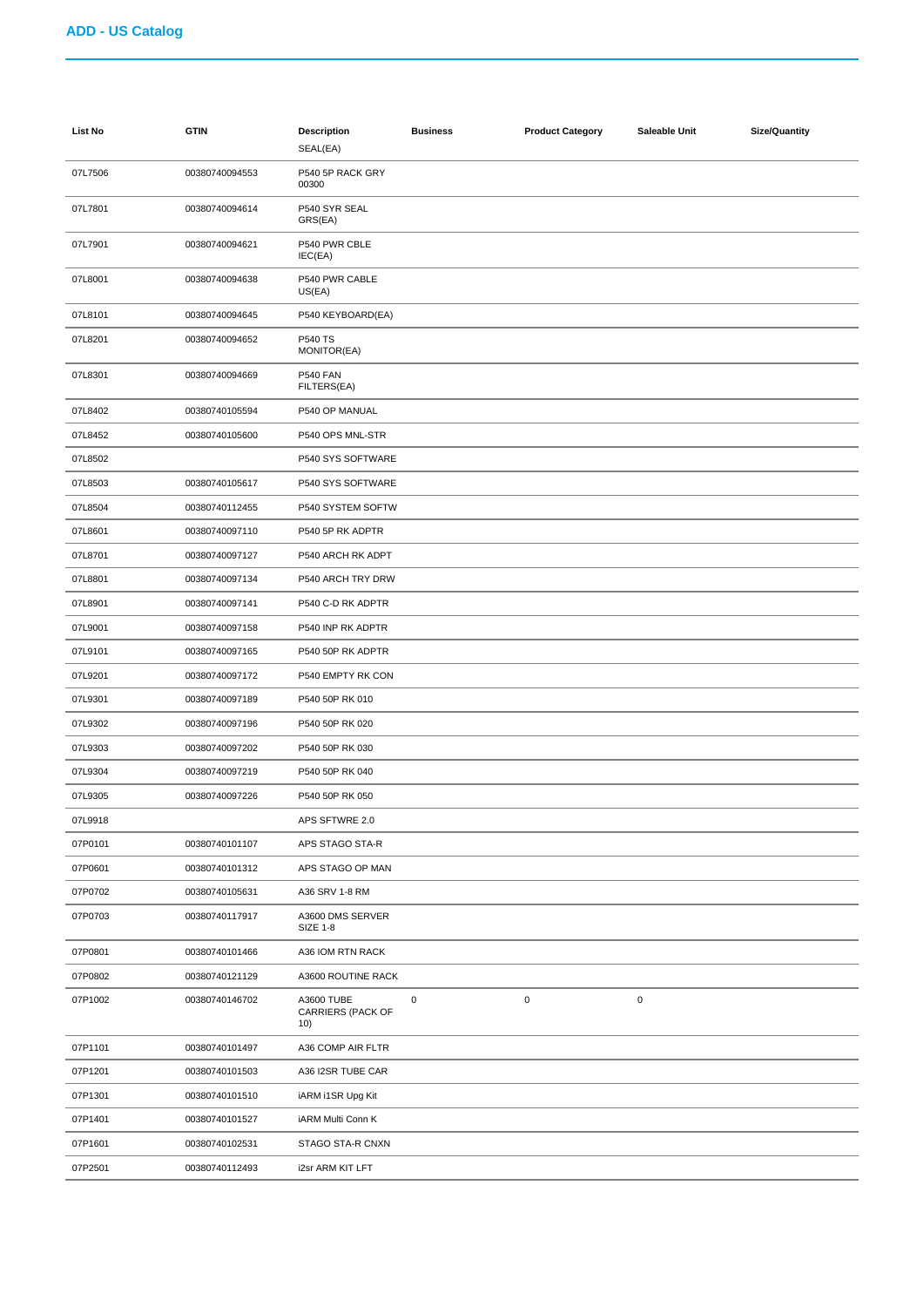| List No | <b>GTIN</b>    | <b>Description</b><br>SEAL(EA)         | <b>Business</b> | <b>Product Category</b> | Saleable Unit | <b>Size/Quantity</b> |
|---------|----------------|----------------------------------------|-----------------|-------------------------|---------------|----------------------|
| 07L7506 | 00380740094553 | P540 5P RACK GRY<br>00300              |                 |                         |               |                      |
| 07L7801 | 00380740094614 | P540 SYR SEAL<br>GRS(EA)               |                 |                         |               |                      |
| 07L7901 | 00380740094621 | P540 PWR CBLE<br>IEC(EA)               |                 |                         |               |                      |
| 07L8001 | 00380740094638 | P540 PWR CABLE<br>US(EA)               |                 |                         |               |                      |
| 07L8101 | 00380740094645 | P540 KEYBOARD(EA)                      |                 |                         |               |                      |
| 07L8201 | 00380740094652 | <b>P540 TS</b><br>MONITOR(EA)          |                 |                         |               |                      |
| 07L8301 | 00380740094669 | <b>P540 FAN</b><br>FILTERS(EA)         |                 |                         |               |                      |
| 07L8402 | 00380740105594 | P540 OP MANUAL                         |                 |                         |               |                      |
| 07L8452 | 00380740105600 | P540 OPS MNL-STR                       |                 |                         |               |                      |
| 07L8502 |                | P540 SYS SOFTWARE                      |                 |                         |               |                      |
| 07L8503 | 00380740105617 | P540 SYS SOFTWARE                      |                 |                         |               |                      |
| 07L8504 | 00380740112455 | P540 SYSTEM SOFTW                      |                 |                         |               |                      |
| 07L8601 | 00380740097110 | P540 5P RK ADPTR                       |                 |                         |               |                      |
| 07L8701 | 00380740097127 | P540 ARCH RK ADPT                      |                 |                         |               |                      |
| 07L8801 | 00380740097134 | P540 ARCH TRY DRW                      |                 |                         |               |                      |
| 07L8901 | 00380740097141 | P540 C-D RK ADPTR                      |                 |                         |               |                      |
| 07L9001 | 00380740097158 | P540 INP RK ADPTR                      |                 |                         |               |                      |
| 07L9101 | 00380740097165 | P540 50P RK ADPTR                      |                 |                         |               |                      |
| 07L9201 | 00380740097172 | P540 EMPTY RK CON                      |                 |                         |               |                      |
| 07L9301 | 00380740097189 | P540 50P RK 010                        |                 |                         |               |                      |
| 07L9302 | 00380740097196 | P540 50P RK 020                        |                 |                         |               |                      |
| 07L9303 | 00380740097202 | P540 50P RK 030                        |                 |                         |               |                      |
| 07L9304 | 00380740097219 | P540 50P RK 040                        |                 |                         |               |                      |
| 07L9305 | 00380740097226 | P540 50P RK 050                        |                 |                         |               |                      |
| 07L9918 |                | APS SFTWRE 2.0                         |                 |                         |               |                      |
| 07P0101 | 00380740101107 | APS STAGO STA-R                        |                 |                         |               |                      |
| 07P0601 | 00380740101312 | APS STAGO OP MAN                       |                 |                         |               |                      |
| 07P0702 | 00380740105631 | A36 SRV 1-8 RM                         |                 |                         |               |                      |
| 07P0703 | 00380740117917 | A3600 DMS SERVER<br><b>SIZE 1-8</b>    |                 |                         |               |                      |
| 07P0801 | 00380740101466 | A36 IOM RTN RACK                       |                 |                         |               |                      |
| 07P0802 | 00380740121129 | A3600 ROUTINE RACK                     |                 |                         |               |                      |
| 07P1002 | 00380740146702 | A3600 TUBE<br>CARRIERS (PACK OF<br>10) | $\mathbf 0$     | $\pmb{0}$               | $\pmb{0}$     |                      |
| 07P1101 | 00380740101497 | A36 COMP AIR FLTR                      |                 |                         |               |                      |
| 07P1201 | 00380740101503 | A36 I2SR TUBE CAR                      |                 |                         |               |                      |
| 07P1301 | 00380740101510 | iARM i1SR Upg Kit                      |                 |                         |               |                      |
| 07P1401 | 00380740101527 | iARM Multi Conn K                      |                 |                         |               |                      |
| 07P1601 | 00380740102531 | STAGO STA-R CNXN                       |                 |                         |               |                      |
| 07P2501 | 00380740112493 | i2sr ARM KIT LFT                       |                 |                         |               |                      |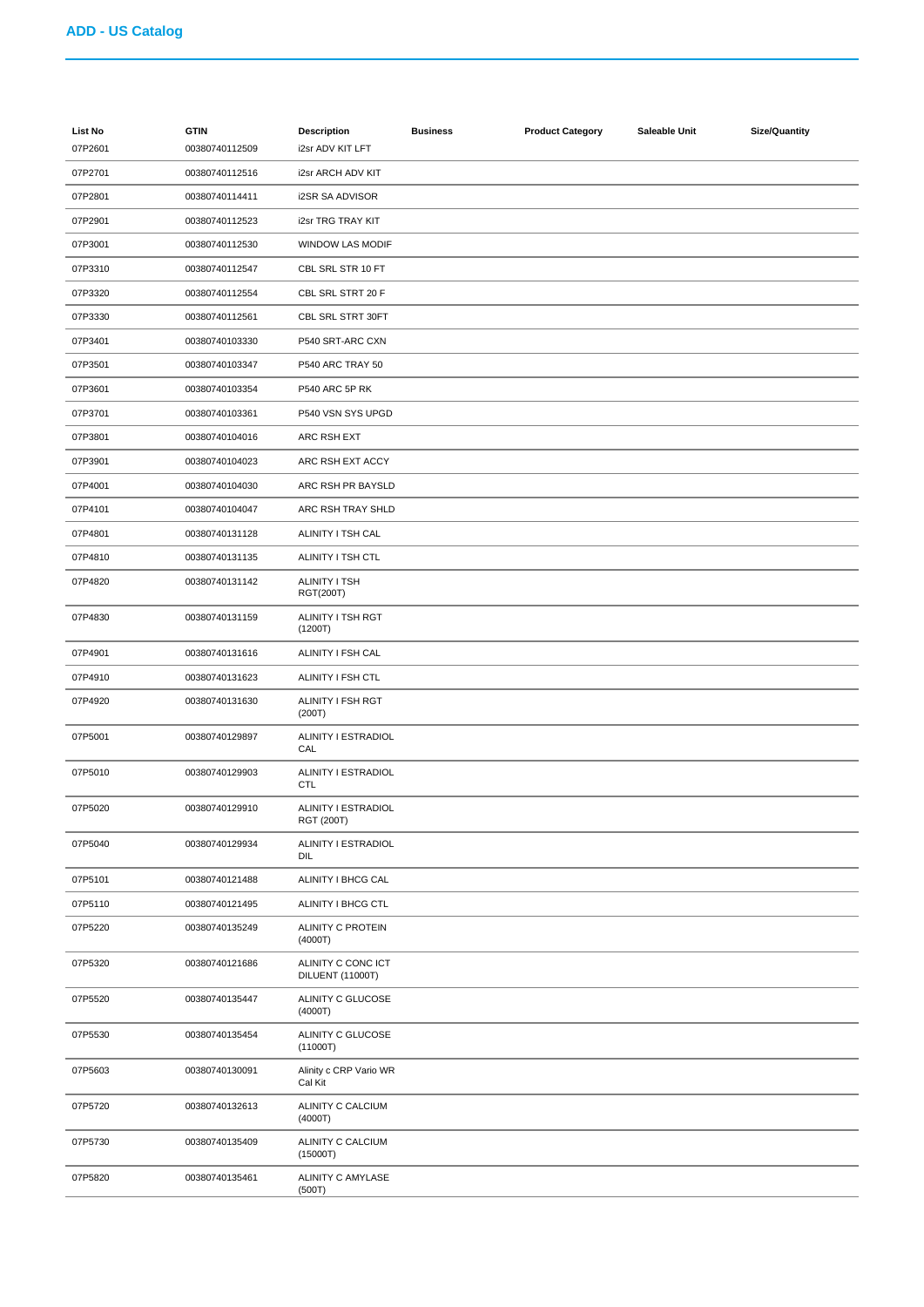| List No | <b>GTIN</b>    | <b>Description</b>                     | <b>Business</b> | <b>Product Category</b> | Saleable Unit | <b>Size/Quantity</b> |
|---------|----------------|----------------------------------------|-----------------|-------------------------|---------------|----------------------|
| 07P2601 | 00380740112509 | i2sr ADV KIT LFT                       |                 |                         |               |                      |
| 07P2701 | 00380740112516 | i2sr ARCH ADV KIT                      |                 |                         |               |                      |
| 07P2801 | 00380740114411 | <b>i2SR SA ADVISOR</b>                 |                 |                         |               |                      |
| 07P2901 | 00380740112523 | i2sr TRG TRAY KIT                      |                 |                         |               |                      |
| 07P3001 | 00380740112530 | WINDOW LAS MODIF                       |                 |                         |               |                      |
| 07P3310 | 00380740112547 | CBL SRL STR 10 FT                      |                 |                         |               |                      |
| 07P3320 | 00380740112554 | CBL SRL STRT 20 F                      |                 |                         |               |                      |
| 07P3330 | 00380740112561 | CBL SRL STRT 30FT                      |                 |                         |               |                      |
| 07P3401 | 00380740103330 | P540 SRT-ARC CXN                       |                 |                         |               |                      |
| 07P3501 | 00380740103347 | P540 ARC TRAY 50                       |                 |                         |               |                      |
| 07P3601 | 00380740103354 | <b>P540 ARC 5P RK</b>                  |                 |                         |               |                      |
| 07P3701 | 00380740103361 | P540 VSN SYS UPGD                      |                 |                         |               |                      |
| 07P3801 | 00380740104016 | ARC RSH EXT                            |                 |                         |               |                      |
| 07P3901 | 00380740104023 | ARC RSH EXT ACCY                       |                 |                         |               |                      |
| 07P4001 | 00380740104030 | ARC RSH PR BAYSLD                      |                 |                         |               |                      |
| 07P4101 | 00380740104047 | ARC RSH TRAY SHLD                      |                 |                         |               |                      |
| 07P4801 | 00380740131128 | ALINITY I TSH CAL                      |                 |                         |               |                      |
| 07P4810 | 00380740131135 | ALINITY I TSH CTL                      |                 |                         |               |                      |
| 07P4820 | 00380740131142 | ALINITY I TSH<br>RGT(200T)             |                 |                         |               |                      |
| 07P4830 | 00380740131159 | ALINITY I TSH RGT<br>(1200T)           |                 |                         |               |                      |
| 07P4901 | 00380740131616 | ALINITY I FSH CAL                      |                 |                         |               |                      |
| 07P4910 | 00380740131623 | ALINITY I FSH CTL                      |                 |                         |               |                      |
| 07P4920 | 00380740131630 | ALINITY I FSH RGT<br>(200T)            |                 |                         |               |                      |
| 07P5001 | 00380740129897 | ALINITY I ESTRADIOL<br>CAL             |                 |                         |               |                      |
| 07P5010 | 00380740129903 | ALINITY I ESTRADIOL<br><b>CTL</b>      |                 |                         |               |                      |
| 07P5020 | 00380740129910 | ALINITY I ESTRADIOL<br>RGT (200T)      |                 |                         |               |                      |
| 07P5040 | 00380740129934 | ALINITY I ESTRADIOL<br>DIL             |                 |                         |               |                      |
| 07P5101 | 00380740121488 | ALINITY I BHCG CAL                     |                 |                         |               |                      |
| 07P5110 | 00380740121495 | ALINITY I BHCG CTL                     |                 |                         |               |                      |
| 07P5220 | 00380740135249 | ALINITY C PROTEIN<br>(4000T)           |                 |                         |               |                      |
| 07P5320 | 00380740121686 | ALINITY C CONC ICT<br>DILUENT (11000T) |                 |                         |               |                      |
| 07P5520 | 00380740135447 | ALINITY C GLUCOSE<br>(4000T)           |                 |                         |               |                      |
| 07P5530 | 00380740135454 | ALINITY C GLUCOSE<br>(11000T)          |                 |                         |               |                      |
| 07P5603 | 00380740130091 | Alinity c CRP Vario WR<br>Cal Kit      |                 |                         |               |                      |
| 07P5720 | 00380740132613 | ALINITY C CALCIUM<br>(4000T)           |                 |                         |               |                      |
| 07P5730 | 00380740135409 | ALINITY C CALCIUM<br>(15000T)          |                 |                         |               |                      |
| 07P5820 | 00380740135461 | ALINITY C AMYLASE<br>(500T)            |                 |                         |               |                      |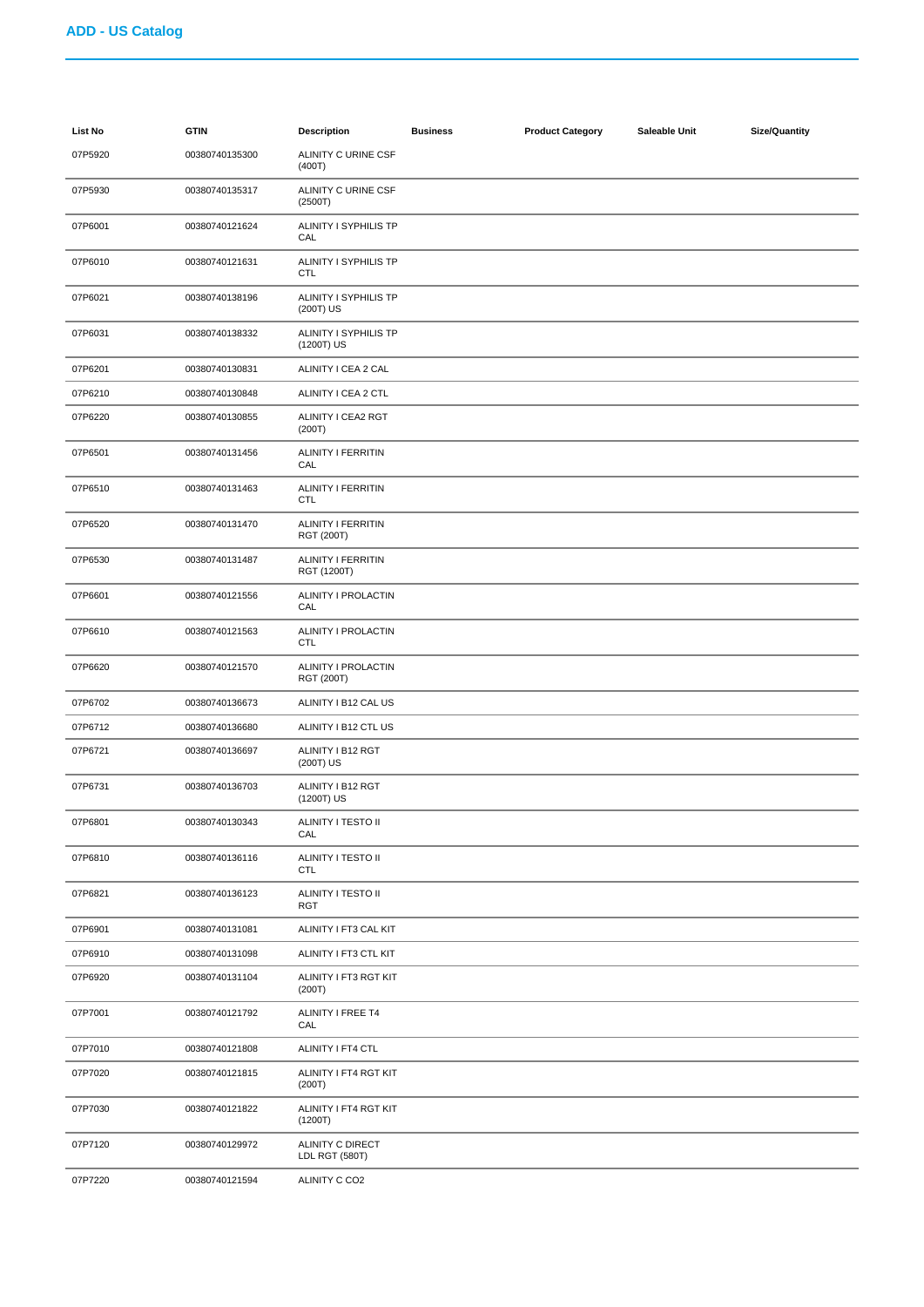| List No | <b>GTIN</b>    | <b>Description</b>                             | <b>Business</b> | <b>Product Category</b> | Saleable Unit | <b>Size/Quantity</b> |
|---------|----------------|------------------------------------------------|-----------------|-------------------------|---------------|----------------------|
| 07P5920 | 00380740135300 | ALINITY C URINE CSF<br>(400T)                  |                 |                         |               |                      |
| 07P5930 | 00380740135317 | ALINITY C URINE CSF<br>(2500T)                 |                 |                         |               |                      |
| 07P6001 | 00380740121624 | ALINITY I SYPHILIS TP<br>CAL                   |                 |                         |               |                      |
| 07P6010 | 00380740121631 | ALINITY I SYPHILIS TP<br><b>CTL</b>            |                 |                         |               |                      |
| 07P6021 | 00380740138196 | ALINITY I SYPHILIS TP<br>(200T) US             |                 |                         |               |                      |
| 07P6031 | 00380740138332 | ALINITY I SYPHILIS TP<br>(1200T) US            |                 |                         |               |                      |
| 07P6201 | 00380740130831 | ALINITY I CEA 2 CAL                            |                 |                         |               |                      |
| 07P6210 | 00380740130848 | ALINITY I CEA 2 CTL                            |                 |                         |               |                      |
| 07P6220 | 00380740130855 | ALINITY I CEA2 RGT<br>(200T)                   |                 |                         |               |                      |
| 07P6501 | 00380740131456 | <b>ALINITY I FERRITIN</b><br>CAL               |                 |                         |               |                      |
| 07P6510 | 00380740131463 | <b>ALINITY I FERRITIN</b><br><b>CTL</b>        |                 |                         |               |                      |
| 07P6520 | 00380740131470 | <b>ALINITY I FERRITIN</b><br><b>RGT (200T)</b> |                 |                         |               |                      |
| 07P6530 | 00380740131487 | <b>ALINITY I FERRITIN</b><br>RGT (1200T)       |                 |                         |               |                      |
| 07P6601 | 00380740121556 | ALINITY I PROLACTIN<br>CAL                     |                 |                         |               |                      |
| 07P6610 | 00380740121563 | ALINITY I PROLACTIN<br><b>CTL</b>              |                 |                         |               |                      |
| 07P6620 | 00380740121570 | ALINITY I PROLACTIN<br><b>RGT (200T)</b>       |                 |                         |               |                      |
| 07P6702 | 00380740136673 | ALINITY I B12 CAL US                           |                 |                         |               |                      |
| 07P6712 | 00380740136680 | ALINITY I B12 CTL US                           |                 |                         |               |                      |
| 07P6721 | 00380740136697 | ALINITY I B12 RGT<br>(200T) US                 |                 |                         |               |                      |
| 07P6731 | 00380740136703 | ALINITY I B12 RGT<br>(1200T) US                |                 |                         |               |                      |
| 07P6801 | 00380740130343 | ALINITY I TESTO II<br>CAL                      |                 |                         |               |                      |
| 07P6810 | 00380740136116 | ALINITY I TESTO II<br><b>CTL</b>               |                 |                         |               |                      |
| 07P6821 | 00380740136123 | ALINITY I TESTO II<br><b>RGT</b>               |                 |                         |               |                      |
| 07P6901 | 00380740131081 | ALINITY I FT3 CAL KIT                          |                 |                         |               |                      |
| 07P6910 | 00380740131098 | ALINITY I FT3 CTL KIT                          |                 |                         |               |                      |
| 07P6920 | 00380740131104 | ALINITY I FT3 RGT KIT<br>(200T)                |                 |                         |               |                      |
| 07P7001 | 00380740121792 | ALINITY I FREE T4<br>CAL                       |                 |                         |               |                      |
| 07P7010 | 00380740121808 | ALINITY I FT4 CTL                              |                 |                         |               |                      |
| 07P7020 | 00380740121815 | ALINITY I FT4 RGT KIT<br>(200T)                |                 |                         |               |                      |
| 07P7030 | 00380740121822 | ALINITY I FT4 RGT KIT<br>(1200T)               |                 |                         |               |                      |
| 07P7120 | 00380740129972 | ALINITY C DIRECT<br>LDL RGT (580T)             |                 |                         |               |                      |
| 07P7220 | 00380740121594 | ALINITY C CO2                                  |                 |                         |               |                      |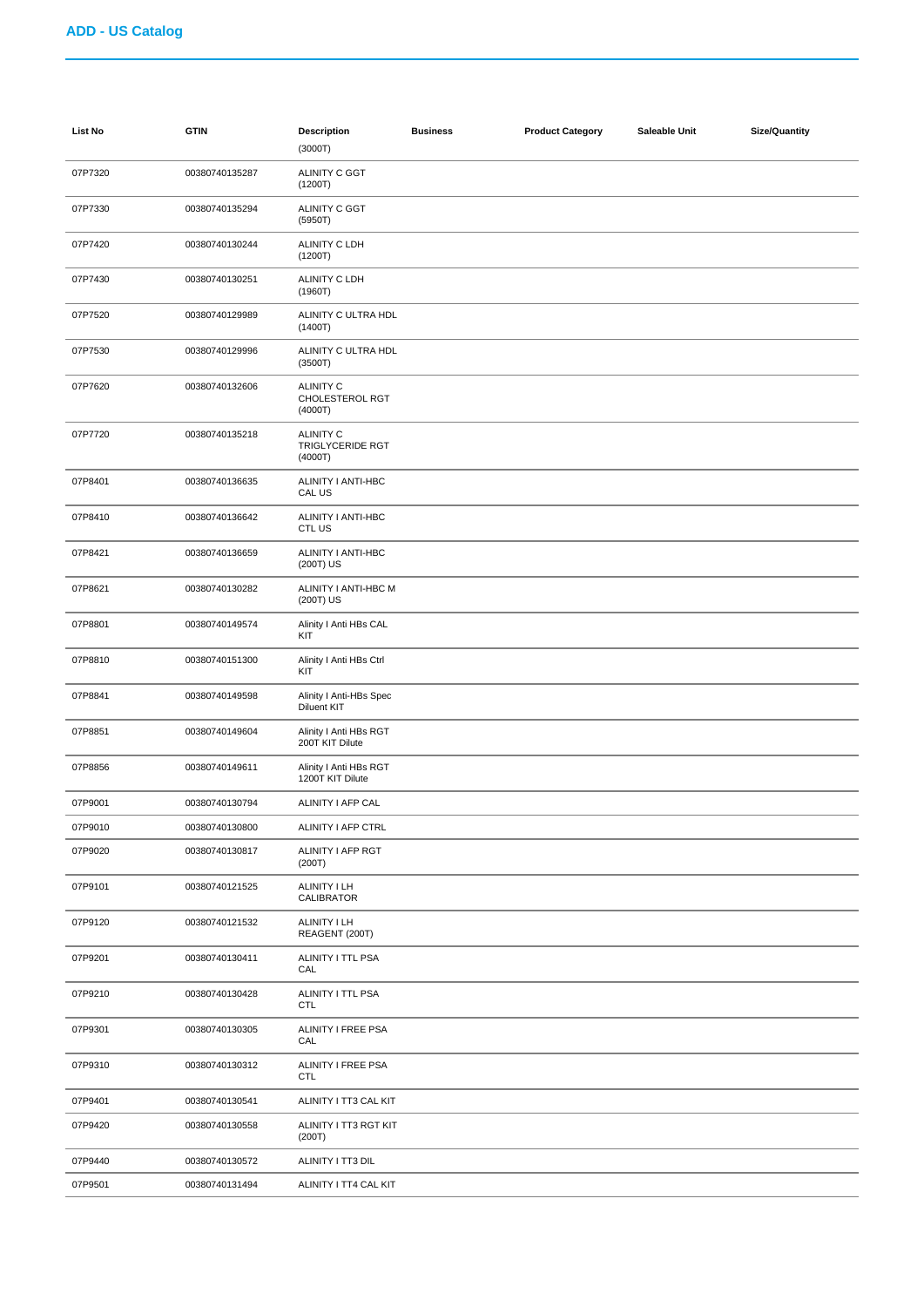| List No | <b>GTIN</b>    | <b>Description</b><br>(3000T)                   | <b>Business</b> | <b>Product Category</b> | Saleable Unit | <b>Size/Quantity</b> |
|---------|----------------|-------------------------------------------------|-----------------|-------------------------|---------------|----------------------|
| 07P7320 | 00380740135287 | ALINITY C GGT<br>(1200T)                        |                 |                         |               |                      |
| 07P7330 | 00380740135294 | <b>ALINITY C GGT</b><br>(5950T)                 |                 |                         |               |                      |
| 07P7420 | 00380740130244 | ALINITY C LDH<br>(1200T)                        |                 |                         |               |                      |
| 07P7430 | 00380740130251 | ALINITY C LDH<br>(1960T)                        |                 |                         |               |                      |
| 07P7520 | 00380740129989 | ALINITY C ULTRA HDL<br>(1400T)                  |                 |                         |               |                      |
| 07P7530 | 00380740129996 | ALINITY C ULTRA HDL<br>(3500T)                  |                 |                         |               |                      |
| 07P7620 | 00380740132606 | <b>ALINITY C</b><br>CHOLESTEROL RGT<br>(4000T)  |                 |                         |               |                      |
| 07P7720 | 00380740135218 | <b>ALINITY C</b><br>TRIGLYCERIDE RGT<br>(4000T) |                 |                         |               |                      |
| 07P8401 | 00380740136635 | ALINITY I ANTI-HBC<br>CAL US                    |                 |                         |               |                      |
| 07P8410 | 00380740136642 | ALINITY I ANTI-HBC<br>CTL US                    |                 |                         |               |                      |
| 07P8421 | 00380740136659 | ALINITY I ANTI-HBC<br>(200T) US                 |                 |                         |               |                      |
| 07P8621 | 00380740130282 | ALINITY I ANTI-HBC M<br>(200T) US               |                 |                         |               |                      |
| 07P8801 | 00380740149574 | Alinity I Anti HBs CAL<br>KIT                   |                 |                         |               |                      |
| 07P8810 | 00380740151300 | Alinity I Anti HBs Ctrl<br>KIT                  |                 |                         |               |                      |
| 07P8841 | 00380740149598 | Alinity I Anti-HBs Spec<br><b>Diluent KIT</b>   |                 |                         |               |                      |
| 07P8851 | 00380740149604 | Alinity I Anti HBs RGT<br>200T KIT Dilute       |                 |                         |               |                      |
| 07P8856 | 00380740149611 | Alinity I Anti HBs RGT<br>1200T KIT Dilute      |                 |                         |               |                      |
| 07P9001 | 00380740130794 | ALINITY I AFP CAL                               |                 |                         |               |                      |
| 07P9010 | 00380740130800 | <b>ALINITY I AFP CTRL</b>                       |                 |                         |               |                      |
| 07P9020 | 00380740130817 | ALINITY I AFP RGT<br>(200T)                     |                 |                         |               |                      |
| 07P9101 | 00380740121525 | ALINITY I LH<br>CALIBRATOR                      |                 |                         |               |                      |
| 07P9120 | 00380740121532 | ALINITY I LH<br>REAGENT (200T)                  |                 |                         |               |                      |
| 07P9201 | 00380740130411 | ALINITY I TTL PSA<br>CAL                        |                 |                         |               |                      |
| 07P9210 | 00380740130428 | ALINITY I TTL PSA<br><b>CTL</b>                 |                 |                         |               |                      |
| 07P9301 | 00380740130305 | ALINITY I FREE PSA<br>CAL                       |                 |                         |               |                      |
| 07P9310 | 00380740130312 | ALINITY I FREE PSA<br><b>CTL</b>                |                 |                         |               |                      |
| 07P9401 | 00380740130541 | ALINITY I TT3 CAL KIT                           |                 |                         |               |                      |
| 07P9420 | 00380740130558 | ALINITY I TT3 RGT KIT<br>(200T)                 |                 |                         |               |                      |
| 07P9440 | 00380740130572 | ALINITY I TT3 DIL                               |                 |                         |               |                      |
| 07P9501 | 00380740131494 | ALINITY I TT4 CAL KIT                           |                 |                         |               |                      |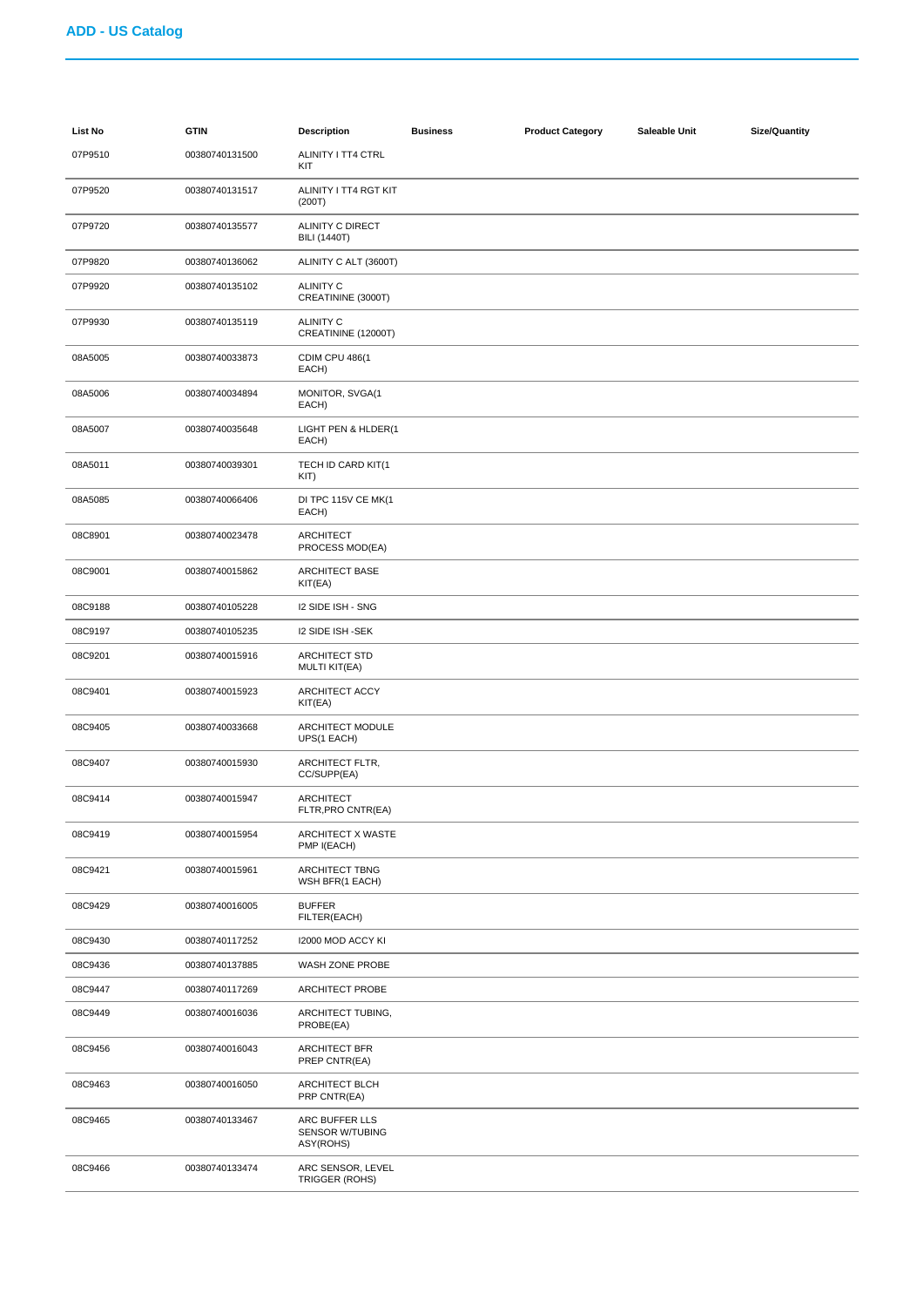| List No | <b>GTIN</b>    | <b>Description</b>                                    | <b>Business</b> | <b>Product Category</b> | Saleable Unit | <b>Size/Quantity</b> |
|---------|----------------|-------------------------------------------------------|-----------------|-------------------------|---------------|----------------------|
| 07P9510 | 00380740131500 | ALINITY I TT4 CTRL<br>KIT                             |                 |                         |               |                      |
| 07P9520 | 00380740131517 | ALINITY I TT4 RGT KIT<br>(200T)                       |                 |                         |               |                      |
| 07P9720 | 00380740135577 | ALINITY C DIRECT<br><b>BILI (1440T)</b>               |                 |                         |               |                      |
| 07P9820 | 00380740136062 | ALINITY C ALT (3600T)                                 |                 |                         |               |                      |
| 07P9920 | 00380740135102 | <b>ALINITY C</b><br>CREATININE (3000T)                |                 |                         |               |                      |
| 07P9930 | 00380740135119 | <b>ALINITY C</b><br>CREATININE (12000T)               |                 |                         |               |                      |
| 08A5005 | 00380740033873 | <b>CDIM CPU 486(1</b><br>EACH)                        |                 |                         |               |                      |
| 08A5006 | 00380740034894 | MONITOR, SVGA(1<br>EACH)                              |                 |                         |               |                      |
| 08A5007 | 00380740035648 | LIGHT PEN & HLDER(1<br>EACH)                          |                 |                         |               |                      |
| 08A5011 | 00380740039301 | TECH ID CARD KIT(1<br>KIT)                            |                 |                         |               |                      |
| 08A5085 | 00380740066406 | DI TPC 115V CE MK(1<br>EACH)                          |                 |                         |               |                      |
| 08C8901 | 00380740023478 | <b>ARCHITECT</b><br>PROCESS MOD(EA)                   |                 |                         |               |                      |
| 08C9001 | 00380740015862 | ARCHITECT BASE<br>KIT(EA)                             |                 |                         |               |                      |
| 08C9188 | 00380740105228 | I2 SIDE ISH - SNG                                     |                 |                         |               |                      |
| 08C9197 | 00380740105235 | <b>I2 SIDE ISH -SEK</b>                               |                 |                         |               |                      |
| 08C9201 | 00380740015916 | ARCHITECT STD<br><b>MULTI KIT(EA)</b>                 |                 |                         |               |                      |
| 08C9401 | 00380740015923 | ARCHITECT ACCY<br>KIT(EA)                             |                 |                         |               |                      |
| 08C9405 | 00380740033668 | ARCHITECT MODULE<br>UPS(1 EACH)                       |                 |                         |               |                      |
| 08C9407 | 00380740015930 | ARCHITECT FLTR,<br>CC/SUPP(EA)                        |                 |                         |               |                      |
| 08C9414 | 00380740015947 | <b>ARCHITECT</b><br>FLTR, PRO CNTR(EA)                |                 |                         |               |                      |
| 08C9419 | 00380740015954 | ARCHITECT X WASTE<br>PMP I(EACH)                      |                 |                         |               |                      |
| 08C9421 | 00380740015961 | ARCHITECT TBNG<br>WSH BFR(1 EACH)                     |                 |                         |               |                      |
| 08C9429 | 00380740016005 | <b>BUFFER</b><br>FILTER(EACH)                         |                 |                         |               |                      |
| 08C9430 | 00380740117252 | 12000 MOD ACCY KI                                     |                 |                         |               |                      |
| 08C9436 | 00380740137885 | WASH ZONE PROBE                                       |                 |                         |               |                      |
| 08C9447 | 00380740117269 | <b>ARCHITECT PROBE</b>                                |                 |                         |               |                      |
| 08C9449 | 00380740016036 | ARCHITECT TUBING,<br>PROBE(EA)                        |                 |                         |               |                      |
| 08C9456 | 00380740016043 | ARCHITECT BFR<br>PREP CNTR(EA)                        |                 |                         |               |                      |
| 08C9463 | 00380740016050 | ARCHITECT BLCH<br>PRP CNTR(EA)                        |                 |                         |               |                      |
| 08C9465 | 00380740133467 | ARC BUFFER LLS<br><b>SENSOR W/TUBING</b><br>ASY(ROHS) |                 |                         |               |                      |
| 08C9466 | 00380740133474 | ARC SENSOR, LEVEL<br>TRIGGER (ROHS)                   |                 |                         |               |                      |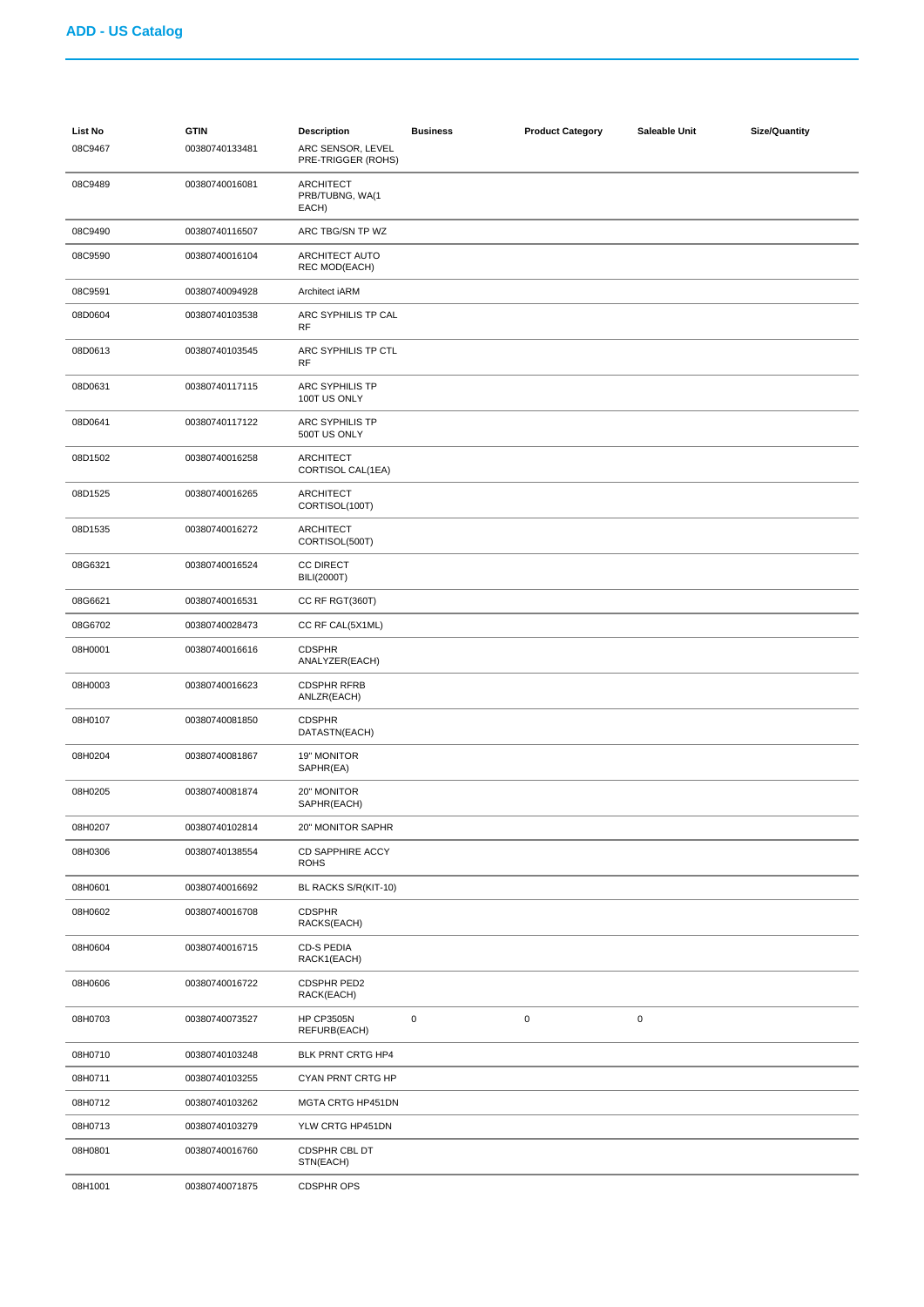| <b>List No</b><br>08C9467 | <b>GTIN</b><br>00380740133481 | <b>Description</b><br>ARC SENSOR, LEVEL<br>PRE-TRIGGER (ROHS) | <b>Business</b> | <b>Product Category</b> | Saleable Unit | <b>Size/Quantity</b> |
|---------------------------|-------------------------------|---------------------------------------------------------------|-----------------|-------------------------|---------------|----------------------|
| 08C9489                   | 00380740016081                | <b>ARCHITECT</b><br>PRB/TUBNG, WA(1<br>EACH)                  |                 |                         |               |                      |
| 08C9490                   | 00380740116507                | ARC TBG/SN TP WZ                                              |                 |                         |               |                      |
| 08C9590                   | 00380740016104                | ARCHITECT AUTO<br><b>REC MOD(EACH)</b>                        |                 |                         |               |                      |
| 08C9591                   | 00380740094928                | Architect iARM                                                |                 |                         |               |                      |
| 08D0604                   | 00380740103538                | ARC SYPHILIS TP CAL<br><b>RF</b>                              |                 |                         |               |                      |
| 08D0613                   | 00380740103545                | ARC SYPHILIS TP CTL<br><b>RF</b>                              |                 |                         |               |                      |
| 08D0631                   | 00380740117115                | ARC SYPHILIS TP<br>100T US ONLY                               |                 |                         |               |                      |
| 08D0641                   | 00380740117122                | ARC SYPHILIS TP<br>500T US ONLY                               |                 |                         |               |                      |
| 08D1502                   | 00380740016258                | <b>ARCHITECT</b><br>CORTISOL CAL(1EA)                         |                 |                         |               |                      |
| 08D1525                   | 00380740016265                | <b>ARCHITECT</b><br>CORTISOL(100T)                            |                 |                         |               |                      |
| 08D1535                   | 00380740016272                | <b>ARCHITECT</b><br>CORTISOL(500T)                            |                 |                         |               |                      |
| 08G6321                   | 00380740016524                | <b>CC DIRECT</b><br><b>BILI(2000T)</b>                        |                 |                         |               |                      |
| 08G6621                   | 00380740016531                | CC RF RGT(360T)                                               |                 |                         |               |                      |
| 08G6702                   | 00380740028473                | CC RF CAL(5X1ML)                                              |                 |                         |               |                      |
| 08H0001                   | 00380740016616                | <b>CDSPHR</b><br>ANALYZER(EACH)                               |                 |                         |               |                      |
| 08H0003                   | 00380740016623                | <b>CDSPHR RFRB</b><br>ANLZR(EACH)                             |                 |                         |               |                      |
| 08H0107                   | 00380740081850                | <b>CDSPHR</b><br>DATASTN(EACH)                                |                 |                         |               |                      |
| 08H0204                   | 00380740081867                | 19" MONITOR<br>SAPHR(EA)                                      |                 |                         |               |                      |
| 08H0205                   | 00380740081874                | 20" MONITOR<br>SAPHR(EACH)                                    |                 |                         |               |                      |
| 08H0207                   | 00380740102814                | 20" MONITOR SAPHR                                             |                 |                         |               |                      |
| 08H0306                   | 00380740138554                | <b>CD SAPPHIRE ACCY</b><br><b>ROHS</b>                        |                 |                         |               |                      |
| 08H0601                   | 00380740016692                | BL RACKS S/R(KIT-10)                                          |                 |                         |               |                      |
| 08H0602                   | 00380740016708                | <b>CDSPHR</b><br>RACKS(EACH)                                  |                 |                         |               |                      |
| 08H0604                   | 00380740016715                | <b>CD-S PEDIA</b><br>RACK1(EACH)                              |                 |                         |               |                      |
| 08H0606                   | 00380740016722                | CDSPHR PED2<br>RACK(EACH)                                     |                 |                         |               |                      |
| 08H0703                   | 00380740073527                | <b>HP CP3505N</b><br>REFURB(EACH)                             | 0               | $\mathbf 0$             | $\mathsf 0$   |                      |
| 08H0710                   | 00380740103248                | BLK PRNT CRTG HP4                                             |                 |                         |               |                      |
| 08H0711                   | 00380740103255                | CYAN PRNT CRTG HP                                             |                 |                         |               |                      |
| 08H0712                   | 00380740103262                | MGTA CRTG HP451DN                                             |                 |                         |               |                      |
| 08H0713                   | 00380740103279                | YLW CRTG HP451DN                                              |                 |                         |               |                      |
| 08H0801                   | 00380740016760                | CDSPHR CBL DT<br>STN(EACH)                                    |                 |                         |               |                      |
| 08H1001                   | 00380740071875                | <b>CDSPHR OPS</b>                                             |                 |                         |               |                      |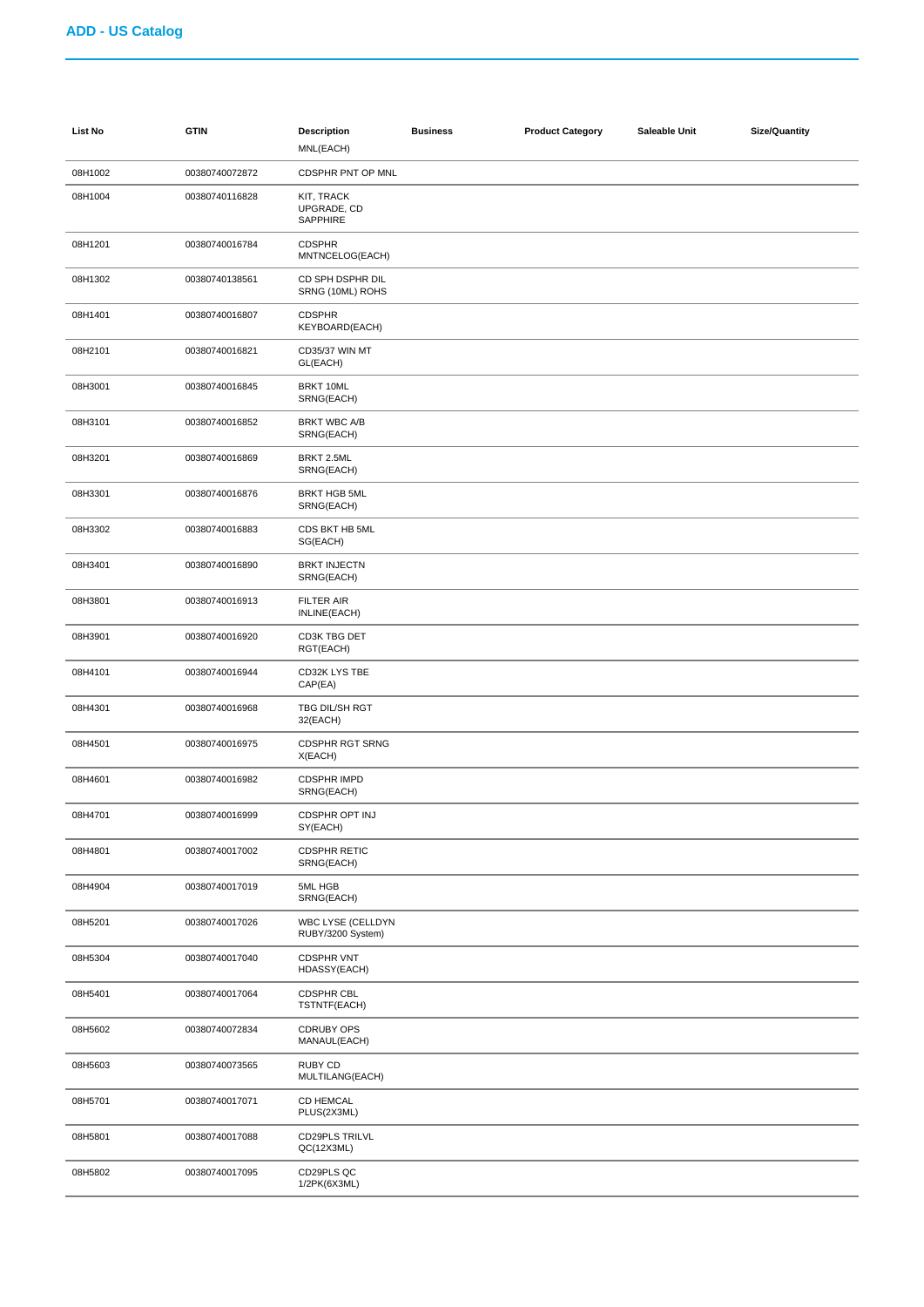| List No | <b>GTIN</b>    | <b>Description</b><br>MNL(EACH)               | <b>Business</b> | <b>Product Category</b> | Saleable Unit | <b>Size/Quantity</b> |
|---------|----------------|-----------------------------------------------|-----------------|-------------------------|---------------|----------------------|
| 08H1002 | 00380740072872 | CDSPHR PNT OP MNL                             |                 |                         |               |                      |
| 08H1004 | 00380740116828 | KIT, TRACK<br>UPGRADE, CD<br>SAPPHIRE         |                 |                         |               |                      |
| 08H1201 | 00380740016784 | <b>CDSPHR</b><br>MNTNCELOG(EACH)              |                 |                         |               |                      |
| 08H1302 | 00380740138561 | CD SPH DSPHR DIL<br>SRNG (10ML) ROHS          |                 |                         |               |                      |
| 08H1401 | 00380740016807 | <b>CDSPHR</b><br>KEYBOARD(EACH)               |                 |                         |               |                      |
| 08H2101 | 00380740016821 | CD35/37 WIN MT<br>GL(EACH)                    |                 |                         |               |                      |
| 08H3001 | 00380740016845 | BRKT 10ML<br>SRNG(EACH)                       |                 |                         |               |                      |
| 08H3101 | 00380740016852 | <b>BRKT WBC A/B</b><br>SRNG(EACH)             |                 |                         |               |                      |
| 08H3201 | 00380740016869 | BRKT 2.5ML<br>SRNG(EACH)                      |                 |                         |               |                      |
| 08H3301 | 00380740016876 | <b>BRKT HGB 5ML</b><br>SRNG(EACH)             |                 |                         |               |                      |
| 08H3302 | 00380740016883 | CDS BKT HB 5ML<br>SG(EACH)                    |                 |                         |               |                      |
| 08H3401 | 00380740016890 | <b>BRKT INJECTN</b><br>SRNG(EACH)             |                 |                         |               |                      |
| 08H3801 | 00380740016913 | <b>FILTER AIR</b><br>INLINE(EACH)             |                 |                         |               |                      |
| 08H3901 | 00380740016920 | CD3K TBG DET<br>RGT(EACH)                     |                 |                         |               |                      |
| 08H4101 | 00380740016944 | CD32K LYS TBE<br>CAP(EA)                      |                 |                         |               |                      |
| 08H4301 | 00380740016968 | TBG DIL/SH RGT<br>32(EACH)                    |                 |                         |               |                      |
| 08H4501 | 00380740016975 | <b>CDSPHR RGT SRNG</b><br>X(EACH)             |                 |                         |               |                      |
| 08H4601 | 00380740016982 | <b>CDSPHR IMPD</b><br>SRNG(EACH)              |                 |                         |               |                      |
| 08H4701 | 00380740016999 | CDSPHR OPT INJ<br>SY(EACH)                    |                 |                         |               |                      |
| 08H4801 | 00380740017002 | <b>CDSPHR RETIC</b><br>SRNG(EACH)             |                 |                         |               |                      |
| 08H4904 | 00380740017019 | 5ML HGB<br>SRNG(EACH)                         |                 |                         |               |                      |
| 08H5201 | 00380740017026 | <b>WBC LYSE (CELLDYN</b><br>RUBY/3200 System) |                 |                         |               |                      |
| 08H5304 | 00380740017040 | <b>CDSPHR VNT</b><br>HDASSY(EACH)             |                 |                         |               |                      |
| 08H5401 | 00380740017064 | <b>CDSPHR CBL</b><br>TSTNTF(EACH)             |                 |                         |               |                      |
| 08H5602 | 00380740072834 | <b>CDRUBY OPS</b><br>MANAUL(EACH)             |                 |                         |               |                      |
| 08H5603 | 00380740073565 | RUBY CD<br>MULTILANG(EACH)                    |                 |                         |               |                      |
| 08H5701 | 00380740017071 | <b>CD HEMCAL</b><br>PLUS(2X3ML)               |                 |                         |               |                      |
| 08H5801 | 00380740017088 | CD29PLS TRILVL<br>QC(12X3ML)                  |                 |                         |               |                      |
| 08H5802 | 00380740017095 | CD29PLS QC<br>1/2PK(6X3ML)                    |                 |                         |               |                      |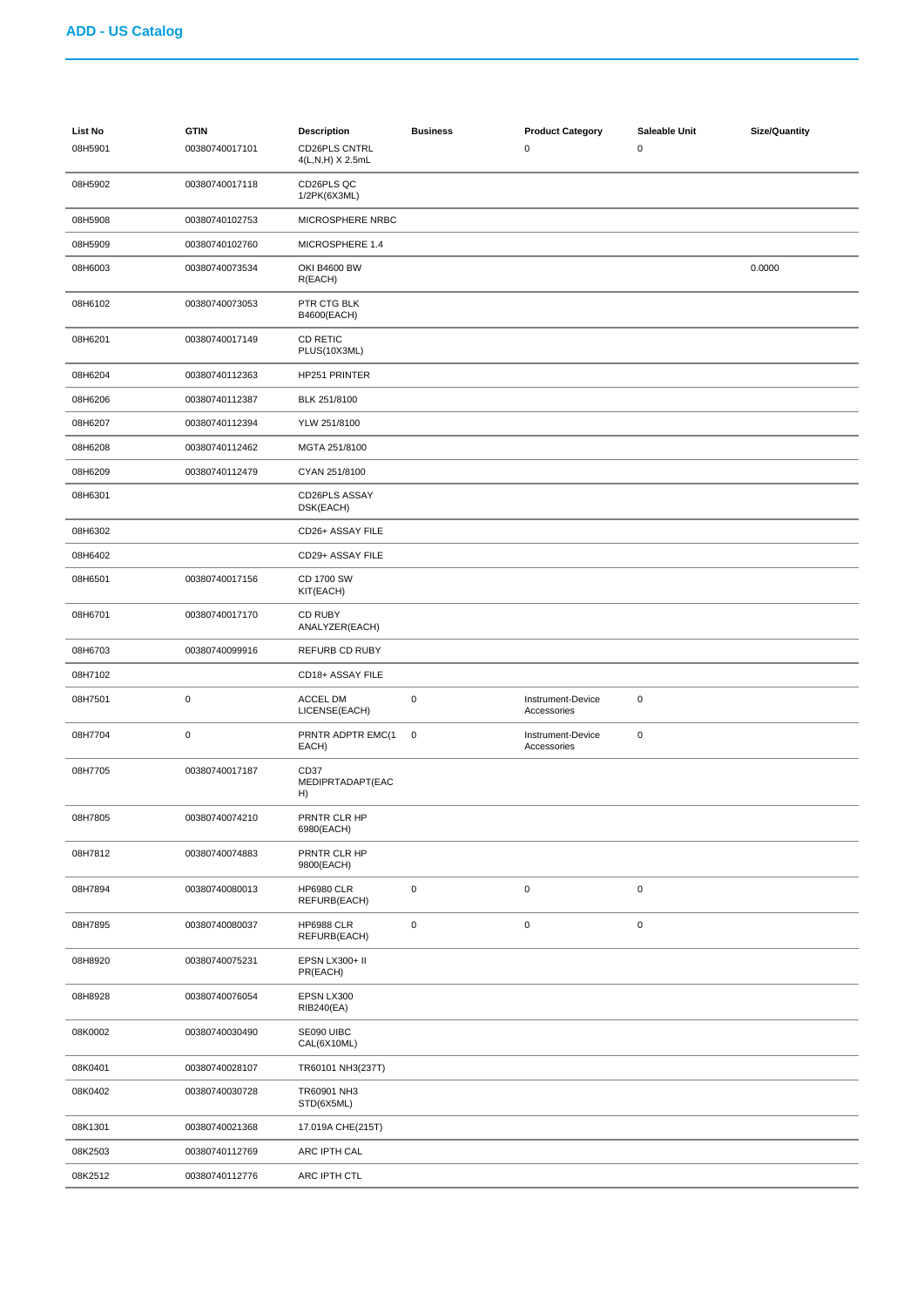| <b>List No</b><br>08H5901 | <b>GTIN</b><br>00380740017101 | <b>Description</b><br><b>CD26PLS CNTRL</b><br>4(L,N,H) X 2.5mL | <b>Business</b> | <b>Product Category</b><br>0     | Saleable Unit<br>$\pmb{0}$ | Size/Quantity |
|---------------------------|-------------------------------|----------------------------------------------------------------|-----------------|----------------------------------|----------------------------|---------------|
| 08H5902                   | 00380740017118                | CD26PLS QC<br>1/2PK(6X3ML)                                     |                 |                                  |                            |               |
| 08H5908                   | 00380740102753                | MICROSPHERE NRBC                                               |                 |                                  |                            |               |
| 08H5909                   | 00380740102760                | MICROSPHERE 1.4                                                |                 |                                  |                            |               |
| 08H6003                   | 00380740073534                | OKI B4600 BW<br>R(EACH)                                        |                 |                                  |                            | 0.0000        |
| 08H6102                   | 00380740073053                | PTR CTG BLK<br>B4600(EACH)                                     |                 |                                  |                            |               |
| 08H6201                   | 00380740017149                | <b>CD RETIC</b><br>PLUS(10X3ML)                                |                 |                                  |                            |               |
| 08H6204                   | 00380740112363                | HP251 PRINTER                                                  |                 |                                  |                            |               |
| 08H6206                   | 00380740112387                | BLK 251/8100                                                   |                 |                                  |                            |               |
| 08H6207                   | 00380740112394                | YLW 251/8100                                                   |                 |                                  |                            |               |
| 08H6208                   | 00380740112462                | MGTA 251/8100                                                  |                 |                                  |                            |               |
| 08H6209                   | 00380740112479                | CYAN 251/8100                                                  |                 |                                  |                            |               |
| 08H6301                   |                               | CD26PLS ASSAY<br>DSK(EACH)                                     |                 |                                  |                            |               |
| 08H6302                   |                               | CD26+ ASSAY FILE                                               |                 |                                  |                            |               |
| 08H6402                   |                               | CD29+ ASSAY FILE                                               |                 |                                  |                            |               |
| 08H6501                   | 00380740017156                | CD 1700 SW<br>KIT(EACH)                                        |                 |                                  |                            |               |
| 08H6701                   | 00380740017170                | CD RUBY<br>ANALYZER(EACH)                                      |                 |                                  |                            |               |
| 08H6703                   | 00380740099916                | REFURB CD RUBY                                                 |                 |                                  |                            |               |
| 08H7102                   |                               | CD18+ ASSAY FILE                                               |                 |                                  |                            |               |
| 08H7501                   | $\pmb{0}$                     | ACCEL DM<br>LICENSE(EACH)                                      | 0               | Instrument-Device<br>Accessories | $\mathbf 0$                |               |
| 08H7704                   | $\pmb{0}$                     | PRNTR ADPTR EMC(1<br>EACH)                                     | $\pmb{0}$       | Instrument-Device<br>Accessories | $\mathsf 0$                |               |
| 08H7705                   | 00380740017187                | CD37<br>MEDIPRTADAPT(EAC<br>H)                                 |                 |                                  |                            |               |
| 08H7805                   | 00380740074210                | PRNTR CLR HP<br>6980(EACH)                                     |                 |                                  |                            |               |
| 08H7812                   | 00380740074883                | PRNTR CLR HP<br>9800(EACH)                                     |                 |                                  |                            |               |
| 08H7894                   | 00380740080013                | <b>HP6980 CLR</b><br>REFURB(EACH)                              | $\pmb{0}$       | $\pmb{0}$                        | $\pmb{0}$                  |               |
| 08H7895                   | 00380740080037                | <b>HP6988 CLR</b><br>REFURB(EACH)                              | 0               | $\pmb{0}$                        | $\mathsf 0$                |               |
| 08H8920                   | 00380740075231                | EPSN LX300+ II<br>PR(EACH)                                     |                 |                                  |                            |               |
| 08H8928                   | 00380740076054                | EPSN LX300<br>RIB240(EA)                                       |                 |                                  |                            |               |
| 08K0002                   | 00380740030490                | SE090 UIBC<br>CAL(6X10ML)                                      |                 |                                  |                            |               |
| 08K0401                   | 00380740028107                | TR60101 NH3(237T)                                              |                 |                                  |                            |               |
| 08K0402                   | 00380740030728                | TR60901 NH3<br>STD(6X5ML)                                      |                 |                                  |                            |               |
| 08K1301                   | 00380740021368                | 17.019A CHE(215T)                                              |                 |                                  |                            |               |
| 08K2503                   | 00380740112769                | ARC IPTH CAL                                                   |                 |                                  |                            |               |
| 08K2512                   | 00380740112776                | ARC IPTH CTL                                                   |                 |                                  |                            |               |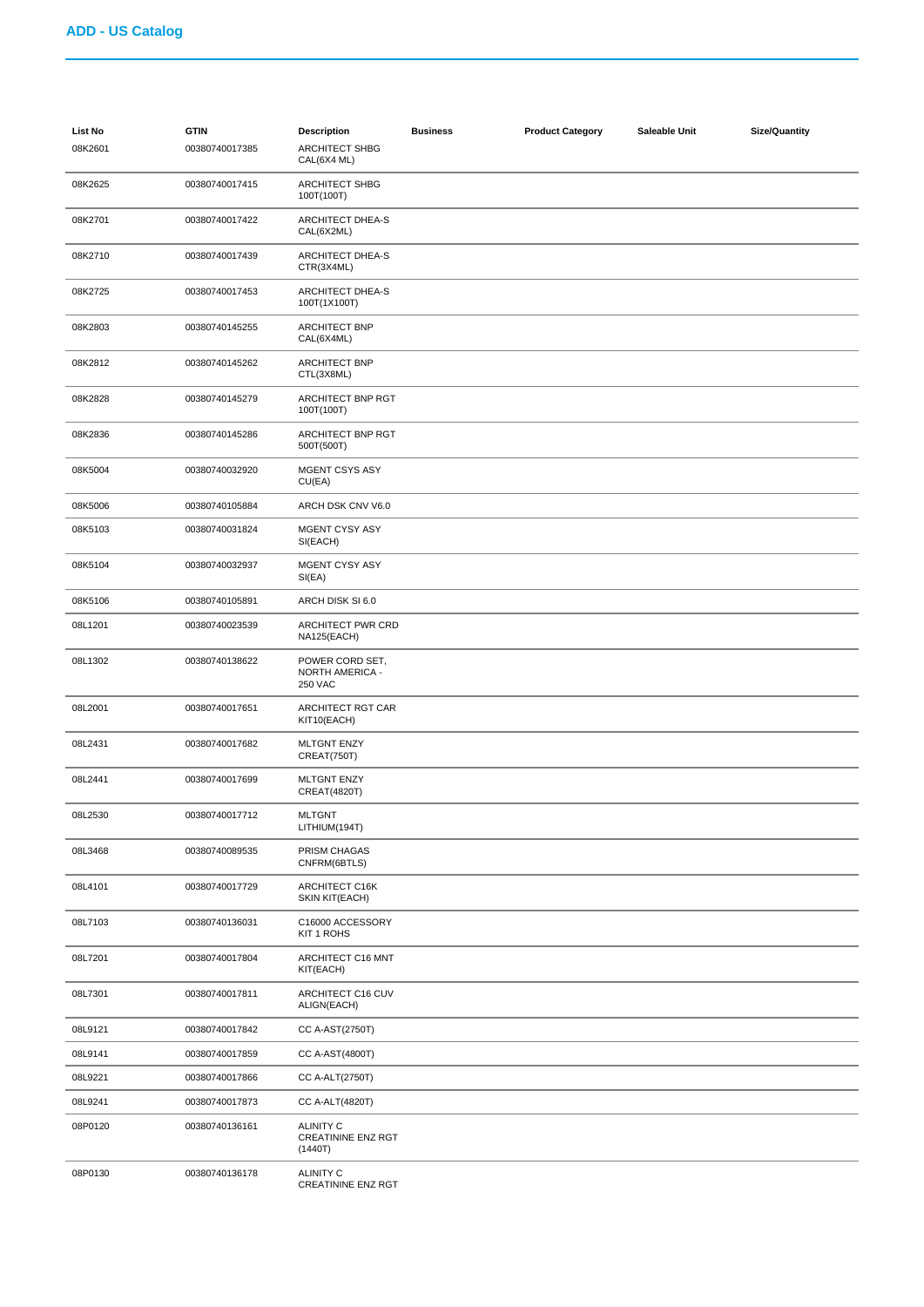| <b>List No</b><br>08K2601 | <b>GTIN</b><br>00380740017385 | <b>Description</b><br><b>ARCHITECT SHBG</b><br>CAL(6X4 ML) | <b>Business</b> | <b>Product Category</b> | Saleable Unit | <b>Size/Quantity</b> |
|---------------------------|-------------------------------|------------------------------------------------------------|-----------------|-------------------------|---------------|----------------------|
| 08K2625                   | 00380740017415                | ARCHITECT SHBG<br>100T(100T)                               |                 |                         |               |                      |
| 08K2701                   | 00380740017422                | ARCHITECT DHEA-S<br>CAL(6X2ML)                             |                 |                         |               |                      |
| 08K2710                   | 00380740017439                | ARCHITECT DHEA-S<br>CTR(3X4ML)                             |                 |                         |               |                      |
| 08K2725                   | 00380740017453                | ARCHITECT DHEA-S<br>100T(1X100T)                           |                 |                         |               |                      |
| 08K2803                   | 00380740145255                | <b>ARCHITECT BNP</b><br>CAL(6X4ML)                         |                 |                         |               |                      |
| 08K2812                   | 00380740145262                | <b>ARCHITECT BNP</b><br>CTL(3X8ML)                         |                 |                         |               |                      |
| 08K2828                   | 00380740145279                | ARCHITECT BNP RGT<br>100T(100T)                            |                 |                         |               |                      |
| 08K2836                   | 00380740145286                | ARCHITECT BNP RGT<br>500T(500T)                            |                 |                         |               |                      |
| 08K5004                   | 00380740032920                | <b>MGENT CSYS ASY</b><br>CU(EA)                            |                 |                         |               |                      |
| 08K5006                   | 00380740105884                | ARCH DSK CNV V6.0                                          |                 |                         |               |                      |
| 08K5103                   | 00380740031824                | <b>MGENT CYSY ASY</b><br>SI(EACH)                          |                 |                         |               |                      |
| 08K5104                   | 00380740032937                | <b>MGENT CYSY ASY</b><br>SI(EA)                            |                 |                         |               |                      |
| 08K5106                   | 00380740105891                | ARCH DISK SI 6.0                                           |                 |                         |               |                      |
| 08L1201                   | 00380740023539                | ARCHITECT PWR CRD<br>NA125(EACH)                           |                 |                         |               |                      |
| 08L1302                   | 00380740138622                | POWER CORD SET,<br>NORTH AMERICA -<br><b>250 VAC</b>       |                 |                         |               |                      |
| 08L2001                   | 00380740017651                | ARCHITECT RGT CAR<br>KIT10(EACH)                           |                 |                         |               |                      |
| 08L2431                   | 00380740017682                | <b>MLTGNT ENZY</b><br>CREAT(750T)                          |                 |                         |               |                      |
| 08L2441                   | 00380740017699                | <b>MLTGNT ENZY</b><br><b>CREAT(4820T)</b>                  |                 |                         |               |                      |
| 08L2530                   | 00380740017712                | <b>MLTGNT</b><br>LITHIUM(194T)                             |                 |                         |               |                      |
| 08L3468                   | 00380740089535                | PRISM CHAGAS<br>CNFRM(6BTLS)                               |                 |                         |               |                      |
| 08L4101                   | 00380740017729                | ARCHITECT C16K<br>SKIN KIT(EACH)                           |                 |                         |               |                      |
| 08L7103                   | 00380740136031                | C16000 ACCESSORY<br>KIT 1 ROHS                             |                 |                         |               |                      |
| 08L7201                   | 00380740017804                | ARCHITECT C16 MNT<br>KIT(EACH)                             |                 |                         |               |                      |
| 08L7301                   | 00380740017811                | ARCHITECT C16 CUV<br>ALIGN(EACH)                           |                 |                         |               |                      |
| 08L9121                   | 00380740017842                | CC A-AST(2750T)                                            |                 |                         |               |                      |
| 08L9141                   | 00380740017859                | CC A-AST(4800T)                                            |                 |                         |               |                      |
| 08L9221                   | 00380740017866                | CC A-ALT(2750T)                                            |                 |                         |               |                      |
| 08L9241                   | 00380740017873                | <b>CC A-ALT(4820T)</b>                                     |                 |                         |               |                      |
| 08P0120                   | 00380740136161                | <b>ALINITY C</b><br><b>CREATININE ENZ RGT</b><br>(1440T)   |                 |                         |               |                      |
| 08P0130                   | 00380740136178                | <b>ALINITY C</b><br>CREATININE ENZ RGT                     |                 |                         |               |                      |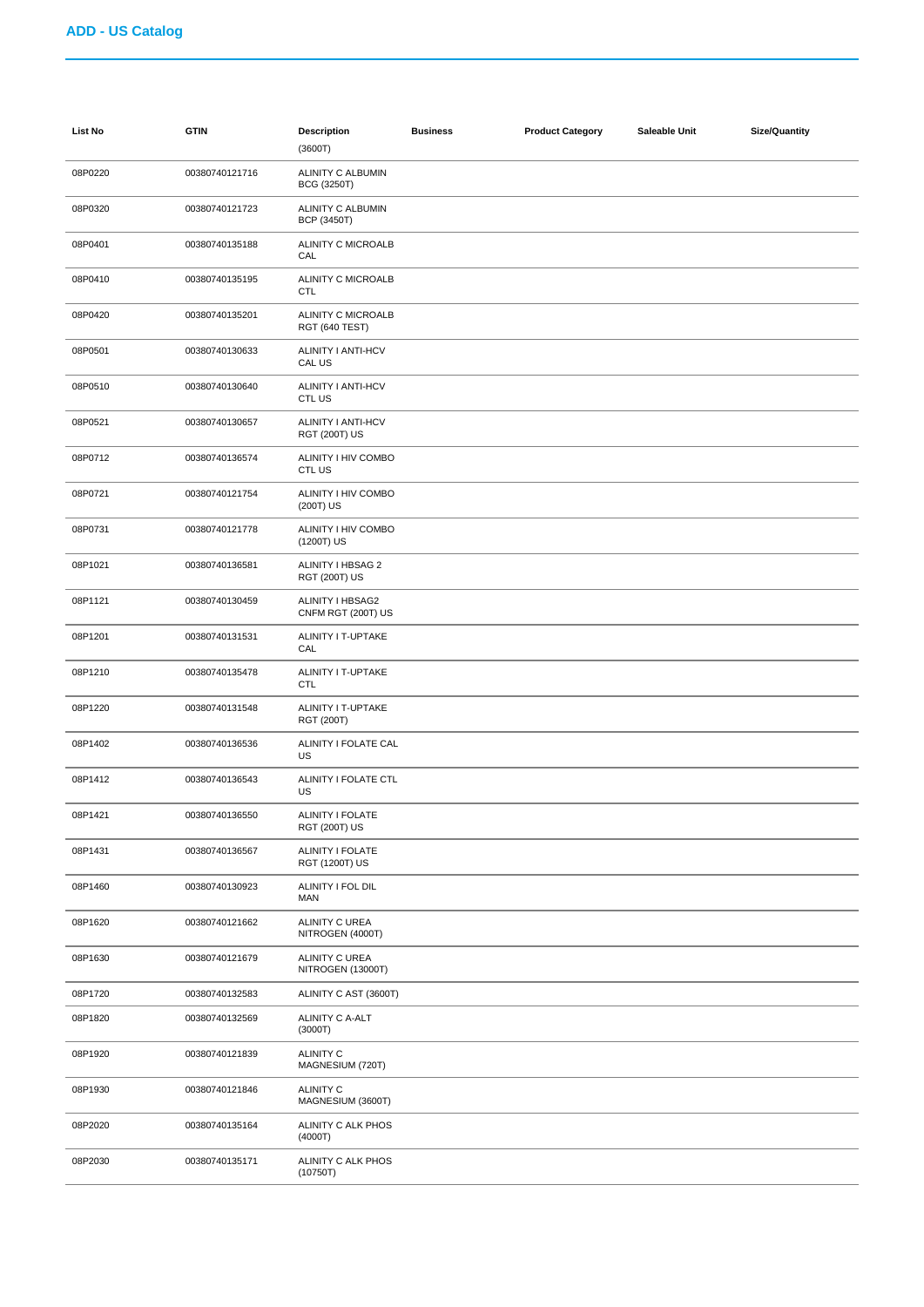| <b>List No</b> | <b>GTIN</b>    | <b>Description</b><br>(3600T)                  | <b>Business</b> | <b>Product Category</b> | Saleable Unit | <b>Size/Quantity</b> |
|----------------|----------------|------------------------------------------------|-----------------|-------------------------|---------------|----------------------|
| 08P0220        | 00380740121716 | ALINITY C ALBUMIN<br>BCG (3250T)               |                 |                         |               |                      |
| 08P0320        | 00380740121723 | <b>ALINITY C ALBUMIN</b><br><b>BCP (3450T)</b> |                 |                         |               |                      |
| 08P0401        | 00380740135188 | ALINITY C MICROALB<br>CAL                      |                 |                         |               |                      |
| 08P0410        | 00380740135195 | ALINITY C MICROALB<br><b>CTL</b>               |                 |                         |               |                      |
| 08P0420        | 00380740135201 | ALINITY C MICROALB<br>RGT (640 TEST)           |                 |                         |               |                      |
| 08P0501        | 00380740130633 | ALINITY I ANTI-HCV<br>CAL US                   |                 |                         |               |                      |
| 08P0510        | 00380740130640 | ALINITY I ANTI-HCV<br>CTL US                   |                 |                         |               |                      |
| 08P0521        | 00380740130657 | ALINITY I ANTI-HCV<br><b>RGT (200T) US</b>     |                 |                         |               |                      |
| 08P0712        | 00380740136574 | ALINITY I HIV COMBO<br>CTL US                  |                 |                         |               |                      |
| 08P0721        | 00380740121754 | ALINITY I HIV COMBO<br>(200T) US               |                 |                         |               |                      |
| 08P0731        | 00380740121778 | ALINITY I HIV COMBO<br>(1200T) US              |                 |                         |               |                      |
| 08P1021        | 00380740136581 | ALINITY I HBSAG 2<br><b>RGT (200T) US</b>      |                 |                         |               |                      |
| 08P1121        | 00380740130459 | ALINITY I HBSAG2<br>CNFM RGT (200T) US         |                 |                         |               |                      |
| 08P1201        | 00380740131531 | ALINITY I T-UPTAKE<br>CAL                      |                 |                         |               |                      |
| 08P1210        | 00380740135478 | ALINITY I T-UPTAKE<br><b>CTL</b>               |                 |                         |               |                      |
| 08P1220        | 00380740131548 | ALINITY I T-UPTAKE<br>RGT (200T)               |                 |                         |               |                      |
| 08P1402        | 00380740136536 | ALINITY I FOLATE CAL<br>US                     |                 |                         |               |                      |
| 08P1412        | 00380740136543 | ALINITY I FOLATE CTL<br>US                     |                 |                         |               |                      |
| 08P1421        | 00380740136550 | ALINITY I FOLATE<br><b>RGT (200T) US</b>       |                 |                         |               |                      |
| 08P1431        | 00380740136567 | ALINITY I FOLATE<br>RGT (1200T) US             |                 |                         |               |                      |
| 08P1460        | 00380740130923 | ALINITY I FOL DIL<br>MAN                       |                 |                         |               |                      |
| 08P1620        | 00380740121662 | ALINITY C UREA<br>NITROGEN (4000T)             |                 |                         |               |                      |
| 08P1630        | 00380740121679 | <b>ALINITY C UREA</b><br>NITROGEN (13000T)     |                 |                         |               |                      |
| 08P1720        | 00380740132583 | ALINITY C AST (3600T)                          |                 |                         |               |                      |
| 08P1820        | 00380740132569 | ALINITY C A-ALT<br>(3000T)                     |                 |                         |               |                      |
| 08P1920        | 00380740121839 | <b>ALINITY C</b><br>MAGNESIUM (720T)           |                 |                         |               |                      |
| 08P1930        | 00380740121846 | <b>ALINITY C</b><br>MAGNESIUM (3600T)          |                 |                         |               |                      |
| 08P2020        | 00380740135164 | ALINITY C ALK PHOS<br>(4000T)                  |                 |                         |               |                      |
| 08P2030        | 00380740135171 | ALINITY C ALK PHOS<br>(10750T)                 |                 |                         |               |                      |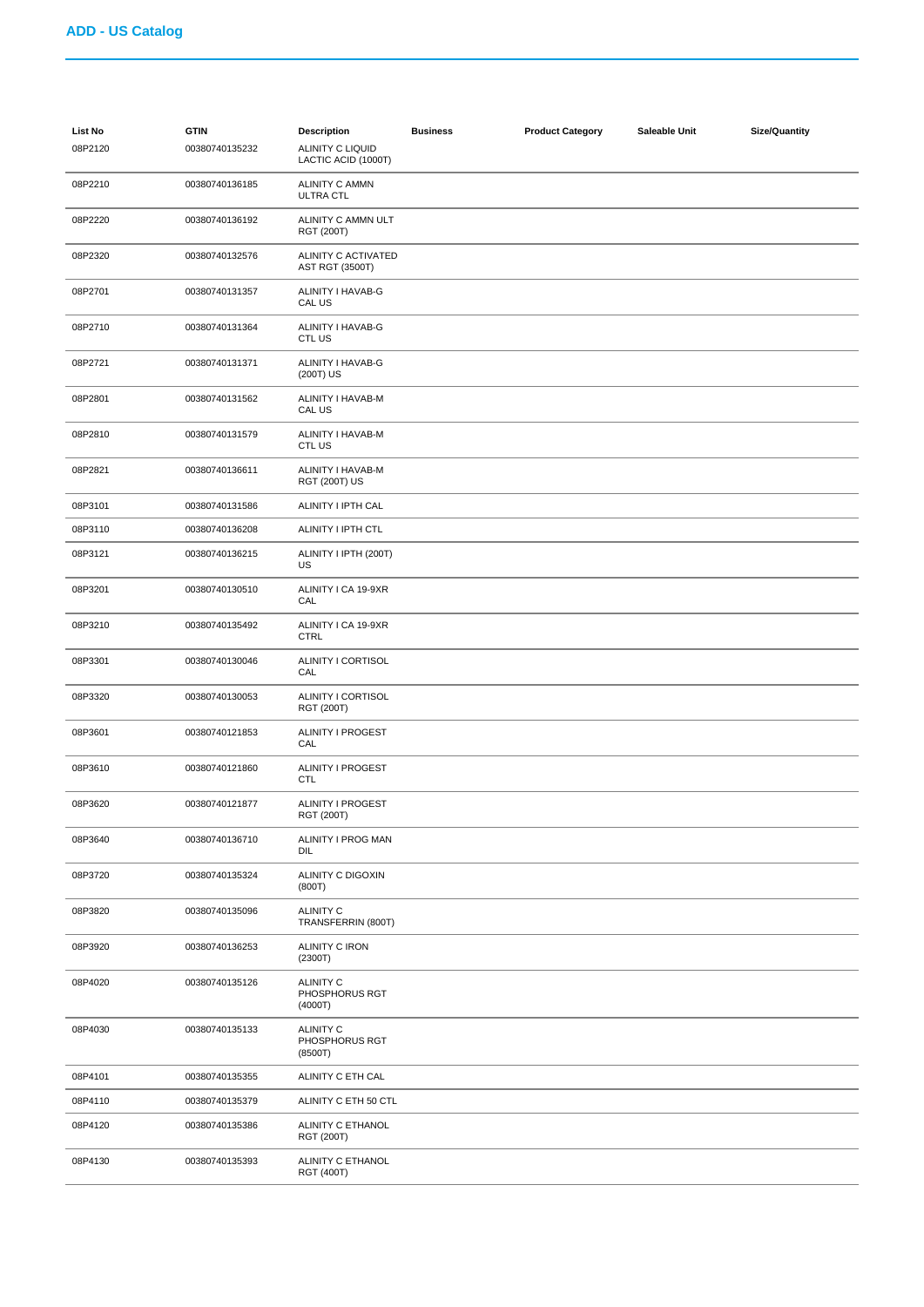| List No<br>08P2120 | <b>GTIN</b><br>00380740135232 | <b>Description</b><br><b>ALINITY C LIQUID</b><br>LACTIC ACID (1000T) | <b>Business</b> | <b>Product Category</b> | Saleable Unit | <b>Size/Quantity</b> |
|--------------------|-------------------------------|----------------------------------------------------------------------|-----------------|-------------------------|---------------|----------------------|
| 08P2210            | 00380740136185                | <b>ALINITY C AMMN</b><br>ULTRA CTL                                   |                 |                         |               |                      |
| 08P2220            | 00380740136192                | ALINITY C AMMN ULT<br><b>RGT (200T)</b>                              |                 |                         |               |                      |
| 08P2320            | 00380740132576                | ALINITY C ACTIVATED<br>AST RGT (3500T)                               |                 |                         |               |                      |
| 08P2701            | 00380740131357                | ALINITY I HAVAB-G<br>CAL US                                          |                 |                         |               |                      |
| 08P2710            | 00380740131364                | ALINITY I HAVAB-G<br>CTL US                                          |                 |                         |               |                      |
| 08P2721            | 00380740131371                | ALINITY I HAVAB-G<br>(200T) US                                       |                 |                         |               |                      |
| 08P2801            | 00380740131562                | ALINITY I HAVAB-M<br>CAL US                                          |                 |                         |               |                      |
| 08P2810            | 00380740131579                | ALINITY I HAVAB-M<br>CTL US                                          |                 |                         |               |                      |
| 08P2821            | 00380740136611                | ALINITY I HAVAB-M<br><b>RGT (200T) US</b>                            |                 |                         |               |                      |
| 08P3101            | 00380740131586                | ALINITY I IPTH CAL                                                   |                 |                         |               |                      |
| 08P3110            | 00380740136208                | ALINITY I IPTH CTL                                                   |                 |                         |               |                      |
| 08P3121            | 00380740136215                | ALINITY I IPTH (200T)<br>US                                          |                 |                         |               |                      |
| 08P3201            | 00380740130510                | ALINITY I CA 19-9XR<br>CAL                                           |                 |                         |               |                      |
| 08P3210            | 00380740135492                | ALINITY I CA 19-9XR<br><b>CTRL</b>                                   |                 |                         |               |                      |
| 08P3301            | 00380740130046                | ALINITY I CORTISOL<br>CAL                                            |                 |                         |               |                      |
| 08P3320            | 00380740130053                | ALINITY I CORTISOL<br>RGT (200T)                                     |                 |                         |               |                      |
| 08P3601            | 00380740121853                | ALINITY I PROGEST<br>CAL                                             |                 |                         |               |                      |
| 08P3610            | 00380740121860                | ALINITY I PROGEST<br><b>CTL</b>                                      |                 |                         |               |                      |
| 08P3620            | 00380740121877                | ALINITY I PROGEST<br>RGT (200T)                                      |                 |                         |               |                      |
| 08P3640            | 00380740136710                | ALINITY I PROG MAN<br>DIL                                            |                 |                         |               |                      |
| 08P3720            | 00380740135324                | ALINITY C DIGOXIN<br>(800T)                                          |                 |                         |               |                      |
| 08P3820            | 00380740135096                | <b>ALINITY C</b><br>TRANSFERRIN (800T)                               |                 |                         |               |                      |
| 08P3920            | 00380740136253                | ALINITY C IRON<br>(2300T)                                            |                 |                         |               |                      |
| 08P4020            | 00380740135126                | <b>ALINITY C</b><br>PHOSPHORUS RGT<br>(4000T)                        |                 |                         |               |                      |
| 08P4030            | 00380740135133                | <b>ALINITY C</b><br>PHOSPHORUS RGT<br>(8500T)                        |                 |                         |               |                      |
| 08P4101            | 00380740135355                | ALINITY C ETH CAL                                                    |                 |                         |               |                      |
| 08P4110            | 00380740135379                | ALINITY C ETH 50 CTL                                                 |                 |                         |               |                      |
| 08P4120            | 00380740135386                | ALINITY C ETHANOL<br>RGT (200T)                                      |                 |                         |               |                      |
| 08P4130            | 00380740135393                | ALINITY C ETHANOL<br>RGT (400T)                                      |                 |                         |               |                      |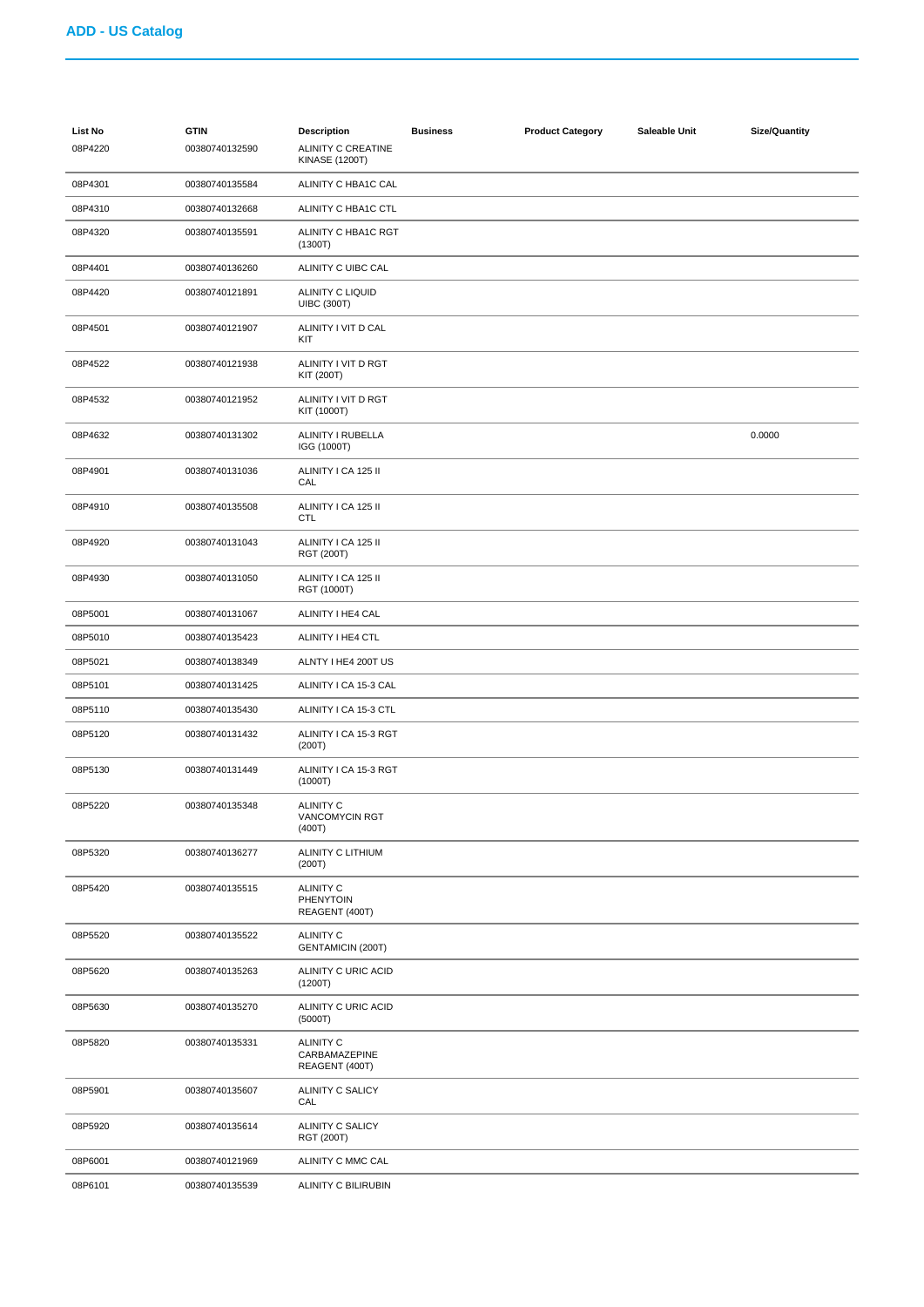| <b>List No</b><br>08P4220 | <b>GTIN</b><br>00380740132590 | <b>Description</b><br>ALINITY C CREATINE<br><b>KINASE (1200T)</b> | <b>Business</b> | <b>Product Category</b> | Saleable Unit | <b>Size/Quantity</b> |
|---------------------------|-------------------------------|-------------------------------------------------------------------|-----------------|-------------------------|---------------|----------------------|
| 08P4301                   | 00380740135584                | ALINITY C HBA1C CAL                                               |                 |                         |               |                      |
| 08P4310                   | 00380740132668                | ALINITY C HBA1C CTL                                               |                 |                         |               |                      |
| 08P4320                   | 00380740135591                | ALINITY C HBA1C RGT<br>(1300T)                                    |                 |                         |               |                      |
| 08P4401                   | 00380740136260                | ALINITY C UIBC CAL                                                |                 |                         |               |                      |
| 08P4420                   | 00380740121891                | ALINITY C LIQUID<br><b>UIBC (300T)</b>                            |                 |                         |               |                      |
| 08P4501                   | 00380740121907                | ALINITY I VIT D CAL<br>KIT                                        |                 |                         |               |                      |
| 08P4522                   | 00380740121938                | ALINITY I VIT D RGT<br>KIT (200T)                                 |                 |                         |               |                      |
| 08P4532                   | 00380740121952                | ALINITY I VIT D RGT<br>KIT (1000T)                                |                 |                         |               |                      |
| 08P4632                   | 00380740131302                | ALINITY I RUBELLA<br>IGG (1000T)                                  |                 |                         |               | 0.0000               |
| 08P4901                   | 00380740131036                | ALINITY I CA 125 II<br>CAL                                        |                 |                         |               |                      |
| 08P4910                   | 00380740135508                | ALINITY I CA 125 II<br><b>CTL</b>                                 |                 |                         |               |                      |
| 08P4920                   | 00380740131043                | ALINITY I CA 125 II<br>RGT (200T)                                 |                 |                         |               |                      |
| 08P4930                   | 00380740131050                | ALINITY I CA 125 II<br>RGT (1000T)                                |                 |                         |               |                      |
| 08P5001                   | 00380740131067                | ALINITY I HE4 CAL                                                 |                 |                         |               |                      |
| 08P5010                   | 00380740135423                | ALINITY I HE4 CTL                                                 |                 |                         |               |                      |
| 08P5021                   | 00380740138349                | ALNTY I HE4 200T US                                               |                 |                         |               |                      |
| 08P5101                   | 00380740131425                | ALINITY I CA 15-3 CAL                                             |                 |                         |               |                      |
| 08P5110                   | 00380740135430                | ALINITY I CA 15-3 CTL                                             |                 |                         |               |                      |
| 08P5120                   | 00380740131432                | ALINITY I CA 15-3 RGT<br>(200T)                                   |                 |                         |               |                      |
| 08P5130                   | 00380740131449                | ALINITY I CA 15-3 RGT<br>(1000T)                                  |                 |                         |               |                      |
| 08P5220                   | 00380740135348                | <b>ALINITY C</b><br>VANCOMYCIN RGT<br>(400T)                      |                 |                         |               |                      |
| 08P5320                   | 00380740136277                | ALINITY C LITHIUM<br>(200T)                                       |                 |                         |               |                      |
| 08P5420                   | 00380740135515                | <b>ALINITY C</b><br>PHENYTOIN<br>REAGENT (400T)                   |                 |                         |               |                      |
| 08P5520                   | 00380740135522                | <b>ALINITY C</b><br><b>GENTAMICIN (200T)</b>                      |                 |                         |               |                      |
| 08P5620                   | 00380740135263                | ALINITY C URIC ACID<br>(1200T)                                    |                 |                         |               |                      |
| 08P5630                   | 00380740135270                | ALINITY C URIC ACID<br>(5000T)                                    |                 |                         |               |                      |
| 08P5820                   | 00380740135331                | <b>ALINITY C</b><br>CARBAMAZEPINE<br>REAGENT (400T)               |                 |                         |               |                      |
| 08P5901                   | 00380740135607                | ALINITY C SALICY<br>CAL                                           |                 |                         |               |                      |
| 08P5920                   | 00380740135614                | ALINITY C SALICY<br>RGT (200T)                                    |                 |                         |               |                      |
| 08P6001                   | 00380740121969                | ALINITY C MMC CAL                                                 |                 |                         |               |                      |
| 08P6101                   | 00380740135539                | ALINITY C BILIRUBIN                                               |                 |                         |               |                      |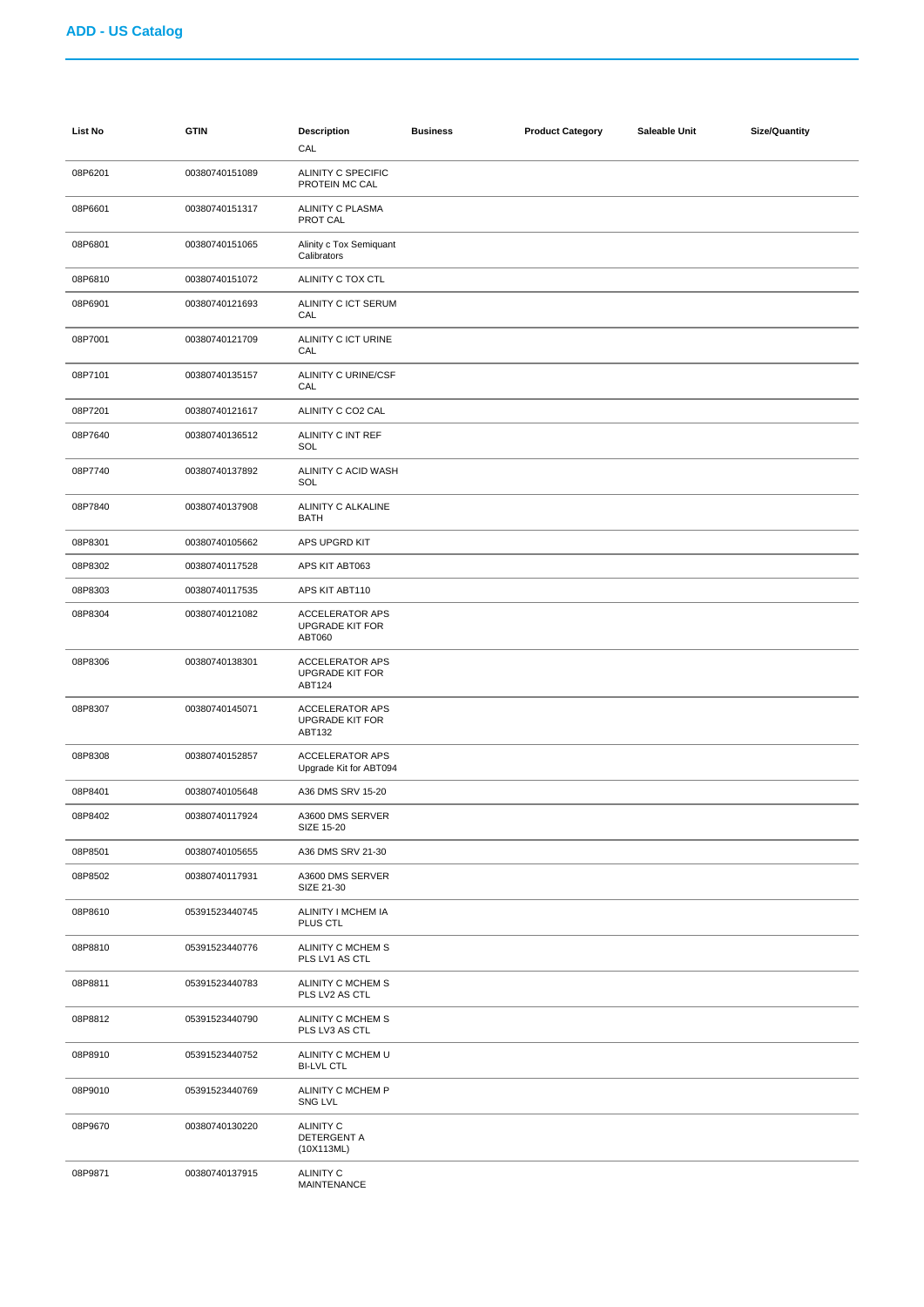| List No | <b>GTIN</b>    | <b>Description</b><br>CAL                                  | <b>Business</b> | <b>Product Category</b> | Saleable Unit | <b>Size/Quantity</b> |
|---------|----------------|------------------------------------------------------------|-----------------|-------------------------|---------------|----------------------|
| 08P6201 | 00380740151089 | ALINITY C SPECIFIC<br>PROTEIN MC CAL                       |                 |                         |               |                      |
| 08P6601 | 00380740151317 | ALINITY C PLASMA<br>PROT CAL                               |                 |                         |               |                      |
| 08P6801 | 00380740151065 | Alinity c Tox Semiquant<br>Calibrators                     |                 |                         |               |                      |
| 08P6810 | 00380740151072 | ALINITY C TOX CTL                                          |                 |                         |               |                      |
| 08P6901 | 00380740121693 | ALINITY C ICT SERUM<br>CAL                                 |                 |                         |               |                      |
| 08P7001 | 00380740121709 | ALINITY C ICT URINE<br>CAL                                 |                 |                         |               |                      |
| 08P7101 | 00380740135157 | ALINITY C URINE/CSF<br>CAL                                 |                 |                         |               |                      |
| 08P7201 | 00380740121617 | ALINITY C CO2 CAL                                          |                 |                         |               |                      |
| 08P7640 | 00380740136512 | ALINITY C INT REF<br>SOL                                   |                 |                         |               |                      |
| 08P7740 | 00380740137892 | ALINITY C ACID WASH<br>SOL                                 |                 |                         |               |                      |
| 08P7840 | 00380740137908 | ALINITY C ALKALINE<br><b>BATH</b>                          |                 |                         |               |                      |
| 08P8301 | 00380740105662 | APS UPGRD KIT                                              |                 |                         |               |                      |
| 08P8302 | 00380740117528 | APS KIT ABT063                                             |                 |                         |               |                      |
| 08P8303 | 00380740117535 | APS KIT ABT110                                             |                 |                         |               |                      |
| 08P8304 | 00380740121082 | <b>ACCELERATOR APS</b><br><b>UPGRADE KIT FOR</b><br>ABT060 |                 |                         |               |                      |
| 08P8306 | 00380740138301 | <b>ACCELERATOR APS</b><br><b>UPGRADE KIT FOR</b><br>ABT124 |                 |                         |               |                      |
| 08P8307 | 00380740145071 | <b>ACCELERATOR APS</b><br><b>UPGRADE KIT FOR</b><br>ABT132 |                 |                         |               |                      |
| 08P8308 | 00380740152857 | <b>ACCELERATOR APS</b><br>Upgrade Kit for ABT094           |                 |                         |               |                      |
| 08P8401 | 00380740105648 | A36 DMS SRV 15-20                                          |                 |                         |               |                      |
| 08P8402 | 00380740117924 | A3600 DMS SERVER<br>SIZE 15-20                             |                 |                         |               |                      |
| 08P8501 | 00380740105655 | A36 DMS SRV 21-30                                          |                 |                         |               |                      |
| 08P8502 | 00380740117931 | A3600 DMS SERVER<br>SIZE 21-30                             |                 |                         |               |                      |
| 08P8610 | 05391523440745 | ALINITY I MCHEM IA<br>PLUS CTL                             |                 |                         |               |                      |
| 08P8810 | 05391523440776 | ALINITY C MCHEM S<br>PLS LV1 AS CTL                        |                 |                         |               |                      |
| 08P8811 | 05391523440783 | ALINITY C MCHEM S<br>PLS LV2 AS CTL                        |                 |                         |               |                      |
| 08P8812 | 05391523440790 | ALINITY C MCHEM S<br>PLS LV3 AS CTL                        |                 |                         |               |                      |
| 08P8910 | 05391523440752 | ALINITY C MCHEM U<br><b>BI-LVL CTL</b>                     |                 |                         |               |                      |
| 08P9010 | 05391523440769 | ALINITY C MCHEM P<br>SNG LVL                               |                 |                         |               |                      |
| 08P9670 | 00380740130220 | <b>ALINITY C</b><br>DETERGENT A<br>(10X113ML)              |                 |                         |               |                      |
| 08P9871 | 00380740137915 | ALINITY C<br>MAINTENANCE                                   |                 |                         |               |                      |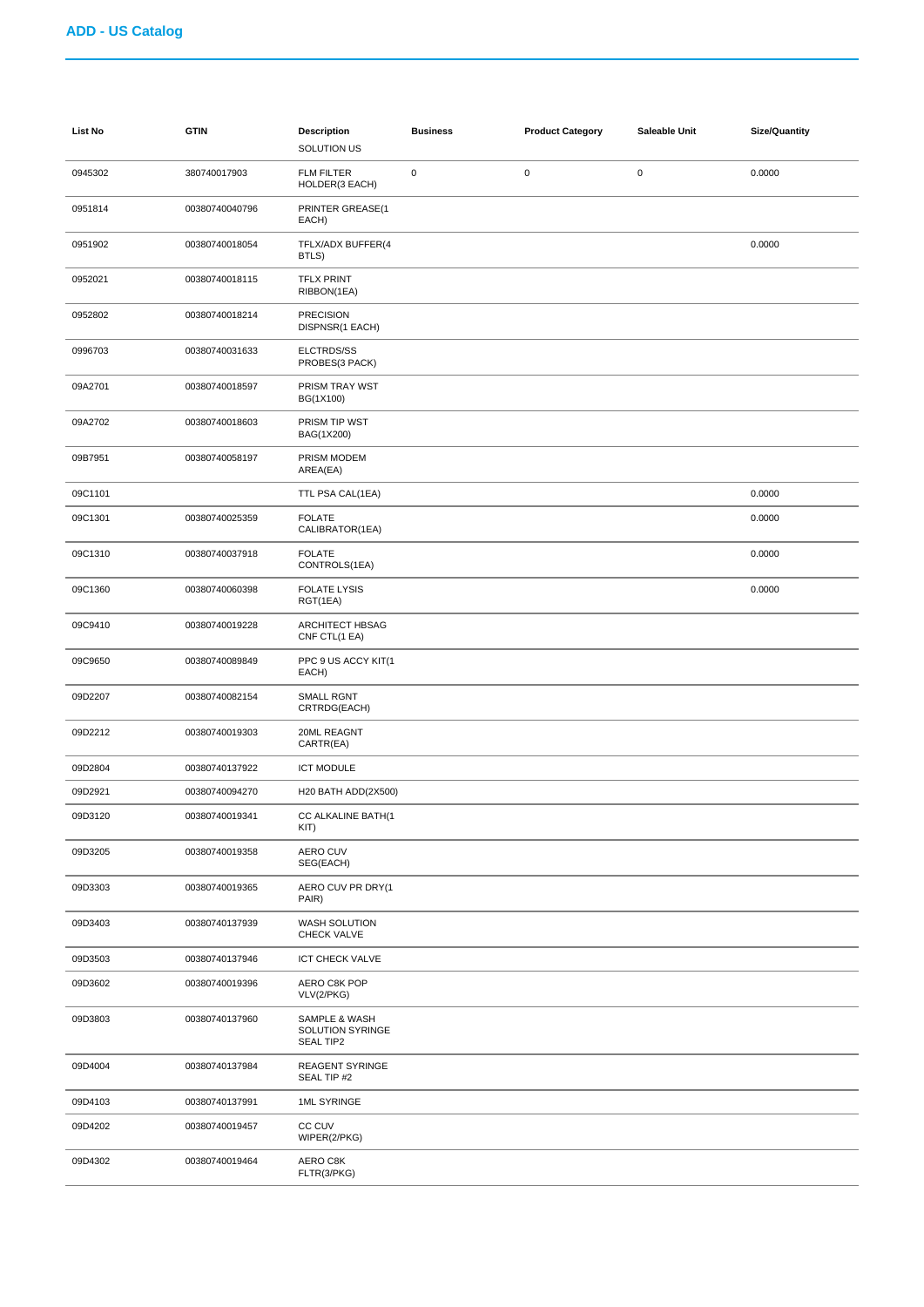| <b>List No</b> | <b>GTIN</b>    | <b>Description</b><br>SOLUTION US                     | <b>Business</b> | <b>Product Category</b> | Saleable Unit | <b>Size/Quantity</b> |
|----------------|----------------|-------------------------------------------------------|-----------------|-------------------------|---------------|----------------------|
| 0945302        | 380740017903   | <b>FLM FILTER</b><br>HOLDER(3 EACH)                   | $\pmb{0}$       | $\mathbf 0$             | $\pmb{0}$     | 0.0000               |
| 0951814        | 00380740040796 | PRINTER GREASE(1<br>EACH)                             |                 |                         |               |                      |
| 0951902        | 00380740018054 | TFLX/ADX BUFFER(4<br>BTLS)                            |                 |                         |               | 0.0000               |
| 0952021        | 00380740018115 | <b>TFLX PRINT</b><br>RIBBON(1EA)                      |                 |                         |               |                      |
| 0952802        | 00380740018214 | <b>PRECISION</b><br>DISPNSR(1 EACH)                   |                 |                         |               |                      |
| 0996703        | 00380740031633 | ELCTRDS/SS<br>PROBES(3 PACK)                          |                 |                         |               |                      |
| 09A2701        | 00380740018597 | PRISM TRAY WST<br>BG(1X100)                           |                 |                         |               |                      |
| 09A2702        | 00380740018603 | PRISM TIP WST<br>BAG(1X200)                           |                 |                         |               |                      |
| 09B7951        | 00380740058197 | PRISM MODEM<br>AREA(EA)                               |                 |                         |               |                      |
| 09C1101        |                | TTL PSA CAL(1EA)                                      |                 |                         |               | 0.0000               |
| 09C1301        | 00380740025359 | <b>FOLATE</b><br>CALIBRATOR(1EA)                      |                 |                         |               | 0.0000               |
| 09C1310        | 00380740037918 | <b>FOLATE</b><br>CONTROLS(1EA)                        |                 |                         |               | 0.0000               |
| 09C1360        | 00380740060398 | <b>FOLATE LYSIS</b><br>RGT(1EA)                       |                 |                         |               | 0.0000               |
| 09C9410        | 00380740019228 | ARCHITECT HBSAG<br>CNF CTL(1 EA)                      |                 |                         |               |                      |
| 09C9650        | 00380740089849 | PPC 9 US ACCY KIT(1<br>EACH)                          |                 |                         |               |                      |
| 09D2207        | 00380740082154 | SMALL RGNT<br>CRTRDG(EACH)                            |                 |                         |               |                      |
| 09D2212        | 00380740019303 | 20ML REAGNT<br>CARTR(EA)                              |                 |                         |               |                      |
| 09D2804        | 00380740137922 | <b>ICT MODULE</b>                                     |                 |                         |               |                      |
| 09D2921        | 00380740094270 | H20 BATH ADD(2X500)                                   |                 |                         |               |                      |
| 09D3120        | 00380740019341 | CC ALKALINE BATH(1<br>KIT)                            |                 |                         |               |                      |
| 09D3205        | 00380740019358 | AERO CUV<br>SEG(EACH)                                 |                 |                         |               |                      |
| 09D3303        | 00380740019365 | AERO CUV PR DRY(1<br>PAIR)                            |                 |                         |               |                      |
| 09D3403        | 00380740137939 | WASH SOLUTION<br>CHECK VALVE                          |                 |                         |               |                      |
| 09D3503        | 00380740137946 | ICT CHECK VALVE                                       |                 |                         |               |                      |
| 09D3602        | 00380740019396 | AERO C8K POP<br>VLV(2/PKG)                            |                 |                         |               |                      |
| 09D3803        | 00380740137960 | SAMPLE & WASH<br>SOLUTION SYRINGE<br><b>SEAL TIP2</b> |                 |                         |               |                      |
| 09D4004        | 00380740137984 | <b>REAGENT SYRINGE</b><br>SEAL TIP #2                 |                 |                         |               |                      |
| 09D4103        | 00380740137991 | 1ML SYRINGE                                           |                 |                         |               |                      |
| 09D4202        | 00380740019457 | CC CUV<br>WIPER(2/PKG)                                |                 |                         |               |                      |
| 09D4302        | 00380740019464 | AERO C8K<br>FLTR(3/PKG)                               |                 |                         |               |                      |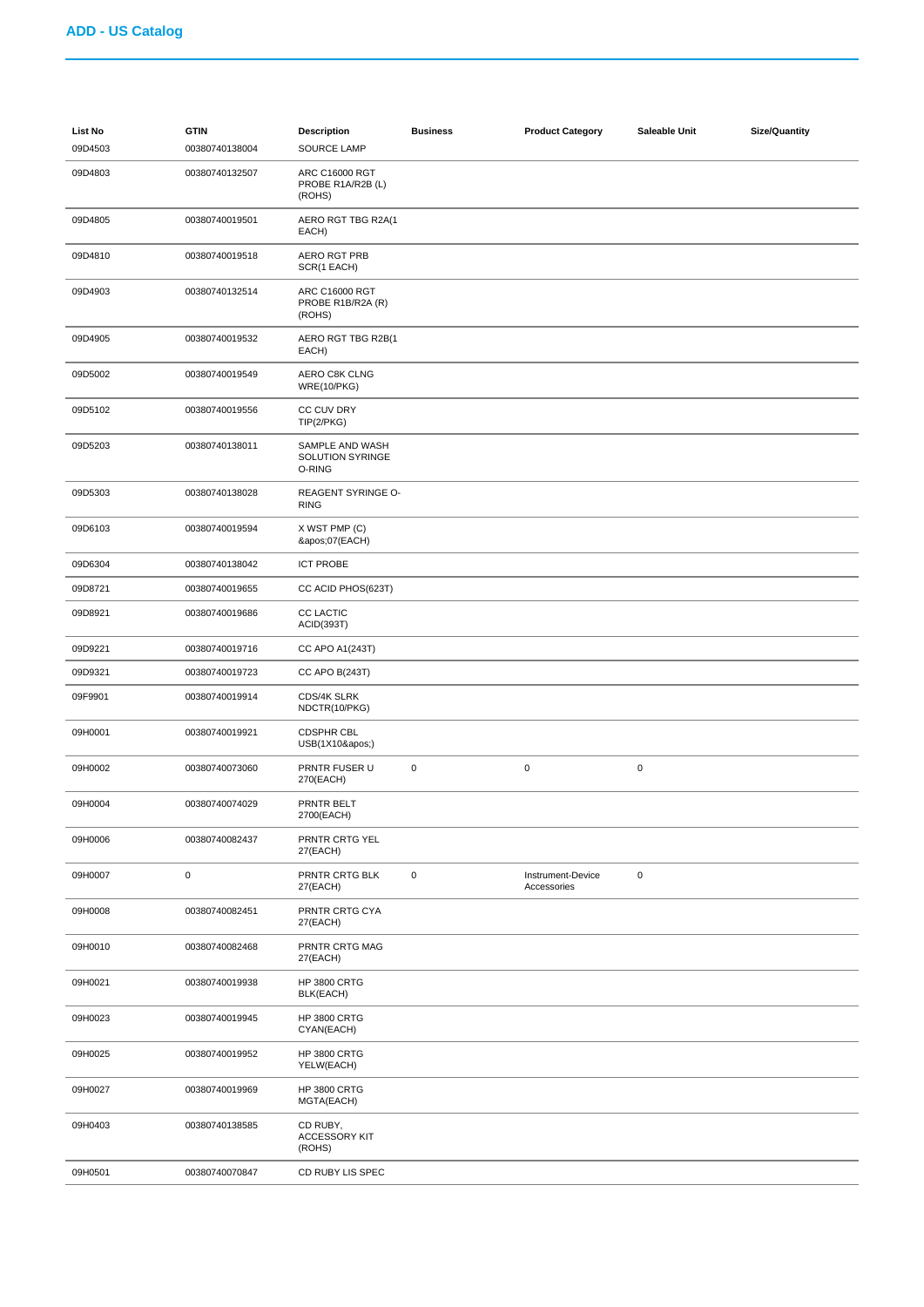| <b>List No</b><br>09D4503 | <b>GTIN</b><br>00380740138004 | <b>Description</b><br><b>SOURCE LAMP</b>      | <b>Business</b> | <b>Product Category</b>          | Saleable Unit | <b>Size/Quantity</b> |
|---------------------------|-------------------------------|-----------------------------------------------|-----------------|----------------------------------|---------------|----------------------|
| 09D4803                   | 00380740132507                | ARC C16000 RGT<br>PROBE R1A/R2B (L)<br>(ROHS) |                 |                                  |               |                      |
| 09D4805                   | 00380740019501                | AERO RGT TBG R2A(1<br>EACH)                   |                 |                                  |               |                      |
| 09D4810                   | 00380740019518                | <b>AERO RGT PRB</b><br>SCR(1 EACH)            |                 |                                  |               |                      |
| 09D4903                   | 00380740132514                | ARC C16000 RGT<br>PROBE R1B/R2A (R)<br>(ROHS) |                 |                                  |               |                      |
| 09D4905                   | 00380740019532                | AERO RGT TBG R2B(1<br>EACH)                   |                 |                                  |               |                      |
| 09D5002                   | 00380740019549                | AERO C8K CLNG<br><b>WRE(10/PKG)</b>           |                 |                                  |               |                      |
| 09D5102                   | 00380740019556                | CC CUV DRY<br>TIP(2/PKG)                      |                 |                                  |               |                      |
| 09D5203                   | 00380740138011                | SAMPLE AND WASH<br>SOLUTION SYRINGE<br>O-RING |                 |                                  |               |                      |
| 09D5303                   | 00380740138028                | <b>REAGENT SYRINGE O-</b><br><b>RING</b>      |                 |                                  |               |                      |
| 09D6103                   | 00380740019594                | X WST PMP (C)<br>'07(EACH)                    |                 |                                  |               |                      |
| 09D6304                   | 00380740138042                | <b>ICT PROBE</b>                              |                 |                                  |               |                      |
| 09D8721                   | 00380740019655                | CC ACID PHOS(623T)                            |                 |                                  |               |                      |
| 09D8921                   | 00380740019686                | <b>CC LACTIC</b><br>ACID(393T)                |                 |                                  |               |                      |
| 09D9221                   | 00380740019716                | CC APO A1(243T)                               |                 |                                  |               |                      |
| 09D9321                   | 00380740019723                | CC APO B(243T)                                |                 |                                  |               |                      |
| 09F9901                   | 00380740019914                | CDS/4K SLRK<br>NDCTR(10/PKG)                  |                 |                                  |               |                      |
| 09H0001                   | 00380740019921                | <b>CDSPHR CBL</b><br>USB(1X10')               |                 |                                  |               |                      |
| 09H0002                   | 00380740073060                | PRNTR FUSER U<br>270(EACH)                    | 0               | $\pmb{0}$                        | $\pmb{0}$     |                      |
| 09H0004                   | 00380740074029                | PRNTR BELT<br>2700(EACH)                      |                 |                                  |               |                      |
| 09H0006                   | 00380740082437                | PRNTR CRTG YEL<br>27(EACH)                    |                 |                                  |               |                      |
| 09H0007                   | $\pmb{0}$                     | PRNTR CRTG BLK<br>27(EACH)                    | 0               | Instrument-Device<br>Accessories | $\mathbf 0$   |                      |
| 09H0008                   | 00380740082451                | PRNTR CRTG CYA<br>27(EACH)                    |                 |                                  |               |                      |
| 09H0010                   | 00380740082468                | PRNTR CRTG MAG<br>27(EACH)                    |                 |                                  |               |                      |
| 09H0021                   | 00380740019938                | <b>HP 3800 CRTG</b><br>BLK(EACH)              |                 |                                  |               |                      |
| 09H0023                   | 00380740019945                | <b>HP 3800 CRTG</b><br>CYAN(EACH)             |                 |                                  |               |                      |
| 09H0025                   | 00380740019952                | <b>HP 3800 CRTG</b><br>YELW(EACH)             |                 |                                  |               |                      |
| 09H0027                   | 00380740019969                | <b>HP 3800 CRTG</b><br>MGTA(EACH)             |                 |                                  |               |                      |
| 09H0403                   | 00380740138585                | CD RUBY,<br><b>ACCESSORY KIT</b><br>(ROHS)    |                 |                                  |               |                      |
| 09H0501                   | 00380740070847                | CD RUBY LIS SPEC                              |                 |                                  |               |                      |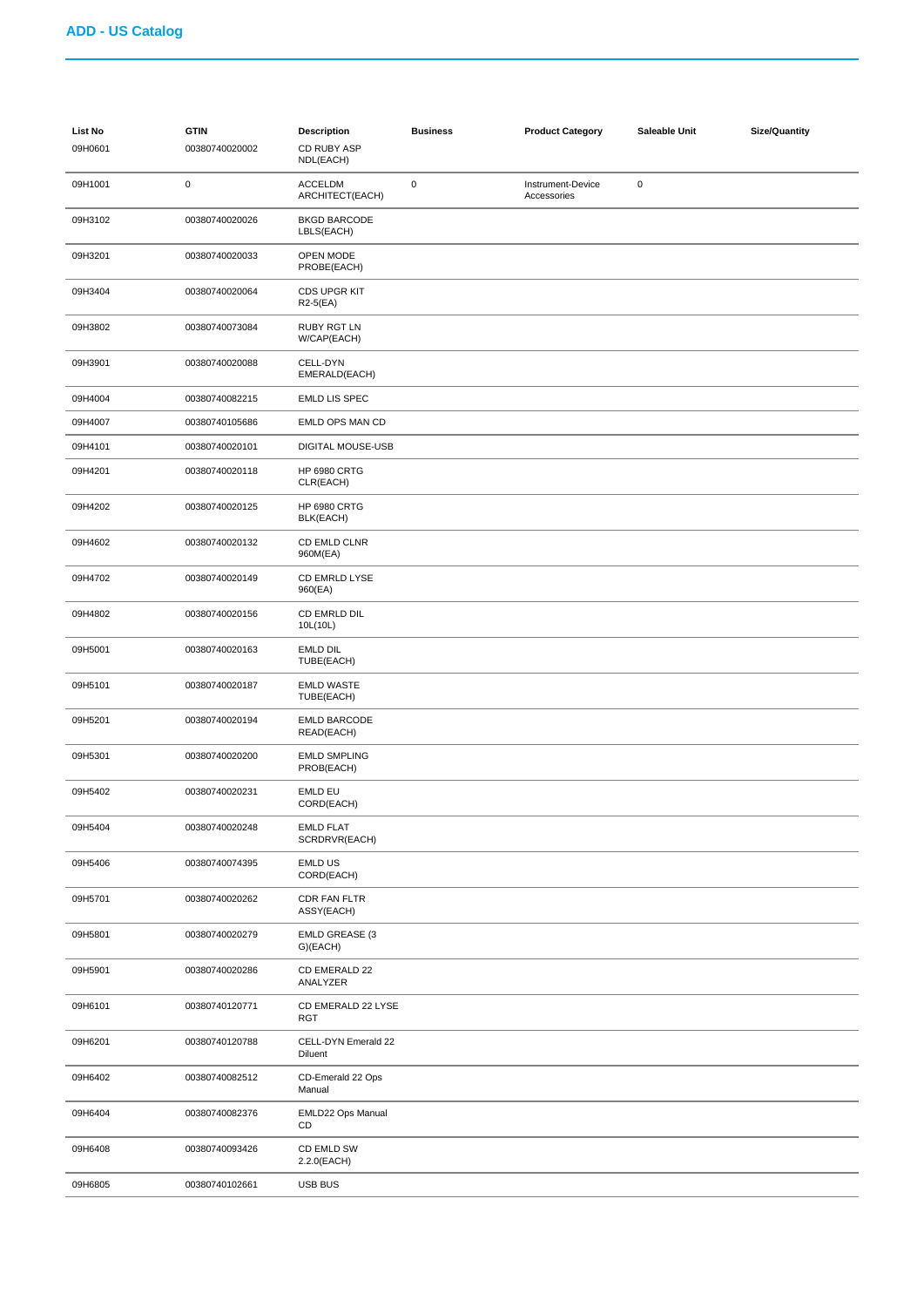| List No<br>09H0601 | <b>GTIN</b><br>00380740020002 | <b>Description</b><br>CD RUBY ASP<br>NDL(EACH) | <b>Business</b> | <b>Product Category</b>          | Saleable Unit | <b>Size/Quantity</b> |
|--------------------|-------------------------------|------------------------------------------------|-----------------|----------------------------------|---------------|----------------------|
| 09H1001            | $\mathsf 0$                   | <b>ACCELDM</b><br>ARCHITECT(EACH)              | $\pmb{0}$       | Instrument-Device<br>Accessories | $\pmb{0}$     |                      |
| 09H3102            | 00380740020026                | <b>BKGD BARCODE</b><br>LBLS(EACH)              |                 |                                  |               |                      |
| 09H3201            | 00380740020033                | OPEN MODE<br>PROBE(EACH)                       |                 |                                  |               |                      |
| 09H3404            | 00380740020064                | CDS UPGR KIT<br>$R2-5(EA)$                     |                 |                                  |               |                      |
| 09H3802            | 00380740073084                | RUBY RGT LN<br>W/CAP(EACH)                     |                 |                                  |               |                      |
| 09H3901            | 00380740020088                | CELL-DYN<br>EMERALD(EACH)                      |                 |                                  |               |                      |
| 09H4004            | 00380740082215                | <b>EMLD LIS SPEC</b>                           |                 |                                  |               |                      |
| 09H4007            | 00380740105686                | EMLD OPS MAN CD                                |                 |                                  |               |                      |
| 09H4101            | 00380740020101                | DIGITAL MOUSE-USB                              |                 |                                  |               |                      |
| 09H4201            | 00380740020118                | <b>HP 6980 CRTG</b><br>CLR(EACH)               |                 |                                  |               |                      |
| 09H4202            | 00380740020125                | <b>HP 6980 CRTG</b><br>BLK(EACH)               |                 |                                  |               |                      |
| 09H4602            | 00380740020132                | CD EMLD CLNR<br>960M(EA)                       |                 |                                  |               |                      |
| 09H4702            | 00380740020149                | CD EMRLD LYSE<br>960(EA)                       |                 |                                  |               |                      |
| 09H4802            | 00380740020156                | CD EMRLD DIL<br>10L(10L)                       |                 |                                  |               |                      |
| 09H5001            | 00380740020163                | <b>EMLD DIL</b><br>TUBE(EACH)                  |                 |                                  |               |                      |
| 09H5101            | 00380740020187                | <b>EMLD WASTE</b><br>TUBE(EACH)                |                 |                                  |               |                      |
| 09H5201            | 00380740020194                | <b>EMLD BARCODE</b><br>READ(EACH)              |                 |                                  |               |                      |
| 09H5301            | 00380740020200                | <b>EMLD SMPLING</b><br>PROB(EACH)              |                 |                                  |               |                      |
| 09H5402            | 00380740020231                | <b>EMLD EU</b><br>CORD(EACH)                   |                 |                                  |               |                      |
| 09H5404            | 00380740020248                | <b>EMLD FLAT</b><br>SCRDRVR(EACH)              |                 |                                  |               |                      |
| 09H5406            | 00380740074395                | <b>EMLD US</b><br>CORD(EACH)                   |                 |                                  |               |                      |
| 09H5701            | 00380740020262                | CDR FAN FLTR<br>ASSY(EACH)                     |                 |                                  |               |                      |
| 09H5801            | 00380740020279                | <b>EMLD GREASE (3)</b><br>G)(EACH)             |                 |                                  |               |                      |
| 09H5901            | 00380740020286                | CD EMERALD 22<br>ANALYZER                      |                 |                                  |               |                      |
| 09H6101            | 00380740120771                | CD EMERALD 22 LYSE<br><b>RGT</b>               |                 |                                  |               |                      |
| 09H6201            | 00380740120788                | CELL-DYN Emerald 22<br>Diluent                 |                 |                                  |               |                      |
| 09H6402            | 00380740082512                | CD-Emerald 22 Ops<br>Manual                    |                 |                                  |               |                      |
| 09H6404            | 00380740082376                | EMLD22 Ops Manual<br>CD                        |                 |                                  |               |                      |
| 09H6408            | 00380740093426                | CD EMLD SW<br>2.2.0(EACH)                      |                 |                                  |               |                      |
| 09H6805            | 00380740102661                | USB BUS                                        |                 |                                  |               |                      |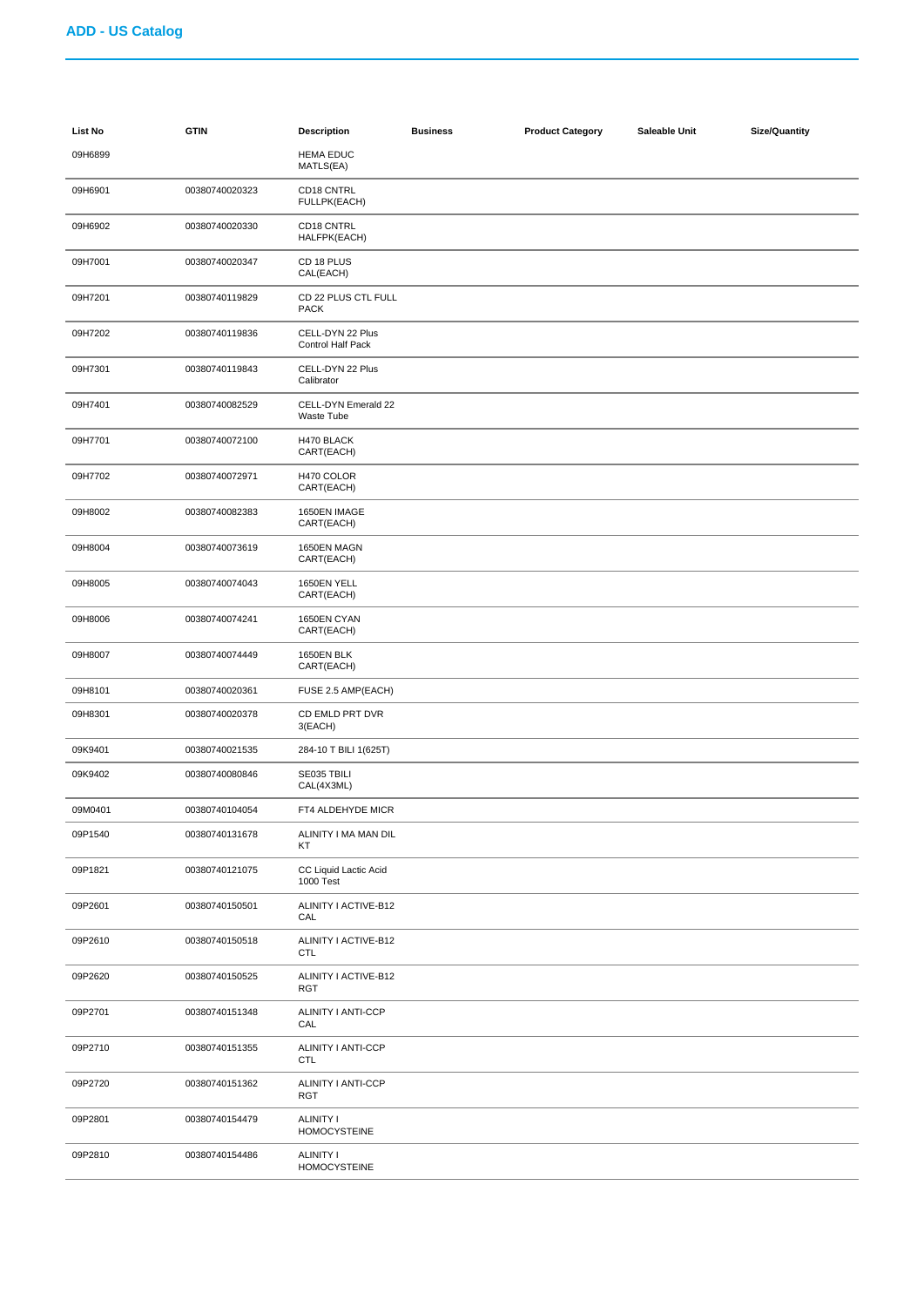| List No | <b>GTIN</b>    | <b>Description</b>                      | <b>Business</b> | <b>Product Category</b> | Saleable Unit | <b>Size/Quantity</b> |
|---------|----------------|-----------------------------------------|-----------------|-------------------------|---------------|----------------------|
| 09H6899 |                | <b>HEMA EDUC</b><br>MATLS(EA)           |                 |                         |               |                      |
| 09H6901 | 00380740020323 | CD18 CNTRL<br>FULLPK(EACH)              |                 |                         |               |                      |
| 09H6902 | 00380740020330 | CD18 CNTRL<br>HALFPK(EACH)              |                 |                         |               |                      |
| 09H7001 | 00380740020347 | CD 18 PLUS<br>CAL(EACH)                 |                 |                         |               |                      |
| 09H7201 | 00380740119829 | CD 22 PLUS CTL FULL<br><b>PACK</b>      |                 |                         |               |                      |
| 09H7202 | 00380740119836 | CELL-DYN 22 Plus<br>Control Half Pack   |                 |                         |               |                      |
| 09H7301 | 00380740119843 | CELL-DYN 22 Plus<br>Calibrator          |                 |                         |               |                      |
| 09H7401 | 00380740082529 | CELL-DYN Emerald 22<br>Waste Tube       |                 |                         |               |                      |
| 09H7701 | 00380740072100 | H470 BLACK<br>CART(EACH)                |                 |                         |               |                      |
| 09H7702 | 00380740072971 | H470 COLOR<br>CART(EACH)                |                 |                         |               |                      |
| 09H8002 | 00380740082383 | 1650EN IMAGE<br>CART(EACH)              |                 |                         |               |                      |
| 09H8004 | 00380740073619 | 1650EN MAGN<br>CART(EACH)               |                 |                         |               |                      |
| 09H8005 | 00380740074043 | 1650EN YELL<br>CART(EACH)               |                 |                         |               |                      |
| 09H8006 | 00380740074241 | 1650EN CYAN<br>CART(EACH)               |                 |                         |               |                      |
| 09H8007 | 00380740074449 | 1650EN BLK<br>CART(EACH)                |                 |                         |               |                      |
| 09H8101 | 00380740020361 | FUSE 2.5 AMP(EACH)                      |                 |                         |               |                      |
| 09H8301 | 00380740020378 | CD EMLD PRT DVR<br>3(EACH)              |                 |                         |               |                      |
| 09K9401 | 00380740021535 | 284-10 T BILI 1(625T)                   |                 |                         |               |                      |
| 09K9402 | 00380740080846 | SE035 TBILI<br>CAL(4X3ML)               |                 |                         |               |                      |
| 09M0401 | 00380740104054 | FT4 ALDEHYDE MICR                       |                 |                         |               |                      |
| 09P1540 | 00380740131678 | ALINITY I MA MAN DIL<br>КT              |                 |                         |               |                      |
| 09P1821 | 00380740121075 | CC Liquid Lactic Acid<br>1000 Test      |                 |                         |               |                      |
| 09P2601 | 00380740150501 | ALINITY I ACTIVE-B12<br>CAL             |                 |                         |               |                      |
| 09P2610 | 00380740150518 | ALINITY I ACTIVE-B12<br><b>CTL</b>      |                 |                         |               |                      |
| 09P2620 | 00380740150525 | ALINITY I ACTIVE-B12<br><b>RGT</b>      |                 |                         |               |                      |
| 09P2701 | 00380740151348 | ALINITY I ANTI-CCP<br>CAL               |                 |                         |               |                      |
| 09P2710 | 00380740151355 | ALINITY I ANTI-CCP<br><b>CTL</b>        |                 |                         |               |                      |
| 09P2720 | 00380740151362 | ALINITY I ANTI-CCP<br><b>RGT</b>        |                 |                         |               |                      |
| 09P2801 | 00380740154479 | <b>ALINITY I</b><br><b>HOMOCYSTEINE</b> |                 |                         |               |                      |
| 09P2810 | 00380740154486 | <b>ALINITY I</b><br><b>HOMOCYSTEINE</b> |                 |                         |               |                      |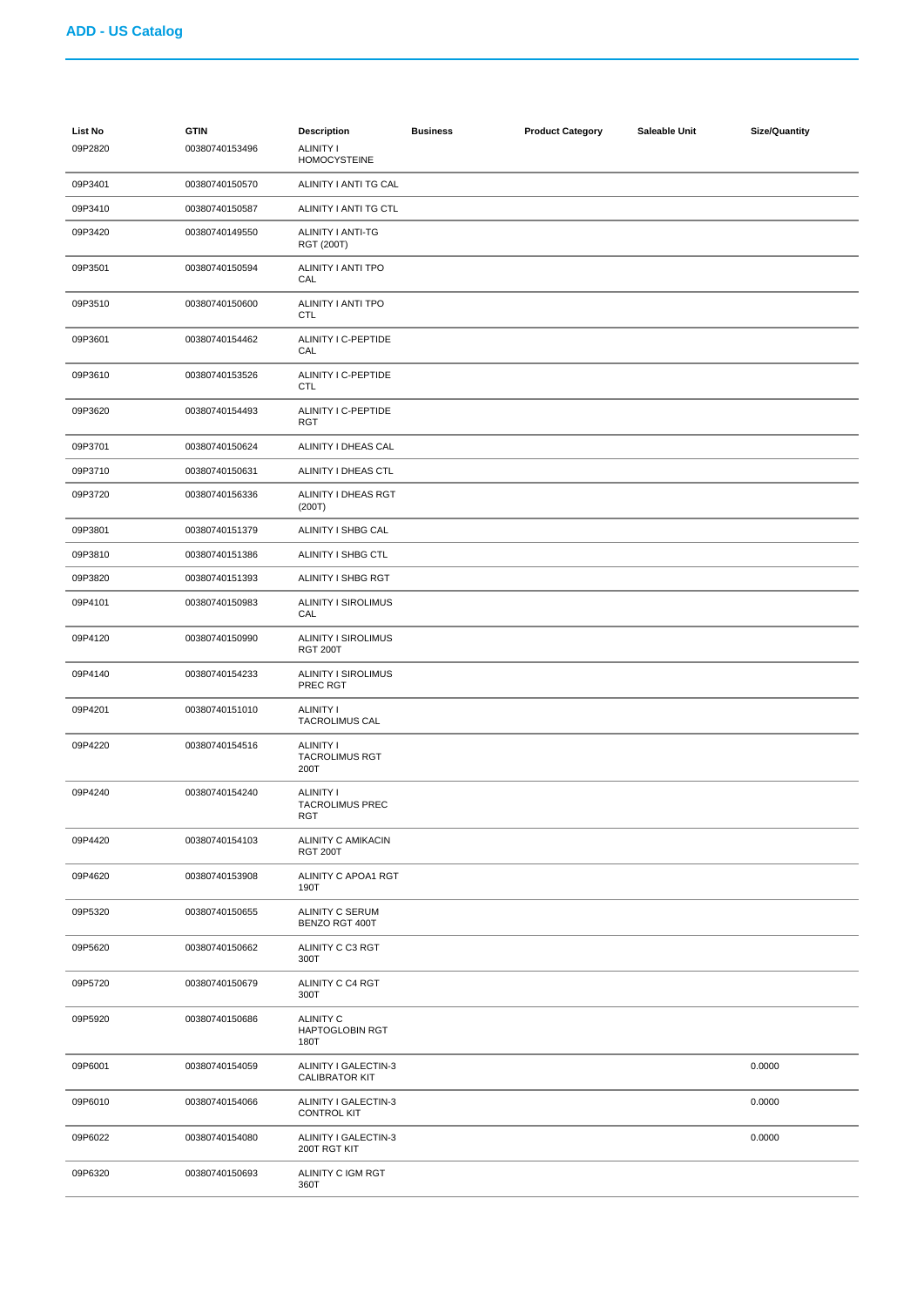| <b>List No</b><br>09P2820 | <b>GTIN</b><br>00380740153496 | <b>Description</b><br><b>ALINITY I</b><br><b>HOMOCYSTEINE</b> | <b>Business</b> | <b>Product Category</b> | Saleable Unit | <b>Size/Quantity</b> |
|---------------------------|-------------------------------|---------------------------------------------------------------|-----------------|-------------------------|---------------|----------------------|
| 09P3401                   | 00380740150570                | ALINITY I ANTI TG CAL                                         |                 |                         |               |                      |
| 09P3410                   | 00380740150587                | ALINITY I ANTI TG CTL                                         |                 |                         |               |                      |
| 09P3420                   | 00380740149550                | ALINITY I ANTI-TG<br><b>RGT (200T)</b>                        |                 |                         |               |                      |
| 09P3501                   | 00380740150594                | ALINITY I ANTI TPO<br>CAL                                     |                 |                         |               |                      |
| 09P3510                   | 00380740150600                | ALINITY I ANTI TPO<br><b>CTL</b>                              |                 |                         |               |                      |
| 09P3601                   | 00380740154462                | ALINITY I C-PEPTIDE<br>CAL                                    |                 |                         |               |                      |
| 09P3610                   | 00380740153526                | ALINITY I C-PEPTIDE<br><b>CTL</b>                             |                 |                         |               |                      |
| 09P3620                   | 00380740154493                | ALINITY I C-PEPTIDE<br><b>RGT</b>                             |                 |                         |               |                      |
| 09P3701                   | 00380740150624                | ALINITY I DHEAS CAL                                           |                 |                         |               |                      |
| 09P3710                   | 00380740150631                | ALINITY I DHEAS CTL                                           |                 |                         |               |                      |
| 09P3720                   | 00380740156336                | ALINITY I DHEAS RGT<br>(200T)                                 |                 |                         |               |                      |
| 09P3801                   | 00380740151379                | ALINITY I SHBG CAL                                            |                 |                         |               |                      |
| 09P3810                   | 00380740151386                | ALINITY I SHBG CTL                                            |                 |                         |               |                      |
| 09P3820                   | 00380740151393                | ALINITY I SHBG RGT                                            |                 |                         |               |                      |
| 09P4101                   | 00380740150983                | <b>ALINITY I SIROLIMUS</b><br>CAL                             |                 |                         |               |                      |
| 09P4120                   | 00380740150990                | <b>ALINITY I SIROLIMUS</b><br><b>RGT 200T</b>                 |                 |                         |               |                      |
| 09P4140                   | 00380740154233                | <b>ALINITY I SIROLIMUS</b><br>PREC RGT                        |                 |                         |               |                      |
| 09P4201                   | 00380740151010                | ALINITY I<br><b>TACROLIMUS CAL</b>                            |                 |                         |               |                      |
| 09P4220                   | 00380740154516                | <b>ALINITY I</b><br><b>TACROLIMUS RGT</b><br>200T             |                 |                         |               |                      |
| 09P4240                   | 00380740154240                | ALINITY I<br><b>TACROLIMUS PREC</b><br>RGT                    |                 |                         |               |                      |
| 09P4420                   | 00380740154103                | ALINITY C AMIKACIN<br><b>RGT 200T</b>                         |                 |                         |               |                      |
| 09P4620                   | 00380740153908                | ALINITY C APOA1 RGT<br>190T                                   |                 |                         |               |                      |
| 09P5320                   | 00380740150655                | ALINITY C SERUM<br>BENZO RGT 400T                             |                 |                         |               |                      |
| 09P5620                   | 00380740150662                | ALINITY C C3 RGT<br>300T                                      |                 |                         |               |                      |
| 09P5720                   | 00380740150679                | ALINITY C C4 RGT<br>300T                                      |                 |                         |               |                      |
| 09P5920                   | 00380740150686                | <b>ALINITY C</b><br><b>HAPTOGLOBIN RGT</b><br>180T            |                 |                         |               |                      |
| 09P6001                   | 00380740154059                | ALINITY I GALECTIN-3<br><b>CALIBRATOR KIT</b>                 |                 |                         |               | 0.0000               |
| 09P6010                   | 00380740154066                | ALINITY I GALECTIN-3<br><b>CONTROL KIT</b>                    |                 |                         |               | 0.0000               |
| 09P6022                   | 00380740154080                | ALINITY I GALECTIN-3<br>200T RGT KIT                          |                 |                         |               | 0.0000               |
| 09P6320                   | 00380740150693                | ALINITY C IGM RGT<br>360T                                     |                 |                         |               |                      |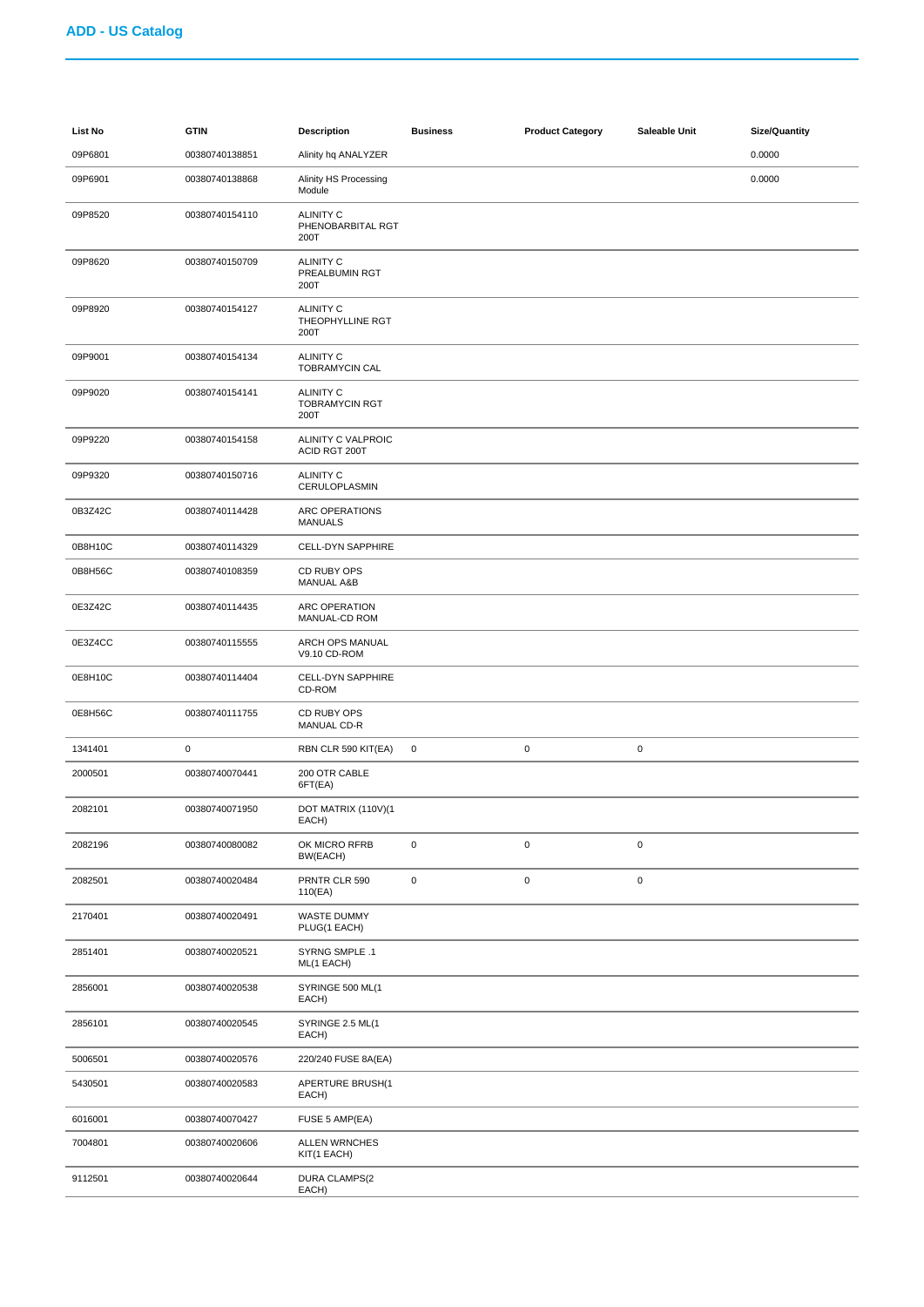| <b>List No</b> | <b>GTIN</b>    | <b>Description</b>                                | <b>Business</b> | <b>Product Category</b> | Saleable Unit | <b>Size/Quantity</b> |
|----------------|----------------|---------------------------------------------------|-----------------|-------------------------|---------------|----------------------|
| 09P6801        | 00380740138851 | Alinity hq ANALYZER                               |                 |                         |               | 0.0000               |
| 09P6901        | 00380740138868 | Alinity HS Processing<br>Module                   |                 |                         |               | 0.0000               |
| 09P8520        | 00380740154110 | <b>ALINITY C</b><br>PHENOBARBITAL RGT<br>200T     |                 |                         |               |                      |
| 09P8620        | 00380740150709 | <b>ALINITY C</b><br>PREALBUMIN RGT<br>200T        |                 |                         |               |                      |
| 09P8920        | 00380740154127 | <b>ALINITY C</b><br>THEOPHYLLINE RGT<br>200T      |                 |                         |               |                      |
| 09P9001        | 00380740154134 | <b>ALINITY C</b><br>TOBRAMYCIN CAL                |                 |                         |               |                      |
| 09P9020        | 00380740154141 | <b>ALINITY C</b><br><b>TOBRAMYCIN RGT</b><br>200T |                 |                         |               |                      |
| 09P9220        | 00380740154158 | ALINITY C VALPROIC<br>ACID RGT 200T               |                 |                         |               |                      |
| 09P9320        | 00380740150716 | <b>ALINITY C</b><br>CERULOPLASMIN                 |                 |                         |               |                      |
| 0B3Z42C        | 00380740114428 | ARC OPERATIONS<br><b>MANUALS</b>                  |                 |                         |               |                      |
| 0B8H10C        | 00380740114329 | <b>CELL-DYN SAPPHIRE</b>                          |                 |                         |               |                      |
| 0B8H56C        | 00380740108359 | CD RUBY OPS<br><b>MANUAL A&amp;B</b>              |                 |                         |               |                      |
| 0E3Z42C        | 00380740114435 | ARC OPERATION<br>MANUAL-CD ROM                    |                 |                         |               |                      |
| 0E3Z4CC        | 00380740115555 | ARCH OPS MANUAL<br>V9.10 CD-ROM                   |                 |                         |               |                      |
| 0E8H10C        | 00380740114404 | CELL-DYN SAPPHIRE<br>CD-ROM                       |                 |                         |               |                      |
| 0E8H56C        | 00380740111755 | CD RUBY OPS<br>MANUAL CD-R                        |                 |                         |               |                      |
| 1341401        | 0              | RBN CLR 590 KIT(EA)                               | $\mathbf 0$     | 0                       | $\pmb{0}$     |                      |
| 2000501        | 00380740070441 | 200 OTR CABLE<br>6FT(EA)                          |                 |                         |               |                      |
| 2082101        | 00380740071950 | DOT MATRIX (110V)(1<br>EACH)                      |                 |                         |               |                      |
| 2082196        | 00380740080082 | OK MICRO RFRB<br>BW(EACH)                         | 0               | $\pmb{0}$               | $\mathbf 0$   |                      |
| 2082501        | 00380740020484 | PRNTR CLR 590<br>110(EA)                          | 0               | $\pmb{0}$               | $\mathbf 0$   |                      |
| 2170401        | 00380740020491 | WASTE DUMMY<br>PLUG(1 EACH)                       |                 |                         |               |                      |
| 2851401        | 00380740020521 | SYRNG SMPLE .1<br>ML(1 EACH)                      |                 |                         |               |                      |
| 2856001        | 00380740020538 | SYRINGE 500 ML(1<br>EACH)                         |                 |                         |               |                      |
| 2856101        | 00380740020545 | SYRINGE 2.5 ML(1<br>EACH)                         |                 |                         |               |                      |
| 5006501        | 00380740020576 | 220/240 FUSE 8A(EA)                               |                 |                         |               |                      |
| 5430501        | 00380740020583 | APERTURE BRUSH(1<br>EACH)                         |                 |                         |               |                      |
| 6016001        | 00380740070427 | FUSE 5 AMP(EA)                                    |                 |                         |               |                      |
| 7004801        | 00380740020606 | <b>ALLEN WRNCHES</b><br>KIT(1 EACH)               |                 |                         |               |                      |
| 9112501        | 00380740020644 | DURA CLAMPS(2<br>EACH)                            |                 |                         |               |                      |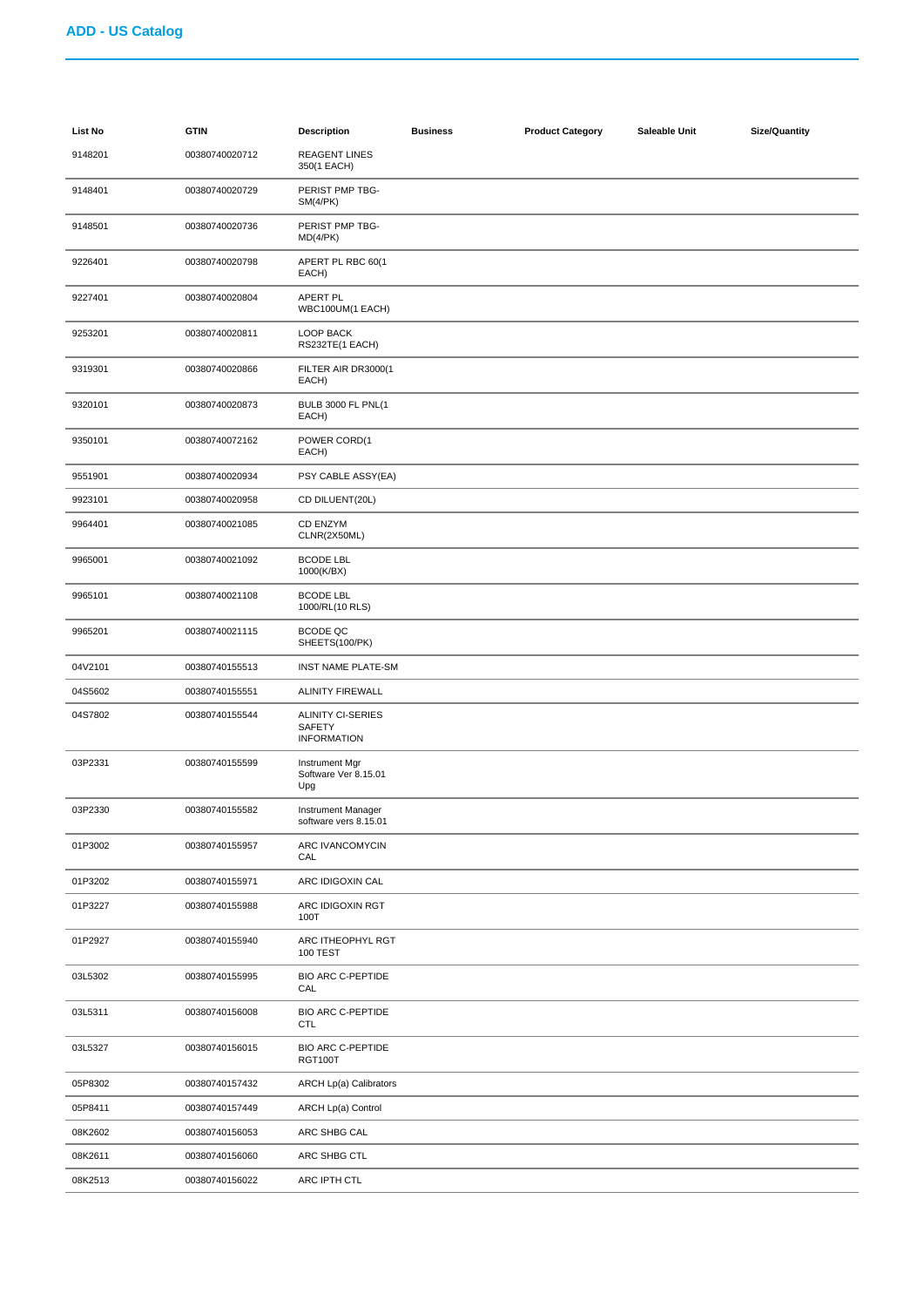| List No | <b>GTIN</b>    | <b>Description</b>                                       | <b>Business</b> | <b>Product Category</b> | Saleable Unit | <b>Size/Quantity</b> |
|---------|----------------|----------------------------------------------------------|-----------------|-------------------------|---------------|----------------------|
| 9148201 | 00380740020712 | <b>REAGENT LINES</b><br>350(1 EACH)                      |                 |                         |               |                      |
| 9148401 | 00380740020729 | PERIST PMP TBG-<br>SM(4/PK)                              |                 |                         |               |                      |
| 9148501 | 00380740020736 | PERIST PMP TBG-<br>MD(4/PK)                              |                 |                         |               |                      |
| 9226401 | 00380740020798 | APERT PL RBC 60(1<br>EACH)                               |                 |                         |               |                      |
| 9227401 | 00380740020804 | APERT PL<br>WBC100UM(1 EACH)                             |                 |                         |               |                      |
| 9253201 | 00380740020811 | LOOP BACK<br>RS232TE(1 EACH)                             |                 |                         |               |                      |
| 9319301 | 00380740020866 | FILTER AIR DR3000(1<br>EACH)                             |                 |                         |               |                      |
| 9320101 | 00380740020873 | <b>BULB 3000 FL PNL(1</b><br>EACH)                       |                 |                         |               |                      |
| 9350101 | 00380740072162 | POWER CORD(1<br>EACH)                                    |                 |                         |               |                      |
| 9551901 | 00380740020934 | PSY CABLE ASSY(EA)                                       |                 |                         |               |                      |
| 9923101 | 00380740020958 | CD DILUENT(20L)                                          |                 |                         |               |                      |
| 9964401 | 00380740021085 | CD ENZYM<br>CLNR(2X50ML)                                 |                 |                         |               |                      |
| 9965001 | 00380740021092 | <b>BCODE LBL</b><br>1000(K/BX)                           |                 |                         |               |                      |
| 9965101 | 00380740021108 | <b>BCODE LBL</b><br>1000/RL(10 RLS)                      |                 |                         |               |                      |
| 9965201 | 00380740021115 | BCODE QC<br>SHEETS(100/PK)                               |                 |                         |               |                      |
| 04V2101 | 00380740155513 | <b>INST NAME PLATE-SM</b>                                |                 |                         |               |                      |
| 04S5602 | 00380740155551 | <b>ALINITY FIREWALL</b>                                  |                 |                         |               |                      |
| 04S7802 | 00380740155544 | ALINITY CI-SERIES<br><b>SAFETY</b><br><b>INFORMATION</b> |                 |                         |               |                      |
| 03P2331 | 00380740155599 | Instrument Mgr<br>Software Ver 8.15.01<br>Upg            |                 |                         |               |                      |
| 03P2330 | 00380740155582 | Instrument Manager<br>software vers 8.15.01              |                 |                         |               |                      |
| 01P3002 | 00380740155957 | ARC IVANCOMYCIN<br>CAL                                   |                 |                         |               |                      |
| 01P3202 | 00380740155971 | ARC IDIGOXIN CAL                                         |                 |                         |               |                      |
| 01P3227 | 00380740155988 | ARC IDIGOXIN RGT<br>100T                                 |                 |                         |               |                      |
| 01P2927 | 00380740155940 | ARC ITHEOPHYL RGT<br><b>100 TEST</b>                     |                 |                         |               |                      |
| 03L5302 | 00380740155995 | <b>BIO ARC C-PEPTIDE</b><br>CAL                          |                 |                         |               |                      |
| 03L5311 | 00380740156008 | <b>BIO ARC C-PEPTIDE</b><br><b>CTL</b>                   |                 |                         |               |                      |
| 03L5327 | 00380740156015 | <b>BIO ARC C-PEPTIDE</b><br>RGT100T                      |                 |                         |               |                      |
| 05P8302 | 00380740157432 | <b>ARCH Lp(a) Calibrators</b>                            |                 |                         |               |                      |
| 05P8411 | 00380740157449 | ARCH Lp(a) Control                                       |                 |                         |               |                      |
| 08K2602 | 00380740156053 | ARC SHBG CAL                                             |                 |                         |               |                      |
| 08K2611 | 00380740156060 | ARC SHBG CTL                                             |                 |                         |               |                      |
| 08K2513 | 00380740156022 | ARC IPTH CTL                                             |                 |                         |               |                      |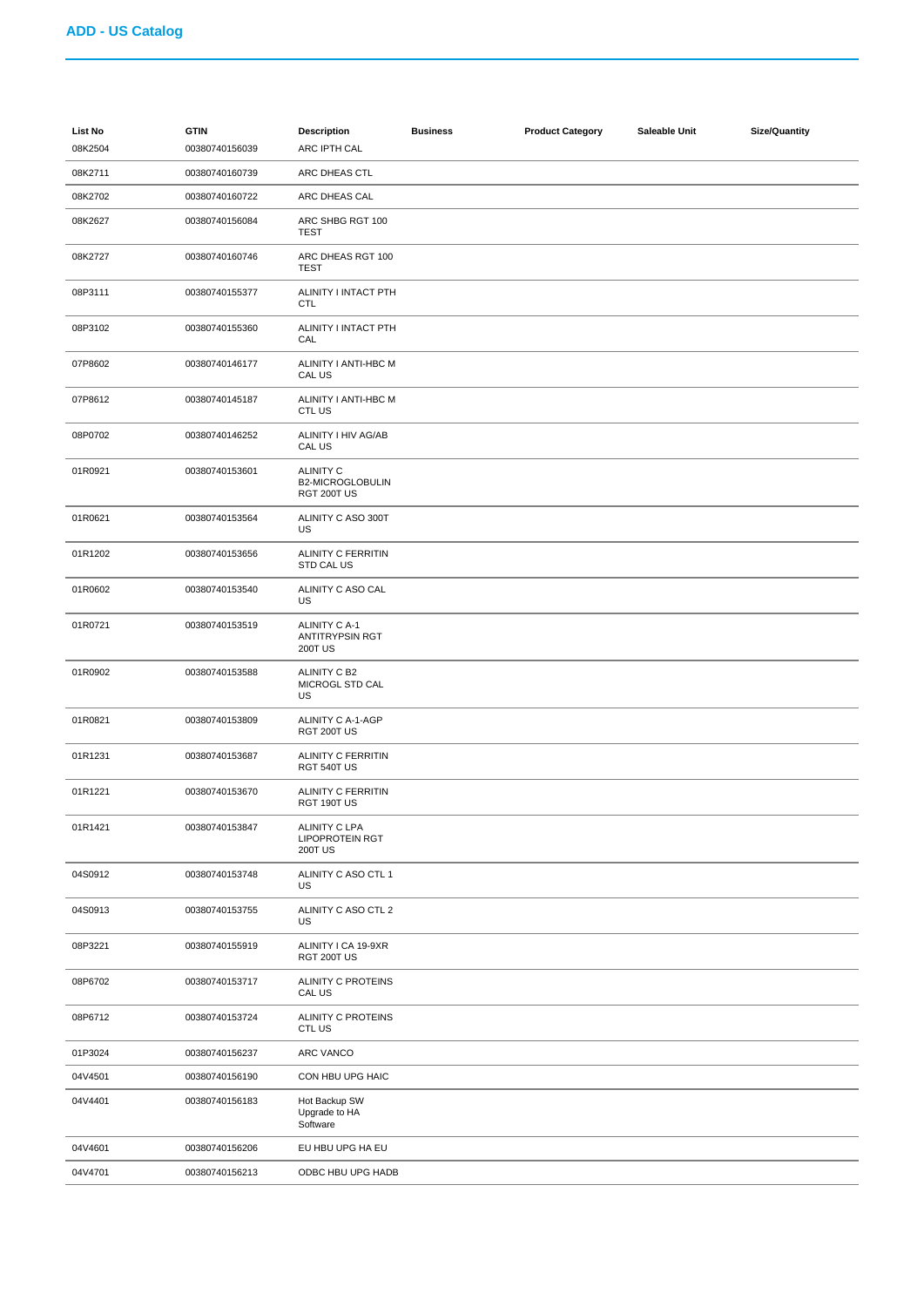| <b>List No</b><br>08K2504 | <b>GTIN</b><br>00380740156039 | <b>Description</b><br>ARC IPTH CAL                        | <b>Business</b> | <b>Product Category</b> | Saleable Unit | <b>Size/Quantity</b> |
|---------------------------|-------------------------------|-----------------------------------------------------------|-----------------|-------------------------|---------------|----------------------|
| 08K2711                   | 00380740160739                | ARC DHEAS CTL                                             |                 |                         |               |                      |
| 08K2702                   | 00380740160722                | ARC DHEAS CAL                                             |                 |                         |               |                      |
| 08K2627                   | 00380740156084                | ARC SHBG RGT 100<br>TEST                                  |                 |                         |               |                      |
| 08K2727                   | 00380740160746                | ARC DHEAS RGT 100<br>TEST                                 |                 |                         |               |                      |
| 08P3111                   | 00380740155377                | ALINITY I INTACT PTH<br><b>CTL</b>                        |                 |                         |               |                      |
| 08P3102                   | 00380740155360                | ALINITY I INTACT PTH<br>CAL                               |                 |                         |               |                      |
| 07P8602                   | 00380740146177                | ALINITY I ANTI-HBC M<br>CAL US                            |                 |                         |               |                      |
| 07P8612                   | 00380740145187                | ALINITY I ANTI-HBC M<br>CTL US                            |                 |                         |               |                      |
| 08P0702                   | 00380740146252                | ALINITY I HIV AG/AB<br>CAL US                             |                 |                         |               |                      |
| 01R0921                   | 00380740153601                | <b>ALINITY C</b><br>B2-MICROGLOBULIN<br>RGT 200T US       |                 |                         |               |                      |
| 01R0621                   | 00380740153564                | ALINITY C ASO 300T<br>US                                  |                 |                         |               |                      |
| 01R1202                   | 00380740153656                | <b>ALINITY C FERRITIN</b><br>STD CAL US                   |                 |                         |               |                      |
| 01R0602                   | 00380740153540                | ALINITY C ASO CAL<br>US                                   |                 |                         |               |                      |
| 01R0721                   | 00380740153519                | ALINITY C A-1<br><b>ANTITRYPSIN RGT</b><br><b>200T US</b> |                 |                         |               |                      |
| 01R0902                   | 00380740153588                | ALINITY C B2<br>MICROGL STD CAL<br>US                     |                 |                         |               |                      |
| 01R0821                   | 00380740153809                | ALINITY C A-1-AGP<br>RGT 200T US                          |                 |                         |               |                      |
| 01R1231                   | 00380740153687                | ALINITY C FERRITIN<br>RGT 540T US                         |                 |                         |               |                      |
| 01R1221                   | 00380740153670                | ALINITY C FERRITIN<br>RGT 190T US                         |                 |                         |               |                      |
| 01R1421                   | 00380740153847                | ALINITY C LPA<br><b>LIPOPROTEIN RGT</b><br>200T US        |                 |                         |               |                      |
| 04S0912                   | 00380740153748                | ALINITY C ASO CTL 1<br>US                                 |                 |                         |               |                      |
| 04S0913                   | 00380740153755                | ALINITY C ASO CTL 2<br>US                                 |                 |                         |               |                      |
| 08P3221                   | 00380740155919                | ALINITY I CA 19-9XR<br>RGT 200T US                        |                 |                         |               |                      |
| 08P6702                   | 00380740153717                | ALINITY C PROTEINS<br>CAL US                              |                 |                         |               |                      |
| 08P6712                   | 00380740153724                | ALINITY C PROTEINS<br>CTL US                              |                 |                         |               |                      |
| 01P3024                   | 00380740156237                | ARC VANCO                                                 |                 |                         |               |                      |
| 04V4501                   | 00380740156190                | CON HBU UPG HAIC                                          |                 |                         |               |                      |
| 04V4401                   | 00380740156183                | Hot Backup SW<br>Upgrade to HA<br>Software                |                 |                         |               |                      |
| 04V4601                   | 00380740156206                | EU HBU UPG HA EU                                          |                 |                         |               |                      |
| 04V4701                   | 00380740156213                | ODBC HBU UPG HADB                                         |                 |                         |               |                      |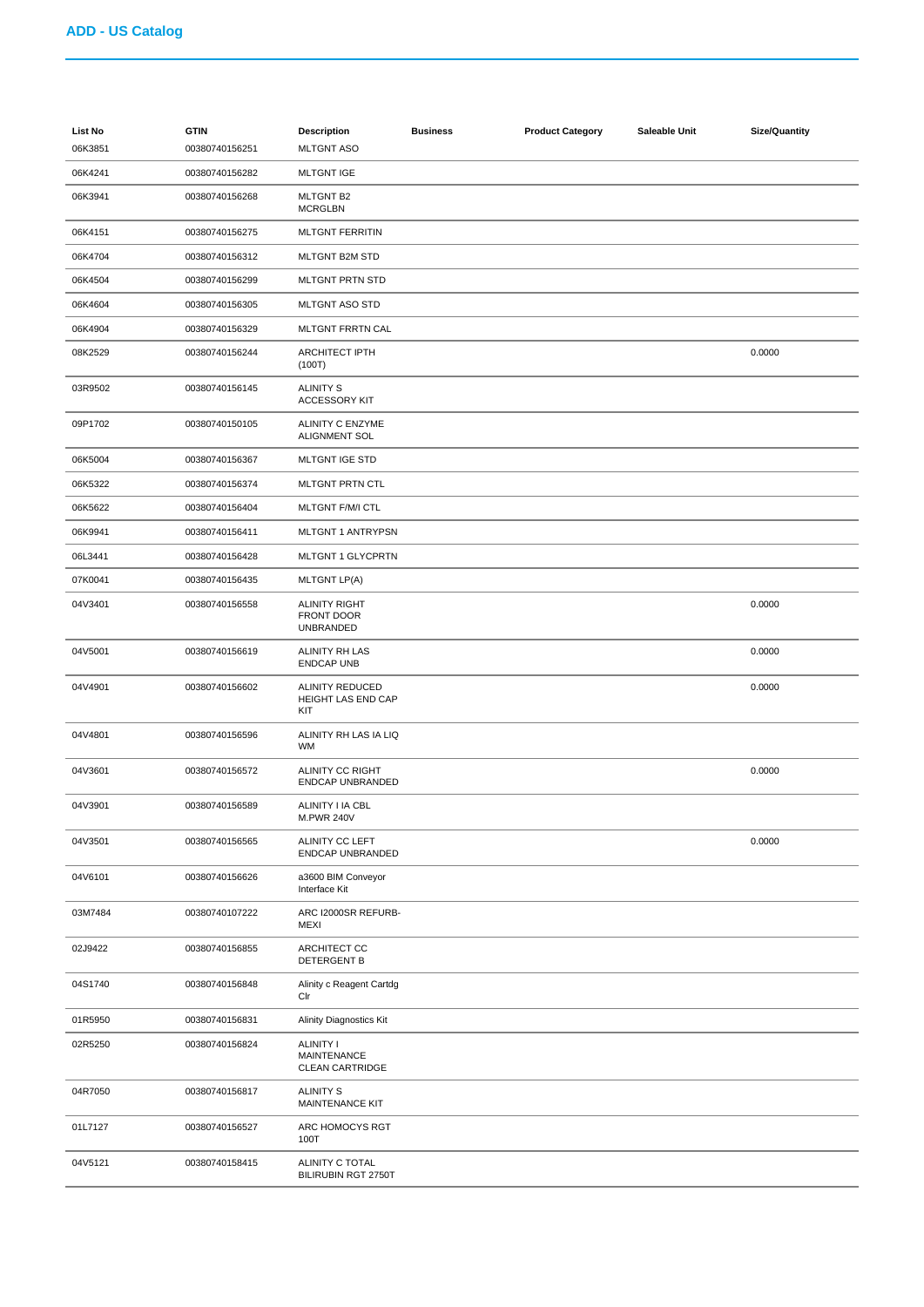| <b>List No</b><br>06K3851 | <b>GTIN</b><br>00380740156251 | <b>Description</b><br><b>MLTGNT ASO</b>                   | <b>Business</b> | <b>Product Category</b> | Saleable Unit | <b>Size/Quantity</b> |
|---------------------------|-------------------------------|-----------------------------------------------------------|-----------------|-------------------------|---------------|----------------------|
| 06K4241                   | 00380740156282                | <b>MLTGNT IGE</b>                                         |                 |                         |               |                      |
| 06K3941                   | 00380740156268                | <b>MLTGNT B2</b><br><b>MCRGLBN</b>                        |                 |                         |               |                      |
| 06K4151                   | 00380740156275                | <b>MLTGNT FERRITIN</b>                                    |                 |                         |               |                      |
| 06K4704                   | 00380740156312                | MLTGNT B2M STD                                            |                 |                         |               |                      |
| 06K4504                   | 00380740156299                | MLTGNT PRTN STD                                           |                 |                         |               |                      |
| 06K4604                   | 00380740156305                | <b>MLTGNT ASO STD</b>                                     |                 |                         |               |                      |
| 06K4904                   | 00380740156329                | MLTGNT FRRTN CAL                                          |                 |                         |               |                      |
| 08K2529                   | 00380740156244                | <b>ARCHITECT IPTH</b><br>(100T)                           |                 |                         |               | 0.0000               |
| 03R9502                   | 00380740156145                | <b>ALINITY S</b><br><b>ACCESSORY KIT</b>                  |                 |                         |               |                      |
| 09P1702                   | 00380740150105                | ALINITY C ENZYME<br><b>ALIGNMENT SOL</b>                  |                 |                         |               |                      |
| 06K5004                   | 00380740156367                | <b>MLTGNT IGE STD</b>                                     |                 |                         |               |                      |
| 06K5322                   | 00380740156374                | MLTGNT PRTN CTL                                           |                 |                         |               |                      |
| 06K5622                   | 00380740156404                | MLTGNT F/M/I CTL                                          |                 |                         |               |                      |
| 06K9941                   | 00380740156411                | MLTGNT 1 ANTRYPSN                                         |                 |                         |               |                      |
| 06L3441                   | 00380740156428                | <b>MLTGNT 1 GLYCPRTN</b>                                  |                 |                         |               |                      |
| 07K0041                   | 00380740156435                | <b>MLTGNT LP(A)</b>                                       |                 |                         |               |                      |
| 04V3401                   | 00380740156558                | <b>ALINITY RIGHT</b><br>FRONT DOOR<br>UNBRANDED           |                 |                         |               | 0.0000               |
| 04V5001                   | 00380740156619                | ALINITY RH LAS<br><b>ENDCAP UNB</b>                       |                 |                         |               | 0.0000               |
| 04V4901                   | 00380740156602                | <b>ALINITY REDUCED</b><br>HEIGHT LAS END CAP<br>KIT       |                 |                         |               | 0.0000               |
| 04V4801                   | 00380740156596                | ALINITY RH LAS IA LIQ<br>WM                               |                 |                         |               |                      |
| 04V3601                   | 00380740156572                | ALINITY CC RIGHT<br>ENDCAP UNBRANDED                      |                 |                         |               | 0.0000               |
| 04V3901                   | 00380740156589                | ALINITY I IA CBL<br><b>M.PWR 240V</b>                     |                 |                         |               |                      |
| 04V3501                   | 00380740156565                | ALINITY CC LEFT<br>ENDCAP UNBRANDED                       |                 |                         |               | 0.0000               |
| 04V6101                   | 00380740156626                | a3600 BIM Conveyor<br>Interface Kit                       |                 |                         |               |                      |
| 03M7484                   | 00380740107222                | ARC I2000SR REFURB-<br><b>MEXI</b>                        |                 |                         |               |                      |
| 02J9422                   | 00380740156855                | ARCHITECT CC<br>DETERGENT B                               |                 |                         |               |                      |
| 04S1740                   | 00380740156848                | Alinity c Reagent Cartdg<br>Clr                           |                 |                         |               |                      |
| 01R5950                   | 00380740156831                | <b>Alinity Diagnostics Kit</b>                            |                 |                         |               |                      |
| 02R5250                   | 00380740156824                | <b>ALINITY I</b><br>MAINTENANCE<br><b>CLEAN CARTRIDGE</b> |                 |                         |               |                      |
| 04R7050                   | 00380740156817                | <b>ALINITY S</b><br>MAINTENANCE KIT                       |                 |                         |               |                      |
| 01L7127                   | 00380740156527                | ARC HOMOCYS RGT<br>100T                                   |                 |                         |               |                      |
| 04V5121                   | 00380740158415                | ALINITY C TOTAL<br>BILIRUBIN RGT 2750T                    |                 |                         |               |                      |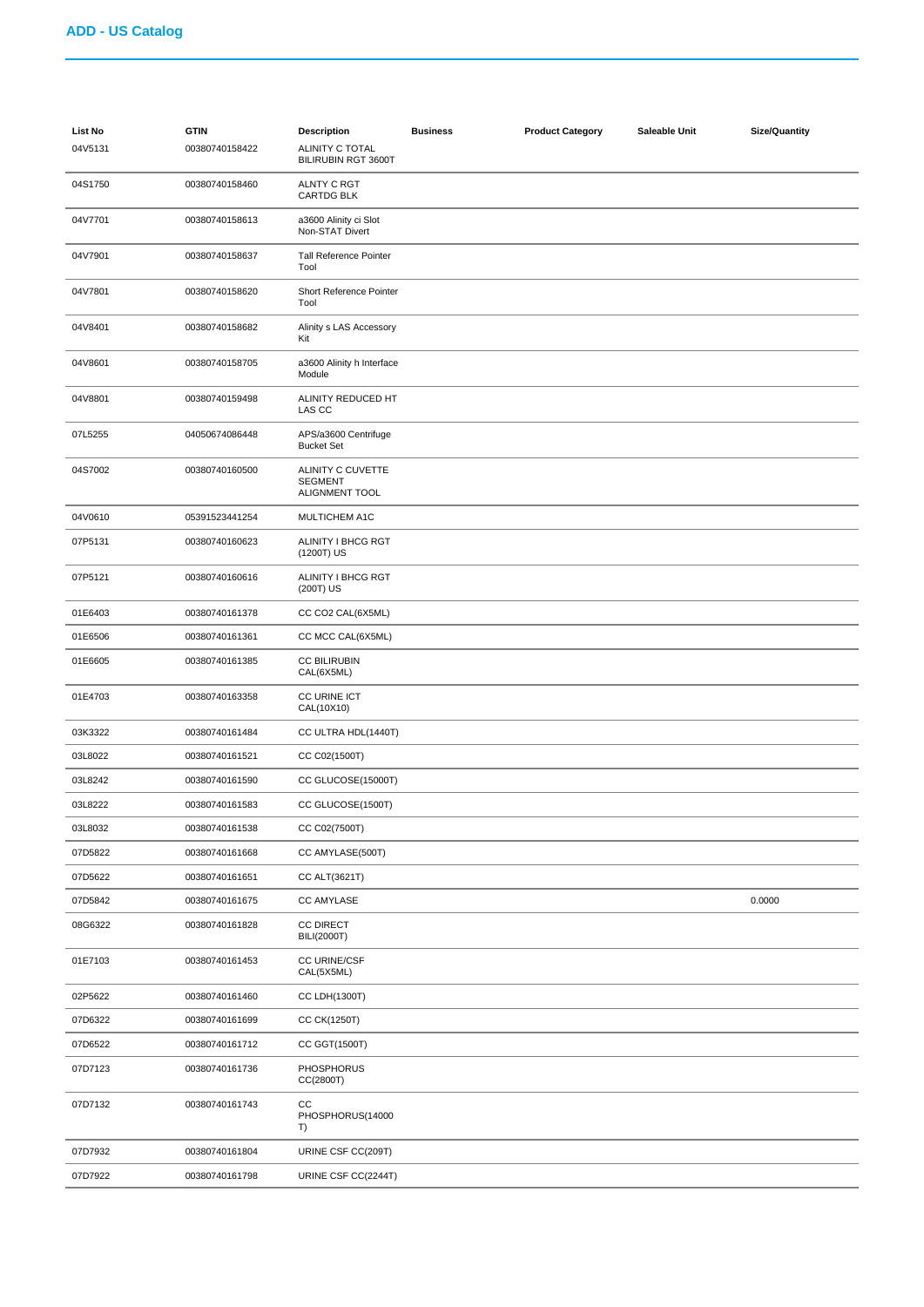| <b>List No</b><br>04V5131 | <b>GTIN</b><br>00380740158422 | <b>Description</b><br>ALINITY C TOTAL<br>BILIRUBIN RGT 3600T | <b>Business</b> | <b>Product Category</b> | Saleable Unit | <b>Size/Quantity</b> |
|---------------------------|-------------------------------|--------------------------------------------------------------|-----------------|-------------------------|---------------|----------------------|
| 04S1750                   | 00380740158460                | <b>ALNTY C RGT</b><br>CARTDG BLK                             |                 |                         |               |                      |
| 04V7701                   | 00380740158613                | a3600 Alinity ci Slot<br>Non-STAT Divert                     |                 |                         |               |                      |
| 04V7901                   | 00380740158637                | <b>Tall Reference Pointer</b><br>Tool                        |                 |                         |               |                      |
| 04V7801                   | 00380740158620                | Short Reference Pointer<br>Tool                              |                 |                         |               |                      |
| 04V8401                   | 00380740158682                | Alinity s LAS Accessory<br>Kit                               |                 |                         |               |                      |
| 04V8601                   | 00380740158705                | a3600 Alinity h Interface<br>Module                          |                 |                         |               |                      |
| 04V8801                   | 00380740159498                | ALINITY REDUCED HT<br>LAS CC                                 |                 |                         |               |                      |
| 07L5255                   | 04050674086448                | APS/a3600 Centrifuge<br><b>Bucket Set</b>                    |                 |                         |               |                      |
| 04S7002                   | 00380740160500                | ALINITY C CUVETTE<br><b>SEGMENT</b><br>ALIGNMENT TOOL        |                 |                         |               |                      |
| 04V0610                   | 05391523441254                | MULTICHEM A1C                                                |                 |                         |               |                      |
| 07P5131                   | 00380740160623                | ALINITY I BHCG RGT<br>(1200T) US                             |                 |                         |               |                      |
| 07P5121                   | 00380740160616                | ALINITY I BHCG RGT<br>(200T) US                              |                 |                         |               |                      |
| 01E6403                   | 00380740161378                | CC CO2 CAL(6X5ML)                                            |                 |                         |               |                      |
| 01E6506                   | 00380740161361                | CC MCC CAL(6X5ML)                                            |                 |                         |               |                      |
| 01E6605                   | 00380740161385                | <b>CC BILIRUBIN</b><br>CAL(6X5ML)                            |                 |                         |               |                      |
| 01E4703                   | 00380740163358                | CC URINE ICT<br>CAL(10X10)                                   |                 |                         |               |                      |
| 03K3322                   | 00380740161484                | CC ULTRA HDL(1440T)                                          |                 |                         |               |                      |
| 03L8022                   | 00380740161521                | CC C02(1500T)                                                |                 |                         |               |                      |
| 03L8242                   | 00380740161590                | CC GLUCOSE(15000T)                                           |                 |                         |               |                      |
| 03L8222                   | 00380740161583                | CC GLUCOSE(1500T)                                            |                 |                         |               |                      |
| 03L8032                   | 00380740161538                | CC C02(7500T)                                                |                 |                         |               |                      |
| 07D5822                   | 00380740161668                | CC AMYLASE(500T)                                             |                 |                         |               |                      |
| 07D5622                   | 00380740161651                | CC ALT(3621T)                                                |                 |                         |               |                      |
| 07D5842                   | 00380740161675                | <b>CC AMYLASE</b>                                            |                 |                         |               | 0.0000               |
| 08G6322                   | 00380740161828                | <b>CC DIRECT</b><br><b>BILI(2000T)</b>                       |                 |                         |               |                      |
| 01E7103                   | 00380740161453                | CC URINE/CSF<br>CAL(5X5ML)                                   |                 |                         |               |                      |
| 02P5622                   | 00380740161460                | CC LDH(1300T)                                                |                 |                         |               |                      |
| 07D6322                   | 00380740161699                | CC CK(1250T)                                                 |                 |                         |               |                      |
| 07D6522                   | 00380740161712                | CC GGT(1500T)                                                |                 |                         |               |                      |
| 07D7123                   | 00380740161736                | <b>PHOSPHORUS</b><br>CC(2800T)                               |                 |                         |               |                      |
| 07D7132                   | 00380740161743                | cc<br>PHOSPHORUS(14000<br>T)                                 |                 |                         |               |                      |
| 07D7932                   | 00380740161804                | URINE CSF CC(209T)                                           |                 |                         |               |                      |
| 07D7922                   | 00380740161798                | URINE CSF CC(2244T)                                          |                 |                         |               |                      |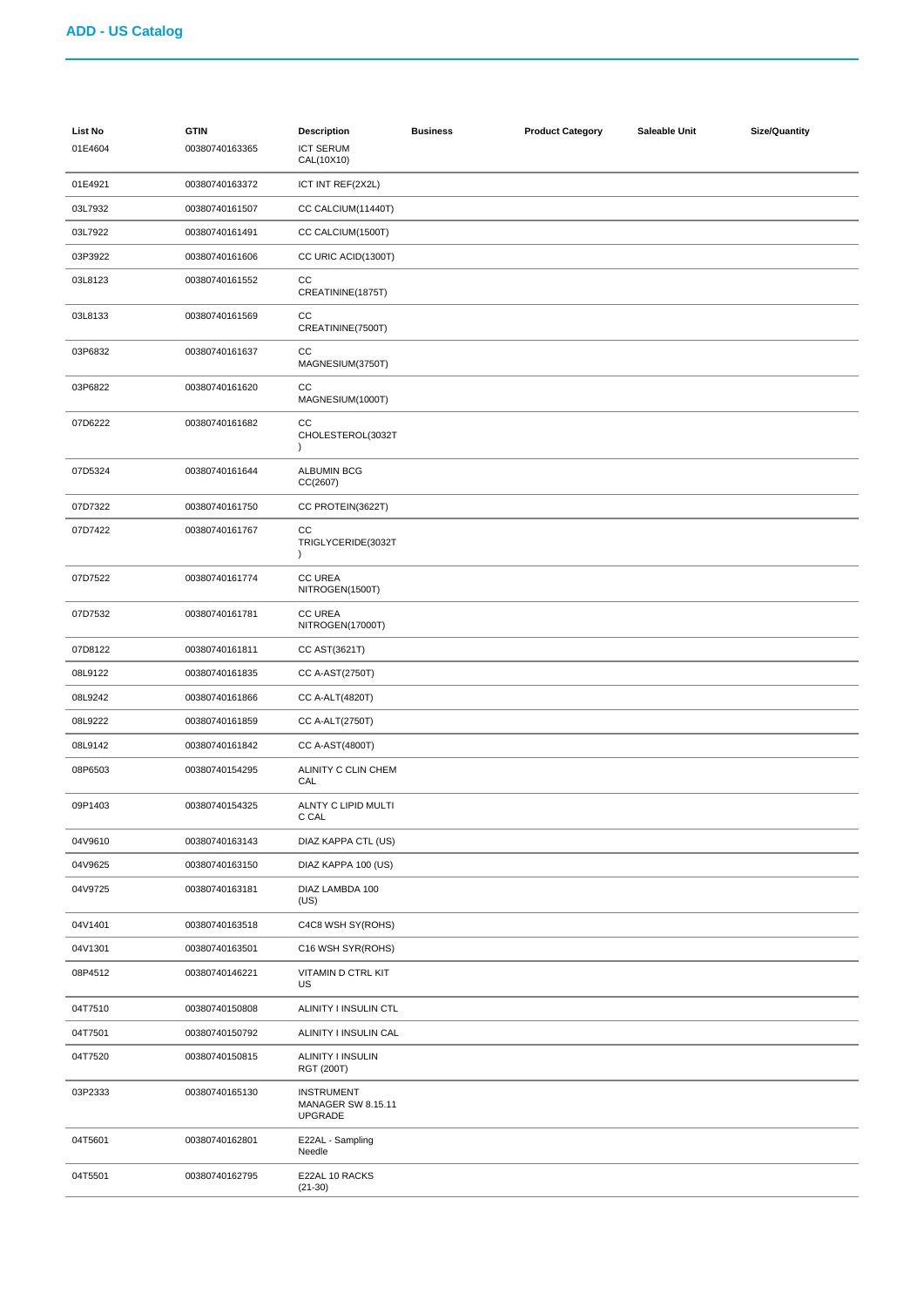| List No<br>01E4604 | <b>GTIN</b><br>00380740163365 | <b>Description</b><br><b>ICT SERUM</b><br>CAL(10X10)             | <b>Business</b> | <b>Product Category</b> | Saleable Unit | <b>Size/Quantity</b> |
|--------------------|-------------------------------|------------------------------------------------------------------|-----------------|-------------------------|---------------|----------------------|
| 01E4921            | 00380740163372                | ICT INT REF(2X2L)                                                |                 |                         |               |                      |
| 03L7932            | 00380740161507                | CC CALCIUM(11440T)                                               |                 |                         |               |                      |
| 03L7922            | 00380740161491                | CC CALCIUM(1500T)                                                |                 |                         |               |                      |
| 03P3922            | 00380740161606                | CC URIC ACID(1300T)                                              |                 |                         |               |                      |
| 03L8123            | 00380740161552                | CC<br>CREATININE(1875T)                                          |                 |                         |               |                      |
| 03L8133            | 00380740161569                | CC<br>CREATININE(7500T)                                          |                 |                         |               |                      |
| 03P6832            | 00380740161637                | CC<br>MAGNESIUM(3750T)                                           |                 |                         |               |                      |
| 03P6822            | 00380740161620                | CC<br>MAGNESIUM(1000T)                                           |                 |                         |               |                      |
| 07D6222            | 00380740161682                | CC<br>CHOLESTEROL(3032T<br>$\lambda$                             |                 |                         |               |                      |
| 07D5324            | 00380740161644                | <b>ALBUMIN BCG</b><br>CC(2607)                                   |                 |                         |               |                      |
| 07D7322            | 00380740161750                | CC PROTEIN(3622T)                                                |                 |                         |               |                      |
| 07D7422            | 00380740161767                | CC<br>TRIGLYCERIDE(3032T<br>$\lambda$                            |                 |                         |               |                      |
| 07D7522            | 00380740161774                | <b>CC UREA</b><br>NITROGEN(1500T)                                |                 |                         |               |                      |
| 07D7532            | 00380740161781                | <b>CC UREA</b><br>NITROGEN(17000T)                               |                 |                         |               |                      |
| 07D8122            | 00380740161811                | CC AST(3621T)                                                    |                 |                         |               |                      |
| 08L9122            | 00380740161835                | CC A-AST(2750T)                                                  |                 |                         |               |                      |
| 08L9242            | 00380740161866                | <b>CC A-ALT(4820T)</b>                                           |                 |                         |               |                      |
| 08L9222            | 00380740161859                | CC A-ALT(2750T)                                                  |                 |                         |               |                      |
| 08L9142            | 00380740161842                | CC A-AST(4800T)                                                  |                 |                         |               |                      |
| 08P6503            | 00380740154295                | ALINITY C CLIN CHEM<br>CAL                                       |                 |                         |               |                      |
| 09P1403            | 00380740154325                | ALNTY C LIPID MULTI<br>C CAL                                     |                 |                         |               |                      |
| 04V9610            | 00380740163143                | DIAZ KAPPA CTL (US)                                              |                 |                         |               |                      |
| 04V9625            | 00380740163150                | DIAZ KAPPA 100 (US)                                              |                 |                         |               |                      |
| 04V9725            | 00380740163181                | DIAZ LAMBDA 100<br>(US)                                          |                 |                         |               |                      |
| 04V1401            | 00380740163518                | C4C8 WSH SY(ROHS)                                                |                 |                         |               |                      |
| 04V1301            | 00380740163501                | C16 WSH SYR(ROHS)                                                |                 |                         |               |                      |
| 08P4512            | 00380740146221                | VITAMIN D CTRL KIT<br>US                                         |                 |                         |               |                      |
| 04T7510            | 00380740150808                | ALINITY I INSULIN CTL                                            |                 |                         |               |                      |
| 04T7501            | 00380740150792                | ALINITY I INSULIN CAL                                            |                 |                         |               |                      |
| 04T7520            | 00380740150815                | ALINITY I INSULIN<br>RGT (200T)                                  |                 |                         |               |                      |
| 03P2333            | 00380740165130                | <b>INSTRUMENT</b><br><b>MANAGER SW 8.15.11</b><br><b>UPGRADE</b> |                 |                         |               |                      |
| 04T5601            | 00380740162801                | E22AL - Sampling<br>Needle                                       |                 |                         |               |                      |
| 04T5501            | 00380740162795                | E22AL 10 RACKS<br>$(21-30)$                                      |                 |                         |               |                      |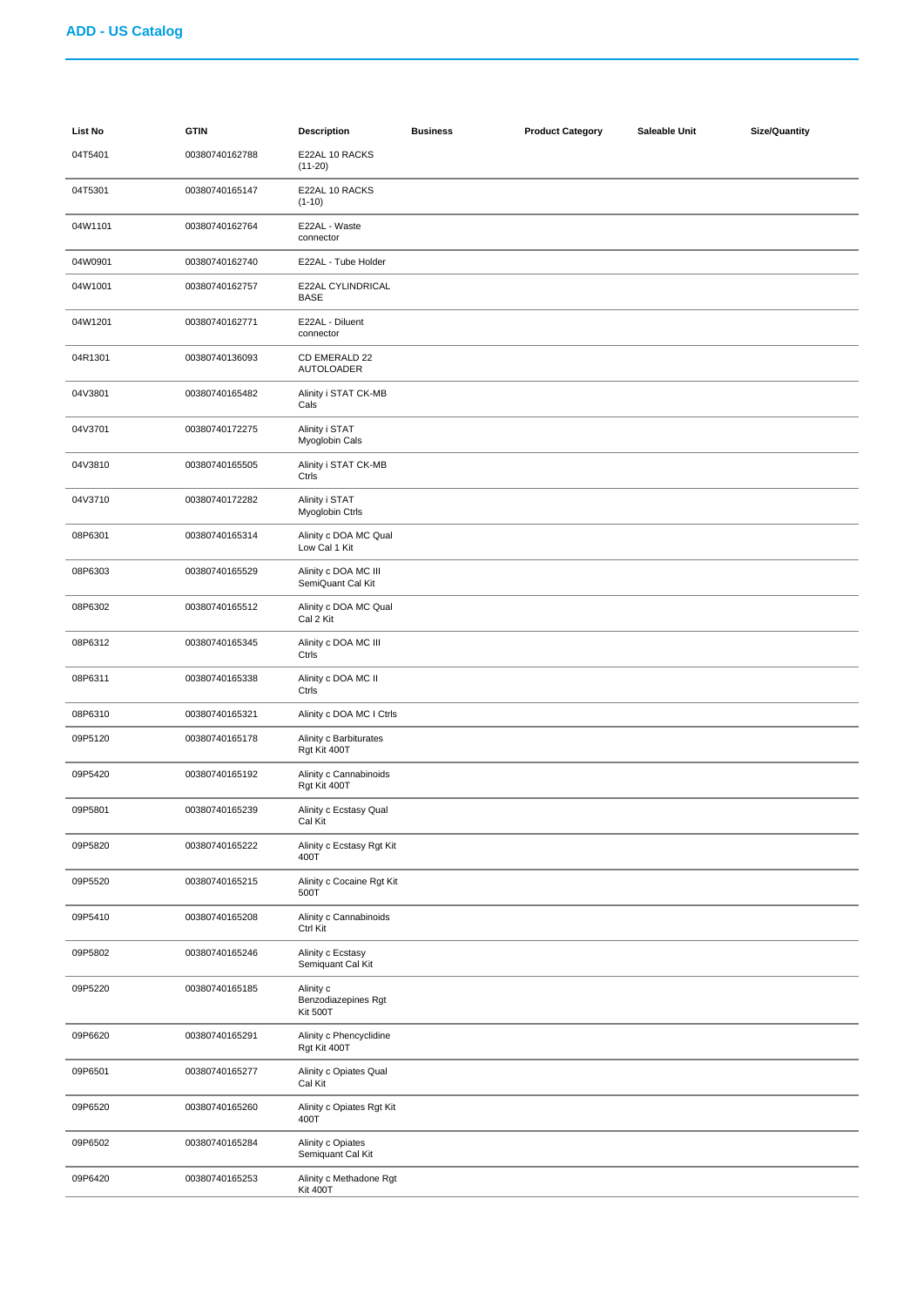| List No | <b>GTIN</b>    | <b>Description</b>                                  | <b>Business</b> | <b>Product Category</b> | Saleable Unit | <b>Size/Quantity</b> |
|---------|----------------|-----------------------------------------------------|-----------------|-------------------------|---------------|----------------------|
| 04T5401 | 00380740162788 | E22AL 10 RACKS<br>$(11-20)$                         |                 |                         |               |                      |
| 04T5301 | 00380740165147 | E22AL 10 RACKS<br>$(1-10)$                          |                 |                         |               |                      |
| 04W1101 | 00380740162764 | E22AL - Waste<br>connector                          |                 |                         |               |                      |
| 04W0901 | 00380740162740 | E22AL - Tube Holder                                 |                 |                         |               |                      |
| 04W1001 | 00380740162757 | E22AL CYLINDRICAL<br><b>BASE</b>                    |                 |                         |               |                      |
| 04W1201 | 00380740162771 | E22AL - Diluent<br>connector                        |                 |                         |               |                      |
| 04R1301 | 00380740136093 | CD EMERALD 22<br><b>AUTOLOADER</b>                  |                 |                         |               |                      |
| 04V3801 | 00380740165482 | Alinity i STAT CK-MB<br>Cals                        |                 |                         |               |                      |
| 04V3701 | 00380740172275 | Alinity i STAT<br>Myoglobin Cals                    |                 |                         |               |                      |
| 04V3810 | 00380740165505 | Alinity i STAT CK-MB<br>Ctrls                       |                 |                         |               |                      |
| 04V3710 | 00380740172282 | Alinity i STAT<br>Myoglobin Ctrls                   |                 |                         |               |                      |
| 08P6301 | 00380740165314 | Alinity c DOA MC Qual<br>Low Cal 1 Kit              |                 |                         |               |                      |
| 08P6303 | 00380740165529 | Alinity c DOA MC III<br>SemiQuant Cal Kit           |                 |                         |               |                      |
| 08P6302 | 00380740165512 | Alinity c DOA MC Qual<br>Cal 2 Kit                  |                 |                         |               |                      |
| 08P6312 | 00380740165345 | Alinity c DOA MC III<br>Ctrls                       |                 |                         |               |                      |
| 08P6311 | 00380740165338 | Alinity c DOA MC II<br>Ctrls                        |                 |                         |               |                      |
| 08P6310 | 00380740165321 | Alinity c DOA MC I Ctrls                            |                 |                         |               |                      |
| 09P5120 | 00380740165178 | Alinity c Barbiturates<br>Rgt Kit 400T              |                 |                         |               |                      |
| 09P5420 | 00380740165192 | Alinity c Cannabinoids<br>Rgt Kit 400T              |                 |                         |               |                      |
| 09P5801 | 00380740165239 | Alinity c Ecstasy Qual<br>Cal Kit                   |                 |                         |               |                      |
| 09P5820 | 00380740165222 | Alinity c Ecstasy Rgt Kit<br>400T                   |                 |                         |               |                      |
| 09P5520 | 00380740165215 | Alinity c Cocaine Rgt Kit<br>500T                   |                 |                         |               |                      |
| 09P5410 | 00380740165208 | Alinity c Cannabinoids<br>Ctrl Kit                  |                 |                         |               |                      |
| 09P5802 | 00380740165246 | Alinity c Ecstasy<br>Semiquant Cal Kit              |                 |                         |               |                      |
| 09P5220 | 00380740165185 | Alinity c<br>Benzodiazepines Rgt<br><b>Kit 500T</b> |                 |                         |               |                      |
| 09P6620 | 00380740165291 | Alinity c Phencyclidine<br>Rgt Kit 400T             |                 |                         |               |                      |
| 09P6501 | 00380740165277 | Alinity c Opiates Qual<br>Cal Kit                   |                 |                         |               |                      |
| 09P6520 | 00380740165260 | Alinity c Opiates Rgt Kit<br>400T                   |                 |                         |               |                      |
| 09P6502 | 00380740165284 | Alinity c Opiates<br>Semiquant Cal Kit              |                 |                         |               |                      |
| 09P6420 | 00380740165253 | Alinity c Methadone Rgt<br><b>Kit 400T</b>          |                 |                         |               |                      |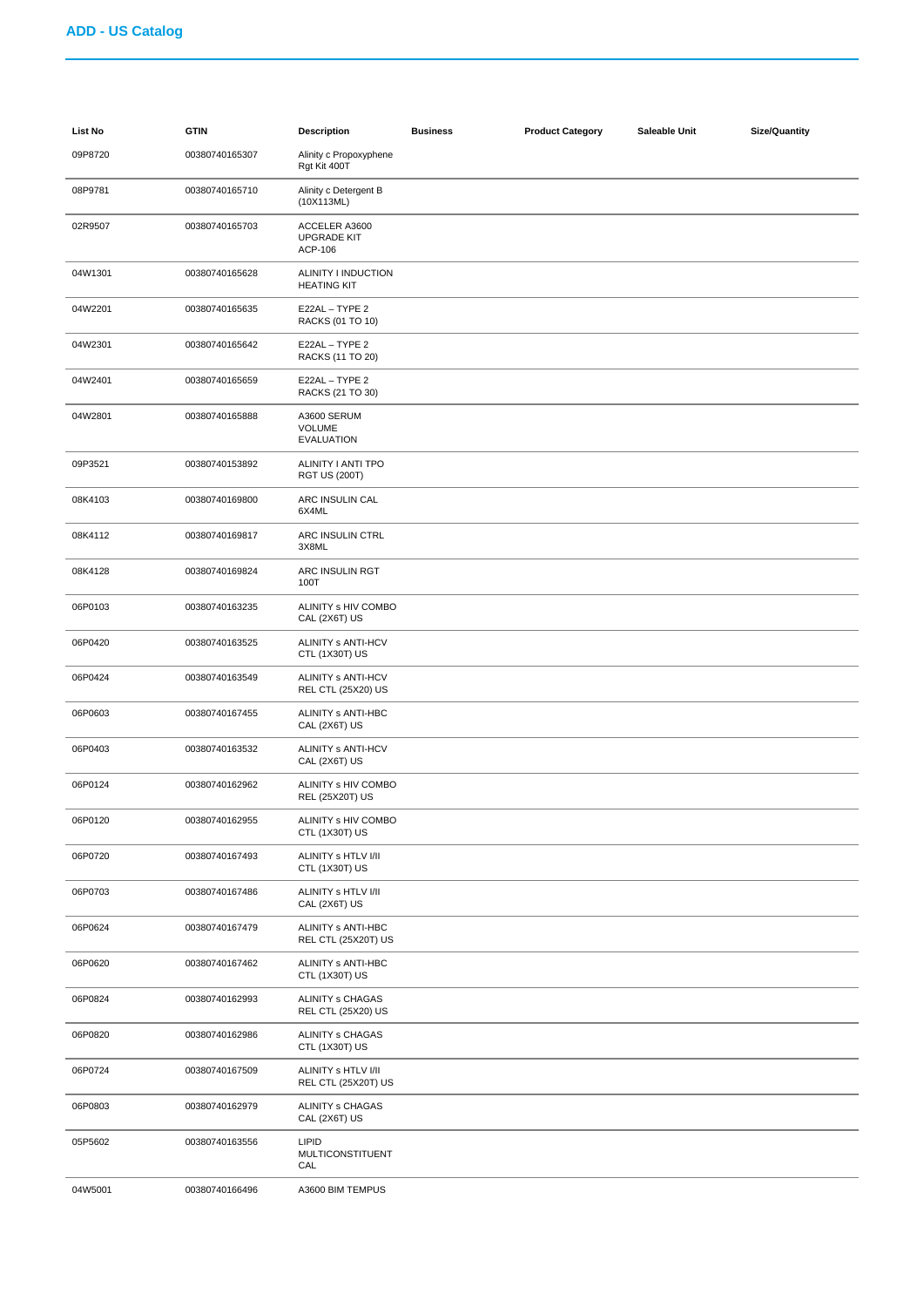| List No | <b>GTIN</b>    | <b>Description</b>                              | <b>Business</b> | <b>Product Category</b> | Saleable Unit | <b>Size/Quantity</b> |
|---------|----------------|-------------------------------------------------|-----------------|-------------------------|---------------|----------------------|
| 09P8720 | 00380740165307 | Alinity c Propoxyphene<br>Rgt Kit 400T          |                 |                         |               |                      |
| 08P9781 | 00380740165710 | Alinity c Detergent B<br>(10X113ML)             |                 |                         |               |                      |
| 02R9507 | 00380740165703 | ACCELER A3600<br><b>UPGRADE KIT</b><br>ACP-106  |                 |                         |               |                      |
| 04W1301 | 00380740165628 | ALINITY I INDUCTION<br><b>HEATING KIT</b>       |                 |                         |               |                      |
| 04W2201 | 00380740165635 | E22AL - TYPE 2<br>RACKS (01 TO 10)              |                 |                         |               |                      |
| 04W2301 | 00380740165642 | E22AL - TYPE 2<br>RACKS (11 TO 20)              |                 |                         |               |                      |
| 04W2401 | 00380740165659 | E22AL - TYPE 2<br>RACKS (21 TO 30)              |                 |                         |               |                      |
| 04W2801 | 00380740165888 | A3600 SERUM<br>VOLUME<br><b>EVALUATION</b>      |                 |                         |               |                      |
| 09P3521 | 00380740153892 | ALINITY I ANTI TPO<br><b>RGT US (200T)</b>      |                 |                         |               |                      |
| 08K4103 | 00380740169800 | ARC INSULIN CAL<br>6X4ML                        |                 |                         |               |                      |
| 08K4112 | 00380740169817 | ARC INSULIN CTRL<br>3X8ML                       |                 |                         |               |                      |
| 08K4128 | 00380740169824 | ARC INSULIN RGT<br>100T                         |                 |                         |               |                      |
| 06P0103 | 00380740163235 | ALINITY s HIV COMBO<br>CAL (2X6T) US            |                 |                         |               |                      |
| 06P0420 | 00380740163525 | ALINITY s ANTI-HCV<br>CTL (1X30T) US            |                 |                         |               |                      |
| 06P0424 | 00380740163549 | ALINITY S ANTI-HCV<br><b>REL CTL (25X20) US</b> |                 |                         |               |                      |
| 06P0603 | 00380740167455 | ALINITY s ANTI-HBC<br>CAL (2X6T) US             |                 |                         |               |                      |
| 06P0403 | 00380740163532 | ALINITY S ANTI-HCV<br>CAL (2X6T) US             |                 |                         |               |                      |
| 06P0124 | 00380740162962 | ALINITY s HIV COMBO<br><b>REL (25X20T) US</b>   |                 |                         |               |                      |
| 06P0120 | 00380740162955 | ALINITY s HIV COMBO<br>CTL (1X30T) US           |                 |                         |               |                      |
| 06P0720 | 00380740167493 | ALINITY S HTLV I/II<br>CTL (1X30T) US           |                 |                         |               |                      |
| 06P0703 | 00380740167486 | ALINITY S HTLV I/II<br>CAL (2X6T) US            |                 |                         |               |                      |
| 06P0624 | 00380740167479 | ALINITY S ANTI-HBC<br>REL CTL (25X20T) US       |                 |                         |               |                      |
| 06P0620 | 00380740167462 | ALINITY S ANTI-HBC<br>CTL (1X30T) US            |                 |                         |               |                      |
| 06P0824 | 00380740162993 | ALINITY s CHAGAS<br>REL CTL (25X20) US          |                 |                         |               |                      |
| 06P0820 | 00380740162986 | ALINITY s CHAGAS<br>CTL (1X30T) US              |                 |                         |               |                      |
| 06P0724 | 00380740167509 | ALINITY S HTLV I/II<br>REL CTL (25X20T) US      |                 |                         |               |                      |
| 06P0803 | 00380740162979 | ALINITY s CHAGAS<br>CAL (2X6T) US               |                 |                         |               |                      |
| 05P5602 | 00380740163556 | LIPID<br>MULTICONSTITUENT<br>CAL                |                 |                         |               |                      |
| 04W5001 | 00380740166496 | A3600 BIM TEMPUS                                |                 |                         |               |                      |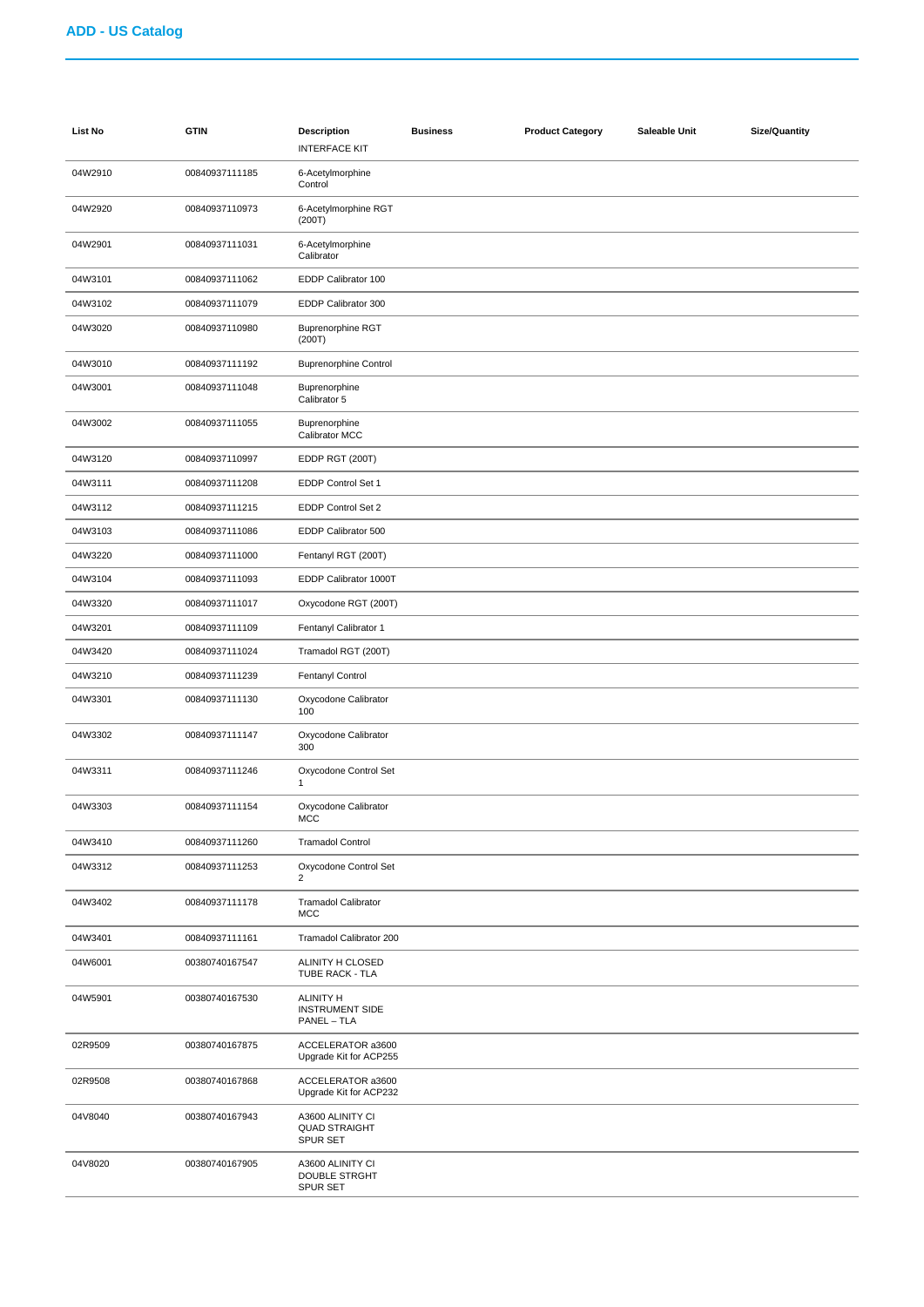| <b>List No</b> | <b>GTIN</b>    | <b>Description</b><br><b>INTERFACE KIT</b>                  | <b>Business</b> | <b>Product Category</b> | Saleable Unit | <b>Size/Quantity</b> |
|----------------|----------------|-------------------------------------------------------------|-----------------|-------------------------|---------------|----------------------|
| 04W2910        | 00840937111185 | 6-Acetylmorphine<br>Control                                 |                 |                         |               |                      |
| 04W2920        | 00840937110973 | 6-Acetylmorphine RGT<br>(200T)                              |                 |                         |               |                      |
| 04W2901        | 00840937111031 | 6-Acetylmorphine<br>Calibrator                              |                 |                         |               |                      |
| 04W3101        | 00840937111062 | EDDP Calibrator 100                                         |                 |                         |               |                      |
| 04W3102        | 00840937111079 | EDDP Calibrator 300                                         |                 |                         |               |                      |
| 04W3020        | 00840937110980 | <b>Buprenorphine RGT</b><br>(200T)                          |                 |                         |               |                      |
| 04W3010        | 00840937111192 | <b>Buprenorphine Control</b>                                |                 |                         |               |                      |
| 04W3001        | 00840937111048 | Buprenorphine<br>Calibrator 5                               |                 |                         |               |                      |
| 04W3002        | 00840937111055 | Buprenorphine<br>Calibrator MCC                             |                 |                         |               |                      |
| 04W3120        | 00840937110997 | EDDP RGT (200T)                                             |                 |                         |               |                      |
| 04W3111        | 00840937111208 | EDDP Control Set 1                                          |                 |                         |               |                      |
| 04W3112        | 00840937111215 | EDDP Control Set 2                                          |                 |                         |               |                      |
| 04W3103        | 00840937111086 | EDDP Calibrator 500                                         |                 |                         |               |                      |
| 04W3220        | 00840937111000 | Fentanyl RGT (200T)                                         |                 |                         |               |                      |
| 04W3104        | 00840937111093 | EDDP Calibrator 1000T                                       |                 |                         |               |                      |
| 04W3320        | 00840937111017 | Oxycodone RGT (200T)                                        |                 |                         |               |                      |
| 04W3201        | 00840937111109 | Fentanyl Calibrator 1                                       |                 |                         |               |                      |
| 04W3420        | 00840937111024 | Tramadol RGT (200T)                                         |                 |                         |               |                      |
| 04W3210        | 00840937111239 | Fentanyl Control                                            |                 |                         |               |                      |
| 04W3301        | 00840937111130 | Oxycodone Calibrator<br>100                                 |                 |                         |               |                      |
| 04W3302        | 00840937111147 | Oxycodone Calibrator<br>300                                 |                 |                         |               |                      |
| 04W3311        | 00840937111246 | Oxycodone Control Set<br>$\mathbf{1}$                       |                 |                         |               |                      |
| 04W3303        | 00840937111154 | Oxycodone Calibrator<br>MCC                                 |                 |                         |               |                      |
| 04W3410        | 00840937111260 | <b>Tramadol Control</b>                                     |                 |                         |               |                      |
| 04W3312        | 00840937111253 | Oxycodone Control Set<br>$\overline{2}$                     |                 |                         |               |                      |
| 04W3402        | 00840937111178 | <b>Tramadol Calibrator</b><br><b>MCC</b>                    |                 |                         |               |                      |
| 04W3401        | 00840937111161 | Tramadol Calibrator 200                                     |                 |                         |               |                      |
| 04W6001        | 00380740167547 | ALINITY H CLOSED<br>TUBE RACK - TLA                         |                 |                         |               |                      |
| 04W5901        | 00380740167530 | <b>ALINITY H</b><br><b>INSTRUMENT SIDE</b><br>PANEL - TLA   |                 |                         |               |                      |
| 02R9509        | 00380740167875 | ACCELERATOR a3600<br>Upgrade Kit for ACP255                 |                 |                         |               |                      |
| 02R9508        | 00380740167868 | ACCELERATOR a3600<br>Upgrade Kit for ACP232                 |                 |                         |               |                      |
| 04V8040        | 00380740167943 | A3600 ALINITY CI<br><b>QUAD STRAIGHT</b><br><b>SPUR SET</b> |                 |                         |               |                      |
| 04V8020        | 00380740167905 | A3600 ALINITY CI<br><b>DOUBLE STRGHT</b><br>SPUR SET        |                 |                         |               |                      |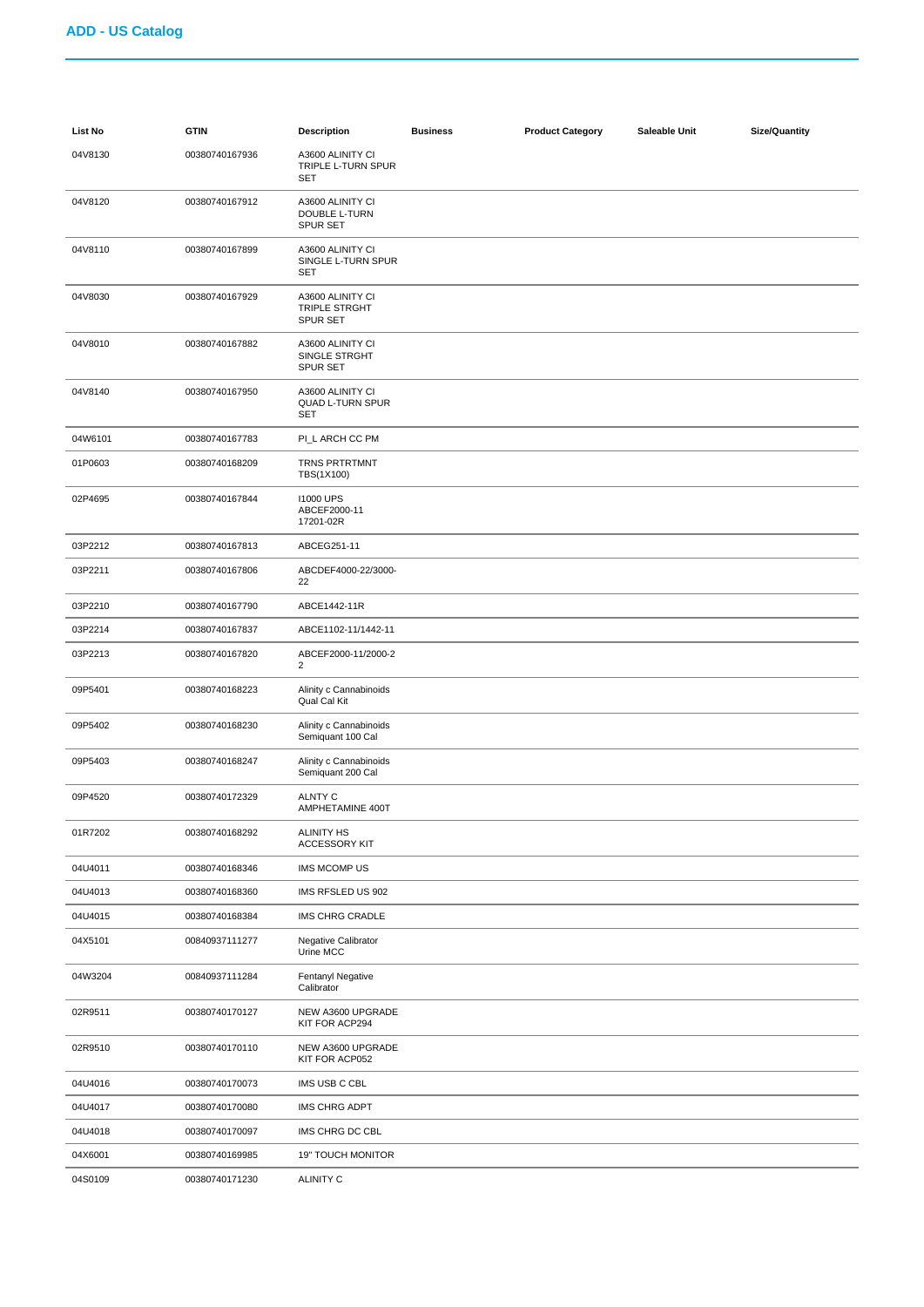| List No | <b>GTIN</b>    | <b>Description</b>                                   | <b>Business</b> | <b>Product Category</b> | Saleable Unit | <b>Size/Quantity</b> |
|---------|----------------|------------------------------------------------------|-----------------|-------------------------|---------------|----------------------|
| 04V8130 | 00380740167936 | A3600 ALINITY CI<br>TRIPLE L-TURN SPUR<br><b>SET</b> |                 |                         |               |                      |
| 04V8120 | 00380740167912 | A3600 ALINITY CI<br>DOUBLE L-TURN<br><b>SPUR SET</b> |                 |                         |               |                      |
| 04V8110 | 00380740167899 | A3600 ALINITY CI<br>SINGLE L-TURN SPUR<br>SET        |                 |                         |               |                      |
| 04V8030 | 00380740167929 | A3600 ALINITY CI<br>TRIPLE STRGHT<br><b>SPUR SET</b> |                 |                         |               |                      |
| 04V8010 | 00380740167882 | A3600 ALINITY CI<br>SINGLE STRGHT<br><b>SPUR SET</b> |                 |                         |               |                      |
| 04V8140 | 00380740167950 | A3600 ALINITY CI<br>QUAD L-TURN SPUR<br>SET          |                 |                         |               |                      |
| 04W6101 | 00380740167783 | PI_L ARCH CC PM                                      |                 |                         |               |                      |
| 01P0603 | 00380740168209 | TRNS PRTRTMNT<br>TBS(1X100)                          |                 |                         |               |                      |
| 02P4695 | 00380740167844 | <b>11000 UPS</b><br>ABCEF2000-11<br>17201-02R        |                 |                         |               |                      |
| 03P2212 | 00380740167813 | ABCEG251-11                                          |                 |                         |               |                      |
| 03P2211 | 00380740167806 | ABCDEF4000-22/3000-<br>22                            |                 |                         |               |                      |
| 03P2210 | 00380740167790 | ABCE1442-11R                                         |                 |                         |               |                      |
| 03P2214 | 00380740167837 | ABCE1102-11/1442-11                                  |                 |                         |               |                      |
| 03P2213 | 00380740167820 | ABCEF2000-11/2000-2<br>$\overline{2}$                |                 |                         |               |                      |
| 09P5401 | 00380740168223 | Alinity c Cannabinoids<br>Qual Cal Kit               |                 |                         |               |                      |
| 09P5402 | 00380740168230 | Alinity c Cannabinoids<br>Semiquant 100 Cal          |                 |                         |               |                      |
| 09P5403 | 00380740168247 | Alinity c Cannabinoids<br>Semiquant 200 Cal          |                 |                         |               |                      |
| 09P4520 | 00380740172329 | <b>ALNTY C</b><br>AMPHETAMINE 400T                   |                 |                         |               |                      |
| 01R7202 | 00380740168292 | <b>ALINITY HS</b><br><b>ACCESSORY KIT</b>            |                 |                         |               |                      |
| 04U4011 | 00380740168346 | IMS MCOMP US                                         |                 |                         |               |                      |
| 04U4013 | 00380740168360 | IMS RFSLED US 902                                    |                 |                         |               |                      |
| 04U4015 | 00380740168384 | IMS CHRG CRADLE                                      |                 |                         |               |                      |
| 04X5101 | 00840937111277 | Negative Calibrator<br>Urine MCC                     |                 |                         |               |                      |
| 04W3204 | 00840937111284 | Fentanyl Negative<br>Calibrator                      |                 |                         |               |                      |
| 02R9511 | 00380740170127 | NEW A3600 UPGRADE<br>KIT FOR ACP294                  |                 |                         |               |                      |
| 02R9510 | 00380740170110 | NEW A3600 UPGRADE<br>KIT FOR ACP052                  |                 |                         |               |                      |
| 04U4016 | 00380740170073 | IMS USB C CBL                                        |                 |                         |               |                      |
| 04U4017 | 00380740170080 | <b>IMS CHRG ADPT</b>                                 |                 |                         |               |                      |
| 04U4018 | 00380740170097 | IMS CHRG DC CBL                                      |                 |                         |               |                      |
| 04X6001 | 00380740169985 | <b>19" TOUCH MONITOR</b>                             |                 |                         |               |                      |
| 04S0109 | 00380740171230 | <b>ALINITY C</b>                                     |                 |                         |               |                      |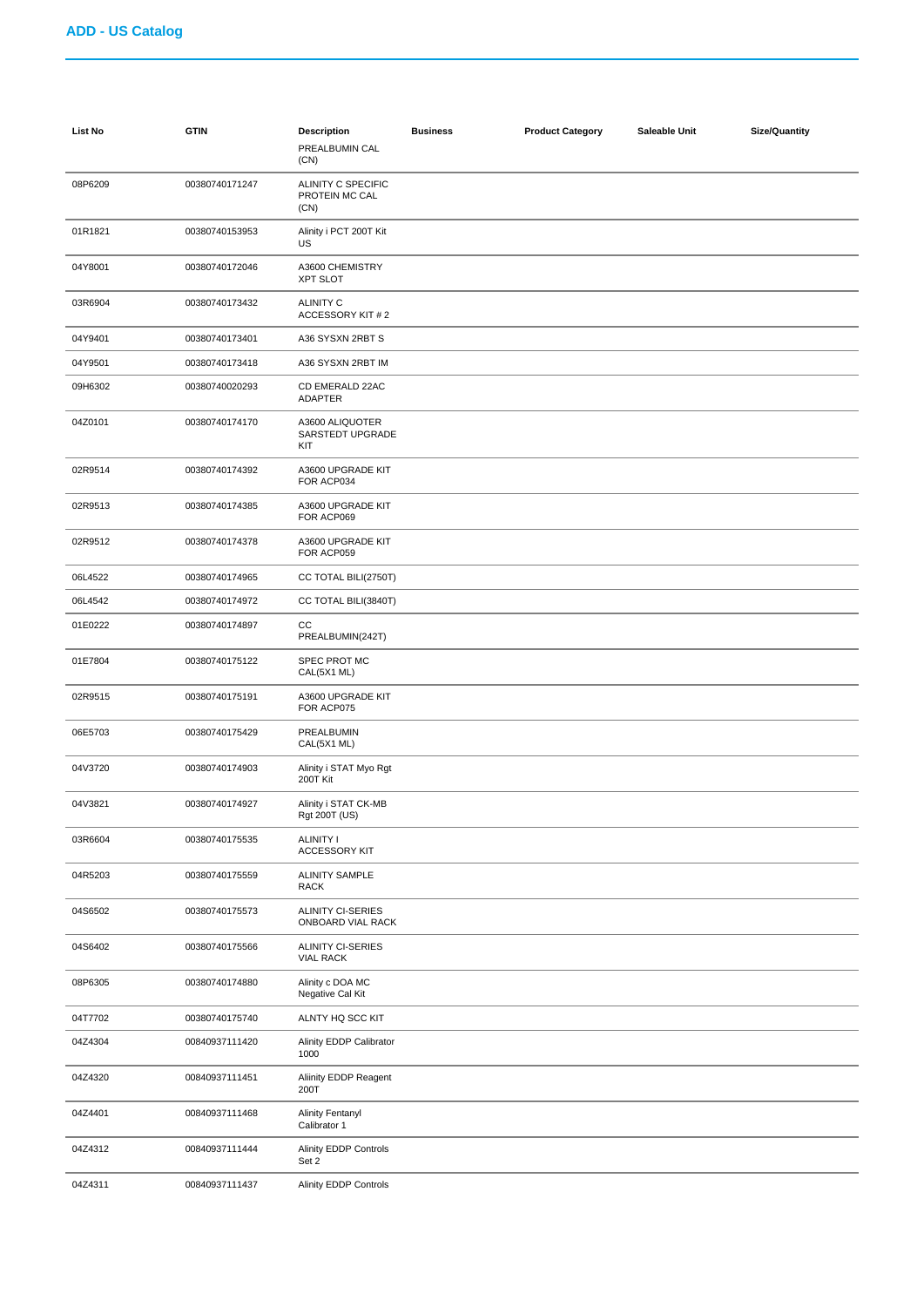| List No | <b>GTIN</b>    | <b>Description</b><br>PREALBUMIN CAL<br>(CN)  | <b>Business</b> | <b>Product Category</b> | Saleable Unit | <b>Size/Quantity</b> |
|---------|----------------|-----------------------------------------------|-----------------|-------------------------|---------------|----------------------|
| 08P6209 | 00380740171247 | ALINITY C SPECIFIC<br>PROTEIN MC CAL<br>(CN)  |                 |                         |               |                      |
| 01R1821 | 00380740153953 | Alinity i PCT 200T Kit<br>US                  |                 |                         |               |                      |
| 04Y8001 | 00380740172046 | A3600 CHEMISTRY<br><b>XPT SLOT</b>            |                 |                         |               |                      |
| 03R6904 | 00380740173432 | <b>ALINITY C</b><br>ACCESSORY KIT # 2         |                 |                         |               |                      |
| 04Y9401 | 00380740173401 | A36 SYSXN 2RBT S                              |                 |                         |               |                      |
| 04Y9501 | 00380740173418 | A36 SYSXN 2RBT IM                             |                 |                         |               |                      |
| 09H6302 | 00380740020293 | CD EMERALD 22AC<br>ADAPTER                    |                 |                         |               |                      |
| 04Z0101 | 00380740174170 | A3600 ALIQUOTER<br>SARSTEDT UPGRADE<br>KIT    |                 |                         |               |                      |
| 02R9514 | 00380740174392 | A3600 UPGRADE KIT<br>FOR ACP034               |                 |                         |               |                      |
| 02R9513 | 00380740174385 | A3600 UPGRADE KIT<br>FOR ACP069               |                 |                         |               |                      |
| 02R9512 | 00380740174378 | A3600 UPGRADE KIT<br>FOR ACP059               |                 |                         |               |                      |
| 06L4522 | 00380740174965 | CC TOTAL BILI(2750T)                          |                 |                         |               |                      |
| 06L4542 | 00380740174972 | CC TOTAL BILI(3840T)                          |                 |                         |               |                      |
| 01E0222 | 00380740174897 | CС<br>PREALBUMIN(242T)                        |                 |                         |               |                      |
| 01E7804 | 00380740175122 | SPEC PROT MC<br>CAL(5X1 ML)                   |                 |                         |               |                      |
| 02R9515 | 00380740175191 | A3600 UPGRADE KIT<br>FOR ACP075               |                 |                         |               |                      |
| 06E5703 | 00380740175429 | PREALBUMIN<br>CAL(5X1 ML)                     |                 |                         |               |                      |
| 04V3720 | 00380740174903 | Alinity i STAT Myo Rgt<br>200T Kit            |                 |                         |               |                      |
| 04V3821 | 00380740174927 | Alinity i STAT CK-MB<br>Rgt 200T (US)         |                 |                         |               |                      |
| 03R6604 | 00380740175535 | <b>ALINITY I</b><br><b>ACCESSORY KIT</b>      |                 |                         |               |                      |
| 04R5203 | 00380740175559 | <b>ALINITY SAMPLE</b><br>RACK                 |                 |                         |               |                      |
| 04S6502 | 00380740175573 | <b>ALINITY CI-SERIES</b><br>ONBOARD VIAL RACK |                 |                         |               |                      |
| 04S6402 | 00380740175566 | <b>ALINITY CI-SERIES</b><br><b>VIAL RACK</b>  |                 |                         |               |                      |
| 08P6305 | 00380740174880 | Alinity c DOA MC<br>Negative Cal Kit          |                 |                         |               |                      |
| 04T7702 | 00380740175740 | ALNTY HQ SCC KIT                              |                 |                         |               |                      |
| 04Z4304 | 00840937111420 | Alinity EDDP Calibrator<br>1000               |                 |                         |               |                      |
| 04Z4320 | 00840937111451 | Aliinity EDDP Reagent<br>200T                 |                 |                         |               |                      |
| 04Z4401 | 00840937111468 | <b>Alinity Fentanyl</b><br>Calibrator 1       |                 |                         |               |                      |
| 04Z4312 | 00840937111444 | Alinity EDDP Controls<br>Set 2                |                 |                         |               |                      |
| 04Z4311 | 00840937111437 | Alinity EDDP Controls                         |                 |                         |               |                      |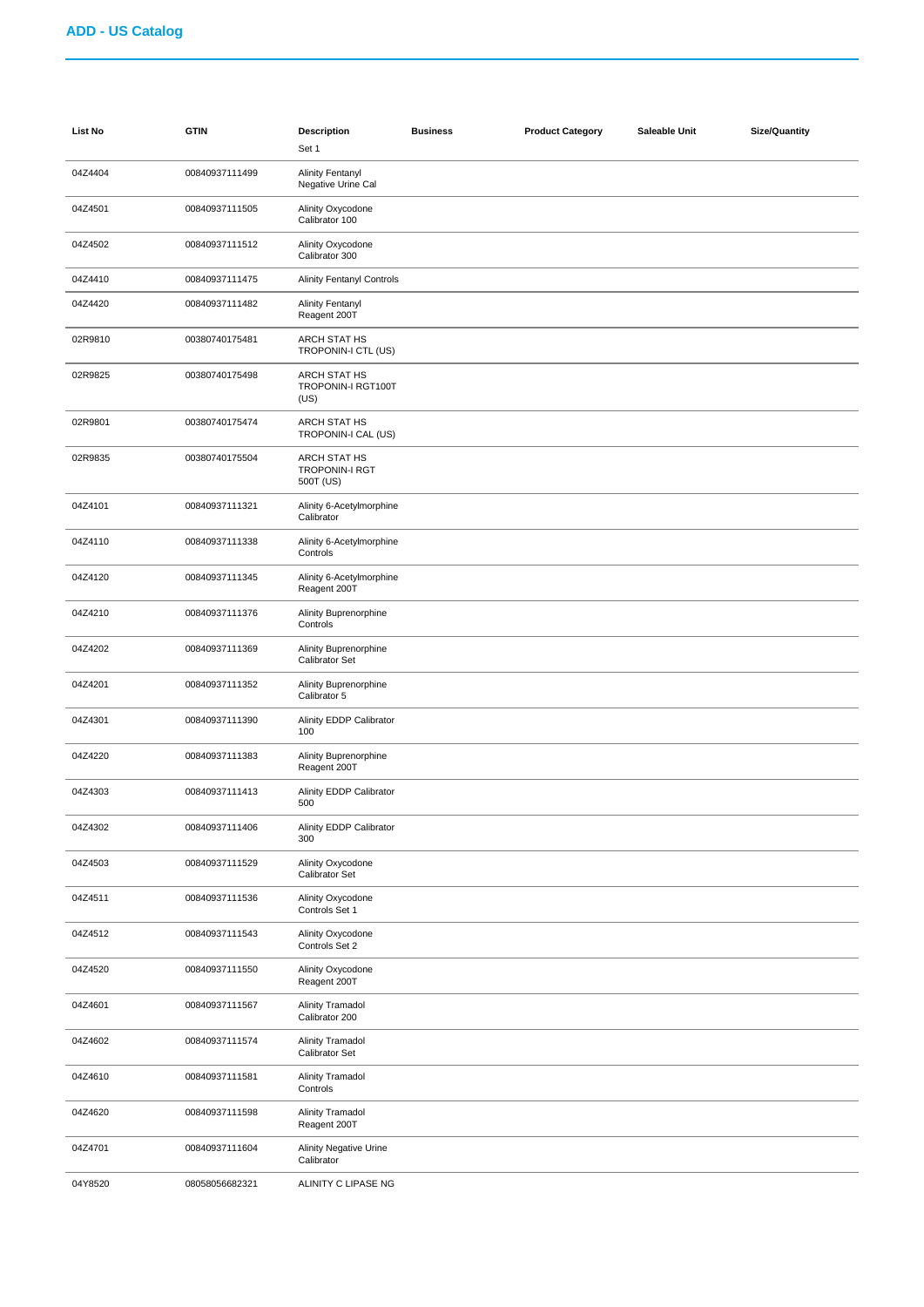| List No | <b>GTIN</b>    | <b>Description</b><br>Set 1                               | <b>Business</b> | <b>Product Category</b> | Saleable Unit | <b>Size/Quantity</b> |
|---------|----------------|-----------------------------------------------------------|-----------------|-------------------------|---------------|----------------------|
| 04Z4404 | 00840937111499 | <b>Alinity Fentanyl</b><br>Negative Urine Cal             |                 |                         |               |                      |
| 04Z4501 | 00840937111505 | Alinity Oxycodone<br>Calibrator 100                       |                 |                         |               |                      |
| 04Z4502 | 00840937111512 | Alinity Oxycodone<br>Calibrator 300                       |                 |                         |               |                      |
| 04Z4410 | 00840937111475 | <b>Alinity Fentanyl Controls</b>                          |                 |                         |               |                      |
| 04Z4420 | 00840937111482 | <b>Alinity Fentanyl</b><br>Reagent 200T                   |                 |                         |               |                      |
| 02R9810 | 00380740175481 | <b>ARCH STAT HS</b><br>TROPONIN-I CTL (US)                |                 |                         |               |                      |
| 02R9825 | 00380740175498 | <b>ARCH STAT HS</b><br>TROPONIN-I RGT100T<br>(US)         |                 |                         |               |                      |
| 02R9801 | 00380740175474 | ARCH STAT HS<br>TROPONIN-I CAL (US)                       |                 |                         |               |                      |
| 02R9835 | 00380740175504 | <b>ARCH STAT HS</b><br><b>TROPONIN-I RGT</b><br>500T (US) |                 |                         |               |                      |
| 04Z4101 | 00840937111321 | Alinity 6-Acetylmorphine<br>Calibrator                    |                 |                         |               |                      |
| 04Z4110 | 00840937111338 | Alinity 6-Acetylmorphine<br>Controls                      |                 |                         |               |                      |
| 04Z4120 | 00840937111345 | Alinity 6-Acetylmorphine<br>Reagent 200T                  |                 |                         |               |                      |
| 04Z4210 | 00840937111376 | Alinity Buprenorphine<br>Controls                         |                 |                         |               |                      |
| 04Z4202 | 00840937111369 | Alinity Buprenorphine<br>Calibrator Set                   |                 |                         |               |                      |
| 04Z4201 | 00840937111352 | Alinity Buprenorphine<br>Calibrator 5                     |                 |                         |               |                      |
| 04Z4301 | 00840937111390 | Alinity EDDP Calibrator<br>100                            |                 |                         |               |                      |
| 04Z4220 | 00840937111383 | Alinity Buprenorphine<br>Reagent 200T                     |                 |                         |               |                      |
| 04Z4303 | 00840937111413 | Alinity EDDP Calibrator<br>500                            |                 |                         |               |                      |
| 04Z4302 | 00840937111406 | Alinity EDDP Calibrator<br>300                            |                 |                         |               |                      |
| 04Z4503 | 00840937111529 | Alinity Oxycodone<br>Calibrator Set                       |                 |                         |               |                      |
| 04Z4511 | 00840937111536 | Alinity Oxycodone<br>Controls Set 1                       |                 |                         |               |                      |
| 04Z4512 | 00840937111543 | Alinity Oxycodone<br>Controls Set 2                       |                 |                         |               |                      |
| 04Z4520 | 00840937111550 | Alinity Oxycodone<br>Reagent 200T                         |                 |                         |               |                      |
| 04Z4601 | 00840937111567 | <b>Alinity Tramadol</b><br>Calibrator 200                 |                 |                         |               |                      |
| 04Z4602 | 00840937111574 | <b>Alinity Tramadol</b><br>Calibrator Set                 |                 |                         |               |                      |
| 04Z4610 | 00840937111581 | <b>Alinity Tramadol</b><br>Controls                       |                 |                         |               |                      |
| 04Z4620 | 00840937111598 | <b>Alinity Tramadol</b><br>Reagent 200T                   |                 |                         |               |                      |
| 04Z4701 | 00840937111604 | <b>Alinity Negative Urine</b><br>Calibrator               |                 |                         |               |                      |
| 04Y8520 | 08058056682321 | ALINITY C LIPASE NG                                       |                 |                         |               |                      |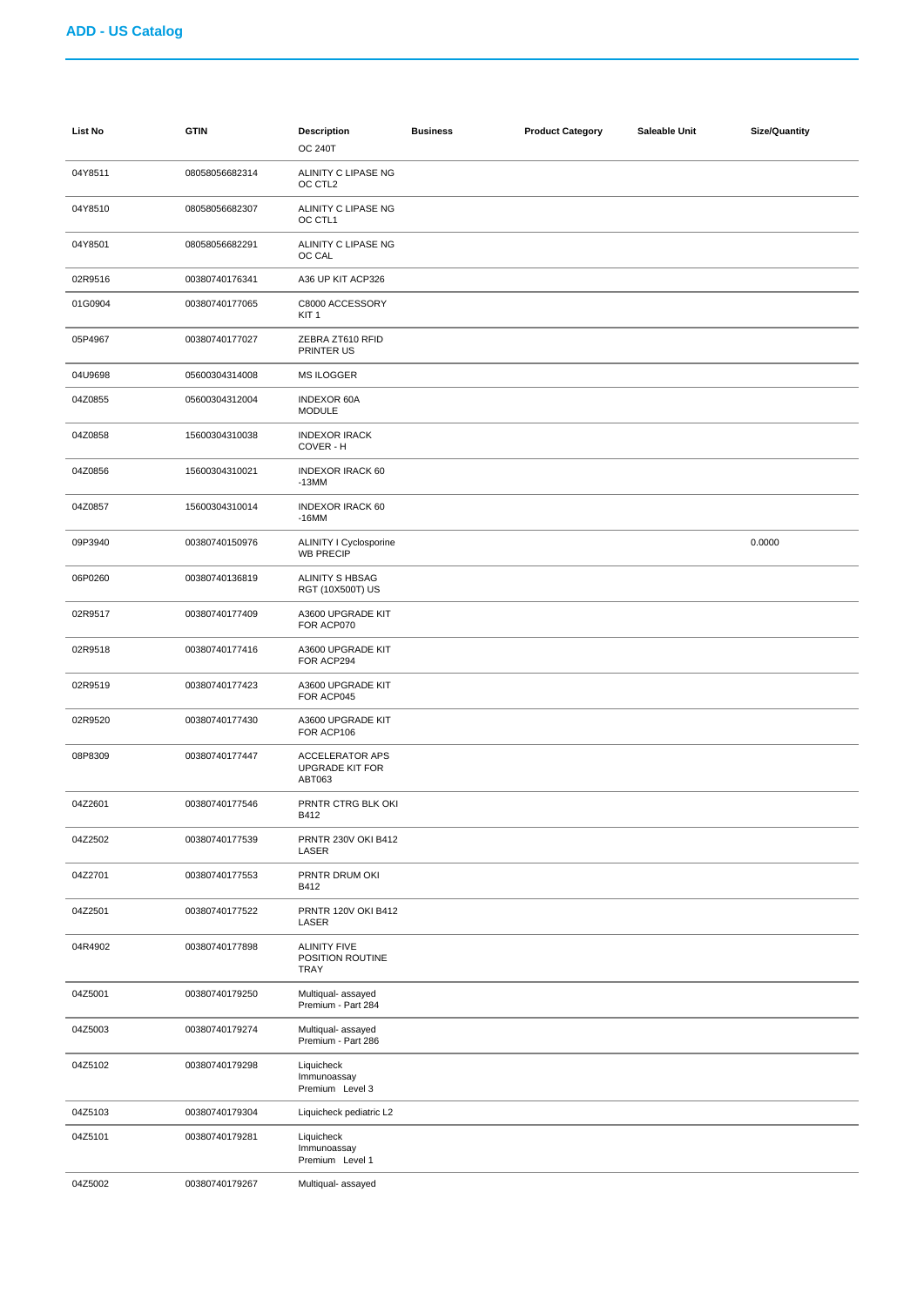| List No | <b>GTIN</b>    | <b>Description</b><br><b>OC 240T</b>                       | <b>Business</b> | <b>Product Category</b> | Saleable Unit | <b>Size/Quantity</b> |
|---------|----------------|------------------------------------------------------------|-----------------|-------------------------|---------------|----------------------|
| 04Y8511 | 08058056682314 | ALINITY C LIPASE NG<br>OC CTL <sub>2</sub>                 |                 |                         |               |                      |
| 04Y8510 | 08058056682307 | ALINITY C LIPASE NG<br>OC CTL1                             |                 |                         |               |                      |
| 04Y8501 | 08058056682291 | ALINITY C LIPASE NG<br>OC CAL                              |                 |                         |               |                      |
| 02R9516 | 00380740176341 | A36 UP KIT ACP326                                          |                 |                         |               |                      |
| 01G0904 | 00380740177065 | C8000 ACCESSORY<br>KIT <sub>1</sub>                        |                 |                         |               |                      |
| 05P4967 | 00380740177027 | ZEBRA ZT610 RFID<br>PRINTER US                             |                 |                         |               |                      |
| 04U9698 | 05600304314008 | <b>MS ILOGGER</b>                                          |                 |                         |               |                      |
| 04Z0855 | 05600304312004 | <b>INDEXOR 60A</b><br><b>MODULE</b>                        |                 |                         |               |                      |
| 04Z0858 | 15600304310038 | <b>INDEXOR IRACK</b><br>COVER - H                          |                 |                         |               |                      |
| 04Z0856 | 15600304310021 | <b>INDEXOR IRACK 60</b><br>$-13MM$                         |                 |                         |               |                      |
| 04Z0857 | 15600304310014 | <b>INDEXOR IRACK 60</b><br>$-16MM$                         |                 |                         |               |                      |
| 09P3940 | 00380740150976 | <b>ALINITY I Cyclosporine</b><br><b>WB PRECIP</b>          |                 |                         |               | 0.0000               |
| 06P0260 | 00380740136819 | ALINITY S HBSAG<br>RGT (10X500T) US                        |                 |                         |               |                      |
| 02R9517 | 00380740177409 | A3600 UPGRADE KIT<br>FOR ACP070                            |                 |                         |               |                      |
| 02R9518 | 00380740177416 | A3600 UPGRADE KIT<br>FOR ACP294                            |                 |                         |               |                      |
| 02R9519 | 00380740177423 | A3600 UPGRADE KIT<br>FOR ACP045                            |                 |                         |               |                      |
| 02R9520 | 00380740177430 | A3600 UPGRADE KIT<br>FOR ACP106                            |                 |                         |               |                      |
| 08P8309 | 00380740177447 | <b>ACCELERATOR APS</b><br><b>UPGRADE KIT FOR</b><br>ABT063 |                 |                         |               |                      |
| 04Z2601 | 00380740177546 | PRNTR CTRG BLK OKI<br>B412                                 |                 |                         |               |                      |
| 04Z2502 | 00380740177539 | <b>PRNTR 230V OKI B412</b><br>LASER                        |                 |                         |               |                      |
| 04Z2701 | 00380740177553 | PRNTR DRUM OKI<br>B412                                     |                 |                         |               |                      |
| 04Z2501 | 00380740177522 | PRNTR 120V OKI B412<br>LASER                               |                 |                         |               |                      |
| 04R4902 | 00380740177898 | <b>ALINITY FIVE</b><br>POSITION ROUTINE<br>TRAY            |                 |                         |               |                      |
| 04Z5001 | 00380740179250 | Multiqual- assayed<br>Premium - Part 284                   |                 |                         |               |                      |
| 04Z5003 | 00380740179274 | Multiqual- assayed<br>Premium - Part 286                   |                 |                         |               |                      |
| 04Z5102 | 00380740179298 | Liquicheck<br>Immunoassay<br>Premium Level 3               |                 |                         |               |                      |
| 04Z5103 | 00380740179304 | Liquicheck pediatric L2                                    |                 |                         |               |                      |
| 04Z5101 | 00380740179281 | Liquicheck<br>Immunoassay<br>Premium Level 1               |                 |                         |               |                      |
| 04Z5002 | 00380740179267 | Multiqual- assayed                                         |                 |                         |               |                      |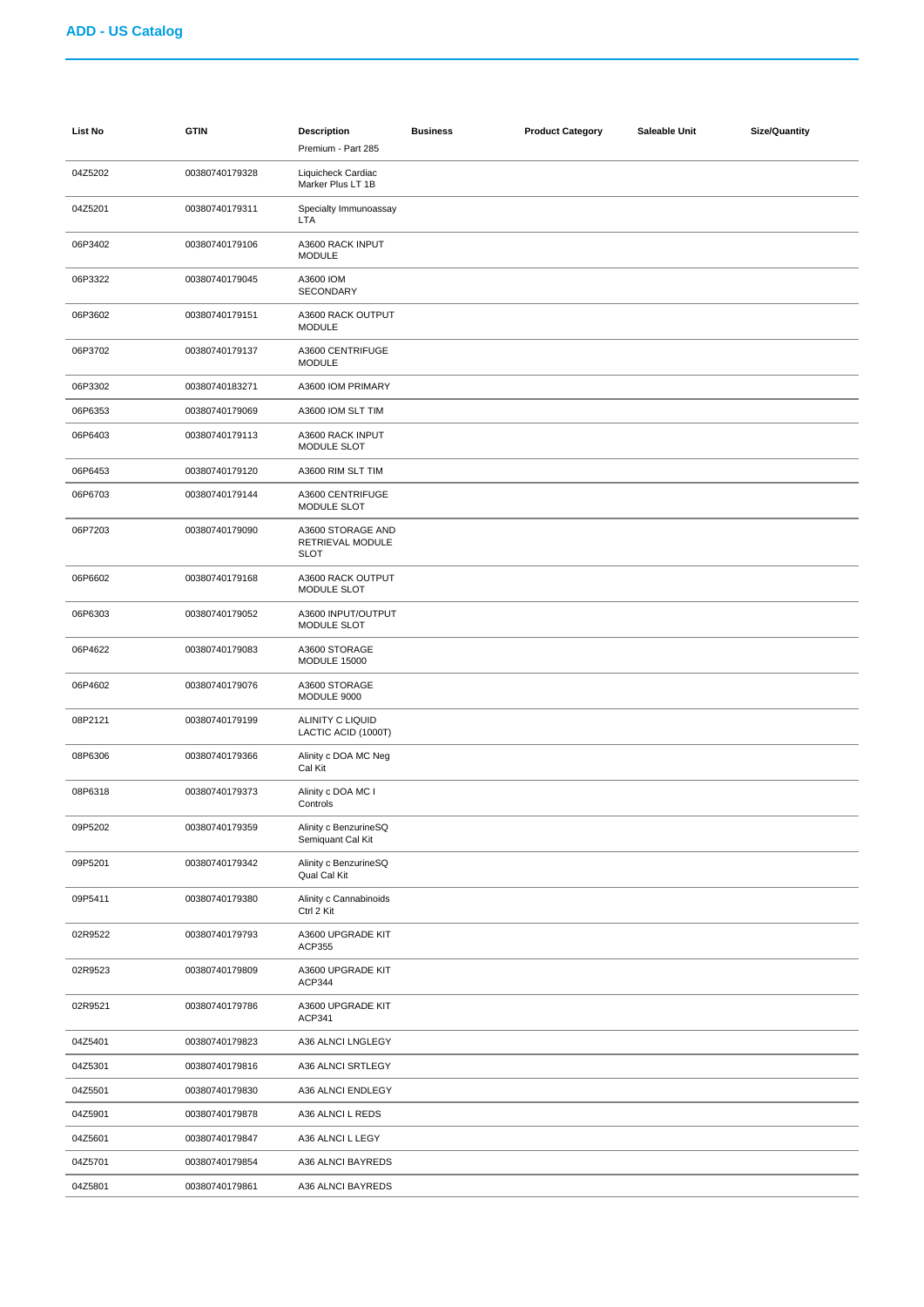| <b>List No</b> | <b>GTIN</b>    | <b>Description</b><br>Premium - Part 285             | <b>Business</b> | <b>Product Category</b> | Saleable Unit | <b>Size/Quantity</b> |
|----------------|----------------|------------------------------------------------------|-----------------|-------------------------|---------------|----------------------|
| 04Z5202        | 00380740179328 | Liquicheck Cardiac<br>Marker Plus LT 1B              |                 |                         |               |                      |
| 04Z5201        | 00380740179311 | Specialty Immunoassay<br><b>LTA</b>                  |                 |                         |               |                      |
| 06P3402        | 00380740179106 | A3600 RACK INPUT<br><b>MODULE</b>                    |                 |                         |               |                      |
| 06P3322        | 00380740179045 | A3600 IOM<br>SECONDARY                               |                 |                         |               |                      |
| 06P3602        | 00380740179151 | A3600 RACK OUTPUT<br><b>MODULE</b>                   |                 |                         |               |                      |
| 06P3702        | 00380740179137 | A3600 CENTRIFUGE<br><b>MODULE</b>                    |                 |                         |               |                      |
| 06P3302        | 00380740183271 | A3600 IOM PRIMARY                                    |                 |                         |               |                      |
| 06P6353        | 00380740179069 | A3600 IOM SLT TIM                                    |                 |                         |               |                      |
| 06P6403        | 00380740179113 | A3600 RACK INPUT<br>MODULE SLOT                      |                 |                         |               |                      |
| 06P6453        | 00380740179120 | A3600 RIM SLT TIM                                    |                 |                         |               |                      |
| 06P6703        | 00380740179144 | A3600 CENTRIFUGE<br>MODULE SLOT                      |                 |                         |               |                      |
| 06P7203        | 00380740179090 | A3600 STORAGE AND<br>RETRIEVAL MODULE<br><b>SLOT</b> |                 |                         |               |                      |
| 06P6602        | 00380740179168 | A3600 RACK OUTPUT<br>MODULE SLOT                     |                 |                         |               |                      |
| 06P6303        | 00380740179052 | A3600 INPUT/OUTPUT<br>MODULE SLOT                    |                 |                         |               |                      |
| 06P4622        | 00380740179083 | A3600 STORAGE<br>MODULE 15000                        |                 |                         |               |                      |
| 06P4602        | 00380740179076 | A3600 STORAGE<br>MODULE 9000                         |                 |                         |               |                      |
| 08P2121        | 00380740179199 | ALINITY C LIQUID<br>LACTIC ACID (1000T)              |                 |                         |               |                      |
| 08P6306        | 00380740179366 | Alinity c DOA MC Neg<br>Cal Kit                      |                 |                         |               |                      |
| 08P6318        | 00380740179373 | Alinity c DOA MC I<br>Controls                       |                 |                         |               |                      |
| 09P5202        | 00380740179359 | Alinity c BenzurineSQ<br>Semiquant Cal Kit           |                 |                         |               |                      |
| 09P5201        | 00380740179342 | Alinity c BenzurineSQ<br>Qual Cal Kit                |                 |                         |               |                      |
| 09P5411        | 00380740179380 | Alinity c Cannabinoids<br>Ctrl 2 Kit                 |                 |                         |               |                      |
| 02R9522        | 00380740179793 | A3600 UPGRADE KIT<br>ACP355                          |                 |                         |               |                      |
| 02R9523        | 00380740179809 | A3600 UPGRADE KIT<br>ACP344                          |                 |                         |               |                      |
| 02R9521        | 00380740179786 | A3600 UPGRADE KIT<br>ACP341                          |                 |                         |               |                      |
| 04Z5401        | 00380740179823 | A36 ALNCI LNGLEGY                                    |                 |                         |               |                      |
| 04Z5301        | 00380740179816 | A36 ALNCI SRTLEGY                                    |                 |                         |               |                      |
| 04Z5501        | 00380740179830 | A36 ALNCI ENDLEGY                                    |                 |                         |               |                      |
| 04Z5901        | 00380740179878 | A36 ALNCI L REDS                                     |                 |                         |               |                      |
| 04Z5601        | 00380740179847 | A36 ALNCI L LEGY                                     |                 |                         |               |                      |
| 04Z5701        | 00380740179854 | A36 ALNCI BAYREDS                                    |                 |                         |               |                      |
| 04Z5801        | 00380740179861 | A36 ALNCI BAYREDS                                    |                 |                         |               |                      |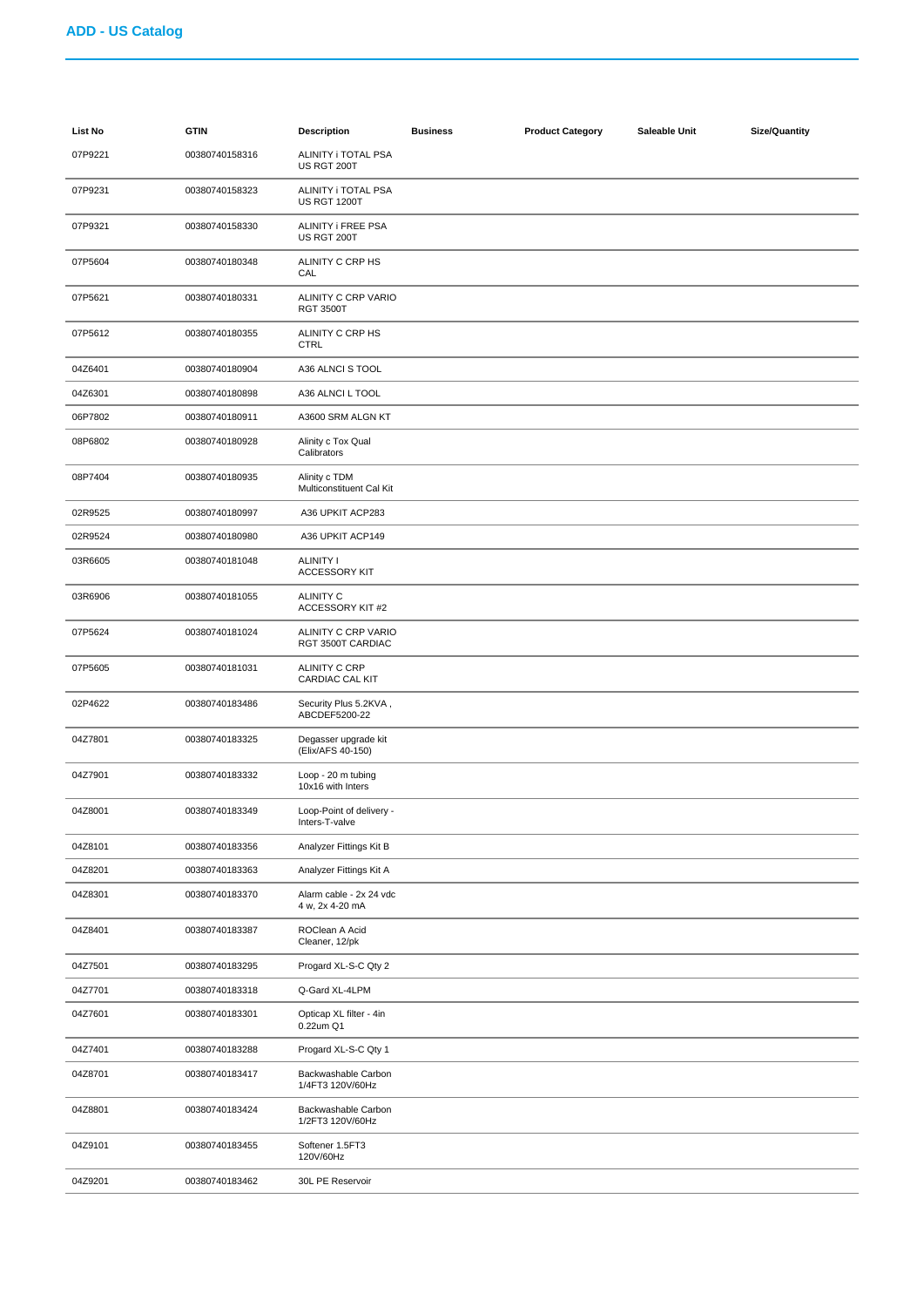| List No | <b>GTIN</b>    | <b>Description</b>                         | <b>Business</b> | <b>Product Category</b> | Saleable Unit | <b>Size/Quantity</b> |
|---------|----------------|--------------------------------------------|-----------------|-------------------------|---------------|----------------------|
| 07P9221 | 00380740158316 | ALINITY i TOTAL PSA<br>US RGT 200T         |                 |                         |               |                      |
| 07P9231 | 00380740158323 | ALINITY i TOTAL PSA<br><b>US RGT 1200T</b> |                 |                         |               |                      |
| 07P9321 | 00380740158330 | ALINITY i FREE PSA<br>US RGT 200T          |                 |                         |               |                      |
| 07P5604 | 00380740180348 | ALINITY C CRP HS<br>CAL                    |                 |                         |               |                      |
| 07P5621 | 00380740180331 | ALINITY C CRP VARIO<br><b>RGT 3500T</b>    |                 |                         |               |                      |
| 07P5612 | 00380740180355 | ALINITY C CRP HS<br><b>CTRL</b>            |                 |                         |               |                      |
| 04Z6401 | 00380740180904 | A36 ALNCI S TOOL                           |                 |                         |               |                      |
| 04Z6301 | 00380740180898 | A36 ALNCI L TOOL                           |                 |                         |               |                      |
| 06P7802 | 00380740180911 | A3600 SRM ALGN KT                          |                 |                         |               |                      |
| 08P6802 | 00380740180928 | Alinity c Tox Qual<br>Calibrators          |                 |                         |               |                      |
| 08P7404 | 00380740180935 | Alinity c TDM<br>Multiconstituent Cal Kit  |                 |                         |               |                      |
| 02R9525 | 00380740180997 | A36 UPKIT ACP283                           |                 |                         |               |                      |
| 02R9524 | 00380740180980 | A36 UPKIT ACP149                           |                 |                         |               |                      |
| 03R6605 | 00380740181048 | <b>ALINITY I</b><br><b>ACCESSORY KIT</b>   |                 |                         |               |                      |
| 03R6906 | 00380740181055 | <b>ALINITY C</b><br>ACCESSORY KIT #2       |                 |                         |               |                      |
| 07P5624 | 00380740181024 | ALINITY C CRP VARIO<br>RGT 3500T CARDIAC   |                 |                         |               |                      |
| 07P5605 | 00380740181031 | ALINITY C CRP<br>CARDIAC CAL KIT           |                 |                         |               |                      |
| 02P4622 | 00380740183486 | Security Plus 5.2KVA,<br>ABCDEF5200-22     |                 |                         |               |                      |
| 04Z7801 | 00380740183325 | Degasser upgrade kit<br>(Elix/AFS 40-150)  |                 |                         |               |                      |
| 04Z7901 | 00380740183332 | Loop - 20 m tubing<br>10x16 with Inters    |                 |                         |               |                      |
| 04Z8001 | 00380740183349 | Loop-Point of delivery -<br>Inters-T-valve |                 |                         |               |                      |
| 04Z8101 | 00380740183356 | Analyzer Fittings Kit B                    |                 |                         |               |                      |
| 04Z8201 | 00380740183363 | Analyzer Fittings Kit A                    |                 |                         |               |                      |
| 04Z8301 | 00380740183370 | Alarm cable - 2x 24 vdc<br>4 w, 2x 4-20 mA |                 |                         |               |                      |
| 04Z8401 | 00380740183387 | ROClean A Acid<br>Cleaner, 12/pk           |                 |                         |               |                      |
| 04Z7501 | 00380740183295 | Progard XL-S-C Qty 2                       |                 |                         |               |                      |
| 04Z7701 | 00380740183318 | Q-Gard XL-4LPM                             |                 |                         |               |                      |
| 04Z7601 | 00380740183301 | Opticap XL filter - 4in<br>0.22um Q1       |                 |                         |               |                      |
| 04Z7401 | 00380740183288 | Progard XL-S-C Qty 1                       |                 |                         |               |                      |
| 04Z8701 | 00380740183417 | Backwashable Carbon<br>1/4FT3 120V/60Hz    |                 |                         |               |                      |
| 04Z8801 | 00380740183424 | Backwashable Carbon<br>1/2FT3 120V/60Hz    |                 |                         |               |                      |
| 04Z9101 | 00380740183455 | Softener 1.5FT3<br>120V/60Hz               |                 |                         |               |                      |
| 04Z9201 | 00380740183462 | 30L PE Reservoir                           |                 |                         |               |                      |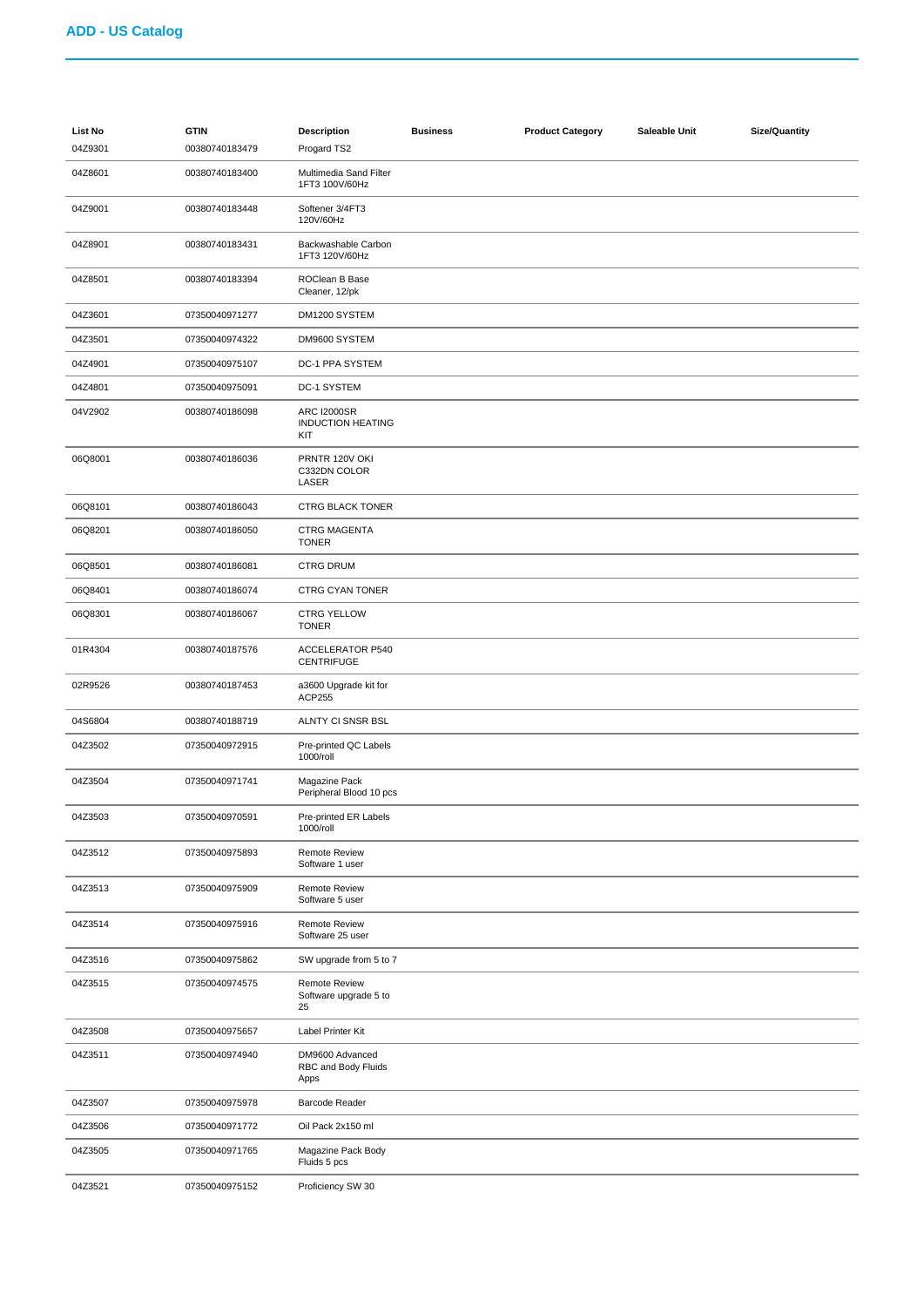| List No<br>04Z9301 | <b>GTIN</b><br>00380740183479 | <b>Description</b><br>Progard TS2                     | <b>Business</b> | <b>Product Category</b> | Saleable Unit | <b>Size/Quantity</b> |
|--------------------|-------------------------------|-------------------------------------------------------|-----------------|-------------------------|---------------|----------------------|
| 04Z8601            | 00380740183400                | Multimedia Sand Filter<br>1FT3 100V/60Hz              |                 |                         |               |                      |
| 04Z9001            | 00380740183448                | Softener 3/4FT3<br>120V/60Hz                          |                 |                         |               |                      |
| 04Z8901            | 00380740183431                | Backwashable Carbon<br>1FT3 120V/60Hz                 |                 |                         |               |                      |
| 04Z8501            | 00380740183394                | ROClean B Base<br>Cleaner, 12/pk                      |                 |                         |               |                      |
| 04Z3601            | 07350040971277                | DM1200 SYSTEM                                         |                 |                         |               |                      |
| 04Z3501            | 07350040974322                | DM9600 SYSTEM                                         |                 |                         |               |                      |
| 04Z4901            | 07350040975107                | DC-1 PPA SYSTEM                                       |                 |                         |               |                      |
| 04Z4801            | 07350040975091                | DC-1 SYSTEM                                           |                 |                         |               |                      |
| 04V2902            | 00380740186098                | <b>ARC I2000SR</b><br><b>INDUCTION HEATING</b><br>KIT |                 |                         |               |                      |
| 06Q8001            | 00380740186036                | PRNTR 120V OKI<br>C332DN COLOR<br>LASER               |                 |                         |               |                      |
| 06Q8101            | 00380740186043                | <b>CTRG BLACK TONER</b>                               |                 |                         |               |                      |
| 06Q8201            | 00380740186050                | <b>CTRG MAGENTA</b><br><b>TONER</b>                   |                 |                         |               |                      |
| 06Q8501            | 00380740186081                | <b>CTRG DRUM</b>                                      |                 |                         |               |                      |
| 06Q8401            | 00380740186074                | CTRG CYAN TONER                                       |                 |                         |               |                      |
| 06Q8301            | 00380740186067                | <b>CTRG YELLOW</b><br><b>TONER</b>                    |                 |                         |               |                      |
| 01R4304            | 00380740187576                | <b>ACCELERATOR P540</b><br><b>CENTRIFUGE</b>          |                 |                         |               |                      |
| 02R9526            | 00380740187453                | a3600 Upgrade kit for<br>ACP255                       |                 |                         |               |                      |
| 04S6804            | 00380740188719                | ALNTY CI SNSR BSL                                     |                 |                         |               |                      |
| 04Z3502            | 07350040972915                | Pre-printed QC Labels<br>1000/roll                    |                 |                         |               |                      |
| 04Z3504            | 07350040971741                | Magazine Pack<br>Peripheral Blood 10 pcs              |                 |                         |               |                      |
| 04Z3503            | 07350040970591                | Pre-printed ER Labels<br>1000/roll                    |                 |                         |               |                      |
| 04Z3512            | 07350040975893                | Remote Review<br>Software 1 user                      |                 |                         |               |                      |
| 04Z3513            | 07350040975909                | <b>Remote Review</b><br>Software 5 user               |                 |                         |               |                      |
| 04Z3514            | 07350040975916                | <b>Remote Review</b><br>Software 25 user              |                 |                         |               |                      |
| 04Z3516            | 07350040975862                | SW upgrade from 5 to 7                                |                 |                         |               |                      |
| 04Z3515            | 07350040974575                | <b>Remote Review</b><br>Software upgrade 5 to<br>25   |                 |                         |               |                      |
| 04Z3508            | 07350040975657                | Label Printer Kit                                     |                 |                         |               |                      |
| 04Z3511            | 07350040974940                | DM9600 Advanced<br>RBC and Body Fluids<br>Apps        |                 |                         |               |                      |
| 04Z3507            | 07350040975978                | Barcode Reader                                        |                 |                         |               |                      |
| 04Z3506            | 07350040971772                | Oil Pack 2x150 ml                                     |                 |                         |               |                      |
| 04Z3505            | 07350040971765                | Magazine Pack Body<br>Fluids 5 pcs                    |                 |                         |               |                      |
| 04Z3521            | 07350040975152                | Proficiency SW 30                                     |                 |                         |               |                      |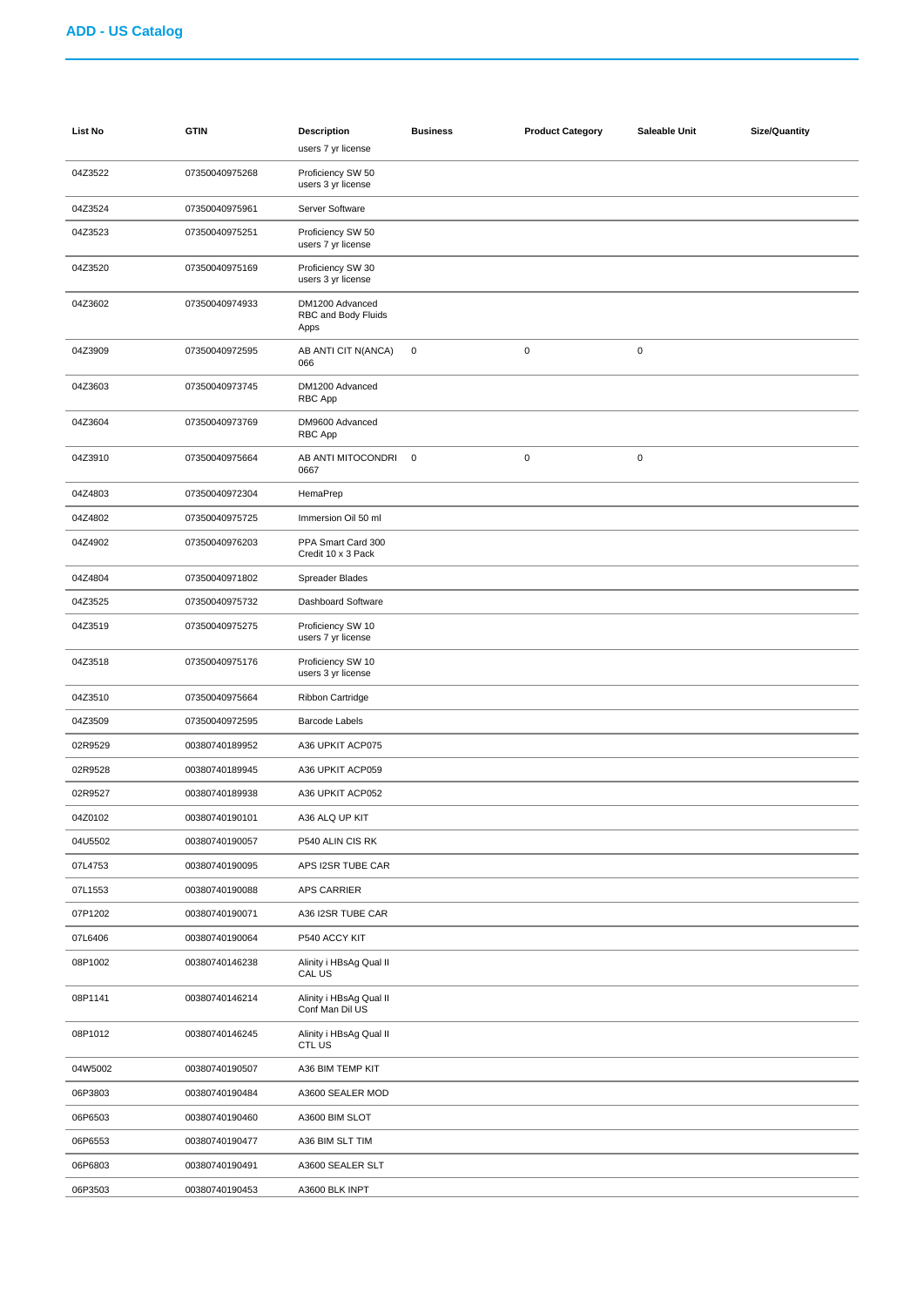| <b>List No</b> | <b>GTIN</b>    | <b>Description</b><br>users 7 yr license       | <b>Business</b> | <b>Product Category</b> | Saleable Unit | <b>Size/Quantity</b> |
|----------------|----------------|------------------------------------------------|-----------------|-------------------------|---------------|----------------------|
| 04Z3522        | 07350040975268 | Proficiency SW 50<br>users 3 yr license        |                 |                         |               |                      |
| 04Z3524        | 07350040975961 | Server Software                                |                 |                         |               |                      |
| 04Z3523        | 07350040975251 | Proficiency SW 50<br>users 7 yr license        |                 |                         |               |                      |
| 04Z3520        | 07350040975169 | Proficiency SW 30<br>users 3 yr license        |                 |                         |               |                      |
| 04Z3602        | 07350040974933 | DM1200 Advanced<br>RBC and Body Fluids<br>Apps |                 |                         |               |                      |
| 04Z3909        | 07350040972595 | AB ANTI CIT N(ANCA)<br>066                     | $\pmb{0}$       | $\pmb{0}$               | $\pmb{0}$     |                      |
| 04Z3603        | 07350040973745 | DM1200 Advanced<br>RBC App                     |                 |                         |               |                      |
| 04Z3604        | 07350040973769 | DM9600 Advanced<br>RBC App                     |                 |                         |               |                      |
| 04Z3910        | 07350040975664 | AB ANTI MITOCONDRI<br>0667                     | $\mathbf 0$     | $\mathbf 0$             | $\pmb{0}$     |                      |
| 04Z4803        | 07350040972304 | HemaPrep                                       |                 |                         |               |                      |
| 04Z4802        | 07350040975725 | Immersion Oil 50 ml                            |                 |                         |               |                      |
| 04Z4902        | 07350040976203 | PPA Smart Card 300<br>Credit 10 x 3 Pack       |                 |                         |               |                      |
| 04Z4804        | 07350040971802 | Spreader Blades                                |                 |                         |               |                      |
| 04Z3525        | 07350040975732 | Dashboard Software                             |                 |                         |               |                      |
| 04Z3519        | 07350040975275 | Proficiency SW 10<br>users 7 yr license        |                 |                         |               |                      |
| 04Z3518        | 07350040975176 | Proficiency SW 10<br>users 3 yr license        |                 |                         |               |                      |
| 04Z3510        | 07350040975664 | Ribbon Cartridge                               |                 |                         |               |                      |
| 04Z3509        | 07350040972595 | <b>Barcode Labels</b>                          |                 |                         |               |                      |
| 02R9529        | 00380740189952 | A36 UPKIT ACP075                               |                 |                         |               |                      |
| 02R9528        | 00380740189945 | A36 UPKIT ACP059                               |                 |                         |               |                      |
| 02R9527        | 00380740189938 | A36 UPKIT ACP052                               |                 |                         |               |                      |
| 04Z0102        | 00380740190101 | A36 ALQ UP KIT                                 |                 |                         |               |                      |
| 04U5502        | 00380740190057 | P540 ALIN CIS RK                               |                 |                         |               |                      |
| 07L4753        | 00380740190095 | APS I2SR TUBE CAR                              |                 |                         |               |                      |
| 07L1553        | 00380740190088 | <b>APS CARRIER</b>                             |                 |                         |               |                      |
| 07P1202        | 00380740190071 | A36 I2SR TUBE CAR                              |                 |                         |               |                      |
| 07L6406        | 00380740190064 | P540 ACCY KIT                                  |                 |                         |               |                      |
| 08P1002        | 00380740146238 | Alinity i HBsAg Qual II<br>CAL US              |                 |                         |               |                      |
| 08P1141        | 00380740146214 | Alinity i HBsAg Qual II<br>Conf Man Dil US     |                 |                         |               |                      |
| 08P1012        | 00380740146245 | Alinity i HBsAg Qual II<br>CTL US              |                 |                         |               |                      |
| 04W5002        | 00380740190507 | A36 BIM TEMP KIT                               |                 |                         |               |                      |
| 06P3803        | 00380740190484 | A3600 SEALER MOD                               |                 |                         |               |                      |
| 06P6503        | 00380740190460 | A3600 BIM SLOT                                 |                 |                         |               |                      |
| 06P6553        | 00380740190477 | A36 BIM SLT TIM                                |                 |                         |               |                      |
| 06P6803        | 00380740190491 | A3600 SEALER SLT                               |                 |                         |               |                      |
| 06P3503        | 00380740190453 | A3600 BLK INPT                                 |                 |                         |               |                      |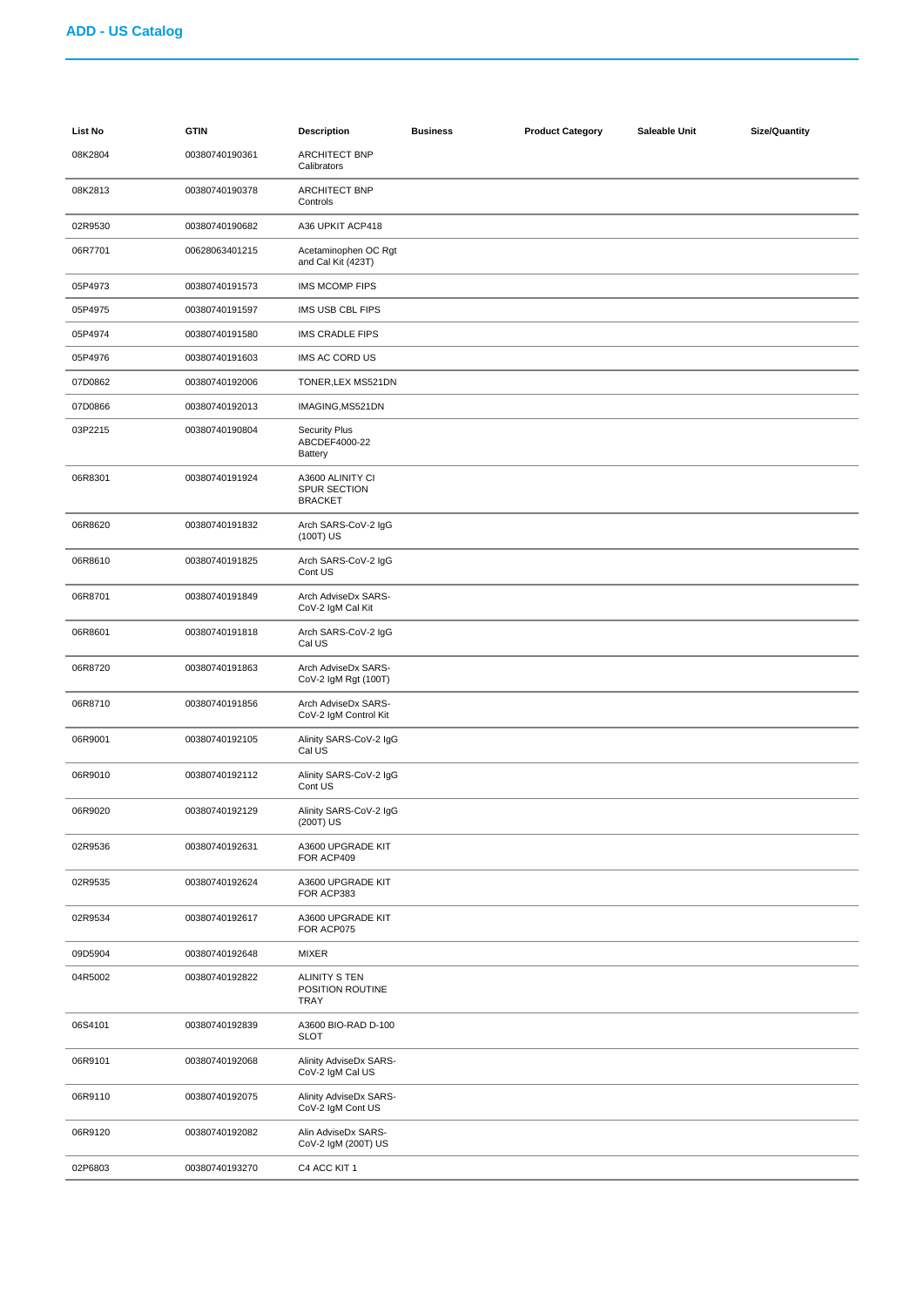| List No | <b>GTIN</b>    | <b>Description</b>                                      | <b>Business</b> | <b>Product Category</b> | Saleable Unit | <b>Size/Quantity</b> |
|---------|----------------|---------------------------------------------------------|-----------------|-------------------------|---------------|----------------------|
| 08K2804 | 00380740190361 | <b>ARCHITECT BNP</b><br>Calibrators                     |                 |                         |               |                      |
| 08K2813 | 00380740190378 | <b>ARCHITECT BNP</b><br>Controls                        |                 |                         |               |                      |
| 02R9530 | 00380740190682 | A36 UPKIT ACP418                                        |                 |                         |               |                      |
| 06R7701 | 00628063401215 | Acetaminophen OC Rgt<br>and Cal Kit (423T)              |                 |                         |               |                      |
| 05P4973 | 00380740191573 | IMS MCOMP FIPS                                          |                 |                         |               |                      |
| 05P4975 | 00380740191597 | IMS USB CBL FIPS                                        |                 |                         |               |                      |
| 05P4974 | 00380740191580 | IMS CRADLE FIPS                                         |                 |                         |               |                      |
| 05P4976 | 00380740191603 | IMS AC CORD US                                          |                 |                         |               |                      |
| 07D0862 | 00380740192006 | TONER, LEX MS521DN                                      |                 |                         |               |                      |
| 07D0866 | 00380740192013 | IMAGING, MS521DN                                        |                 |                         |               |                      |
| 03P2215 | 00380740190804 | <b>Security Plus</b><br>ABCDEF4000-22<br><b>Battery</b> |                 |                         |               |                      |
| 06R8301 | 00380740191924 | A3600 ALINITY CI<br>SPUR SECTION<br><b>BRACKET</b>      |                 |                         |               |                      |
| 06R8620 | 00380740191832 | Arch SARS-CoV-2 IgG<br>(100T) US                        |                 |                         |               |                      |
| 06R8610 | 00380740191825 | Arch SARS-CoV-2 IgG<br>Cont US                          |                 |                         |               |                      |
| 06R8701 | 00380740191849 | Arch AdviseDx SARS-<br>CoV-2 IgM Cal Kit                |                 |                         |               |                      |
| 06R8601 | 00380740191818 | Arch SARS-CoV-2 IgG<br>Cal US                           |                 |                         |               |                      |
| 06R8720 | 00380740191863 | Arch AdviseDx SARS-<br>CoV-2 IgM Rgt (100T)             |                 |                         |               |                      |
| 06R8710 | 00380740191856 | Arch AdviseDx SARS-<br>CoV-2 IgM Control Kit            |                 |                         |               |                      |
| 06R9001 | 00380740192105 | Alinity SARS-CoV-2 IgG<br>Cal US                        |                 |                         |               |                      |
| 06R9010 | 00380740192112 | Alinity SARS-CoV-2 IgG<br>Cont US                       |                 |                         |               |                      |
| 06R9020 | 00380740192129 | Alinity SARS-CoV-2 IgG<br>(200T) US                     |                 |                         |               |                      |
| 02R9536 | 00380740192631 | A3600 UPGRADE KIT<br>FOR ACP409                         |                 |                         |               |                      |
| 02R9535 | 00380740192624 | A3600 UPGRADE KIT<br>FOR ACP383                         |                 |                         |               |                      |
| 02R9534 | 00380740192617 | A3600 UPGRADE KIT<br>FOR ACP075                         |                 |                         |               |                      |
| 09D5904 | 00380740192648 | <b>MIXER</b>                                            |                 |                         |               |                      |
| 04R5002 | 00380740192822 | ALINITY S TEN<br>POSITION ROUTINE<br>TRAY               |                 |                         |               |                      |
| 06S4101 | 00380740192839 | A3600 BIO-RAD D-100<br><b>SLOT</b>                      |                 |                         |               |                      |
| 06R9101 | 00380740192068 | Alinity AdviseDx SARS-<br>CoV-2 IgM Cal US              |                 |                         |               |                      |
| 06R9110 | 00380740192075 | Alinity AdviseDx SARS-<br>CoV-2 IgM Cont US             |                 |                         |               |                      |
| 06R9120 | 00380740192082 | Alin AdviseDx SARS-<br>CoV-2 IgM (200T) US              |                 |                         |               |                      |
| 02P6803 | 00380740193270 | C4 ACC KIT 1                                            |                 |                         |               |                      |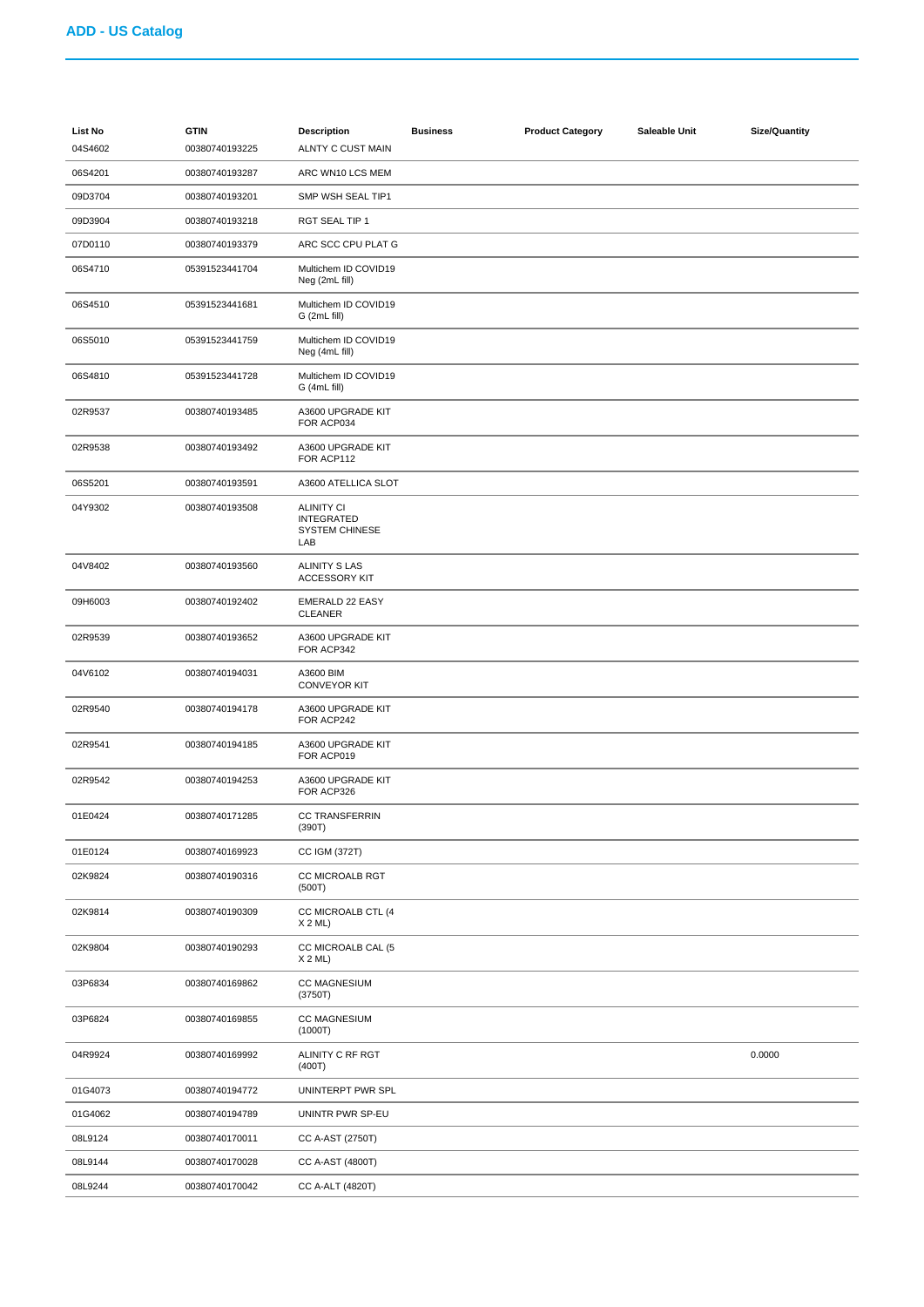| List No<br>04S4602 | <b>GTIN</b><br>00380740193225 | <b>Description</b><br>ALNTY C CUST MAIN                                | <b>Business</b> | <b>Product Category</b> | Saleable Unit | <b>Size/Quantity</b> |
|--------------------|-------------------------------|------------------------------------------------------------------------|-----------------|-------------------------|---------------|----------------------|
| 06S4201            | 00380740193287                | ARC WN10 LCS MEM                                                       |                 |                         |               |                      |
| 09D3704            | 00380740193201                | SMP WSH SEAL TIP1                                                      |                 |                         |               |                      |
| 09D3904            | 00380740193218                | RGT SEAL TIP 1                                                         |                 |                         |               |                      |
| 07D0110            | 00380740193379                | ARC SCC CPU PLAT G                                                     |                 |                         |               |                      |
| 06S4710            | 05391523441704                | Multichem ID COVID19<br>Neg (2mL fill)                                 |                 |                         |               |                      |
| 06S4510            | 05391523441681                | Multichem ID COVID19<br>G (2mL fill)                                   |                 |                         |               |                      |
| 06S5010            | 05391523441759                | Multichem ID COVID19<br>Neg (4mL fill)                                 |                 |                         |               |                      |
| 06S4810            | 05391523441728                | Multichem ID COVID19<br>G (4mL fill)                                   |                 |                         |               |                      |
| 02R9537            | 00380740193485                | A3600 UPGRADE KIT<br>FOR ACP034                                        |                 |                         |               |                      |
| 02R9538            | 00380740193492                | A3600 UPGRADE KIT<br>FOR ACP112                                        |                 |                         |               |                      |
| 06S5201            | 00380740193591                | A3600 ATELLICA SLOT                                                    |                 |                         |               |                      |
| 04Y9302            | 00380740193508                | <b>ALINITY CI</b><br><b>INTEGRATED</b><br><b>SYSTEM CHINESE</b><br>LAB |                 |                         |               |                      |
| 04V8402            | 00380740193560                | <b>ALINITY S LAS</b><br><b>ACCESSORY KIT</b>                           |                 |                         |               |                      |
| 09H6003            | 00380740192402                | <b>EMERALD 22 EASY</b><br><b>CLEANER</b>                               |                 |                         |               |                      |
| 02R9539            | 00380740193652                | A3600 UPGRADE KIT<br>FOR ACP342                                        |                 |                         |               |                      |
| 04V6102            | 00380740194031                | A3600 BIM<br><b>CONVEYOR KIT</b>                                       |                 |                         |               |                      |
| 02R9540            | 00380740194178                | A3600 UPGRADE KIT<br>FOR ACP242                                        |                 |                         |               |                      |
| 02R9541            | 00380740194185                | A3600 UPGRADE KIT<br>FOR ACP019                                        |                 |                         |               |                      |
| 02R9542            | 00380740194253                | A3600 UPGRADE KIT<br>FOR ACP326                                        |                 |                         |               |                      |
| 01E0424            | 00380740171285                | CC TRANSFERRIN<br>(390T)                                               |                 |                         |               |                      |
| 01E0124            | 00380740169923                | CC IGM (372T)                                                          |                 |                         |               |                      |
| 02K9824            | 00380740190316                | CC MICROALB RGT<br>(500T)                                              |                 |                         |               |                      |
| 02K9814            | 00380740190309                | CC MICROALB CTL (4<br>X 2 ML                                           |                 |                         |               |                      |
| 02K9804            | 00380740190293                | CC MICROALB CAL (5<br>X 2 ML                                           |                 |                         |               |                      |
| 03P6834            | 00380740169862                | <b>CC MAGNESIUM</b><br>(3750T)                                         |                 |                         |               |                      |
| 03P6824            | 00380740169855                | <b>CC MAGNESIUM</b><br>(1000T)                                         |                 |                         |               |                      |
| 04R9924            | 00380740169992                | ALINITY C RF RGT<br>(400T)                                             |                 |                         |               | 0.0000               |
| 01G4073            | 00380740194772                | UNINTERPT PWR SPL                                                      |                 |                         |               |                      |
| 01G4062            | 00380740194789                | UNINTR PWR SP-EU                                                       |                 |                         |               |                      |
| 08L9124            | 00380740170011                | CC A-AST (2750T)                                                       |                 |                         |               |                      |
| 08L9144            | 00380740170028                | CC A-AST (4800T)                                                       |                 |                         |               |                      |
| 08L9244            | 00380740170042                | CC A-ALT (4820T)                                                       |                 |                         |               |                      |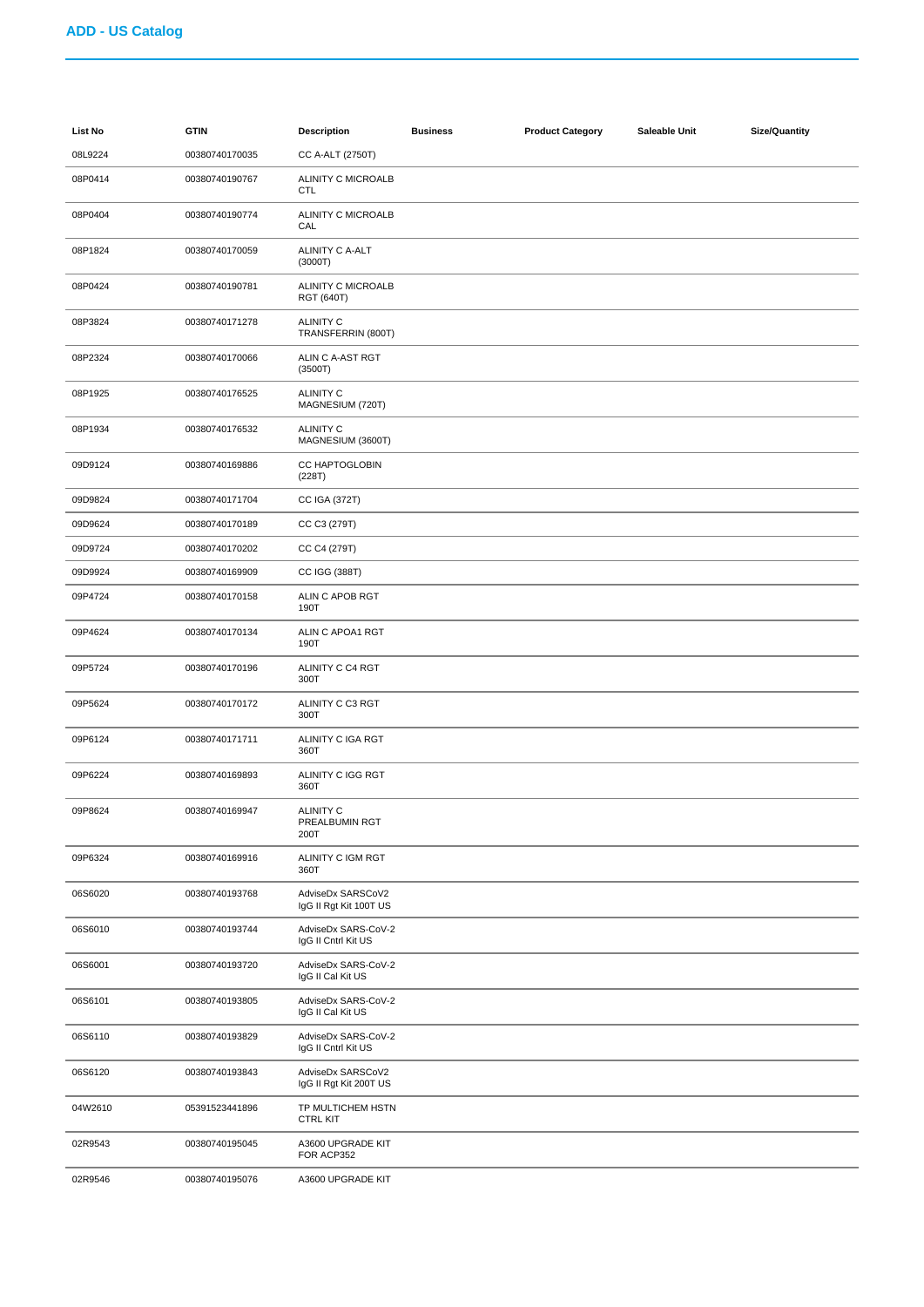| List No | <b>GTIN</b>    | <b>Description</b>                          | <b>Business</b> | <b>Product Category</b> | Saleable Unit | <b>Size/Quantity</b> |
|---------|----------------|---------------------------------------------|-----------------|-------------------------|---------------|----------------------|
| 08L9224 | 00380740170035 | CC A-ALT (2750T)                            |                 |                         |               |                      |
| 08P0414 | 00380740190767 | ALINITY C MICROALB<br><b>CTL</b>            |                 |                         |               |                      |
| 08P0404 | 00380740190774 | ALINITY C MICROALB<br>CAL                   |                 |                         |               |                      |
| 08P1824 | 00380740170059 | ALINITY C A-ALT<br>(3000T)                  |                 |                         |               |                      |
| 08P0424 | 00380740190781 | ALINITY C MICROALB<br><b>RGT (640T)</b>     |                 |                         |               |                      |
| 08P3824 | 00380740171278 | <b>ALINITY C</b><br>TRANSFERRIN (800T)      |                 |                         |               |                      |
| 08P2324 | 00380740170066 | ALIN C A-AST RGT<br>(3500T)                 |                 |                         |               |                      |
| 08P1925 | 00380740176525 | <b>ALINITY C</b><br>MAGNESIUM (720T)        |                 |                         |               |                      |
| 08P1934 | 00380740176532 | <b>ALINITY C</b><br>MAGNESIUM (3600T)       |                 |                         |               |                      |
| 09D9124 | 00380740169886 | CC HAPTOGLOBIN<br>(228T)                    |                 |                         |               |                      |
| 09D9824 | 00380740171704 | CC IGA (372T)                               |                 |                         |               |                      |
| 09D9624 | 00380740170189 | CC C3 (279T)                                |                 |                         |               |                      |
| 09D9724 | 00380740170202 | CC C4 (279T)                                |                 |                         |               |                      |
| 09D9924 | 00380740169909 | CC IGG (388T)                               |                 |                         |               |                      |
| 09P4724 | 00380740170158 | ALIN C APOB RGT<br>190T                     |                 |                         |               |                      |
| 09P4624 | 00380740170134 | ALIN C APOA1 RGT<br>190T                    |                 |                         |               |                      |
| 09P5724 | 00380740170196 | ALINITY C C4 RGT<br>300T                    |                 |                         |               |                      |
| 09P5624 | 00380740170172 | ALINITY C C3 RGT<br>300T                    |                 |                         |               |                      |
| 09P6124 | 00380740171711 | ALINITY C IGA RGT<br>360T                   |                 |                         |               |                      |
| 09P6224 | 00380740169893 | ALINITY C IGG RGT<br>360T                   |                 |                         |               |                      |
| 09P8624 | 00380740169947 | <b>ALINITY C</b><br>PREALBUMIN RGT<br>200T  |                 |                         |               |                      |
| 09P6324 | 00380740169916 | ALINITY C IGM RGT<br>360T                   |                 |                         |               |                      |
| 06S6020 | 00380740193768 | AdviseDx SARSCoV2<br>IgG II Rgt Kit 100T US |                 |                         |               |                      |
| 06S6010 | 00380740193744 | AdviseDx SARS-CoV-2<br>IgG II Cntrl Kit US  |                 |                         |               |                      |
| 06S6001 | 00380740193720 | AdviseDx SARS-CoV-2<br>IgG II Cal Kit US    |                 |                         |               |                      |
| 06S6101 | 00380740193805 | AdviseDx SARS-CoV-2<br>IgG II Cal Kit US    |                 |                         |               |                      |
| 06S6110 | 00380740193829 | AdviseDx SARS-CoV-2<br>IgG II Cntrl Kit US  |                 |                         |               |                      |
| 06S6120 | 00380740193843 | AdviseDx SARSCoV2<br>IgG II Rgt Kit 200T US |                 |                         |               |                      |
| 04W2610 | 05391523441896 | TP MULTICHEM HSTN<br><b>CTRL KIT</b>        |                 |                         |               |                      |
| 02R9543 | 00380740195045 | A3600 UPGRADE KIT<br>FOR ACP352             |                 |                         |               |                      |
| 02R9546 | 00380740195076 | A3600 UPGRADE KIT                           |                 |                         |               |                      |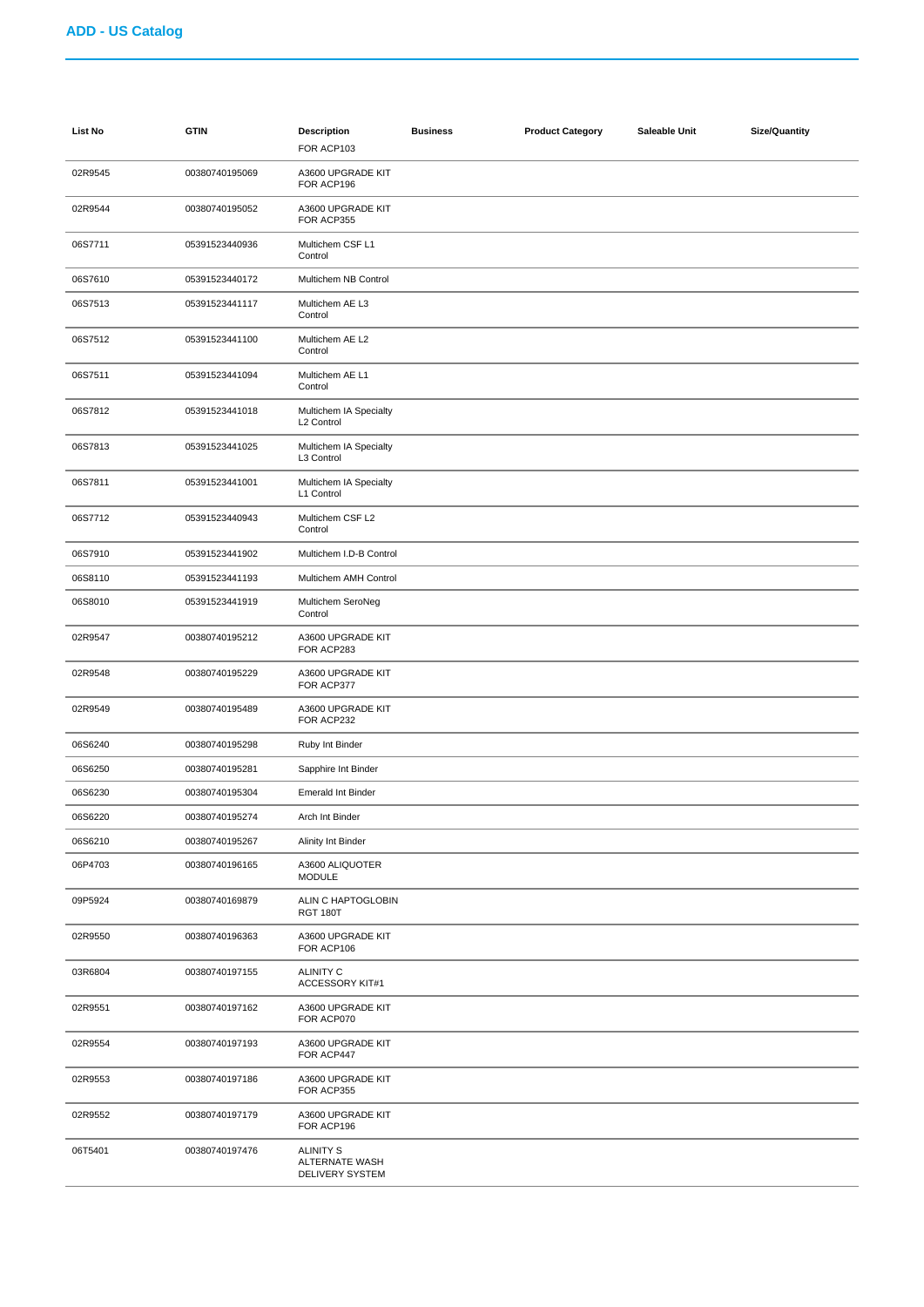| <b>List No</b> | <b>GTIN</b>    | <b>Description</b><br>FOR ACP103                      | <b>Business</b> | <b>Product Category</b> | Saleable Unit | <b>Size/Quantity</b> |
|----------------|----------------|-------------------------------------------------------|-----------------|-------------------------|---------------|----------------------|
| 02R9545        | 00380740195069 | A3600 UPGRADE KIT<br>FOR ACP196                       |                 |                         |               |                      |
| 02R9544        | 00380740195052 | A3600 UPGRADE KIT<br>FOR ACP355                       |                 |                         |               |                      |
| 06S7711        | 05391523440936 | Multichem CSF L1<br>Control                           |                 |                         |               |                      |
| 06S7610        | 05391523440172 | Multichem NB Control                                  |                 |                         |               |                      |
| 06S7513        | 05391523441117 | Multichem AE L3<br>Control                            |                 |                         |               |                      |
| 06S7512        | 05391523441100 | Multichem AE L2<br>Control                            |                 |                         |               |                      |
| 06S7511        | 05391523441094 | Multichem AE L1<br>Control                            |                 |                         |               |                      |
| 06S7812        | 05391523441018 | Multichem IA Specialty<br>L2 Control                  |                 |                         |               |                      |
| 06S7813        | 05391523441025 | Multichem IA Specialty<br>L3 Control                  |                 |                         |               |                      |
| 06S7811        | 05391523441001 | Multichem IA Specialty<br>L1 Control                  |                 |                         |               |                      |
| 06S7712        | 05391523440943 | Multichem CSF L2<br>Control                           |                 |                         |               |                      |
| 06S7910        | 05391523441902 | Multichem I.D-B Control                               |                 |                         |               |                      |
| 06S8110        | 05391523441193 | Multichem AMH Control                                 |                 |                         |               |                      |
| 06S8010        | 05391523441919 | Multichem SeroNeg<br>Control                          |                 |                         |               |                      |
| 02R9547        | 00380740195212 | A3600 UPGRADE KIT<br>FOR ACP283                       |                 |                         |               |                      |
| 02R9548        | 00380740195229 | A3600 UPGRADE KIT<br>FOR ACP377                       |                 |                         |               |                      |
| 02R9549        | 00380740195489 | A3600 UPGRADE KIT<br>FOR ACP232                       |                 |                         |               |                      |
| 06S6240        | 00380740195298 | Ruby Int Binder                                       |                 |                         |               |                      |
| 06S6250        | 00380740195281 | Sapphire Int Binder                                   |                 |                         |               |                      |
| 06S6230        | 00380740195304 | <b>Emerald Int Binder</b>                             |                 |                         |               |                      |
| 06S6220        | 00380740195274 | Arch Int Binder                                       |                 |                         |               |                      |
| 06S6210        | 00380740195267 | Alinity Int Binder                                    |                 |                         |               |                      |
| 06P4703        | 00380740196165 | A3600 ALIQUOTER<br><b>MODULE</b>                      |                 |                         |               |                      |
| 09P5924        | 00380740169879 | ALIN C HAPTOGLOBIN<br><b>RGT 180T</b>                 |                 |                         |               |                      |
| 02R9550        | 00380740196363 | A3600 UPGRADE KIT<br>FOR ACP106                       |                 |                         |               |                      |
| 03R6804        | 00380740197155 | <b>ALINITY C</b><br>ACCESSORY KIT#1                   |                 |                         |               |                      |
| 02R9551        | 00380740197162 | A3600 UPGRADE KIT<br>FOR ACP070                       |                 |                         |               |                      |
| 02R9554        | 00380740197193 | A3600 UPGRADE KIT<br>FOR ACP447                       |                 |                         |               |                      |
| 02R9553        | 00380740197186 | A3600 UPGRADE KIT<br>FOR ACP355                       |                 |                         |               |                      |
| 02R9552        | 00380740197179 | A3600 UPGRADE KIT<br>FOR ACP196                       |                 |                         |               |                      |
| 06T5401        | 00380740197476 | <b>ALINITY S</b><br>ALTERNATE WASH<br>DELIVERY SYSTEM |                 |                         |               |                      |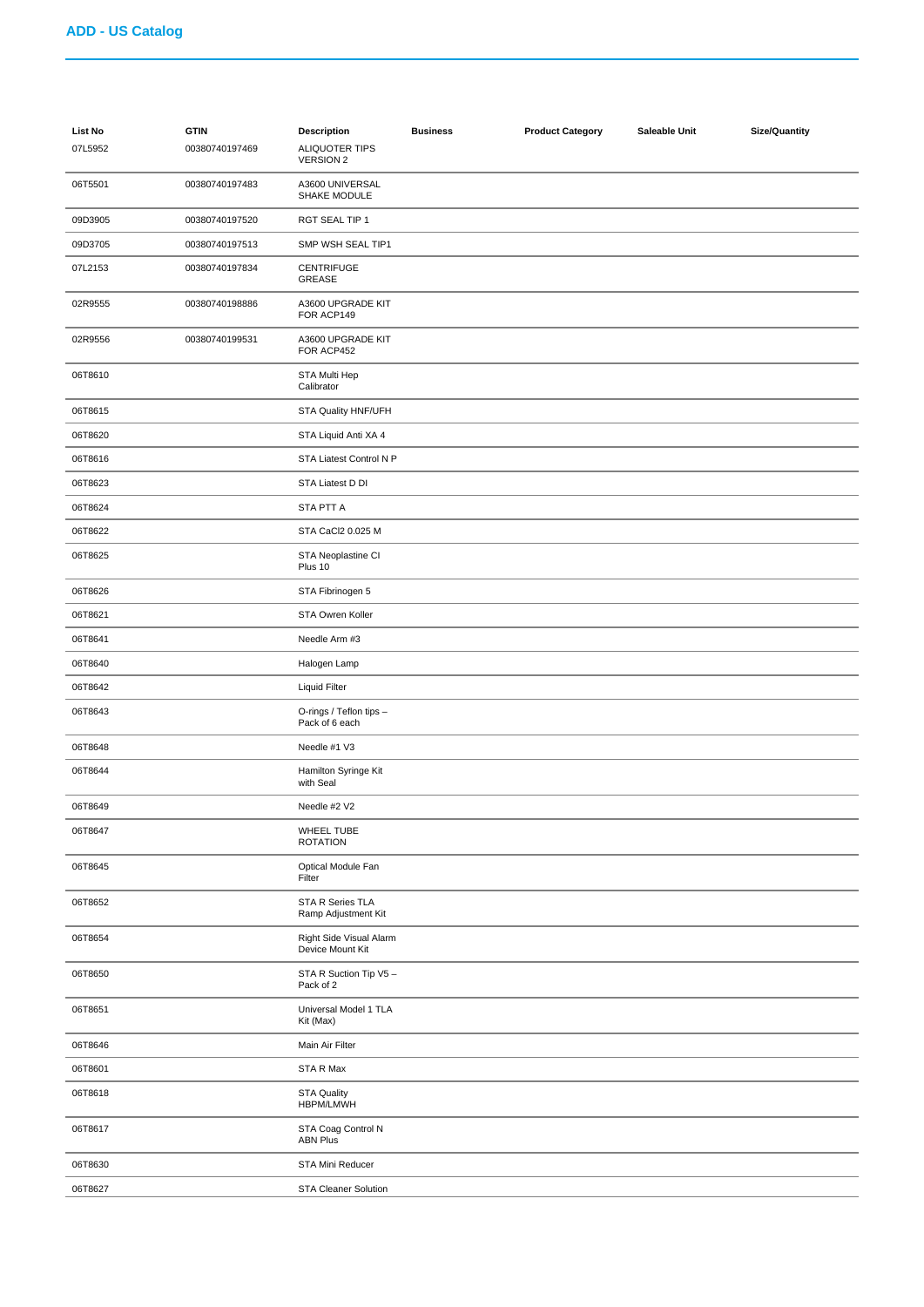| List No<br>07L5952 | <b>GTIN</b><br>00380740197469 | <b>Description</b><br><b>ALIQUOTER TIPS</b><br><b>VERSION 2</b> | <b>Business</b> | <b>Product Category</b> | Saleable Unit | <b>Size/Quantity</b> |
|--------------------|-------------------------------|-----------------------------------------------------------------|-----------------|-------------------------|---------------|----------------------|
| 06T5501            | 00380740197483                | A3600 UNIVERSAL<br>SHAKE MODULE                                 |                 |                         |               |                      |
| 09D3905            | 00380740197520                | RGT SEAL TIP 1                                                  |                 |                         |               |                      |
| 09D3705            | 00380740197513                | SMP WSH SEAL TIP1                                               |                 |                         |               |                      |
| 07L2153            | 00380740197834                | <b>CENTRIFUGE</b><br>GREASE                                     |                 |                         |               |                      |
| 02R9555            | 00380740198886                | A3600 UPGRADE KIT<br>FOR ACP149                                 |                 |                         |               |                      |
| 02R9556            | 00380740199531                | A3600 UPGRADE KIT<br>FOR ACP452                                 |                 |                         |               |                      |
| 06T8610            |                               | STA Multi Hep<br>Calibrator                                     |                 |                         |               |                      |
| 06T8615            |                               | STA Quality HNF/UFH                                             |                 |                         |               |                      |
| 06T8620            |                               | STA Liquid Anti XA 4                                            |                 |                         |               |                      |
| 06T8616            |                               | STA Liatest Control N P                                         |                 |                         |               |                      |
| 06T8623            |                               | STA Liatest D DI                                                |                 |                         |               |                      |
| 06T8624            |                               | STA PTT A                                                       |                 |                         |               |                      |
| 06T8622            |                               | STA CaCl2 0.025 M                                               |                 |                         |               |                      |
| 06T8625            |                               | STA Neoplastine CI<br>Plus 10                                   |                 |                         |               |                      |
| 06T8626            |                               | STA Fibrinogen 5                                                |                 |                         |               |                      |
| 06T8621            |                               | STA Owren Koller                                                |                 |                         |               |                      |
| 06T8641            |                               | Needle Arm #3                                                   |                 |                         |               |                      |
| 06T8640            |                               | Halogen Lamp                                                    |                 |                         |               |                      |
| 06T8642            |                               | <b>Liquid Filter</b>                                            |                 |                         |               |                      |
| 06T8643            |                               | O-rings / Teflon tips -<br>Pack of 6 each                       |                 |                         |               |                      |
| 06T8648            |                               | Needle #1 V3                                                    |                 |                         |               |                      |
| 06T8644            |                               | Hamilton Syringe Kit<br>with Seal                               |                 |                         |               |                      |
| 06T8649            |                               | Needle #2 V2                                                    |                 |                         |               |                      |
| 06T8647            |                               | <b>WHEEL TUBE</b><br><b>ROTATION</b>                            |                 |                         |               |                      |
| 06T8645            |                               | Optical Module Fan<br>Filter                                    |                 |                         |               |                      |
| 06T8652            |                               | STA R Series TLA<br>Ramp Adjustment Kit                         |                 |                         |               |                      |
| 06T8654            |                               | Right Side Visual Alarm<br>Device Mount Kit                     |                 |                         |               |                      |
| 06T8650            |                               | STA R Suction Tip V5 -<br>Pack of 2                             |                 |                         |               |                      |
| 06T8651            |                               | Universal Model 1 TLA<br>Kit (Max)                              |                 |                         |               |                      |
| 06T8646            |                               | Main Air Filter                                                 |                 |                         |               |                      |
| 06T8601            |                               | STA R Max                                                       |                 |                         |               |                      |
| 06T8618            |                               | <b>STA Quality</b><br>HBPM/LMWH                                 |                 |                         |               |                      |
| 06T8617            |                               | STA Coag Control N<br><b>ABN Plus</b>                           |                 |                         |               |                      |
| 06T8630            |                               | STA Mini Reducer                                                |                 |                         |               |                      |
| 06T8627            |                               | <b>STA Cleaner Solution</b>                                     |                 |                         |               |                      |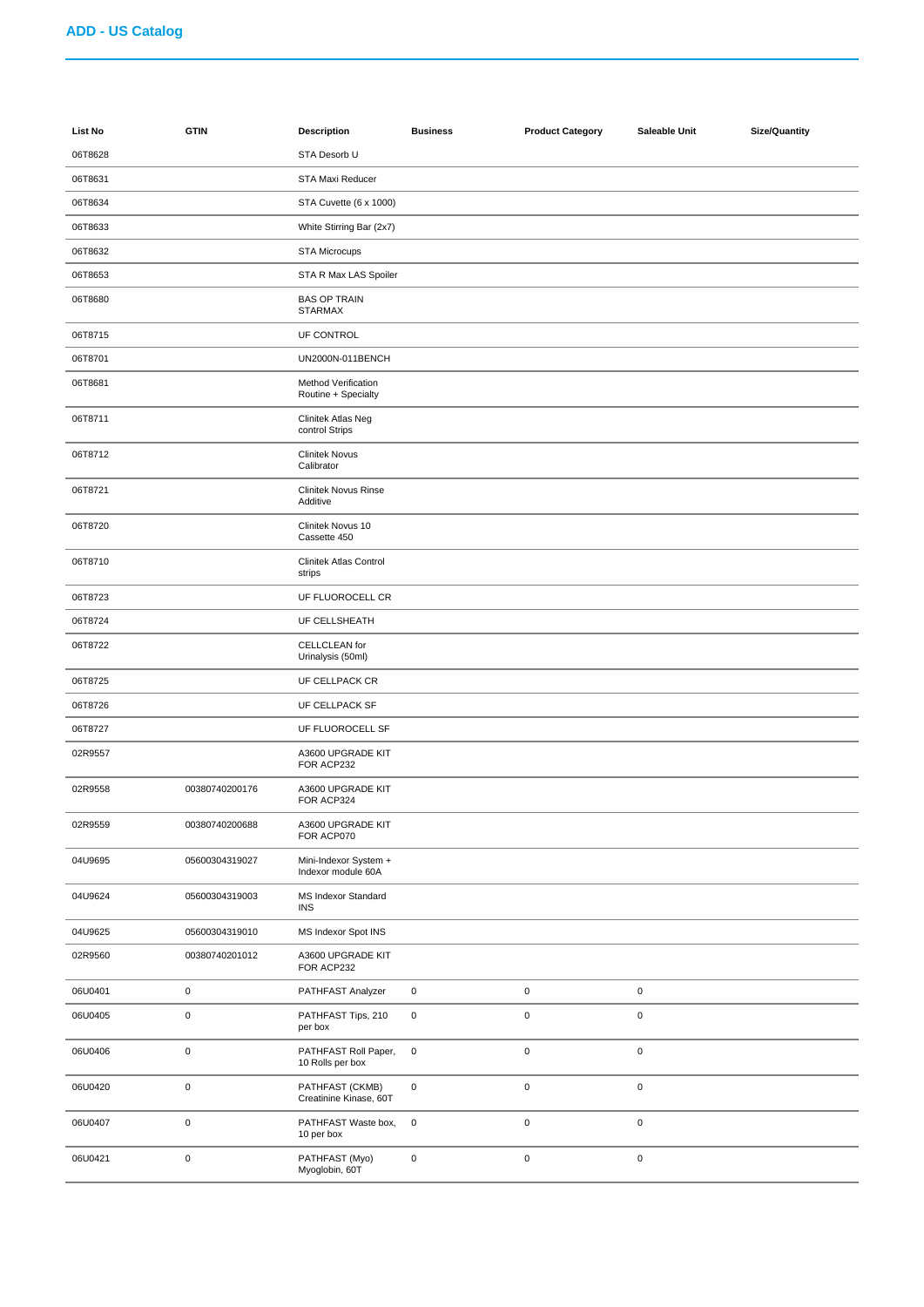| <b>List No</b> | <b>GTIN</b>    | <b>Description</b>                          | <b>Business</b> | <b>Product Category</b> | Saleable Unit | <b>Size/Quantity</b> |
|----------------|----------------|---------------------------------------------|-----------------|-------------------------|---------------|----------------------|
| 06T8628        |                | STA Desorb U                                |                 |                         |               |                      |
| 06T8631        |                | STA Maxi Reducer                            |                 |                         |               |                      |
| 06T8634        |                | STA Cuvette (6 x 1000)                      |                 |                         |               |                      |
| 06T8633        |                | White Stirring Bar (2x7)                    |                 |                         |               |                      |
| 06T8632        |                | <b>STA Microcups</b>                        |                 |                         |               |                      |
| 06T8653        |                | STA R Max LAS Spoiler                       |                 |                         |               |                      |
| 06T8680        |                | <b>BAS OP TRAIN</b><br><b>STARMAX</b>       |                 |                         |               |                      |
| 06T8715        |                | UF CONTROL                                  |                 |                         |               |                      |
| 06T8701        |                | UN2000N-011BENCH                            |                 |                         |               |                      |
| 06T8681        |                | Method Verification<br>Routine + Specialty  |                 |                         |               |                      |
| 06T8711        |                | Clinitek Atlas Neg<br>control Strips        |                 |                         |               |                      |
| 06T8712        |                | <b>Clinitek Novus</b><br>Calibrator         |                 |                         |               |                      |
| 06T8721        |                | <b>Clinitek Novus Rinse</b><br>Additive     |                 |                         |               |                      |
| 06T8720        |                | Clinitek Novus 10<br>Cassette 450           |                 |                         |               |                      |
| 06T8710        |                | Clinitek Atlas Control<br>strips            |                 |                         |               |                      |
| 06T8723        |                | UF FLUOROCELL CR                            |                 |                         |               |                      |
| 06T8724        |                | UF CELLSHEATH                               |                 |                         |               |                      |
| 06T8722        |                | CELLCLEAN for<br>Urinalysis (50ml)          |                 |                         |               |                      |
| 06T8725        |                | UF CELLPACK CR                              |                 |                         |               |                      |
| 06T8726        |                | UF CELLPACK SF                              |                 |                         |               |                      |
| 06T8727        |                | UF FLUOROCELL SF                            |                 |                         |               |                      |
| 02R9557        |                | A3600 UPGRADE KIT<br>FOR ACP232             |                 |                         |               |                      |
| 02R9558        | 00380740200176 | A3600 UPGRADE KIT<br>FOR ACP324             |                 |                         |               |                      |
| 02R9559        | 00380740200688 | A3600 UPGRADE KIT<br>FOR ACP070             |                 |                         |               |                      |
| 04U9695        | 05600304319027 | Mini-Indexor System +<br>Indexor module 60A |                 |                         |               |                      |
| 04U9624        | 05600304319003 | MS Indexor Standard<br><b>INS</b>           |                 |                         |               |                      |
| 04U9625        | 05600304319010 | MS Indexor Spot INS                         |                 |                         |               |                      |
| 02R9560        | 00380740201012 | A3600 UPGRADE KIT<br>FOR ACP232             |                 |                         |               |                      |
| 06U0401        | $\pmb{0}$      | PATHFAST Analyzer                           | $\mathsf 0$     | $\pmb{0}$               | $\mathbf 0$   |                      |
| 06U0405        | $\pmb{0}$      | PATHFAST Tips, 210<br>per box               | $\mathbf 0$     | $\pmb{0}$               | $\mathbf 0$   |                      |
| 06U0406        | $\pmb{0}$      | PATHFAST Roll Paper,<br>10 Rolls per box    | $\mathsf 0$     | $\pmb{0}$               | $\mathbf 0$   |                      |
| 06U0420        | $\pmb{0}$      | PATHFAST (CKMB)<br>Creatinine Kinase, 60T   | $\mathbf 0$     | $\pmb{0}$               | $\mathbf 0$   |                      |
| 06U0407        | $\pmb{0}$      | PATHFAST Waste box,<br>10 per box           | $\mathbf 0$     | $\pmb{0}$               | $\mathbf 0$   |                      |
| 06U0421        | $\mathbf 0$    | PATHFAST (Myo)<br>Myoglobin, 60T            | $\mathbf 0$     | $\pmb{0}$               | $\mathbf 0$   |                      |